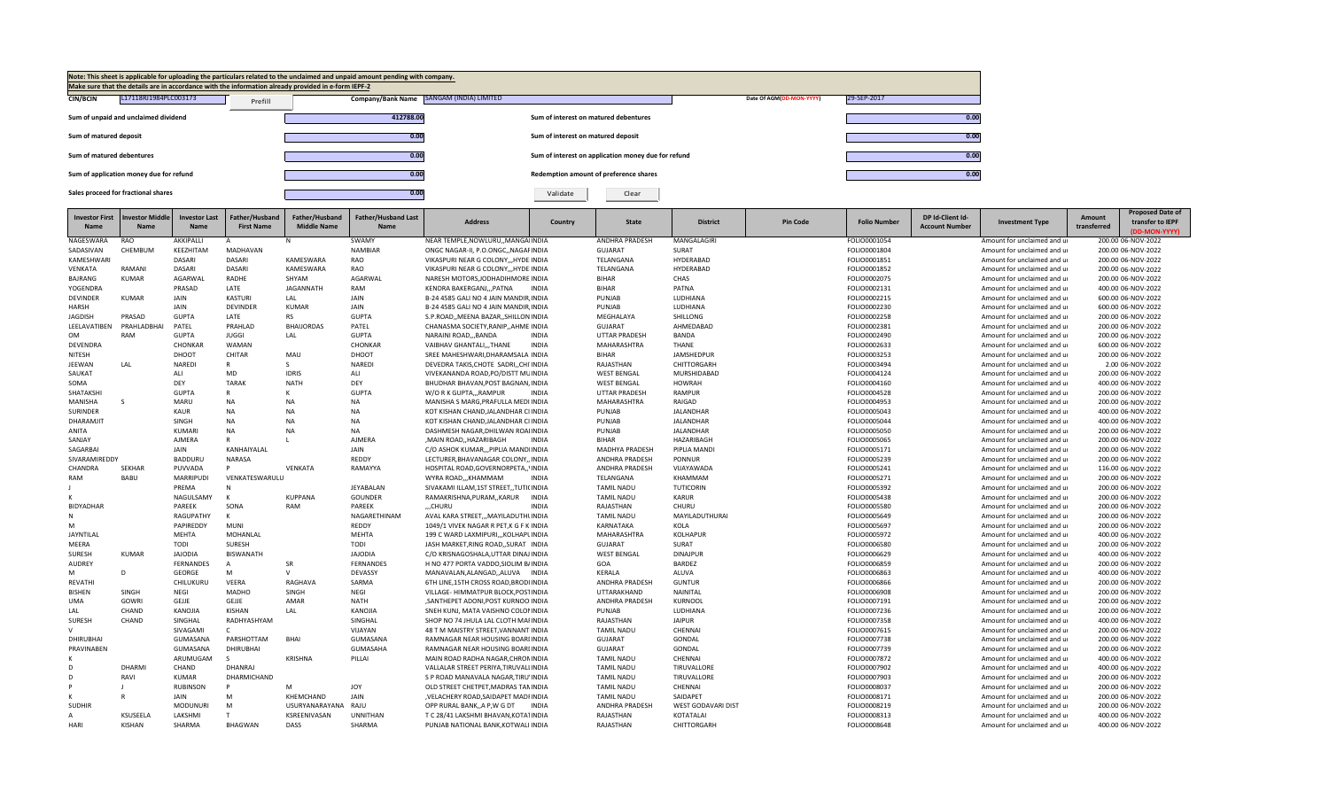

| <b>Investor First</b>          | <b>Investor Middle</b> | Investor Last                   | Father/Husband                 | Father/Husband     | <b>Father/Husband Last</b> | <b>Address</b>                                                             | Country      | <b>State</b>                           | <b>District</b>            | <b>Pin Code</b> | <b>Folio Number</b>          | DP Id-Client Id-      | <b>Investment Type</b>                                     | Amount      | <b>Proposed Date of</b><br>transfer to IEPF |
|--------------------------------|------------------------|---------------------------------|--------------------------------|--------------------|----------------------------|----------------------------------------------------------------------------|--------------|----------------------------------------|----------------------------|-----------------|------------------------------|-----------------------|------------------------------------------------------------|-------------|---------------------------------------------|
| <b>Name</b>                    | <b>Name</b>            | <b>Name</b>                     | <b>First Name</b>              | <b>Middle Name</b> | Name                       |                                                                            |              |                                        |                            |                 |                              | <b>Account Number</b> |                                                            | transferred | (DD-MON-YYYY)                               |
| NAGESWARA                      | RAO                    | AKKIPALLI                       | Α                              | N                  | SWAMY                      | NEAR TEMPLE, NOWLURU, , MANGAIINDIA                                        |              | <b>ANDHRA PRADESH</b>                  | MANGALAGIRI                |                 | FOLIO0001054                 |                       | Amount for unclaimed and ur                                |             | 200.00 06-NOV-2022                          |
| SADASIVAN                      | CHEMBUM                | KEEZHITAM                       | <b>MADHAVAN</b>                |                    | <b>NAMBIAR</b>             | ONGC NAGAR-II, P.O.ONGC,, NAGAFINDIA                                       |              | <b>GUJARAT</b>                         | SURAT                      |                 | FOLIO0001804                 |                       | Amount for unclaimed and u                                 |             | 200.00 06-NOV-2022                          |
| KAMESHWAR                      |                        | <b>DASARI</b>                   | <b>DASARI</b>                  | KAMESWARA          | RAO                        | VIKASPURI NEAR G COLONY HYDE INDIA                                         |              | TELANGANA                              | HYDERABAD                  |                 | FOLIO0001851                 |                       | Amount for unclaimed and u                                 |             | 200.00 06-NOV-2022                          |
| VENKATA                        | RAMANI                 | DASARI                          | DASARI                         | KAMESWARA          | RAO                        | VIKASPURI NEAR G COLONY,,, HYDE INDIA                                      |              | TELANGANA                              | HYDERABAD                  |                 | FOLIO0001852                 |                       | Amount for unclaimed and ur                                |             | 200.00 06-NOV-2022                          |
| BAJRANG                        | <b>KUMAR</b>           | AGARWAL                         | RADHE                          | SHYAM              | AGARWAL                    | NARESH MOTORS, JODHADIHMORE INDIA                                          |              | <b>BIHAR</b>                           | CHAS                       |                 | FOLIO0002075                 |                       | Amount for unclaimed and ur                                |             | 200.00 06-NOV-2022                          |
| YOGENDRA                       |                        | PRASAD                          | LATE                           | <b>JAGANNATH</b>   | RAM                        | KENDRA BAKERGANJPATNA                                                      | <b>INDIA</b> | <b>BIHAR</b>                           | PATNA                      |                 | FOLIO0002131                 |                       | Amount for unclaimed and ur                                |             | 400.00 06-NOV-2022                          |
| <b>DEVINDER</b>                | <b>KUMAR</b>           | JAIN                            | <b>KASTURI</b>                 | LAL                | JAIN                       | B-24 4585 GALI NO 4 JAIN MANDIR INDIA                                      |              | PUNJAB                                 | LUDHIANA                   |                 | FOLIO0002215                 |                       | Amount for unclaimed and u                                 |             | 600.00 06-NOV-2022                          |
| <b>HARSH</b>                   |                        | JAIN                            | <b>DEVINDER</b>                | <b>KUMAR</b>       | JAIN                       | B-24 4585 GALI NO 4 JAIN MANDIR, INDIA                                     |              | PUNJAB                                 | LUDHIANA                   |                 | FOLIO0002230                 |                       | Amount for unclaimed and ur                                |             | 600.00 06-NOV-2022                          |
| <b>JAGDISH</b>                 | PRASAD                 | <b>GUPTA</b>                    | LATE                           | <b>RS</b>          | <b>GUPTA</b>               | S.P.ROAD, MEENA BAZAR, SHILLON INDIA                                       |              | MEGHALAYA                              | SHILLONG                   |                 | FOLIO0002258                 |                       | Amount for unclaimed and ur                                |             | 200.00 06-NOV-2022                          |
| LEELAVATIBEN                   | PRAHLADBHAI            | PATEL                           | PRAHLAD                        | <b>BHAIJORDAS</b>  | PATEL                      | CHANASMA SOCIETY, RANIP, , AHMEIINDIA                                      |              | <b>GUJARAT</b>                         | AHMEDABAD                  |                 | FOLIO0002381                 |                       | Amount for unclaimed and ur                                |             | 200.00 06-NOV-2022                          |
| OM                             | <b>RAM</b>             | <b>GUPTA</b>                    | <b>JUGGI</b>                   | LAL                | <b>GUPTA</b>               | NARAINI ROAD,,,BANDA                                                       | <b>INDIA</b> | UTTAR PRADESH                          | BANDA                      |                 | FOLIO0002490                 |                       | Amount for unclaimed and ur                                |             | 200.00 06-NOV-2022                          |
| DEVENDRA                       |                        | CHONKAR                         | <b>WAMAN</b>                   |                    | CHONKAR                    | VAIBHAV GHANTALI,,,THANE                                                   | <b>INDIA</b> | MAHARASHTRA                            | <b>THANE</b>               |                 | FOLIO0002633                 |                       | Amount for unclaimed and ur                                |             | 600.00 06-NOV-2022                          |
| NITESH                         |                        | DHOOT                           | <b>CHITAR</b>                  | MAU                | DHOOT                      | SREE MAHESHWARI, DHARAMSALA INDIA                                          |              | <b>BIHAR</b>                           | JAMSHEDPUR                 |                 | FOLIO0003253                 |                       | Amount for unclaimed and ur                                |             | 200.00 06-NOV-2022                          |
| <b>JEEWAN</b>                  | LAL                    | <b>NAREDI</b>                   |                                | S.                 | <b>NAREDI</b>              | DEVEDRA TAKIS.CHOTE SADRICHI INDIA                                         |              | RAJASTHAN                              | CHITTORGARH                |                 | FOLIO0003494                 |                       | Amount for unclaimed and ur                                |             | 2.00 06-NOV-2022                            |
| SAUKAT                         |                        | ALI                             | <b>MD</b>                      | <b>IDRIS</b>       | ALI                        | VIVEKANANDA ROAD, PO/DISTT MUINDIA                                         |              | <b>WEST BENGAL</b>                     | MURSHIDABAD                |                 | FOLIO0004124                 |                       | Amount for unclaimed and ur                                |             | 200.00 06-NOV-2022                          |
| SOMA                           |                        | DEY                             | <b>TARAK</b>                   | <b>NATH</b>        | DEY                        | BHUDHAR BHAVAN, POST BAGNAN, INDIA                                         |              | <b>WEST BENGAL</b>                     | <b>HOWRAH</b>              |                 | FOLIO0004160                 |                       | Amount for unclaimed and ur                                |             | 400.00 06-NOV-2022                          |
| SHATAKSHI                      |                        | <b>GUPTA</b>                    |                                | К                  | <b>GUPTA</b>               | W/O R K GUPTARAMPUR                                                        | <b>INDIA</b> | <b>UTTAR PRADESH</b>                   | RAMPUR                     |                 | FOLIO0004528                 |                       | Amount for unclaimed and ur                                |             | 200.00 06-NOV-2022                          |
| MANISHA                        | - S                    | MARU                            | <b>NA</b>                      | <b>NA</b>          | <b>NA</b>                  | MANISHA S MARG, PRAFULLA MEDI INDIA                                        |              | MAHARASHTRA                            | RAIGAD                     |                 | FOLIO0004953                 |                       | Amount for unclaimed and ur                                |             | 200.00 06-NOV-2022                          |
| <b>SURINDER</b>                |                        | KAUR                            | <b>NA</b>                      | <b>NA</b>          | <b>NA</b>                  | KOT KISHAN CHAND, JALANDHAR CI INDIA                                       |              | PUNJAB                                 | <b>JALANDHAR</b>           |                 | FOLIO0005043                 |                       | Amount for unclaimed and ur                                |             | 400.00 06-NOV-2022                          |
| DHARAMJIT                      |                        | SINGH                           | <b>NA</b>                      | <b>NA</b>          | <b>NA</b>                  | KOT KISHAN CHAND, JALANDHAR CI INDIA                                       |              | PUNJAB                                 | JALANDHAR                  |                 | FOLIO0005044                 |                       | Amount for unclaimed and ur                                |             | 400.00 06-NOV-2022                          |
| <b>ANITA</b>                   |                        | <b>KUMAR</b>                    | <b>NA</b>                      | <b>NA</b>          | <b>NA</b>                  | DASHMESH NAGAR.DHILWAN ROAIINDIA                                           |              | PUNJAB                                 | JALANDHAR                  |                 | FOLIO0005050                 |                       | Amount for unclaimed and ur                                |             | 200.00 06-NOV-2022                          |
| SANJAY                         |                        | <b>AJMERA</b>                   |                                |                    | <b>AJMERA</b>              | ,MAIN ROAD,,HAZARIBAGH                                                     | <b>INDIA</b> | <b>BIHAR</b>                           | HAZARIBAGH                 |                 | FOLIO0005065                 |                       | Amount for unclaimed and ur                                |             | 200.00 06-NOV-2022                          |
| SAGARBAI                       |                        | JAIN                            | KANHAIYALAL                    |                    | JAIN                       | C/O ASHOK KUMAR,,,PIPLIA MANDIINDIA                                        |              | MADHYA PRADESH                         | PIPLIA MANDI               |                 | FOLIO0005171                 |                       | Amount for unclaimed and ur                                |             | 200.00 06-NOV-2022                          |
| SIVARAMIREDDY                  |                        | <b>BADDURU</b>                  | NARASA                         |                    | REDDY                      | LECTURER, BHAVANAGAR COLONY,, INDIA                                        |              | <b>ANDHRA PRADESH</b>                  | PONNUR                     |                 | FOLIO0005239                 |                       | Amount for unclaimed and ur                                |             | 200.00 06-NOV-2022                          |
| CHANDRA                        | <b>SEKHAR</b>          | PUVVADA                         | D                              | VENKATA            | RAMAYYA                    | HOSPITAL ROAD, GOVERNORPETA,, INDIA                                        |              | ANDHRA PRADESH                         | VIJAYAWADA                 |                 | FOLIO0005241                 |                       | Amount for unclaimed and ur                                |             | 116.00 06-NOV-2022                          |
| RAM                            | <b>BABU</b>            | <b>MARRIPUDI</b>                | VENKATESWARULU                 |                    |                            | WYRA ROAD,,,KHAMMAM                                                        | <b>INDIA</b> | TELANGANA                              | KHAMMAM                    |                 | FOLIO0005271                 |                       | Amount for unclaimed and ur                                |             | 200.00 06-NOV-2022                          |
|                                |                        | PREMA                           | N                              |                    | JEYABALAN                  | SIVAKAMI ILLAM, 1ST STREET,, TUTI(INDIA                                    |              | <b>TAMIL NADU</b>                      | TUTICORIN                  |                 | FOLIO0005392                 |                       | Amount for unclaimed and ur                                |             | 200.00 06-NOV-2022                          |
|                                |                        | NAGULSAMY                       | $\mathbf{K}$                   | <b>KUPPANA</b>     | <b>GOUNDER</b>             | RAMAKRISHNA, PURAM, , KARUR                                                | <b>INDIA</b> | <b>TAMIL NADU</b>                      | <b>KARUR</b>               |                 | FOLIO0005438                 |                       | Amount for unclaimed and ur                                |             | 200.00 06-NOV-2022                          |
| BIDYADHAR                      |                        | PAREEK                          | SONA                           | RAM                | PAREEK                     | CHURU                                                                      | <b>INDIA</b> | RAJASTHAN                              | CHURU                      |                 | FOLIO0005580                 |                       | Amount for unclaimed and ur                                |             | 200.00 06-NOV-2022                          |
|                                |                        | RAGUPATHY                       | к                              |                    | NAGARETHINAM               | AVAL KARA STREET,,, MAYILADUTHUNDIA                                        |              | <b>TAMIL NADU</b>                      | MAYILADUTHURAI             |                 | FOLIO0005649                 |                       | Amount for unclaimed and ur                                |             | 200.00 06-NOV-2022                          |
| M                              |                        | PAPIREDDY                       | <b>MUNI</b>                    |                    | REDDY                      | 1049/1 VIVEK NAGAR R PET, K G F K INDIA                                    |              | KARNATAKA                              | KOLA                       |                 | FOLIO0005697                 |                       | Amount for unclaimed and ur                                |             | 200.00 06-NOV-2022                          |
| JAYNTILAL                      |                        | <b>MEHTA</b>                    | MOHANLAL                       |                    | <b>MEHTA</b>               | 199 C WARD LAXMIPURI,,,KOLHAPLINDIA                                        |              | MAHARASHTRA                            | KOLHAPUR                   |                 | FOLIO0005972                 |                       | Amount for unclaimed and ur                                |             | 400.00 06-NOV-2022                          |
| MEERA                          |                        | <b>TODI</b>                     | SURESH                         |                    | TODI                       | JASH MARKET, RING ROAD, , SURAT INDIA                                      |              | <b>GUJARAT</b>                         | SURAT                      |                 | FOLIO0006580                 |                       | Amount for unclaimed and ur                                |             | 200.00 06-NOV-2022                          |
| SURESH                         | <b>KUMAR</b>           | <b>JAJODIA</b>                  | <b>BISWANATH</b>               |                    | <b>JAJODIA</b>             | C/O KRISNAGOSHALA.UTTAR DINAJINDIA                                         |              | <b>WEST BENGAL</b>                     | <b>DINAJPUR</b>            |                 | FOLIO0006629                 |                       | Amount for unclaimed and ur                                |             | 400.00 06-NOV-2022                          |
| <b>AUDREY</b>                  |                        | FERNANDES                       | $\overline{A}$                 | SR<br>$\mathbf{v}$ | <b>FERNANDES</b>           | H NO 477 PORTA VADDO, SIOLIM B/INDIA                                       |              | GOA                                    | BARDEZ                     |                 | FOLIO0006859                 |                       | Amount for unclaimed and ur                                |             | 200.00 06-NOV-2022                          |
| M                              | D                      | GEORGE                          | M                              |                    | DEVASSY                    | MANAVALAN, ALANGAD, , ALUVA INDIA                                          |              | KERALA                                 | ALUVA                      |                 | FOLIO0006863                 |                       | Amount for unclaimed and ur                                |             | 400.00 06-NOV-2022                          |
| REVATHI                        |                        | CHILUKURU                       | VEERA                          | RAGHAVA            | SARMA                      | 6TH LINE, 15TH CROSS ROAD, BRODI INDIA                                     |              | ANDHRA PRADESH                         | <b>GUNTUR</b>              |                 | FOLIO0006866                 |                       | Amount for unclaimed and ur                                |             | 200.00 06-NOV-2022                          |
| <b>BISHEN</b>                  | SINGH                  | <b>NEGI</b>                     | <b>MADHO</b>                   | SINGH              | NEGI                       | VILLAGE- HIMMATPUR BLOCK, POSTINDIA                                        |              | UTTARAKHAND                            | NAINITAL                   |                 | FOLIO0006908                 |                       | Amount for unclaimed and ur                                |             | 200.00 06-NOV-2022                          |
| UMA                            | <b>GOWRI</b><br>CHAND  | GEJJE<br>KANOJIA                | GEJJE<br><b>KISHAN</b>         | AMAR<br>LAL        | <b>NATH</b><br>KANOJIA     | .SANTHEPET ADONI.POST KURNOOIINDIA                                         |              | <b>ANDHRA PRADESH</b><br>PUNJAB        | <b>KURNOOL</b><br>LUDHIANA |                 | FOLIO0007191                 |                       | Amount for unclaimed and ur                                |             | 200.00 06-NOV-2022                          |
| LAL<br>SURESH                  | CHAND                  | SINGHAL                         | RADHYASHYAM                    |                    | SINGHAL                    | SNEH KUNJ, MATA VAISHNO COLONINDIA<br>SHOP NO 74 JHULA LAL CLOTH MAFINDIA  |              | RAJASTHAN                              | <b>JAIPUR</b>              |                 | FOLIO0007236                 |                       | Amount for unclaimed and ur<br>Amount for unclaimed and ur |             | 200.00 06-NOV-2022                          |
| $\mathbf{v}$                   |                        |                                 | $\mathsf{C}$                   |                    |                            |                                                                            |              |                                        |                            |                 | FOLIO0007358                 |                       |                                                            |             | 400.00 06-NOV-2022                          |
|                                |                        | SIVAGAMI                        |                                |                    | VIJAYAN                    | 48 T M MAISTRY STREET, VANNANT INDIA                                       |              | <b>TAMIL NADU</b>                      | CHENNAI                    |                 | FOLIO0007615                 |                       | Amount for unclaimed and ur                                |             | 200.00 06-NOV-2022                          |
| <b>DHIRUBHAI</b><br>PRAVINABEN |                        | GUMASANA                        | PARSHOTTAM<br><b>DHIRUBHAI</b> | <b>BHAI</b>        | GUMASANA<br>GUMASAHA       | RAMNAGAR NEAR HOUSING BOARLINDIA                                           |              | <b>GUJARAT</b><br><b>GUJARAT</b>       | GONDAL                     |                 | FOLIO0007738                 |                       | Amount for unclaimed and ur<br>Amount for unclaimed and ur |             | 200.00 06-NOV-2022                          |
|                                |                        | GUMASANA<br>ARUMUGAM            | $\varsigma$                    | KRISHNA            | PILLAI                     | RAMNAGAR NEAR HOUSING BOARLINDIA<br>MAIN ROAD RADHA NAGAR, CHRONINDIA      |              | <b>TAMIL NADU</b>                      | GONDAL<br>CHENNAI          |                 | FOLIO0007739<br>FOLIO0007872 |                       |                                                            |             | 200.00 06-NOV-2022<br>400.00 06-NOV-2022    |
|                                | DHARMI                 | CHAND                           | DHANRAJ                        |                    |                            |                                                                            |              | <b>TAMIL NADU</b>                      | TIRUVALLORE                |                 |                              |                       | Amount for unclaimed and ur                                |             |                                             |
| D                              | RAVI                   |                                 |                                |                    |                            | VALLALAR STREET PERIYA, TIRUVALLINDIA                                      |              |                                        |                            |                 | FOLIO0007902                 |                       | Amount for unclaimed and ur                                |             | 400.00 06-NOV-2022                          |
|                                |                        | <b>KUMAR</b><br><b>RUBINSON</b> | DHARMICHAND                    | M                  | <b>JOY</b>                 | S P ROAD MANAVALA NAGAR, TIRU'INDIA<br>OLD STREET CHETPET, MADRAS TANINDIA |              | <b>TAMIL NADU</b><br><b>TAMIL NADU</b> | TIRUVALLORE<br>CHENNAI     |                 | FOLIO0007903                 |                       | Amount for unclaimed and ur<br>Amount for unclaimed and ur |             | 200.00 06-NOV-2022<br>200.00 06-NOV-2022    |
|                                |                        | JAIN                            | M                              | KHEMCHAND          | JAIN                       | .VELACHERY ROAD.SAIDAPET MADHNDIA                                          |              | <b>TAMIL NADU</b>                      | SAIDAPET                   |                 | FOLIO0008037<br>FOLIO0008171 |                       | Amount for unclaimed and ur                                |             | 200.00 06-NOV-2022                          |
| <b>SUDHIR</b>                  |                        | <b>MODUNURI</b>                 | M                              | USURYANARAYANA     | RAJU                       | OPP RURAL BANK, A P, W G DT                                                | <b>INDIA</b> | <b>ANDHRA PRADESH</b>                  | WEST GODAVARI DIST         |                 | FOLIO0008219                 |                       | Amount for unclaimed and ur                                |             | 200.00 06-NOV-2022                          |
| $\mathsf{A}$                   | KSUSEELA               | LAKSHMI                         |                                | KSREENIVASAN       | <b>UNNITHAN</b>            | T C 28/41 LAKSHMI BHAVAN, KOTA1INDIA                                       |              | RAJASTHAN                              | KOTATALAI                  |                 | FOLIO0008313                 |                       | Amount for unclaimed and ur                                |             | 400.00 06-NOV-2022                          |
| <b>HARI</b>                    | <b>KISHAN</b>          | SHARMA                          | <b>BHAGWAN</b>                 | <b>DASS</b>        | SHARMA                     | PUNJAB NATIONAL BANK, KOTWALI INDIA                                        |              | RAJASTHAN                              | CHITTORGARH                |                 | FOLIO0008648                 |                       | Amount for unclaimed and ur                                |             | 400.00 06-NOV-2022                          |
|                                |                        |                                 |                                |                    |                            |                                                                            |              |                                        |                            |                 |                              |                       |                                                            |             |                                             |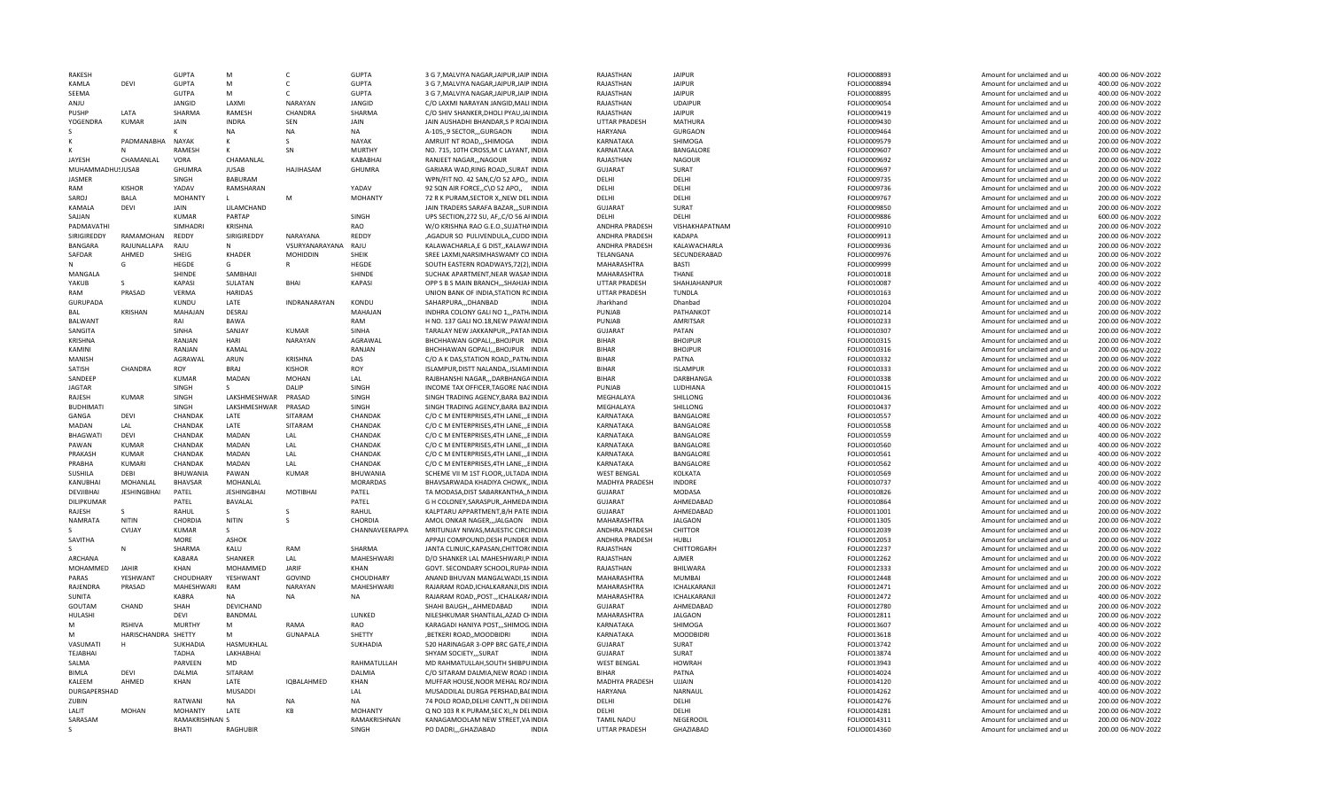| RAKESH           |                     | <b>GUPTA</b>   | M                  | C.                  | <b>GUPTA</b>    | 3 G 7, MALVIYA NAGAR, JAIPUR, JAIP INDIA    | RAJASTHAN            | <b>JAIPUR</b>       | FOLIO0008893 | Amount for unclaimed and ur | 400.00 06-NOV-2022 |
|------------------|---------------------|----------------|--------------------|---------------------|-----------------|---------------------------------------------|----------------------|---------------------|--------------|-----------------------------|--------------------|
| KAMLA            | DEVI                | <b>GUPTA</b>   | M                  | C                   | <b>GUPTA</b>    | 3 G 7, MALVIYA NAGAR, JAIPUR, JAIP INDIA    | RAJASTHAN            | <b>JAIPUR</b>       | FOLIO0008894 | Amount for unclaimed and ur | 400.00 06-NOV-2022 |
| SEEMA            |                     | <b>GUTPA</b>   | M                  | C.                  | <b>GUPTA</b>    | 3 G 7, MALVIYA NAGAR, JAIPUR, JAIP INDIA    | RAJASTHAN            | <b>JAIPUR</b>       | FOLIO0008895 | Amount for unclaimed and ur | 400.00 06-NOV-2022 |
| <b>UINA</b>      |                     | JANGID         | LAXMI              | <b>NARAYAN</b>      | JANGID          | C/O LAXMI NARAYAN JANGID, MALI INDIA        | RAJASTHAN            | <b>UDAIPUR</b>      | FOLIO0009054 | Amount for unclaimed and ur | 200.00 06-NOV-2022 |
| PUSHP            | LATA                | SHARMA         | RAMESH             | CHANDRA             | SHARMA          | C/O SHIV SHANKER, DHOLI PYAU, JAIINDIA      | RAJASTHAN            | <b>JAIPUR</b>       | FOLIO0009419 | Amount for unclaimed and ur | 400.00 06-NOV-2022 |
| YOGENDRA         | <b>KUMAR</b>        | JAIN           | <b>INDRA</b>       | SEN                 | JAIN            | JAIN AUSHADHI BHANDAR, SP ROAIINDIA         | UTTAR PRADESH        | <b>MATHURA</b>      | FOLIO0009430 | Amount for unclaimed and ur | 200.00 06-NOV-2022 |
|                  |                     |                | <b>NA</b>          | <b>NA</b>           | <b>NA</b>       | A-105, 9 SECTOR, GURGAON<br><b>INDIA</b>    | HARYANA              | <b>GURGAON</b>      | FOLIO0009464 | Amount for unclaimed and ur | 200.00 06-NOV-2022 |
|                  | PADMANABHA NAYAK    |                | K                  | S.                  | <b>NAYAK</b>    | AMRUIT NT ROAD,,,SHIMOGA<br><b>INDIA</b>    | KARNATAKA            | SHIMOGA             | FOLIO0009579 | Amount for unclaimed and ur | 200.00 06-NOV-2022 |
|                  |                     | <b>RAMESH</b>  |                    | SN                  | <b>MURTHY</b>   | NO. 715, 10TH CROSS, M C LAYANT, INDIA      | KARNATAKA            | BANGALORE           | FOLIO0009607 | Amount for unclaimed and ur | 200.00 06-NOV-2022 |
| JAYESH           | CHAMANLAL           | VORA           | CHAMANLAL          |                     | KABABHAI        | RANJEET NAGAR,,,NAGOUR<br><b>INDIA</b>      | RAJASTHAN            | <b>NAGOUR</b>       | FOLIO0009692 | Amount for unclaimed and ur | 200.00 06-NOV-2022 |
| MUHAMMADHU!JUSAB |                     | <b>GHUMRA</b>  | <b>JUSAB</b>       | <b>HAJIHASAM</b>    | GHUMRA          | GARIARA WAD, RING ROAD, , SURAT INDIA       | GUJARAT              | SURAT               | FOLIO0009697 | Amount for unclaimed and ur | 200.00 06-NOV-2022 |
| <b>JASMER</b>    |                     | SINGH          | <b>BABURAM</b>     |                     |                 | WPN/FIT NO. 42 SAN, C/O 52 APO,, INDIA      | DELHI                | DELHI               | FOLIO0009735 | Amount for unclaimed and ur | 200.00 06-NOV-2022 |
| RAM              | <b>KISHOR</b>       | YADAV          | RAMSHARAN          |                     | YADAV           | 92 SQN AIR FORCE, C\O 52 APO,, INDIA        | DELHI                | DELHI               | FOLIO0009736 | Amount for unclaimed and ur | 200.00 06-NOV-2022 |
| SAROJ            | <b>BALA</b>         | <b>MOHANTY</b> | $\mathbf{L}$       | M                   | <b>MOHANTY</b>  | 72 R K PURAM, SECTOR X, NEW DELINDIA        | DFLHI                | DFLHI               | FOLIO0009767 | Amount for unclaimed and ur | 200.00 06-NOV-2022 |
| KAMALA           | DEVI                | JAIN           | LILAMCHAND         |                     |                 | JAIN TRADERS SARAFA BAZAR,,,SURINDIA        | <b>GUJARAT</b>       | SURAT               | FOLIO0009850 | Amount for unclaimed and ur | 200.00 06-NOV-2022 |
| SAJJAN           |                     | <b>KUMAR</b>   | PARTAP             |                     | SINGH           | UPS SECTION, 272 SU, AF, C/O 56 AFINDIA     | DELHI                | DELHI               | FOLIO0009886 | Amount for unclaimed and ur | 600.00 06-NOV-2022 |
| PADMAVATHI       |                     | SIMHADRI       | KRISHNA            |                     | RAO             | W/O KRISHNA RAO G.E.O., SUJATHAINDIA        | ANDHRA PRADESH       | VISHAKHAPATNAM      | FOLIO0009910 | Amount for unclaimed and ur | 200.00 06-NOV-2022 |
| SIRIGIREDDY      | RAMAMOHAN           | REDDY          | SIRIGIREDDY        | <b>NARAYANA</b>     | REDDY           | ,AGADUR SO PULIVENDULA,,CUDD.INDIA          | ANDHRA PRADESH       | ΚΑΠΑΡΑ              | FOLIO0009913 | Amount for unclaimed and ur | 200.00 06-NOV-2022 |
| BANGARA          | RAJUNALLAPA         | RAJU           | N                  | VSURYANARAYANA      | RAJU            | KALAWACHARLA, E G DIST,, KALAWAINDIA        | ANDHRA PRADESH       | KALAWACHARLA        | FOLIO0009936 | Amount for unclaimed and ur | 200.00 06-NOV-2022 |
| SAFDAR           | AHMED               | SHEIG          | <b>KHADER</b>      | <b>MOHIDDIN</b>     | SHEIK           | SREE LAXMI, NARSIMHASWAMY CO INDIA          | TELANGANA            | SECUNDERABAD        | FOLIO0009976 | Amount for unclaimed and ur | 200.00 06-NOV-2022 |
|                  | G                   | HEGDE          | G                  | R                   | HEGDE           | SOUTH EASTERN ROADWAYS, 72(2), INDIA        | MAHARASHTRA          | BASTI               | FOLIO0009999 | Amount for unclaimed and ur | 200.00 06-NOV-2022 |
| MANGALA          |                     | SHINDE         | SAMBHAJI           |                     | SHINDE          | SUCHAK APARTMENT, NEAR WASANINDIA           | MAHARASHTRA          | THANE               | FOLIO0010018 | Amount for unclaimed and ur | 200.00 06-NOV-2022 |
| YAKUB            | s                   | KAPASI         | SULATAN            | <b>BHAI</b>         | <b>KAPASI</b>   | OPP S B S MAIN BRANCH, , SHAHJAI INDIA      | <b>UTTAR PRADESH</b> | SHAHJAHANPUR        | FOLIO0010087 | Amount for unclaimed and ur | 400.00 06-NOV-2022 |
| RAM              | PRASAD              | <b>VERMA</b>   | <b>HARIDAS</b>     |                     |                 | UNION BANK OF INDIA, STATION RCINDIA        | UTTAR PRADESH        | <b>TUNDLA</b>       | FOLIO0010163 | Amount for unclaimed and ur | 200.00 06-NOV-2022 |
| <b>GURUPADA</b>  |                     | KUNDU          | LATE               | <b>INDRANARAYAN</b> | KONDU           | SAHARPURADHANBAD<br><b>INDIA</b>            | Jharkhand            | Dhanbad             | FOLIO0010204 | Amount for unclaimed and ur | 200.00 06-NOV-2022 |
| <b>BAL</b>       | <b>KRISHAN</b>      | MAHAJAN        | DESRAJ             |                     | MAHAJAN         | INDHRA COLONY GALI NO 1,,, PATH/INDIA       | PUNJAB               | PATHANKOT           | FOLIO0010214 | Amount for unclaimed and ur | 200.00 06-NOV-2022 |
| <b>BALWANT</b>   |                     | RAI            | <b>BAWA</b>        |                     | RAM             | H NO. 137 GALI NO.18, NEW PAWANNDIA         | PUNJAB               | AMRITSAR            | FOLIO0010233 | Amount for unclaimed and ur | 200.00 06-NOV-2022 |
| SANGITA          |                     | SINHA          | SANJAY             | KUMAR               | SINHA           | TARALAY NEW JAKKANPUR, ,, PATANINDIA        | <b>GUJARAT</b>       | PATAN               | FOLIO0010307 | Amount for unclaimed and ur | 200.00 06-NOV-2022 |
| <b>KRISHNA</b>   |                     | RANJAN         | HARI               | NARAYAN             | AGRAWAL         | BHCHHAWAN GOPALI,,,BHOJPUR INDIA            | <b>BIHAR</b>         | <b>BHOJPUR</b>      | FOLIO0010315 | Amount for unclaimed and ur | 200.00 06-NOV-2022 |
| <b>KAMINI</b>    |                     | RANJAN         | KAMAL              |                     | RANJAN          | BHCHHAWAN GOPALI,,, BHOJPUR INDIA           | <b>BIHAR</b>         | <b>BHOJPUR</b>      | FOLIO0010316 | Amount for unclaimed and ur | 200.00 06-NOV-2022 |
| MANISH           |                     | AGRAWAL        | ARUN               | KRISHNA             | DAS             | C/O A K DAS, STATION ROAD, , PATN/INDIA     | <b>BIHAR</b>         | PATNA               | FOLIO0010332 | Amount for unclaimed and ur | 200.00 06-NOV-2022 |
| SATISH           | CHANDRA             | ROY            | <b>BRAJ</b>        | <b>KISHOR</b>       | ROY             | ISLAMPUR.DISTT NALANDAISLAMIINDIA           | <b>BIHAR</b>         | <b>ISLAMPUR</b>     | FOLIO0010333 | Amount for unclaimed and ur | 200.00 06-NOV-2022 |
| SANDEEP          |                     | <b>KUMAR</b>   | <b>MADAN</b>       | <b>MOHAN</b>        | LAL             | RAJBHANSHI NAGAR,,,DARBHANGAINDIA           | <b>BIHAR</b>         | DARBHANGA           | FOLIO0010338 | Amount for unclaimed and ur | 200.00 06-NOV-2022 |
| <b>JAGTAR</b>    |                     | SINGH          | -S                 | DALIP               | SINGH           | INCOME TAX OFFICER, TAGORE NACINDIA         | PUNJAB               | LUDHIANA            | FOLIO0010415 | Amount for unclaimed and ur | 400.00 06-NOV-2022 |
| RAJESH           | <b>KUMAR</b>        | SINGH          | LAKSHMESHWAR       | PRASAD              | SINGH           | SINGH TRADING AGENCY, BARA BAZINDIA         | MEGHALAYA            | SHILLONG            | FOLIO0010436 | Amount for unclaimed and ur | 400.00 06-NOV-2022 |
| <b>BUDHIMATI</b> |                     | SINGH          | LAKSHMESHWAR       | PRASAD              | SINGH           | SINGH TRADING AGENCY, BARA BAZINDIA         | MEGHALAYA            | SHILLONG            | FOLIO0010437 | Amount for unclaimed and ur | 400.00 06-NOV-2022 |
| GANGA            | <b>DEVI</b>         | CHANDAK        | LATE               | SITARAM             | CHANDAK         | C/O C M ENTERPRISES, 4TH LANE, ,, EINDIA    | KARNATAKA            | BANGALORE           | FOLIO0010557 | Amount for unclaimed and ur | 400.00 06-NOV-2022 |
| MADAN            | LAL                 | CHANDAK        | LATE               | SITARAM             | CHANDAK         | C/O C M ENTERPRISES, 4TH LANE, ,, EINDIA    | KARNATAKA            | BANGALORE           | FOLIO0010558 | Amount for unclaimed and ur | 400.00 06-NOV-2022 |
| <b>BHAGWATI</b>  | DEVI                | CHANDAK        | MADAN              | LAL                 | CHANDAK         | C/O C M ENTERPRISES, 4TH LANE, ,, EINDIA    | KARNATAKA            | BANGALORE           | FOLIO0010559 | Amount for unclaimed and ur | 400.00 06-NOV-2022 |
| PAWAN            | KUMAR               | CHANDAK        | <b>MADAN</b>       | LAI                 | CHANDAK         | C/O C M ENTERPRISES, 4TH LANE, ,, EINDIA    | KARNATAKA            | <b>BANGALORE</b>    | FOLIO0010560 | Amount for unclaimed and u  | 400.00 06-NOV-2022 |
| PRAKASH          | <b>KUMAR</b>        | CHANDAK        | MADAN              | LAL                 | CHANDAK         | C/O C M ENTERPRISES, 4TH LANE, ,, EINDIA    | KARNATAKA            | BANGALORE           | FOLIO0010561 | Amount for unclaimed and ur | 400.00 06-NOV-2022 |
| PRABHA           | KUMARI              | CHANDAK        | MADAN              | LAI.                | CHANDAK         | C/O C M ENTERPRISES, 4TH LANE,,, EINDIA     | KARNATAKA            | BANGALORE           | FOLIO0010562 | Amount for unclaimed and ur | 400.00 06-NOV-2022 |
| SUSHILA          | DEBI                | BHUWANIA       | PAWAN              | KUMAR               | BHUWANIA        | SCHEME VII M 1ST FLOOR, ULTADA INDIA        | <b>WEST BENGAL</b>   | KOLKATA             | FOLIO0010569 | Amount for unclaimed and ur | 200.00 06-NOV-2022 |
| KANUBHAI         | MOHANLAL            | <b>BHAVSAR</b> | MOHANLAL           |                     | <b>MORARDAS</b> | BHAVSARWADA KHADIYA CHOWK,, INDIA           | MADHYA PRADESH       | <b>INDORE</b>       | FOLIO0010737 | Amount for unclaimed and ur | 400.00 06-NOV-2022 |
| DEVJIBHAI        | <b>JESHINGBHAI</b>  | PATEL          | <b>JESHINGBHAI</b> | MOTIBHAI            | PATEL           | TA MODASA, DIST SABARKANTHA,, NINDIA        | GUJARAT              | <b>MODASA</b>       | FOLIO0010826 | Amount for unclaimed and ur | 200.00 06-NOV-2022 |
| DILIPKUMAR       |                     | PATEL          | BAVALAL            |                     | PATEL           | G H COLONEY, SARASPUR, , AHMEDAINDIA        | <b>GUJARAT</b>       | AHMEDABAD           | FOLIO0010864 | Amount for unclaimed and ur | 200.00 06-NOV-2022 |
| RAJFSH           | S                   | RAHUL          | S                  |                     | <b>RAHUL</b>    | KALPTARU APPARTMENT.B/H PATE INDIA          | <b>GUJARAT</b>       | AHMEDABAD           | FOLIO0011001 | Amount for unclaimed and ur | 200.00 06-NOV-2022 |
| <b>NAMRATA</b>   | NITIN               | CHORDIA        | NITIN              | <sub>S</sub>        | CHORDIA         | AMOL ONKAR NAGER,,,JALGAON INDIA            | MAHARASHTRA          | <b>JALGAON</b>      | FOLIO0011305 | Amount for unclaimed and ur | 200.00 06-NOV-2022 |
|                  | CVIJAY              | <b>KUMAR</b>   | -S                 |                     | CHANNAVEERAPPA  | MRITUNJAY NIWAS, MAJESTIC CIRCLINDIA        | ANDHRA PRADESH       | <b>CHITTOR</b>      | FOLIO0012039 | Amount for unclaimed and ur | 200.00 06-NOV-2022 |
| SAVITHA          |                     | <b>MORE</b>    | ASHOK              |                     |                 | APPAJI COMPOUND, DESH PUNDER INDIA          | ANDHRA PRADESH       | HUBLI               | FOLIO0012053 | Amount for unclaimed and ur | 200.00 06-NOV-2022 |
|                  | N                   | SHARMA         | KALU               | RAM                 | SHARMA          | JANTA CLINUIC, KAPASAN, CHITTOR(INDIA       | RAJASTHAN            | CHITTORGARH         | FOLIO0012237 | Amount for unclaimed and ur | 200.00 06-NOV-2022 |
| ARCHANA          |                     | KABARA         | SHANKER            | LAL                 | MAHESHWARI      | D/O SHANKER LAL MAHESHWARI, PINDIA          | RAJASTHAN            | <b>AJMER</b>        | FOLIO0012262 | Amount for unclaimed and ur | 200.00 06-NOV-2022 |
| MOHAMMED         | JAHIR               | KHAN           | MOHAMMED           | JARIF               | KHAN            | GOVT. SECONDARY SCHOOL, RUPAI INDIA         | RAJASTHAN            | BHILWARA            | FOLIO0012333 | Amount for unclaimed and ur | 200.00 06-NOV-2022 |
| PARAS            | YESHWANT            | CHOUDHARY      | YESHWANT           | GOVIND              | CHOUDHARY       | ANAND BHUVAN MANGALWADI, 1S INDIA           | MAHARASHTRA          | <b>MUMBAI</b>       | FOLIO0012448 | Amount for unclaimed and ur | 200.00 06-NOV-2022 |
| RAJENDRA         | PRASAD              | MAHESHWARI     | RAM                | NARAYAN             | MAHESHWARI      | RAIARAM ROAD ICHALKARANJI DIS INDIA         | MAHARASHTRA          | <b>ICHALKARANJI</b> | FOLIO0012471 | Amount for unclaimed and ur | 200.00 06-NOV-2022 |
| SUNITA           |                     | <b>KABRA</b>   | <b>NA</b>          | NA                  | <b>NA</b>       | RAJARAM ROAD,, POST.,, ICHALKAR/INDIA       | MAHARASHTRA          | ICHALKARANJI        | FOLIO0012472 | Amount for unclaimed and ur | 400.00 06-NOV-2022 |
| GOUTAM           | CHAND               | SHAH           | DEVICHAND          |                     |                 | SHAHI BAUGH,,,AHMEDABAD<br><b>INDIA</b>     | <b>GUJARAT</b>       | AHMFDABAD           | FOLIO0012780 | Amount for unclaimed and ur | 200.00 06-NOV-2022 |
| HULASHI          |                     | <b>DEVI</b>    | <b>BANDMAL</b>     |                     | LUNKED          | NILESHKUMAR SHANTILAL AZAD CHNDIA           | MAHARASHTRA          | <b>JALGAON</b>      | FOLIO0012811 | Amount for unclaimed and u  | 200.00 06-NOV-2022 |
| M                | RSHIVA              | <b>MURTHY</b>  | M                  | RAMA                | RAO             | KARAGADI HANIYA POST,,,SHIMOG.INDIA         | KARNATAKA            | SHIMOGA             | FOLIO0013607 | Amount for unclaimed and ur | 400.00 06-NOV-2022 |
| <b>M</b>         | HARISCHANDRA SHETTY |                | M                  | GUNAPALA            | SHETTY          | , BETKERI ROAD, , MOODBIDRI<br><b>INDIA</b> | KARNATAKA            | <b>MOODBIDRI</b>    | FOLIO0013618 | Amount for unclaimed and ur | 400.00 06-NOV-2022 |
| VASUMATI         | н                   | SUKHADIA       | HASMUKHLAL         |                     | SUKHADIA        | 520 HARINAGAR 3-OPP BRC GATE, AINDIA        | <b>GUJARAT</b>       | SURAT               | FOLIO0013742 | Amount for unclaimed and ur | 200.00 06-NOV-2022 |
| <b>TEJABHAI</b>  |                     | TADHA          | LAKHABHAI          |                     |                 | SHYAM SOCIETY,,,SURAT<br><b>INDIA</b>       | GUJARAT              | SURAT               | FOLIO0013874 | Amount for unclaimed and ur | 400.00 06-NOV-2022 |
| SALMA            |                     | PARVEEN        | MD                 |                     | RAHMATULLAH     | MD RAHMATULLAH, SOUTH SHIBPUINDIA           | <b>WEST BENGAL</b>   | <b>HOWRAH</b>       | FOLIO0013943 | Amount for unclaimed and ur | 400.00 06-NOV-2022 |
| BIMLA            | DEVI                | DALMIA         | SITARAM            |                     | DALMIA          | C/O SITARAM DALMIA, NEW ROAD IINDIA         | <b>BIHAR</b>         | PATNA               | FOLIO0014024 | Amount for unclaimed and ur | 400.00 06-NOV-2022 |
| KALEEM           | AHMED               | KHAN           | LATE               | <b>IQBALAHMED</b>   | KHAN            | MUFFAR HOUSE, NOOR MEHAL ROAINDIA           | MADHYA PRADESH       | UJJAIN              | FOLIO0014120 | Amount for unclaimed and ur | 400.00 06-NOV-2022 |
| DURGAPERSHAD     |                     |                | <b>MUSADDI</b>     |                     | LAL             | MUSADDILAL DURGA PERSHAD, BALINDIA          | HARYANA              | NARNAUL             | FOLIO0014262 | Amount for unclaimed and ur | 400.00 06-NOV-2022 |
| ZUBIN            |                     | RATWANI        | NA                 | NA                  | <b>NA</b>       | 74 POLO ROAD, DELHI CANTT,, N DEIINDIA      | DELHI                | DELHI               | FOLIO0014276 | Amount for unclaimed and ur | 200.00 06-NOV-2022 |
| LALIT            | <b>MOHAN</b>        | <b>MOHANTY</b> | LATE               | KB                  | <b>MOHANTY</b>  | Q NO 103 R K PURAM, SEC XI,, N DELINDIA     | DELHI                | DELHI               | FOLIO0014281 | Amount for unclaimed and ur | 200.00 06-NOV-2022 |
| SARASAM          |                     | RAMAKRISHNAN S |                    |                     | RAMAKRISHNAN    | KANAGAMOOLAM NEW STREET, VAINDIA            | <b>TAMIL NADU</b>    | NEGEROOIL           | FOLIO0014311 | Amount for unclaimed and ur | 200.00 06-NOV-2022 |
| -S.              |                     | <b>BHATI</b>   | <b>RAGHUBIR</b>    |                     | SINGH           | PO DADRI,,,GHAZIABAD<br><b>INDIA</b>        | UTTAR PRADESH        | GHAZIABAD           | FOLIO0014360 | Amount for unclaimed and ur | 200.00 06-NOV-2022 |
|                  |                     |                |                    |                     |                 |                                             |                      |                     |              |                             |                    |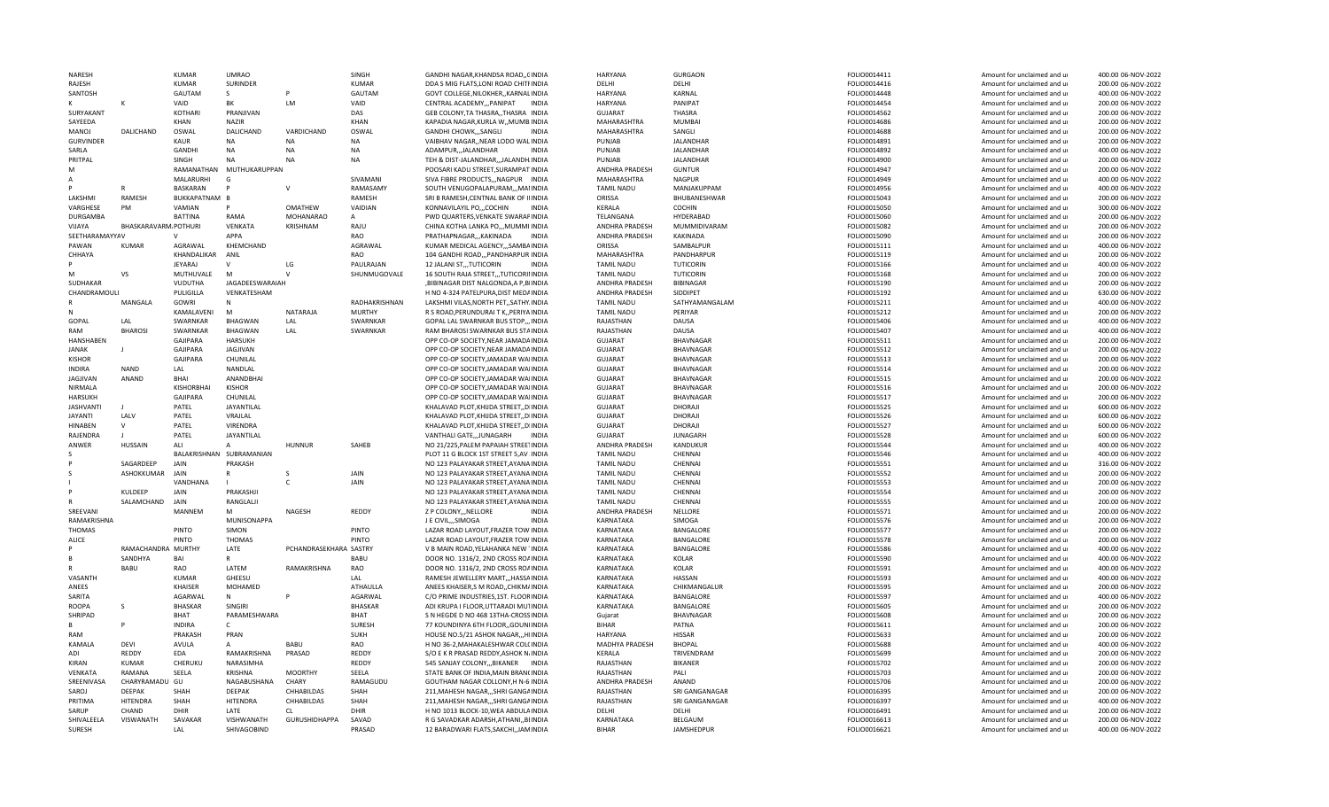| NARESH                       |                          | KUMAR                       | <b>UMRAO</b>                     |                        | SINGH                  | GANDHI NAGAR, KHANDSA ROAD,, CINDIA                                        | HARYANA                          | <b>GURGAON</b>                       | FOLIO0014411                 | Amount for unclaimed and ur                                | 400.00 06-NOV-2022                       |
|------------------------------|--------------------------|-----------------------------|----------------------------------|------------------------|------------------------|----------------------------------------------------------------------------|----------------------------------|--------------------------------------|------------------------------|------------------------------------------------------------|------------------------------------------|
| RAJESH                       |                          | <b>KUMAR</b>                | <b>SURINDER</b>                  |                        | <b>KUMAR</b>           | DDA S MIG FLATS, LONI ROAD CHITFINDIA                                      | DELHI                            | DELHI                                | FOLIO0014416                 | Amount for unclaimed and ur                                | 200.00 06-NOV-2022                       |
| SANTOSH                      |                          | GAUTAM                      | S.                               |                        | GAUTAM                 | GOVT COLLEGE NILOKHER. KARNAL INDIA                                        | HARYANA                          | KARNAL                               | FOLIO0014448                 | Amount for unclaimed and ur                                | 400.00 06-NOV-2022                       |
|                              |                          | VAID                        | BK                               | LM                     | VAID                   | CENTRAL ACADEMY PANIPAT<br><b>INDIA</b>                                    | <b>HARYANA</b>                   | PANIPAT                              | FOLIO0014454                 | Amount for unclaimed and ur                                | 200.00 06-NOV-2022                       |
| SURYAKANT                    |                          | KOTHARI                     | PRANJIVAN                        |                        | DAS                    | GEB COLONY, TA THASRA, , THASRA INDIA                                      | <b>GUJARAT</b>                   | <b>THASRA</b>                        | FOLIO0014562                 | Amount for unclaimed and ur                                | 200.00 06-NOV-2022                       |
| SAYEEDA                      |                          | <b>KHAN</b>                 | <b>NAZIR</b>                     | VARDICHAND             | KHAN                   | KAPADIA NAGAR, KURLA W,, MUMB INDIA                                        | MAHARASHTRA                      | <b>MUMBAI</b>                        | FOLIO0014686                 | Amount for unclaimed and ur                                | 200.00 06-NOV-2022                       |
| MANOJ                        | <b>DALICHAND</b>         | OSWAL                       | <b>DALICHAND</b>                 | <b>NA</b>              | OSWAL                  | GANDHI CHOWK,,,SANGLI<br><b>INDIA</b>                                      | MAHARASHTRA                      | SANGLI                               | FOLIO0014688                 | Amount for unclaimed and ur                                | 200.00 06-NOV-2022                       |
| <b>GURVINDER</b><br>SARLA    |                          | KAUR<br><b>GANDHI</b>       | NA<br><b>NA</b>                  | <b>NA</b>              | <b>NA</b><br><b>NA</b> | VAIBHAV NAGAR,, NEAR LODO WAL INDIA<br>ADAMPUR,,,JALANDHAR<br><b>INDIA</b> | PUNJAB<br>PUNJAB                 | <b>JALANDHAR</b><br><b>JALANDHAR</b> | FOLIO0014891<br>FOLIO0014892 | Amount for unclaimed and ur<br>Amount for unclaimed and ur | 200.00 06-NOV-2022<br>400.00 06-NOV-2022 |
| PRITPAL                      |                          | SINGH                       | <b>NA</b>                        | <b>NA</b>              | <b>NA</b>              | TEH & DIST-JALANDHAR,,,JALANDH.INDIA                                       | PUNJAB                           | <b>JALANDHAR</b>                     | FOLIO0014900                 | Amount for unclaimed and ur                                | 200.00 06-NOV-2022                       |
| м                            |                          | RAMANATHAN                  | MUTHUKARUPPAN                    |                        |                        | POOSARI KADU STREET, SURAMPAT INDIA                                        | ANDHRA PRADESH                   | <b>GUNTUR</b>                        | FOLIO0014947                 | Amount for unclaimed and ur                                | 200.00 06-NOV-2022                       |
|                              |                          | MALARURHI                   | G                                |                        | SIVAMANI               | SIVA FIBRE PRODUCTS,,,NAGPUR INDIA                                         | MAHARASHTRA                      | <b>NAGPUR</b>                        | FOLIO0014949                 | Amount for unclaimed and ur                                | 400.00 06-NOV-2022                       |
|                              |                          | BASKARAN                    |                                  | $\mathbf{v}$           | RAMASAMY               | SOUTH VENUGOPALAPURAM,,,MANNDIA                                            | <b>TAMIL NADU</b>                | MANJAKUPPAM                          | FOLIO0014956                 | Amount for unclaimed and ur                                | 400.00 06-NOV-2022                       |
| LAKSHMI                      | RAMESH                   | BUKKAPATNAM B               |                                  |                        | RAMESH                 | SRI B RAMESH, CENTNAL BANK OF IIINDIA                                      | ORISSA                           | BHUBANESHWAR                         | FOLIO0015043                 | Amount for unclaimed and ur                                | 200.00 06-NOV-2022                       |
| VARGHESE                     | <b>PM</b>                | VAMIAN                      |                                  | <b>OMATHEW</b>         | VAIDIAN                | <b>INDIA</b><br>KONNAVILAYIL PO,,,COCHIN                                   | KERALA                           | COCHIN                               | FOLIO0015050                 | Amount for unclaimed and ur                                | 300.00 06-NOV-2022                       |
| DURGAMBA                     |                          | <b>BATTINA</b>              | RAMA                             | <b>MOHANARAO</b>       | Α                      | PWD QUARTERS, VENKATE SWARAPINDIA                                          | TELANGANA                        | HYDERABAD                            | FOLIO0015060                 | Amount for unclaimed and ur                                | 200.00 06-NOV-2022                       |
| VIJAYA                       | BHASKARAVARM POTHURI     |                             | VENKATA                          | KRISHNAM               | RAJU                   | CHINA KOTHA LANKA PO,,, MUMMI INDIA                                        | ANDHRA PRADESH                   | MUMMIDIVARAM                         | FOLIO0015082                 | Amount for unclaimed and ur                                | 200.00 06-NOV-2022                       |
| SEETHARAMAYYAV               |                          |                             | APPA                             |                        | RAO                    | PRATHAPNAGAR,,,KAKINADA<br><b>INDIA</b>                                    | ANDHRA PRADESH                   | <b>KAKINADA</b>                      | FOLIO0015090                 | Amount for unclaimed and ur                                | 200.00 06-NOV-2022                       |
| PAWAN                        | <b>KUMAR</b>             | AGRAWAL                     | KHEMCHAND                        |                        | AGRAWAL                | KUMAR MEDICAL AGENCY,,,SAMBAINDIA                                          | ORISSA                           | SAMBALPUR                            | FOLIO0015111                 | Amount for unclaimed and ur                                | 400.00 06-NOV-2022                       |
| CHHAYA                       |                          | KHANDALIKAR                 | ANIL                             |                        | <b>RAO</b>             | 104 GANDHI ROAD,,,PANDHARPUR INDIA                                         | MAHARASHTRA                      | PANDHARPUR                           | FOLIO0015119                 | Amount for unclaimed and ur                                | 200.00 06-NOV-2022                       |
|                              |                          | JEYARAJ                     | $\mathsf{v}$                     | LG                     | PAULRAJAN              | 12 JALANI ST,,,TUTICORIN<br><b>INDIA</b>                                   | <b>TAMIL NADU</b>                | TUTICORIN                            | FOLIO0015166                 | Amount for unclaimed and ur                                | 400.00 06-NOV-2022                       |
| м                            | VS                       | MUTHUVALE                   | M                                |                        | SHUNMUGOVALE           | 16 SOUTH RAJA STREET, ,TUTICORINIDIA                                       | <b>TAMIL NADU</b>                | TUTICORIN                            | FOLIO0015168                 | Amount for unclaimed and ur                                | 200.00 06-NOV-2022                       |
| SUDHAKAR                     |                          | VUDUTHA                     | JAGADEESWARAIAH                  |                        |                        | ,BIBINAGAR DIST NALGONDA,A P,BIINDIA                                       | ANDHRA PRADESH                   | BIBINAGAR                            | FOLIO0015190                 | Amount for unclaimed and ur                                | 200.00 06-NOV-2022                       |
| CHANDRAMOULI                 |                          | PULIGILLA                   | VENKATESHAM                      |                        |                        | H NO 4-324 PATELPURA, DIST MEDAINDIA                                       | ANDHRA PRADESH                   | SIDDIPET                             | FOLIO0015192                 | Amount for unclaimed and ur                                | 630.00 06-NOV-2022                       |
|                              | MANGALA                  | GOWRI                       | N                                |                        | RADHAKRISHNAN          | LAKSHMI VILAS, NORTH PET, , SATHY. INDIA                                   | <b>TAMIL NADU</b>                | SATHYAMANGALAM                       | FOLIO0015211                 | Amount for unclaimed and ur                                | 400.00 06-NOV-2022                       |
|                              |                          | KAMALAVENI                  | M                                | NATARAJA               | <b>MURTHY</b>          | R S ROAD, PERUNDURAI T K,, PERIYA INDIA                                    | <b>TAMIL NADU</b>                | PERIYAR                              | FOLIO0015212                 | Amount for unclaimed and ur                                | 200.00 06-NOV-2022                       |
| GOPAL                        | LAL                      | SWARNKAR                    | <b>BHAGWAN</b>                   | LAL                    | SWARNKAR               | GOPAL LAL SWARNKAR BUS STOP,,, INDIA                                       | RAJASTHAN                        | DAUSA                                | FOLIO0015406                 | Amount for unclaimed and ur                                | 400.00 06-NOV-2022                       |
| RAM<br><b>HANSHARFN</b>      | <b>BHAROSI</b>           | SWARNKAR<br><b>GAJIPARA</b> | <b>BHAGWAN</b><br><b>HARSUKH</b> | LAL                    | SWARNKAR               | RAM BHAROSI SWARNKAR BUS STAINDIA<br>OPP CO-OP SOCIETY, NEAR JAMADAINDIA   | RAJASTHAN                        | DAUSA<br>BHAVNAGAR                   | FOLIO0015407                 | Amount for unclaimed and ur                                | 400.00 06-NOV-2022                       |
| <b>JANAK</b>                 |                          | GAJIPARA                    | JAGJIVAN                         |                        |                        | OPP CO-OP SOCIETY, NEAR JAMADA INDIA                                       | <b>GUJARAT</b><br><b>GUJARAT</b> | BHAVNAGAR                            | FOLIO0015511<br>FOLIO0015512 | Amount for unclaimed and ur                                | 200.00 06-NOV-2022<br>200.00 06-NOV-2022 |
| <b>KISHOR</b>                |                          | GAJIPARA                    | CHUNILAL                         |                        |                        | OPP CO-OP SOCIETY, JAMADAR WAIINDIA                                        | <b>GUJARAT</b>                   | BHAVNAGAR                            | FOLIO0015513                 | Amount for unclaimed and ur<br>Amount for unclaimed and ur | 200.00 06-NOV-2022                       |
| <b>INDIRA</b>                | NAND                     | LAL                         | NANDLAL                          |                        |                        | OPP CO-OP SOCIETY, JAMADAR WAIINDIA                                        | <b>GUJARAT</b>                   | BHAVNAGAR                            | FOLIO0015514                 | Amount for unclaimed and ur                                | 200.00 06-NOV-2022                       |
| <b>JAGJIVAN</b>              | ANAND                    | BHAI                        | ANANDBHAI                        |                        |                        | OPP CO-OP SOCIETY, JAMADAR WAIINDIA                                        | <b>GUJARAT</b>                   | <b>BHAVNAGAR</b>                     | FOLIO0015515                 | Amount for unclaimed and ur                                | 200.00 06-NOV-2022                       |
| NIRMALA                      |                          | KISHORBHAI                  | <b>KISHOR</b>                    |                        |                        | OPP CO-OP SOCIETY.JAMADAR WAIINDIA                                         | <b>GUJARAT</b>                   | <b>BHAVNAGAR</b>                     | FOLIO0015516                 | Amount for unclaimed and ur                                | 200.00 06-NOV-2022                       |
| <b>HARSUKH</b>               |                          | GAJIPARA                    | CHUNILAL                         |                        |                        | OPP CO-OP SOCIETY, JAMADAR WAIINDIA                                        | <b>GUJARAT</b>                   | <b>BHAVNAGAR</b>                     | FOLIO0015517                 | Amount for unclaimed and ur                                | 200.00 06-NOV-2022                       |
| <b>JASHVANTI</b>             |                          | PATEL                       | JAYANTILAL                       |                        |                        | KHALAVAD PLOT, KHIJDA STREET, , DIINDIA                                    | <b>GUJARAT</b>                   | DHORAJI                              | FOLIO0015525                 | Amount for unclaimed and ur                                | 600.00 06-NOV-2022                       |
| <b>JAYANTI</b>               | LALV                     | PATEL                       | VRAJLAL                          |                        |                        | KHALAVAD PLOT, KHIJDA STREET, , DIINDIA                                    | <b>GUJARAT</b>                   | DHORAJI                              | FOLIO0015526                 | Amount for unclaimed and ur                                | 600.00 06-NOV-2022                       |
| <b>HINABEN</b>               | $\mathsf{v}$             | PATEL                       | VIRENDRA                         |                        |                        | KHALAVAD PLOT, KHIJDA STREET, , DIINDIA                                    | <b>GUJARAT</b>                   | DHORAJI                              | FOLIO0015527                 | Amount for unclaimed and ur                                | 600.00 06-NOV-2022                       |
| RAJENDRA                     |                          | PATEL                       | JAYANTILAL                       |                        |                        | VANTHALI GATE,,,JUNAGARH<br><b>INDIA</b>                                   | <b>GUJARAT</b>                   | <b>JUNAGARH</b>                      | FOLIO0015528                 | Amount for unclaimed and ur                                | 600.00 06-NOV-2022                       |
| ANWER                        | <b>HUSSAIN</b>           | ALI                         | $\mathsf{A}$                     | <b>HUNNUR</b>          | SAHEB                  | NO 21/225, PALEM PAPAIAH STREETINDIA                                       | ANDHRA PRADESH                   | KANDUKUR                             | FOLIO0015544                 | Amount for unclaimed and ur                                | 400.00 06-NOV-2022                       |
|                              |                          |                             | BALAKRISHNAN SUBRAMANIAN         |                        |                        | PLOT 11 G BLOCK 1ST STREET 5, AV INDIA                                     | <b>TAMIL NADU</b>                | CHENNAI                              | FOLIO0015546                 | Amount for unclaimed and ur                                | 400.00 06-NOV-2022                       |
|                              | SAGARDEEP                | JAIN                        | PRAKASH                          |                        |                        | NO 123 PALAYAKAR STREET, AYANA INDIA                                       | <b>TAMIL NADU</b>                | CHENNAI                              | FOLIO0015551                 | Amount for unclaimed and ur                                | 316.00 06-NOV-2022                       |
|                              | ASHOKKUMAR               | <b>JAIN</b>                 | $\mathsf{R}$                     |                        | JAIN                   | NO 123 PALAYAKAR STREET, AYANA INDIA                                       | <b>TAMIL NADU</b>                | CHENNAI                              | FOLIO0015552                 | Amount for unclaimed and ur                                | 200.00 06-NOV-2022                       |
|                              |                          | VANDHANA                    |                                  | $\mathsf{C}$           | JAIN                   | NO 123 PALAYAKAR STREET.AYANA INDIA                                        | <b>TAMIL NADU</b>                | CHENNAI                              | FOLIO0015553                 | Amount for unclaimed and ur                                | 200.00 06-NOV-2022                       |
|                              | KULDEEP                  | <b>JAIN</b>                 | PRAKASHJI                        |                        |                        | NO 123 PALAYAKAR STREET, AYANA INDIA                                       | <b>TAMIL NADU</b>                | CHENNAI                              | FOLIO0015554                 | Amount for unclaimed and ur                                | 200.00 06-NOV-2022                       |
|                              | SALAMCHAND               | <b>JAIN</b>                 | RANGLALJI                        |                        |                        | NO 123 PALAYAKAR STREET, AYANA INDIA                                       | <b>TAMIL NADU</b>                | CHENNAI                              | FOLIO0015555                 | Amount for unclaimed and ur                                | 200.00 06-NOV-2022                       |
| SREEVANI                     |                          | MANNEM                      | M                                | NAGESH                 | REDDY                  | Z P COLONY, , NELLORE<br><b>INDIA</b><br><b>INDIA</b>                      | ANDHRA PRADESH                   | NELLORE<br>SIMOGA                    | FOLIO0015571                 | Amount for unclaimed and ur                                | 200.00 06-NOV-2022                       |
| RAMAKRISHNA<br><b>THOMAS</b> |                          | PINTO                       | MUNISONAPPA<br>SIMON             |                        | <b>PINTO</b>           | J E CIVIL, SIMOGA<br>LAZAR ROAD LAYOUT.FRAZER TOW INDIA                    | KARNATAKA                        | BANGALORE                            | FOLIO0015576                 | Amount for unclaimed and ur                                | 200.00 06-NOV-2022<br>200.00 06-NOV-2022 |
| ALICE                        |                          | PINTO                       | <b>THOMAS</b>                    |                        | PINTO                  | LAZAR ROAD LAYOUT, FRAZER TOW INDIA                                        | KARNATAKA<br>KARNATAKA           | BANGALORE                            | FOLIO0015577<br>FOLIO0015578 | Amount for unclaimed and ur<br>Amount for unclaimed and ur | 200.00 06-NOV-2022                       |
|                              | RAMACHANDRA MURTHY       |                             | LATE                             | PCHANDRASEKHARA SASTRY |                        | V B MAIN ROAD, YELAHANKA NEW 1INDIA                                        | KARNATAKA                        | BANGALORE                            | FOLIO0015586                 | Amount for unclaimed and ur                                | 400.00 06-NOV-2022                       |
|                              | SANDHYA                  | <b>BAI</b>                  |                                  |                        | <b>BABU</b>            | DOOR NO. 1316/2, 2ND CROSS ROAINDIA                                        | KARNATAKA                        | KOLAR                                | FOLIO0015590                 | Amount for unclaimed and ur                                | 400.00 06-NOV-2022                       |
|                              | BABU                     | RAO                         | LATEM                            | RAMAKRISHNA            | RAO                    | DOOR NO. 1316/2, 2ND CROSS ROAINDIA                                        | KARNATAKA                        | KOLAR                                | FOLIO0015591                 | Amount for unclaimed and ur                                | 400.00 06-NOV-2022                       |
| VASANTH                      |                          | <b>KUMAR</b>                | GHEESU                           |                        | LAL                    | RAMESH JEWELLERY MART,,, HASSAINDIA                                        | KARNATAKA                        | HASSAN                               | FOLIO0015593                 | Amount for unclaimed and ur                                | 400.00 06-NOV-2022                       |
| ANEES                        |                          | KHAISER                     | MOHAMED                          |                        | ATHAULLA               | ANEES KHAISER, S M ROAD, CHIKM/INDIA                                       | KARNATAKA                        | CHIKMANGALUR                         | FOLIO0015595                 | Amount for unclaimed and ur                                | 200.00 06-NOV-2022                       |
| SARITA                       |                          | AGARWAL                     | N                                |                        | AGARWAL                | C/O PRIME INDUSTRIES, 1ST. FLOORINDIA                                      | KARNATAKA                        | BANGALORE                            | FOLIO0015597                 | Amount for unclaimed and ur                                | 400.00 06-NOV-2022                       |
| <b>ROOPA</b>                 | S                        | <b>BHASKAR</b>              | SINGIRI                          |                        | BHASKAR                | ADI KRUPA I FLOOR, UTTARADI MUTINDIA                                       | KARNATAKA                        | BANGALORE                            | FOLIO0015605                 | Amount for unclaimed and ur                                | 200.00 06-NOV-2022                       |
| SHRIPAD                      |                          | <b>BHAT</b>                 | PARAMESHWARA                     |                        | BHAT                   | S N HEGDE D NO 468 13THA-CROSSINDIA                                        | Gujarat                          | BHAVNAGAR                            | FOLIO0015608                 | Amount for unclaimed and ur                                | 200.00 06-NOV-2022                       |
| R                            |                          | <b>INDIRA</b>               | $\mathsf{C}$                     |                        | SURESH                 | 77 KOUNDINYA 6TH FLOOR,, GOUNIINDIA                                        | <b>BIHAR</b>                     | PATNA                                | FOLIO0015611                 | Amount for unclaimed and ur                                | 200.00 06-NOV-2022                       |
| RAM                          |                          | PRAKASH                     | PRAN                             |                        | <b>SUKH</b>            | HOUSE NO.5/21 ASHOK NAGAR,,,HIINDIA                                        | HARYANA                          | <b>HISSAR</b>                        | FOLIO0015633                 | Amount for unclaimed and ur                                | 200.00 06-NOV-2022                       |
| KAMALA                       | <b>DFVI</b>              | AVULA                       | A                                | <b>BABU</b>            | RAO                    | H NO 36-2, MAHAKALESHWAR COLCINDIA                                         | MADHYA PRADESH                   | <b>BHOPAL</b>                        | FOLIO0015688                 | Amount for unclaimed and ur                                | 400.00 06-NOV-2022                       |
| ADI                          | REDDY                    | EDA                         | RAMAKRISHNA                      | PRASAD                 | REDDY                  | S/O E K R PRASAD REDDY, ASHOK N/INDIA                                      | KERALA                           | TRIVENDRAM                           | FOLIO0015699                 | Amount for unclaimed and ur                                | 200.00 06-NOV-2022                       |
| KIRAN                        | <b>KUMAR</b>             | CHERUKU                     | NARASIMHA                        |                        | REDDY                  | 545 SANJAY COLONY,,,BIKANER INDIA                                          | RAJASTHAN                        | <b>BIKANER</b>                       | FOLIO0015702                 | Amount for unclaimed and ur                                | 200.00 06-NOV-2022                       |
| VENKATA                      | RAMANA                   | SEELA                       | KRISHNA                          | <b>MOORTHY</b>         | SEELA                  | STATE BANK OF INDIA.MAIN BRANCINDIA                                        | RAJASTHAN                        | PALI                                 | FOLIO0015703                 | Amount for unclaimed and ur                                | 200.00 06-NOV-2022                       |
| SREENIVASA<br>SAROI          | CHARYRAMADU GU<br>DEEPAK | SHAH                        | NAGABUSHANA<br>DEEPAK            | CHARY<br>CHHABILDAS    | RAMAGUDU<br>SHAH       | GOUTHAM NAGAR COLLONY, HN-6 INDIA<br>211, MAHESH NAGAR,  SHRI GANGAINDIA   | ANDHRA PRADESH<br>RAJASTHAN      | ANAND<br>SRI GANGANAGAR              | FOLIO0015706<br>FOLIO0016395 | Amount for unclaimed and ur<br>Amount for unclaimed and ur | 200.00 06-NOV-2022<br>200.00 06-NOV-2022 |
| PRITIMA                      | HITENDRA                 | SHAH                        | HITENDRA                         | CHHABILDAS             | SHAH                   | 211, MAHESH NAGAR, ,, SHRI GANGAINDIA                                      | RAJASTHAN                        | SRI GANGANAGAR                       | FOLIO0016397                 | Amount for unclaimed and ur                                | 400.00 06-NOV-2022                       |
| SARUP                        | CHAND                    | <b>DHIR</b>                 | LATF                             | CL.                    | DHIR                   | H NO 1013 BLOCK-10, WEA ABDULAINDIA                                        | DELHI                            | DELHI                                | FOLIO0016491                 | Amount for unclaimed and ur                                | 200.00 06-NOV-2022                       |
| SHIVALEELA                   | VISWANATH                | SAVAKAR                     | VISHWANATH                       | <b>GURUSHIDHAPPA</b>   | SAVAD                  | R G SAVADKAR ADARSH, ATHANI,, BIINDIA                                      | KARNATAKA                        | BELGAUM                              | FOLIO0016613                 | Amount for unclaimed and ur                                | 200.00 06-NOV-2022                       |
| SURESH                       |                          | LAL                         | SHIVAGOBIND                      |                        | PRASAD                 | 12 BARADWARI FLATS, SAKCHI, JAMINDIA                                       | <b>BIHAR</b>                     | <b>JAMSHEDPUR</b>                    | FOLIO0016621                 | Amount for unclaimed and ur                                | 400.00 06-NOV-2022                       |
|                              |                          |                             |                                  |                        |                        |                                                                            |                                  |                                      |                              |                                                            |                                          |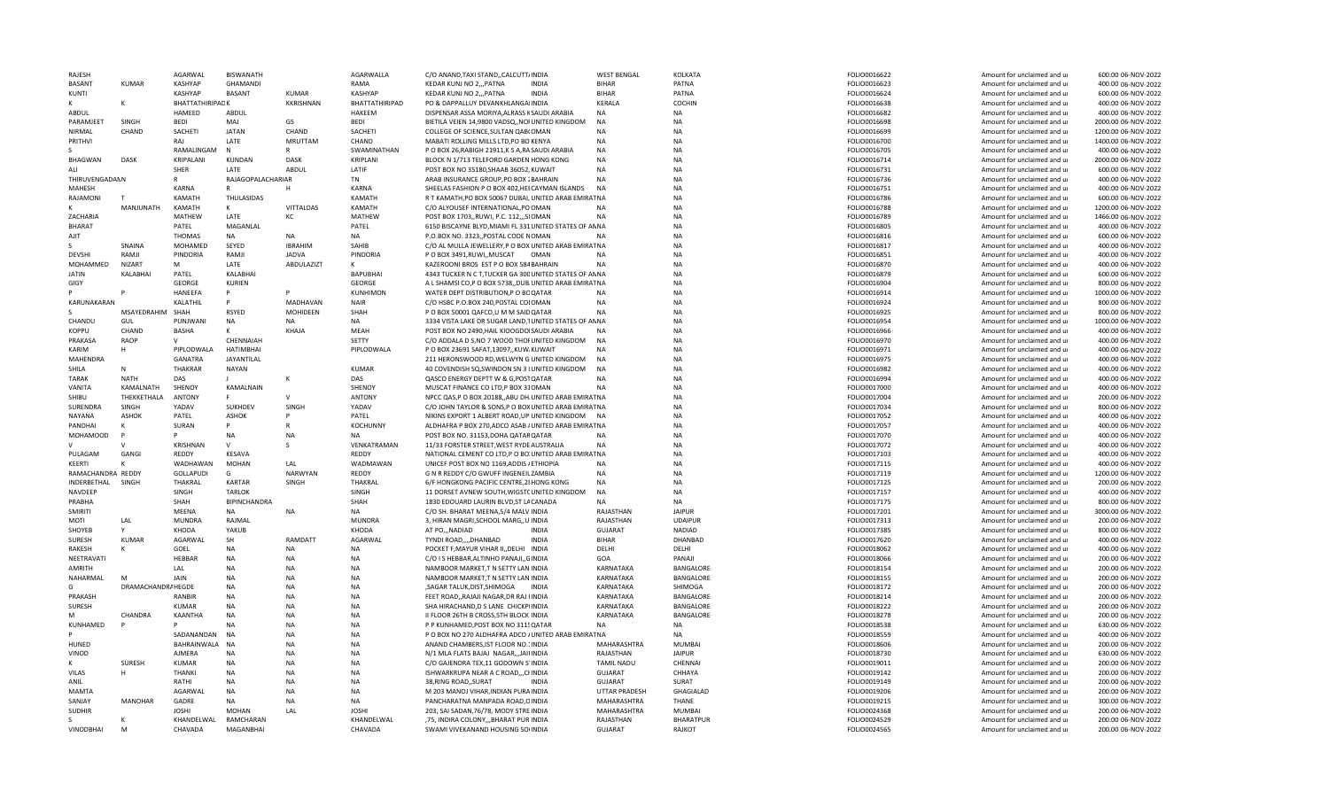| RAJESH            |                    | <b>AGARWAL</b>   | <b>BISWANATH</b>  |                  | AGARWALLA             | C/O ANAND.TAXI STANDCALCUTT/INDIA                      |              | <b>WEST BENGAL</b> | KOLKATA          | FOLIO0016622 | Amount for unclaimed and ur | 600.00 06-NOV-2022  |
|-------------------|--------------------|------------------|-------------------|------------------|-----------------------|--------------------------------------------------------|--------------|--------------------|------------------|--------------|-----------------------------|---------------------|
| <b>BASANT</b>     | KUMAR              | <b>KASHYAP</b>   | GHAMANDI          |                  | RAMA                  | KEDAR KUNJ NO 2,,, PATNA                               | <b>INDIA</b> | <b>BIHAR</b>       | PATNA            | FOLIO0016623 | Amount for unclaimed and ur | 400.00 06-NOV-2022  |
| KUNTI             |                    | <b>KASHYAP</b>   | <b>BASANT</b>     | <b>KUMAR</b>     | KASHYAP               | KEDAR KUNJ NO 2,,, PATNA                               | <b>INDIA</b> | <b>BIHAR</b>       | PATNA            | FOLIO0016624 | Amount for unclaimed and ur | 600.00 06-NOV-2022  |
|                   | κ                  | BHATTATHIRIPADK  |                   | <b>KKRISHNAN</b> | <b>BHATTATHIRIPAD</b> | PO & DAPPALLUY DEVANKHLANGAIINDIA                      |              | KERALA             | COCHIN           | FOLIO0016638 | Amount for unclaimed and ur | 400.00 06-NOV-2022  |
| ABDUL             |                    | HAMEED           | ABDUL             |                  | <b>HAKEEM</b>         | DISPENSAR ASSA MORIYA, ALRASS KSAUDI ARABIA            |              | <b>NA</b>          | <b>NA</b>        | FOLIO0016682 | Amount for unclaimed and ur | 400.00 06-NOV-2022  |
| PARAMJEET         | SINGH              | <b>BEDI</b>      | MAJ               | GS               | <b>BEDI</b>           | BIETILA VEIEN 14,9800 VADSQ,, NOI UNITED KINGDOM       |              | <b>NA</b>          | <b>NA</b>        | FOLIO0016698 | Amount for unclaimed and ur | 2000.00 06-NOV-2022 |
| <b>NIRMAL</b>     | CHAND              | SACHETI          | <b>JATAN</b>      | CHAND            | SACHETI               | COLLEGE OF SCIENCE.SULTAN QAB(OMAN                     |              | <b>NA</b>          | <b>NA</b>        | FOLIO0016699 | Amount for unclaimed and ur | 1200.00 06-NOV-2022 |
| PRITHVI           |                    | RAI              | LATE              | <b>MRUTTAM</b>   | CHAND                 | MABATI ROLLING MILLS LTD, PO BO KENYA                  |              | <b>NA</b>          | <b>NA</b>        | FOLIO0016700 | Amount for unclaimed and ur | 1400.00 06-NOV-2022 |
|                   |                    | RAMALINGAM       | $\mathsf{N}$      | R                | SWAMINATHAN           | P O BOX 26, RABIGH 21911, K S A, RASAUDI ARABIA        |              | <b>NA</b>          | <b>NA</b>        | FOLIO0016705 | Amount for unclaimed and ur | 400.00 06-NOV-2022  |
| BHAGWAN           | <b>DASK</b>        | KRIPALANI        | KUNDAN            | <b>DASK</b>      | KRIPLANI              | BLOCK N 1/713 TELEFORD GARDEN HONG KONG                |              | <b>NA</b>          | <b>NA</b>        | FOLIO0016714 | Amount for unclaimed and ur | 2000.00 06-NOV-2022 |
| ALI               |                    | SHER             | LATE              | <b>ABDUL</b>     | LATIF                 | POST BOX NO 35180, SHAAB 36052, KUWAIT                 |              | <b>NA</b>          | NA               | FOLIO0016731 | Amount for unclaimed and ur | 600.00 06-NOV-2022  |
|                   |                    |                  |                   |                  |                       |                                                        |              | <b>NA</b>          |                  |              |                             |                     |
| THIRUVENGADANN    |                    | R                | RAJAGOPALACHARIAR |                  | <b>TN</b>             | ARAB INSURANCE GROUP, PO BOX 2BAHRAIN                  |              |                    | <b>NA</b>        | FOLIO0016736 | Amount for unclaimed and ur | 400.00 06-NOV-2022  |
| MAHESH            |                    | KARNA            | R                 | H                | <b>KARNA</b>          | SHEELAS FASHION P O BOX 402, HEI CAYMAN ISLANDS        |              | <b>NA</b>          | <b>NA</b>        | FOLIO0016751 | Amount for unclaimed and ur | 400.00 06-NOV-2022  |
| RAJAMONI          |                    | <b>KAMATH</b>    | THULASIDAS        |                  | KAMATH                | R T KAMATH, PO BOX 50067 DUBAI, UNITED ARAB EMIRAT NA  |              |                    | <b>NA</b>        | FOLIO0016786 | Amount for unclaimed and ur | 600.00 06-NOV-2022  |
| ĸ                 | MANJUNATH          | KAMATH           | K                 | VITTALDAS        | KAMATH                | C/O ALYOUSEF INTERNATIONAL, PO OMAN                    |              | <b>NA</b>          | <b>NA</b>        | FOLIO0016788 | Amount for unclaimed and ur | 1200.00 06-NOV-2022 |
| ZACHARIA          |                    | MATHEW           | LATE              | кc               | MATHEW                | POST BOX 1703,, RUWI, P.C. 112,,, SIOMAN               |              | <b>NA</b>          | <b>NA</b>        | FOLIO0016789 | Amount for unclaimed and ur | 1466.00 06-NOV-2022 |
| <b>BHARAT</b>     |                    | PATEL            | MAGANLAL          |                  | PATEL                 | 6150 BISCAYNE BLYD, MIAMI FL 331 UNITED STATES OF ANNA |              |                    | <b>NA</b>        | FOLIO0016805 | Amount for unclaimed and ur | 400.00 06-NOV-2022  |
| AJIT              |                    | <b>THOMAS</b>    | <b>NA</b>         | <b>NA</b>        | <b>NA</b>             | P.O.BOX NO. 3323., POSTAL CODE NOMAN                   |              | <b>NA</b>          | <b>NA</b>        | FOLIO0016816 | Amount for unclaimed and ur | 600.00 06-NOV-2022  |
|                   | <b>SNAINA</b>      | MOHAMED          | SEYED             | <b>IRRAHIM</b>   | SAHIB                 | C/O AL MULLA JEWELLERY, P O BOX UNITED ARAB EMIRAT NA  |              |                    | <b>NA</b>        | FOLIO0016817 | Amount for unclaimed and u  | 400.00 06-NOV-2022  |
| DEVSHI            | RAMJI              | PINDORIA         | RAMJI             | <b>JADVA</b>     | PINDORIA              | P O BOX 3491, RUWI,, MUSCAT                            | OMAN         | <b>NA</b>          | NA               | FOLIO0016851 | Amount for unclaimed and ur | 400.00 06-NOV-2022  |
| MOHAMMED          | <b>NIZART</b>      | м                | LATE              | ABDULAZIZT       |                       | KAZEROONI BROS EST P O BOX 584 BAHRAIN                 |              | <b>NA</b>          | <b>NA</b>        | FOLIO0016870 | Amount for unclaimed and ur | 400.00 06-NOV-2022  |
| <b>JATIN</b>      | KALABHAI           | PATEL            | KALABHAI          |                  | <b>BAPUBHAI</b>       | 4343 TUCKER N C T, TUCKER GA 300 UNITED STATES OF ANNA |              |                    | <b>NA</b>        | FOLIO0016879 | Amount for unclaimed and ur | 600.00 06-NOV-2022  |
| GIGY              |                    | <b>GEORGE</b>    | KURIEN            |                  | GEORGE                | A L SHAMSI CO,P O BOX 5738, DUB UNITED ARAB EMIRAT NA  |              |                    | <b>NA</b>        | FOLIO0016904 | Amount for unclaimed and ur | 800.00 06-NOV-2022  |
|                   |                    | HANEEFA          | P                 |                  | <b>KUNHIMON</b>       | WATER DEPT DISTRIBUTION, P O BOQATAR                   |              | <b>NA</b>          | <b>NA</b>        | FOLIO0016914 | Amount for unclaimed and ur | 1000.00 06-NOV-2022 |
|                   |                    |                  | P                 | MADHAVAN         |                       |                                                        |              | <b>NA</b>          | <b>NA</b>        |              |                             |                     |
| KARUNAKARAN       |                    | KALATHIL         |                   |                  | <b>NAIR</b>           | C/O HSBC P.O.BOX 240, POSTAL COIOMAN                   |              |                    |                  | FOLIO0016924 | Amount for unclaimed and ur | 800.00 06-NOV-2022  |
|                   | MSAYEDRAHIM        | SHAH             | <b>RSYED</b>      | <b>MOHIDEEN</b>  | SHAH                  | P O BOX 50001 QAFCO.U M M SAIDQATAR                    |              | <b>NA</b>          | <b>NA</b>        | FOLIO0016925 | Amount for unclaimed and u  | 800.00 06-NOV-2022  |
| CHANDU            | GUL                | PUNJWANI         | <b>NA</b>         | NA               | <b>NA</b>             | 3334 VISTA LAKE DR SUGAR LAND, TUNITED STATES OF AN NA |              |                    | <b>NA</b>        | FOLIO0016954 | Amount for unclaimed and ur | 1000.00 06-NOV-2022 |
| <b>KOPPU</b>      | CHAND              | <b>BASHA</b>     |                   | KHAJA            | MEAH                  | POST BOX NO 2490, HAIL KIOOGDOISAUDI ARABIA            |              | <b>NA</b>          | <b>NA</b>        | FOLIO0016966 | Amount for unclaimed and ur | 400.00 06-NOV-2022  |
| PRAKASA           | <b>RAOP</b>        | V                | CHENNAIAH         |                  | <b>SETTY</b>          | C/O ADDALA D S, NO 7 WOOD THOFUNITED KINGDOM           |              | <b>NA</b>          | <b>NA</b>        | FOLIO0016970 | Amount for unclaimed and ur | 400.00 06-NOV-2022  |
| KARIM             | н                  | PIPLODWALA       | <b>HATIMBHAI</b>  |                  | PIPLODWALA            | P O BOX 23691 SAFAT.13097KUW KUWAIT                    |              | <b>NA</b>          | <b>NA</b>        | FOLIO0016971 | Amount for unclaimed and ur | 400.00 06-NOV-2022  |
| MAHENDRA          |                    | <b>GANATRA</b>   | JAYANTILAL        |                  |                       | 211 HERONSWOOD RD, WELWYN G UNITED KINGDOM             |              | <b>NA</b>          | <b>NA</b>        | FOLIO0016975 | Amount for unclaimed and ur | 400.00 06-NOV-2022  |
| SHILA             |                    | THAKRAR          | NAYAN             |                  | <b>KUMAR</b>          | 40 COVENDISH SQ, SWINDON SN 3 {UNITED KINGDOM          |              | <b>NA</b>          | NA               | FOLIO0016982 | Amount for unclaimed and ur | 400.00 06-NOV-2022  |
| <b>TARAK</b>      | <b>NATH</b>        | DAS              |                   |                  | DAS                   | <b>QASCO ENERGY DEPTT W &amp; G.POSTQATAR</b>          |              | <b>NA</b>          | <b>NA</b>        | FOLIO0016994 | Amount for unclaimed and u  | 400.00 06-NOV-2022  |
| VANITA            | KAMALNATH          | SHENOY           | KAMALNAIN         |                  | SHENOY                | MUSCAT FINANCE CO LTD, P BOX 310MAN                    |              | <b>NA</b>          | <b>NA</b>        | FOLIO0017000 | Amount for unclaimed and ur | 400.00 06-NOV-2022  |
| SHIBU             | THEKKETHALA        | <b>ANTONY</b>    | E.                | $\mathsf{v}$     | ANTONY                | NPCC QAS, P O BOX 20188, ABU DH UNITED ARAB EMIRAT NA  |              |                    | <b>NA</b>        | FOLIO0017004 | Amount for unclaimed and ur | 200.00 06-NOV-2022  |
| SURENDRA          | SINGH              | YADAV            | SUKHDEV           | SINGH            | YADAV                 | C/O JOHN TAYLOR & SONS, P O BOXUNITED ARAB EMIRAT NA   |              |                    | <b>NA</b>        | FOLIO0017034 | Amount for unclaimed and ur | 800.00 06-NOV-2022  |
| <b>NAYANA</b>     | ASHOK              | PATEL            | <b>ASHOK</b>      |                  | PATEL                 | NIKINS EXPORT 1 ALBERT ROAD, UPIUNITED KINGDOM         |              | <b>NA</b>          | <b>NA</b>        | FOLIO0017052 | Amount for unclaimed and ur | 400.00 06-NOV-2022  |
| <b>PANDHAI</b>    | K                  | SURAN            |                   |                  | <b>KOCHUNNY</b>       |                                                        |              |                    | <b>NA</b>        |              |                             |                     |
|                   | D                  |                  |                   |                  |                       | ALDHAFRA P BOX 270, ADCO ASAB / UNITED ARAB EMIRAT NA  |              |                    |                  | FOLIO0017057 | Amount for unclaimed and ur | 400.00 06-NOV-2022  |
| MOHAMOOD          |                    |                  | NA                | <b>NA</b>        | <b>NA</b>             | POST BOX NO. 31153, DOHA QATAR QATAR                   |              | <b>NA</b>          | <b>NA</b>        | FOLIO0017070 | Amount for unclaimed and ur | 400.00 06-NOV-2022  |
|                   |                    | <b>KRISHNAN</b>  | $\mathsf{V}$      | -S               | VENKATRAMAN           | 11/33 FORSTER STREET, WEST RYDE AUSTRALIA              |              | <b>NA</b>          | <b>NA</b>        | FOLIO0017072 | Amount for unclaimed and ur | 400.00 06-NOV-2022  |
| PULAGAM           | GANGI              | REDDY            | <b>KESAVA</b>     |                  | REDDY                 | NATIONAL CEMENT CO LTD.P O BO.UNITED ARAB EMIRATNA     |              |                    | <b>NA</b>        | FOLIO0017103 | Amount for unclaimed and ur | 400.00 06-NOV-2022  |
| KEERTI            | к                  | WADHAWAN         | <b>MOHAN</b>      | LAL              | WADMAWAN              | UNICEF POST BOX NO 1169, ADDIS / ETHIOPIA              |              | <b>NA</b>          | <b>NA</b>        | FOLIO0017115 | Amount for unclaimed and ur | 400.00 06-NOV-2022  |
| RAMACHANDRA REDDY |                    | <b>GOLLAPUDI</b> | G                 | NARWYAN          | REDDY                 | G N R REDDY C/O GWUFF INGENEILZAMBIA                   |              | <b>NA</b>          | <b>NA</b>        | FOLIO0017119 | Amount for unclaimed and ur | 1200.00 06-NOV-2022 |
| INDERBETHAL SINGH |                    | THAKRAL          | <b>KARTAR</b>     | SINGH            | THAKRAL               | 6/F HONGKONG PACIFIC CENTRE, 28 HONG KONG              |              | <b>NA</b>          | <b>NA</b>        | FOLIO0017125 | Amount for unclaimed and ur | 200.00 06-NOV-2022  |
| NAVDEEP           |                    | SINGH            | <b>TARLOK</b>     |                  | SINGH                 | 11 DORSET AVNEW SOUTH, WIGSTCUNITED KINGDOM            |              | <b>NA</b>          | <b>NA</b>        | FOLIO0017157 | Amount for unclaimed and ur | 400.00 06-NOV-2022  |
| PRABHA            |                    | SHAH             | BIPINCHANDRA      |                  | SHAH                  | 1830 EDOUARD LAURIN BLVD, ST LACANADA                  |              | <b>NA</b>          | <b>NA</b>        | FOLIO0017175 | Amount for unclaimed and ur | 800.00 06-NOV-2022  |
| <b>SMIRITI</b>    |                    | MEENA            | NA                | <b>NA</b>        | <b>NA</b>             | C/O SH. BHARAT MEENA, 5/4 MALV INDIA                   |              | RAJASTHAN          | <b>JAIPUR</b>    | FOLIO0017201 | Amount for unclaimed and ur | 3000.00 06-NOV-2022 |
| <b>MOTI</b>       | LAL                | <b>MUNDRA</b>    | RAJMAL            |                  | <b>MUNDRA</b>         | 3, HIRAN MAGRI, SCHOOL MARG, UINDIA                    |              | RAJASTHAN          | <b>UDAIPUR</b>   | FOLIO0017313 | Amount for unclaimed and ur | 200.00 06-NOV-2022  |
| SHOYEB            | Y                  | KHODA            | YAKUB             |                  | KHODA                 | AT PONADIAD                                            | <b>INDIA</b> | <b>GUJARAT</b>     | <b>NADIAD</b>    | FOLIO0017385 | Amount for unclaimed and ur | 800.00 06-NOV-2022  |
| <b>SURESH</b>     | <b>KUMAR</b>       | AGARWAL          | SH                | RAMDATT          | AGARWAL               | TYNDI ROAD,,,,DHANBAD                                  | <b>INDIA</b> | <b>BIHAR</b>       | DHANBAD          | FOLIO0017620 | Amount for unclaimed and ur | 400.00 06-NOV-2022  |
| <b>RAKFSH</b>     |                    | GOEL             | <b>NA</b>         | <b>NA</b>        | <b>NA</b>             | POCKET F, MAYUR VIHAR II, , DELHI INDIA                |              | DFLHI              | DELHI            | FOLIO0018062 | Amount for unclaimed and ur | 400.00 06-NOV-2022  |
| NEETRAVATI        |                    | <b>HFRRAR</b>    | <b>NA</b>         | <b>NA</b>        | <b>NA</b>             | C/O I S HEBBAR, ALTINHO PANAJI, GINDIA                 |              | GOA                | PANAJI           | FOLIO0018066 | Amount for unclaimed and ur | 200.00 06-NOV-2022  |
|                   |                    |                  | <b>NA</b>         |                  |                       |                                                        |              |                    |                  |              |                             |                     |
| AMRITH            |                    | LAL              |                   | <b>NA</b>        | <b>NA</b>             | NAMBOOR MARKET,T N SETTY LAN INDIA                     |              | KARNATAKA          | BANGALORE        | FOLIO0018154 | Amount for unclaimed and ur | 200.00 06-NOV-2022  |
| NAHARMAL          | M                  | JAIN             | <b>NA</b>         | <b>NA</b>        | <b>NA</b>             | NAMBOOR MARKET,T N SETTY LAN INDIA                     |              | KARNATAKA          | BANGALORE        | FOLIO0018155 | Amount for unclaimed and ur | 200.00 06-NOV-2022  |
| G                 | DRAMACHANDRA HEGDE |                  | NA                | <b>NA</b>        | NA                    | ,SAGAR TALUK,DIST,SHIMOGA                              | <b>INDIA</b> | KARNATAKA          | SHIMOGA          | FOLIO0018172 | Amount for unclaimed and ur | 200.00 06-NOV-2022  |
| PRAKASH           |                    | <b>RANBIR</b>    | NA                | <b>NA</b>        | <b>NA</b>             | FEET ROAD, RAJAJI NAGAR, DR RAJ HNDIA                  |              | KARNATAKA          | <b>BANGALORE</b> | FOLIO0018214 | Amount for unclaimed and u  | 200.00 06-NOV-2022  |
| SURESH            |                    | <b>KUMAR</b>     | <b>NA</b>         | <b>NA</b>        | <b>NA</b>             | SHA HIRACHAND, D S LANE CHICKPIINDIA                   |              | KARNATAKA          | BANGALORE        | FOLIO0018222 | Amount for unclaimed and ur | 200.00 06-NOV-2022  |
| м                 | CHANDRA            | KAANTHA          | <b>NA</b>         | <b>NA</b>        | <b>NA</b>             | II FLOOR 26TH B CROSS, 5TH BLOCK INDIA                 |              | KARNATAKA          | BANGALORE        | FOLIO0018278 | Amount for unclaimed and ur | 200.00 06-NOV-2022  |
| KUNHAMED          |                    |                  | <b>NA</b>         | <b>NA</b>        | <b>NA</b>             | P P KUNHAMED POST BOX NO 3115 OATAR                    |              | <b>NA</b>          | <b>NA</b>        | FOLIO0018538 | Amount for unclaimed and u  | 630.00 06-NOV-2022  |
|                   |                    | SADANANDAN       | <b>NA</b>         | <b>NA</b>        | <b>NA</b>             | P O BOX NO 270 ALDHAFRA ADCO / UNITED ARAB EMIRAT NA   |              |                    | <b>NA</b>        | FOLIO0018559 | Amount for unclaimed and ur | 400.00 06-NOV-2022  |
| HUNED             |                    | BAHRAINWALA      | NA                | <b>NA</b>        | NA                    | ANAND CHAMBERS, IST FLOOR NO.1INDIA                    |              | MAHARASHTRA        | <b>MUMBAI</b>    | FOLIO0018606 | Amount for unclaimed and ur | 200.00 06-NOV-2022  |
| VINOD             |                    | AJMERA           | NA                | <b>NA</b>        | NA                    | N/1 MLA FLATS BAJAJ NAGAR,,,JAIFINDIA                  |              | RAJASTHAN          | <b>JAIPUR</b>    | FOLIO0018730 | Amount for unclaimed and ur | 630.00 06-NOV-2022  |
|                   | SURESH             | <b>KUMAR</b>     | NA                | <b>NA</b>        | <b>NA</b>             | C/O GAIFNDRA TFX 11 GODOWN S INDIA                     |              | <b>TAMIL NADU</b>  | CHENNAI          | FOLIO0019011 | Amount for unclaimed and ur | 200.00 06-NOV-2022  |
| VILAS             | н                  | THANKI           | NA                | <b>NA</b>        | NA                    | ISHWARKRUPA NEAR A C ROADCHNDIA                        |              | <b>GUJARAT</b>     | CHHAYA           | FOLIO0019142 | Amount for unclaimed and ur | 200.00 06-NOV-2022  |
| ANIL              |                    | RATHI            | NA                | <b>NA</b>        | NA                    | 38, RING ROAD, , SURAT                                 | <b>INDIA</b> | <b>GUJARAT</b>     | SURAT            | FOLIO0019149 | Amount for unclaimed and ur | 200.00 06-NOV-2022  |
| <b>MAMTA</b>      |                    | <b>AGARWAL</b>   | <b>NA</b>         | <b>NA</b>        | <b>NA</b>             | M 203 MANOJ VIHAR, INDIAN PURA INDIA                   |              | UTTAR PRADESH      | <b>GHAGIALAD</b> | FOLIO0019206 | Amount for unclaimed and ur | 200.00 06-NOV-2022  |
| SANJAY            | <b>MANOHAR</b>     | GADRE            | <b>NA</b>         | <b>NA</b>        | <b>NA</b>             | PANCHARATNA MANPADA ROAD.OINDIA                        |              | MAHARASHTRA        | <b>THANF</b>     | FOLIO0019215 | Amount for unclaimed and ur | 300.00 06-NOV-2022  |
|                   |                    | <b>JOSHI</b>     | MOHAN             | LAL              | <b>JOSH</b>           |                                                        |              |                    |                  |              |                             |                     |
| <b>SUDHIR</b>     |                    |                  |                   |                  |                       | 203, SAI SADAN, 76/78, MODY STRE INDIA                 |              | MAHARASHTRA        | <b>MUMBAI</b>    | FOLIO0024368 | Amount for unclaimed and ur | 200.00 06-NOV-2022  |
|                   |                    | KHANDELWAL       | RAMCHARAN         |                  | KHANDELWAL            | ,75, INDIRA COLONY,,,BHARAT PUR INDIA                  |              | RAJASTHAN          | <b>BHARATPUF</b> | FOLIO0024529 | Amount for unclaimed and ur | 200.00 06-NOV-2022  |
| VINODBHAI         | M                  | CHAVADA          | MAGANBHAI         |                  | CHAVADA               | SWAMI VIVEKANAND HOUSING SO(INDIA                      |              | <b>GUJARAT</b>     | RAJKOT           | FOLIO0024565 | Amount for unclaimed and ur | 200.00 06-NOV-2022  |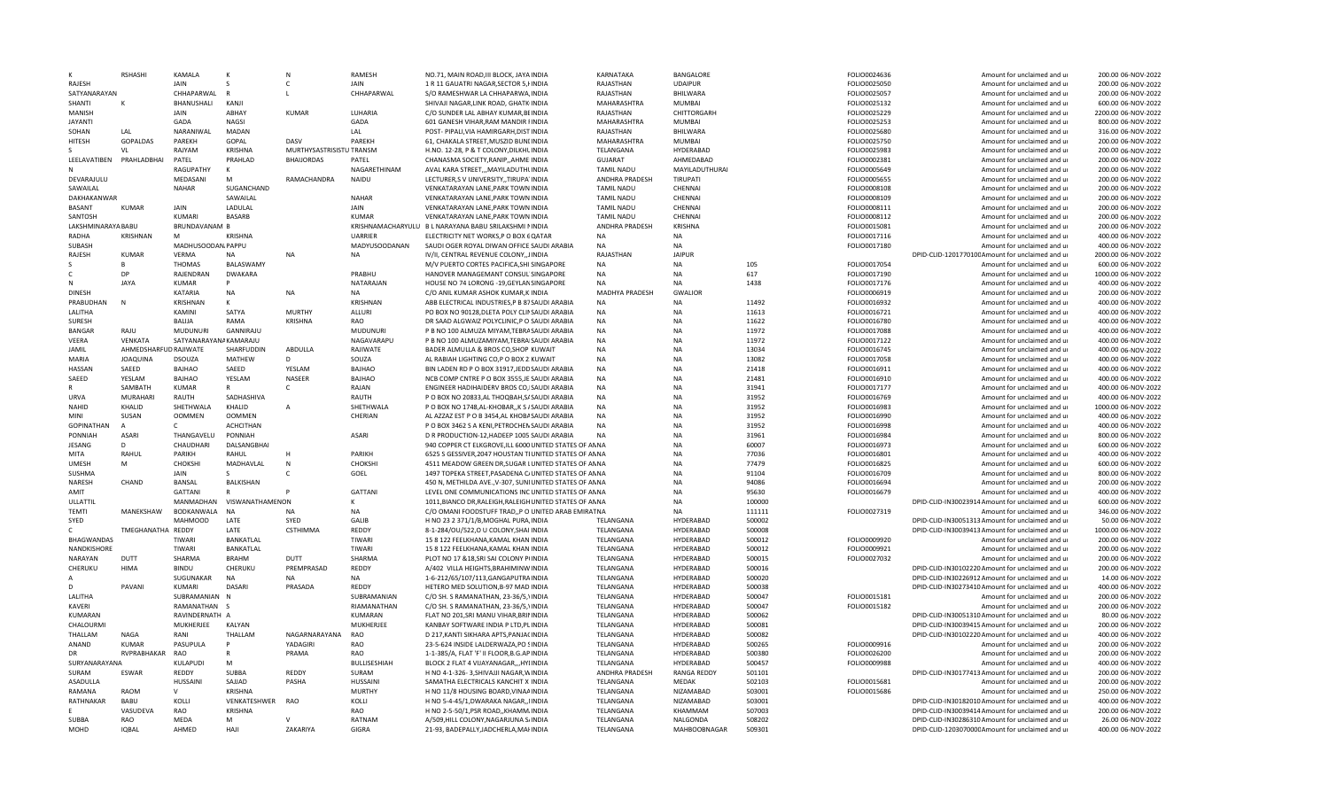|                             | <b>RSHASH</b>                | <b>KAMALA</b>                      | К                        | N                        | <b>RAMESH</b>                | NO.71. MAIN ROAD.III BLOCK. JAYA INDIA                                               | KARNATAKA                   | BANGALORE                     |                  | FOLIO0024636 | Amount for unclaimed and ur                                                                         | 200.00 06-NOV-2022                       |
|-----------------------------|------------------------------|------------------------------------|--------------------------|--------------------------|------------------------------|--------------------------------------------------------------------------------------|-----------------------------|-------------------------------|------------------|--------------|-----------------------------------------------------------------------------------------------------|------------------------------------------|
| RAJESH                      |                              | <b>JAIN</b>                        | S                        | C                        | JAIN                         | 1 R 11 GAUATRI NAGAR, SECTOR 5, HNDIA                                                | RAJASTHAN                   | <b>UDAIPUR</b>                |                  | FOLIO0025050 | Amount for unclaimed and ur                                                                         | 200.00 06-NOV-2022                       |
| SATYANARAYAN                |                              | CHHAPARWAL                         | R                        |                          | CHHAPARWAL                   | S/O RAMESHWAR LA CHHAPARWA, INDIA                                                    | RAJASTHAN                   | BHILWARA                      |                  | FOLIO0025057 | Amount for unclaimed and ur                                                                         | 200.00 06-NOV-2022                       |
| SHANTI                      | к                            | <b>BHANUSHALL</b>                  | KANJI                    |                          |                              | SHIVAII NAGAR LINK ROAD, GHATK INDIA                                                 | MAHARASHTRA                 | <b>MUMBAI</b>                 |                  | FOLIO0025132 | Amount for unclaimed and ur                                                                         | 600.00 06-NOV-2022                       |
| <b>MANISH</b>               |                              | JAIN                               | ABHAY                    | KUMAR                    | <b>LUHARIA</b>               | C/O SUNDER LAL ABHAY KUMAR.BEINDIA                                                   | RAJASTHAN                   | CHITTORGARH                   |                  | FOLIO0025229 | Amount for unclaimed and ur                                                                         | 2200.00 06-NOV-2022                      |
| <b>JAYANTI</b>              |                              | GADA                               | <b>NAGSI</b>             |                          | GADA                         | 601 GANESH VIHAR, RAM MANDIR FINDIA                                                  | MAHARASHTRA                 | <b>MUMBAI</b>                 |                  | FOLIO0025253 | Amount for unclaimed and ur                                                                         | 800.00 06-NOV-2022                       |
| SOHAN                       | LAI                          | NARANIWAL                          | <b>MADAN</b>             |                          | LAL                          | POST- PIPALI.VIA HAMIRGARH.DIST INDIA                                                | RAJASTHAN                   | BHILWARA                      |                  | FOLIO0025680 | Amount for unclaimed and ur                                                                         | 316.00 06-NOV-2022                       |
| <b>HITESH</b>               | GOPALDAS                     | PAREKH                             | GOPAL                    | DASV                     | PAREKH                       | 61, CHAKALA STREET, MUSZID BUNLINDIA                                                 | MAHARASHTRA                 | MUMBAI                        |                  | FOLIO0025750 | Amount for unclaimed and ur                                                                         | 200.00 06-NOV-2022                       |
|                             | VL                           | RAJYAM                             | <b>KRISHNA</b>           | MURTHYSASTRISISTU TRANSM |                              | H.NO. 12-28, P & T COLONY, DILKHLINDIA                                               | TELANGANA                   | HYDERABAD                     |                  | FOLIO0025983 | Amount for unclaimed and ur                                                                         | 200.00 06-NOV-2022                       |
| LEELAVATIBEN                | PRAHLADBHAI                  | PATEL                              | PRAHLAD                  | <b>BHAIJORDAS</b>        | PATEL                        | CHANASMA SOCIETY, RANIP,, AHMEIINDIA                                                 | <b>GUJARAT</b>              | AHMEDABAD                     |                  | FOLIO0002381 | Amount for unclaimed and ur                                                                         | 200.00 06-NOV-2022                       |
|                             |                              | RAGUPATHY                          | К                        |                          | NAGARETHINAM                 | AVAL KARA STREET,,, MAYILADUTHUNDIA                                                  | <b>TAMIL NADU</b>           | MAYILADUTHURAI                |                  | FOLIO0005649 | Amount for unclaimed and ur                                                                         | 200.00 06-NOV-2022                       |
| DEVARAJULU                  |                              | MEDASANI                           | M                        | RAMACHANDRA              | NAIDU                        | LECTURER, SV UNIVERSITY, TIRUPA INDIA                                                | ANDHRA PRADESH              | <b>TIRUPATI</b>               |                  | FOLIO0005655 | Amount for unclaimed and ur                                                                         | 200.00 06-NOV-2022                       |
| SAWAILAL                    |                              | <b>NAHAR</b>                       | SUGANCHAND               |                          |                              | VENKATARAYAN LANE, PARK TOWN INDIA                                                   | <b>TAMIL NADU</b>           | CHENNAL                       |                  | FOLIO0008108 | Amount for unclaimed and ur                                                                         | 200.00 06-NOV-2022                       |
| DAKHAKANWAF                 |                              |                                    | SAWAILAL                 |                          | <b>NAHAR</b>                 | VENKATARAYAN LANE, PARK TOWN INDIA                                                   | <b>TAMIL NADU</b>           | CHENNAL                       |                  | FOLIO0008109 | Amount for unclaimed and ur                                                                         | 200.00 06-NOV-2022                       |
| <b>BASANT</b>               | <b>KUMAR</b>                 | JAIN<br>KUMARI                     | LADULAL<br><b>BASARB</b> |                          | JAIN<br>KUMAR                | VENKATARAYAN LANE, PARK TOWN INDIA                                                   | <b>TAMIL NADU</b>           | CHENNAI<br>CHENNAI            |                  | FOLIO0008111 | Amount for unclaimed and ur                                                                         | 200.00 06-NOV-2022                       |
| SANTOSH                     |                              |                                    |                          |                          |                              | VENKATARAYAN LANE, PARK TOWN INDIA                                                   | <b>TAMIL NADU</b>           |                               |                  | FOLIO0008112 | Amount for unclaimed and ur                                                                         | 200.00 06-NOV-2022                       |
| LAKSHMINARAYA BABU          |                              | <b>BRUNDAVANAM B</b><br>M          |                          |                          | <b>UARRIFF</b>               | KRISHNAMACHARYULU B L NARAYANA BABU SRILAKSHMI NINDIA                                | ANDHRA PRADESH              | <b>KRISHNA</b>                |                  | FOLIO0015081 | Amount for unclaimed and ur                                                                         | 200.00 06-NOV-2022                       |
| RADHA                       | KRISHNAN                     |                                    | <b>KRISHNA</b>           |                          |                              | ELECTRICITY NET WORKS, P O BOX 6 QATAR<br>SAUDI OGER ROYAL DIWAN OFFICE SAUDI ARABIA |                             | NA<br><b>NA</b>               |                  | FOLIO0017116 | Amount for unclaimed and ur                                                                         | 400.00 06-NOV-2022<br>400.00 06-NOV-2022 |
| SUBASH                      |                              | MADHUSOODAN, PAPPU<br><b>VERMA</b> |                          |                          | MADYUSOODANAN                |                                                                                      | <b>NA</b><br>RAJASTHAN      | <b>JAIPUR</b>                 |                  | FOLIO0017180 | Amount for unclaimed and ur                                                                         | 2000.00 06-NOV-2022                      |
| RAJESH                      | <b>KUMAR</b><br>$\mathbf{R}$ |                                    | <b>NA</b>                | NA                       | <b>NA</b>                    | IV/II, CENTRAL REVENUE COLONY,, JINDIA                                               | <b>NA</b>                   |                               |                  |              | DPID-CLID-120177010CAmount for unclaimed and ur                                                     |                                          |
|                             | DF                           | THOMAS                             | BALASWAMY                |                          |                              | M/V PUERTO CORTES PACIFICA, SHI SINGAPORE                                            | <b>NA</b>                   | NA<br><b>NA</b>               | 105              | FOLIO0017054 | Amount for unclaimed and ur                                                                         | 600.00 06-NOV-2022                       |
| C                           |                              | RAJENDRAN                          | <b>DWAKARA</b>           |                          | PRABHU                       | HANOVER MANAGEMANT CONSUL SINGAPORE                                                  |                             |                               | 617              | FOLIO0017190 | Amount for unclaimed and ur                                                                         | 1000.00 06-NOV-2022                      |
| N                           | <b>JAYA</b>                  | KUMAR                              |                          |                          | NATARAJAN                    | HOUSE NO 74 LORONG -19, GEYLANSING APORE                                             | <b>NA</b>                   | <b>NA</b>                     | 1438             | FOLIO0017176 | Amount for unclaimed and ur                                                                         | 400.00 06-NOV-2022                       |
| <b>DINESE</b>               |                              | <b>KATARIA</b>                     | <b>NA</b>                | <b>NA</b>                | <b>NA</b>                    | C/O ANIL KUMAR ASHOK KUMAR.KIINDIA                                                   | MADHYA PRADESH              | GWALIOR                       |                  | FOLIO0006919 | Amount for unclaimed and ur                                                                         | 200.00 06-NOV-2022                       |
| PRABUDHAN                   | N                            | <b>KRISHNAN</b>                    | К                        |                          | KRISHNAN                     | ABB ELECTRICAL INDUSTRIES, P B 87SAUDI ARABIA                                        | <b>NA</b>                   | <b>NA</b>                     | 11492            | FOLIO0016932 | Amount for unclaimed and ur                                                                         | 400.00 06-NOV-2022                       |
| LALITHA                     |                              | KAMINI                             | SATYA                    | MURTHY                   | ALLURI                       | PO BOX NO 90128, DLETA POLY CLINSAUDI ARABIA                                         | <b>NA</b>                   | <b>NA</b>                     | 11613            | FOLIO0016721 | Amount for unclaimed and ur                                                                         | 400.00 06-NOV-2022                       |
| SURESH                      |                              | BALIJA                             | RAMA                     | <b>KRISHNA</b>           | RAO                          | DR SAAD ALGWAIZ POLYCLINIC,P O SAUDI ARABIA                                          | <b>NA</b>                   | <b>NA</b>                     | 11622            | FOLIO0016780 | Amount for unclaimed and ur                                                                         | 400.00 06-NOV-2022                       |
| <b>BANGAR</b>               | RAJU                         | <b>MUDUNURI</b>                    | GANNIRAJU                |                          | <b>MUDUNURI</b>              | P B NO 100 ALMUZA MIYAM, TEBRASAUDI ARABIA                                           | <b>NA</b>                   | <b>NA</b>                     | 11972            | FOLIO0017088 | Amount for unclaimed and ur                                                                         | 400.00 06-NOV-2022                       |
| VEERA                       | VENKATA                      | SATYANARAYANA KAMARAJU             |                          |                          | NAGAVARAPU                   | P B NO 100 ALMUZAMIYAM, TEBRAISAUDI ARABIA                                           | <b>NA</b>                   | <b>NA</b>                     | 11972            | FOLIO0017122 | Amount for unclaimed and ur                                                                         | 400.00 06-NOV-2022                       |
| <b>JAMIL</b>                | AHMEDSHARFUD RAJIWATE        |                                    | SHARFUDDIN               | ABDULLA                  | RAJIWATE                     | BADER ALMULLA & BROS CO, SHOP KUWAIT                                                 | <b>NA</b>                   | <b>NA</b>                     | 13034            | FOLIO0016745 | Amount for unclaimed and ur                                                                         | 400.00 06-NOV-2022                       |
| <b>MARIA</b>                | <b>JOAOUINA</b>              | <b>DSOUZA</b>                      | MATHEW                   | D                        | SOUZA                        | AL RABIAH LIGHTING CO,P O BOX 2. KUWAIT                                              | <b>NA</b>                   | <b>NA</b>                     | 13082            | FOLIO0017058 | Amount for unclaimed and ur                                                                         | 400.00 06-NOV-2022                       |
| <b>HASSAN</b>               | SAEED                        | BAJHAO                             | SAEED                    | YESLAM                   | BAJHAO                       | BIN LADEN RD P O BOX 31917, JEDDSAUDI ARABIA                                         | <b>NA</b>                   | <b>NA</b>                     | 21418            | FOLIO0016911 | Amount for unclaimed and ur                                                                         | 400.00 06-NOV-2022                       |
| SAEED                       | YFSLAM                       | <b>BAIHAO</b>                      | YESLAM                   | <b>NASFFF</b>            | <b>BAIHAO</b>                | NCB COMP CNTRE P O BOX 3555, JE SAUDI ARABIA                                         | <b>NA</b>                   | <b>NA</b>                     | 21481            | FOLIO0016910 | Amount for unclaimed and ur                                                                         | 400.00 06-NOV-2022                       |
| $\mathsf{R}$                | SAMBATH                      | <b>KUMAR</b>                       | $\mathbb{R}$             | $\mathsf{C}$             | RAJAN                        | ENGINEER HADIHAIDERV BROS CO, ISAUDI ARABIA                                          | <b>NA</b>                   | <b>NA</b>                     | 31941            | FOLIO0017177 | Amount for unclaimed and ur                                                                         | 400.00 06-NOV-2022                       |
| <b>URVA</b>                 | MURAHARI                     | RAUTH                              | SADHASHIVA               |                          | RAUTH                        | P O BOX NO 20833, AL THOQBAH, S/SAUDI ARABIA                                         | <b>NA</b>                   | <b>NA</b>                     | 31952            | FOLIO0016769 | Amount for unclaimed and ur                                                                         | 400.00 06-NOV-2022                       |
| <b>NAHID</b>                | KHALID                       | SHETHWALA                          | KHALID                   | Α                        | SHETHWALA                    | P O BOX NO 1748, AL-KHOBAR, , K S / SAUDI ARABIA                                     | <b>NA</b>                   | <b>NA</b>                     | 31952            | FOLIO0016983 | Amount for unclaimed and ur                                                                         | 1000.00 06-NOV-2022                      |
| <b>MIN</b>                  | SUSAN                        | <b>OOMMEN</b>                      | <b>OOMMEN</b>            |                          | CHERIAN                      | AL AZZAZ EST P O B 3454,AL KHOBASAUDI ARABIA                                         | <b>NA</b>                   | <b>NA</b>                     | 31952            | FOLIO0016990 | Amount for unclaimed and ur                                                                         | 400.00 06-NOV-2022                       |
| <b>GOPINATHAN</b>           |                              |                                    | <b>ACHCITHAN</b>         |                          |                              | P O BOX 3462 S A KENI, PETROCHEN SAUDI ARABIA                                        | NΔ                          | <b>NA</b>                     | 31952            | FOLIO0016998 | Amount for unclaimed and ur                                                                         | 400.00 06-NOV-2022                       |
| PONNIAH                     | ASARI                        | THANGAVELU                         | PONNIAH                  |                          | <b>ASARI</b>                 | D R PRODUCTION-12, HADEEP 1005 SAUDI ARABIA                                          | NΔ                          | NΔ                            | 31961            | FOLIO0016984 | Amount for unclaimed and ur                                                                         | 800.00 06-NOV-2022                       |
| JESANG                      | D                            | CHAUDHARI                          | DALSANGBHAI              |                          |                              | 940 COPPER CT ELKGROVE, ILL 6000 UNITED STATES OF AN NA                              |                             | <b>NA</b>                     | 60007            | FOLIO0016973 | Amount for unclaimed and ur                                                                         | 600.00 06-NOV-2022                       |
| <b>MITA</b>                 | RAHUL                        | PARIKH                             | RAHUL                    | H                        | PARIKH                       | 6525 S GESSIVER, 2047 HOUSTAN TIUNITED STATES OF ANNA                                |                             | <b>NA</b>                     | 77036            | FOLIO0016801 | Amount for unclaimed and ur                                                                         | 400.00 06-NOV-2022                       |
| <b>UMESE</b>                | M                            | CHOKSHI                            | MADHAVLAL                | $\mathbf N$              | CHOKSHI                      | 4511 MEADOW GREEN DR.SUGAR LUNITED STATES OF ANNA                                    |                             | <b>NA</b>                     | 77479            | FOLIO0016825 | Amount for unclaimed and u                                                                          | 600.00 06-NOV-2022                       |
| <b>SUSHMA</b>               |                              | <b>JAIN</b>                        | S                        | $\mathsf{C}$             | GOEL                         | 1497 TOPEKA STREET, PASADENA C/UNITED STATES OF AN NA                                |                             | <b>NA</b>                     | 91104            | FOLIO0016709 | Amount for unclaimed and ur                                                                         | 800.00 06-NOV-2022                       |
| NARESH                      | CHAND                        | BANSAL                             | BALKISHAN                |                          |                              | 450 N, METHILDA AVE., V-307, SUNIUNITED STATES OF AN NA                              |                             | <b>NA</b>                     | 94086            | FOLIO0016694 | Amount for unclaimed and ur                                                                         | 200.00 06-NOV-2022                       |
| AMIT                        |                              | <b>GATTANI</b>                     | $\mathsf{R}$             |                          | <b>GATTAN</b>                | LEVEL ONE COMMUNICATIONS INC UNITED STATES OF AN NA                                  |                             | <b>NA</b>                     | 95630            | FOLIO0016679 | Amount for unclaimed and ur                                                                         | 400.00 06-NOV-2022                       |
| ULLATTIL                    |                              | MANMADHAN                          | VISWANATHAMENON          |                          | к                            | 1011, BIANCO DR, RALEIGH, RALEIGH UNITED STATES OF AN NA                             |                             | <b>NA</b>                     | 100000           |              | DPID-CLID-IN30023914 Amount for unclaimed and ur                                                    | 600.00 06-NOV-2022                       |
| <b>TEMTI</b>                | MANEKSHAW                    | BODKANWALA                         | <b>NA</b>                | <b>NA</b>                | <b>NA</b>                    | C/O OMANI FOODSTUFF TRAD,,P O UNITED ARAB EMIRAT NA                                  |                             | <b>NA</b>                     | 111111           | FOLIO0027319 | Amount for unclaimed and ur                                                                         | 346.00 06-NOV-2022                       |
| SYED                        |                              | <b>MAHMOOD</b>                     | LATE                     | SYED                     | GALIB                        | H NO 23 2 371/1/B, MOGHAL PURA, INDIA                                                | TELANGANA                   | HYDERABAD                     | 500002           |              | DPID-CLID-IN30051313 Amount for unclaimed and ur                                                    | 50.00 06-NOV-2022                        |
| $\mathsf{C}$                | TMEGHANATHA REDDY            |                                    | LATE                     | CSTHIMMA                 | REDDY                        | 8-1-284/OU/522,O U COLONY, SHAI INDIA                                                | TELANGANA                   | HYDERABAD                     | 500008           |              | DPID-CLID-IN30039413 Amount for unclaimed and ur                                                    | 1000.00 06-NOV-2022                      |
| <b>BHAGWANDAS</b>           |                              | TIWARI                             | <b>BANKATLAL</b>         |                          | TIWARI                       | 15 8 122 FFFLKHANA KAMAL KHAN INDIA                                                  | TELANGANA                   | <b>HYDERABAD</b>              | 500012           | FOLIO0009920 | Amount for unclaimed and ur                                                                         | 200.00 06-NOV-2022                       |
| NANDKISHORE                 |                              | TIWARI                             | BANKATLAL                |                          | TIWARI                       | 15 8 122 FEELKHANA, KAMAL KHAN INDIA                                                 | TELANGANA                   | HYDERABAD                     | 500012           | FOLIO0009921 | Amount for unclaimed and ur                                                                         | 200.00 06-NOV-2022                       |
| NARAYAN                     | <b>DUT</b>                   | SHARMA                             | <b>BRAHM</b>             | DUTT                     | SHARMA                       | PLOT NO 17 & 18, SRI SAI COLONY P(INDIA                                              | TFLANGANA                   | HYDERABAD                     | 500015           | FOLIO0027032 | Amount for unclaimed and u                                                                          | 200.00 06-NOV-2022                       |
| CHERUKU                     | HIMA                         | <b>BINDU</b>                       | CHERUKU<br><b>NA</b>     | PREMPRASAD               | REDDY                        | A/402 VILLA HEIGHTS, BRAHIMINW INDIA                                                 | TELANGANA                   | HYDERABAD                     | 500016           |              | DPID-CLID-IN30102220 Amount for unclaimed and ur                                                    | 200.00 06-NOV-2022                       |
|                             |                              | SUGUNAKAR                          |                          | <b>NA</b>                | <b>NA</b>                    | 1-6-212/65/107/113, GANGAPUTRAINDIA                                                  | TELANGANA                   | HYDERABAD                     | 500020           |              | DPID-CLID-IN30226912 Amount for unclaimed and ur                                                    | 14.00 06-NOV-2022                        |
| D                           | PAVAN                        | <b>KUMARI</b>                      | <b>DASARI</b>            | PRASADA                  | REDDY                        | HETERO MED SOLUTION, B-97 MAD INDIA                                                  | TELANGANA                   | HYDERABAD                     | 500038           |              | DPID-CLID-IN30273410 Amount for unclaimed and ur                                                    | 400.00 06-NOV-2022                       |
| LALITHA<br>KAVERI           |                              | SUBRAMANIAN<br>RAMANATHAN S        | N                        |                          | SUBRAMANIAN<br>RIAMANATHAN   | C/O SH. S RAMANATHAN, 23-36/5, INDIA<br>C/O SH. S RAMANATHAN, 23-36/5. INDIA         | TELANGANA<br>TELANGANA      | HYDERABAD<br><b>HYDERABAD</b> | 500047<br>500047 | FOLIO0015181 | Amount for unclaimed and ur<br>Amount for unclaimed and u                                           | 200.00 06-NOV-2022<br>200.00 06-NOV-2022 |
|                             |                              |                                    |                          |                          |                              |                                                                                      |                             |                               |                  | FOLIO0015182 |                                                                                                     |                                          |
| KUMARAN                     |                              | RAVINDERNATH A                     |                          |                          | KUMARAN                      | FLAT NO 201, SRI MANU VIHAR, BRINNDIA                                                | TELANGANA                   | HYDERABAD                     | 500062           |              | DPID-CLID-IN30051310 Amount for unclaimed and ur                                                    | 80.00 06-NOV-2022                        |
| CHALOURMI<br>THALLAM        | <b>NAGA</b>                  | <b>MUKHERJEE</b>                   | <b>KALYAN</b><br>THALLAM | NAGARNARAYANA            | MUKHERJEE<br>RAO             | KANBAY SOFTWARE INDIA P LTD, PLINDIA                                                 | TELANGANA                   | <b>HYDERABAD</b><br>HYDERABAD | 500081<br>500082 |              | DPID-CLID-IN30039415 Amount for unclaimed and ur                                                    | 200.00 06-NOV-2022<br>400.00 06-NOV-2022 |
|                             |                              | RAN                                | P                        |                          |                              | D 217, KANTI SIKHARA APTS, PANJACINDIA                                               | TELANGANA                   |                               |                  |              | DPID-CLID-IN30102220 Amount for unclaimed and ur                                                    |                                          |
| ANAND                       | <b>KUMAR</b>                 | PASUPULA                           |                          | YADAGIRI                 | RAO                          | 23-5-624 INSIDE LALDERWAZA, PO SINDIA                                                | TELANGANA                   | HYDERABAD                     | 500265           | FOLIO0009916 | Amount for unclaimed and ur                                                                         | 200.00 06-NOV-2022                       |
| <b>DR</b>                   | RVPRABHAKAR                  | <b>RAO</b>                         | $\mathsf{R}$<br>M        | PRAMA                    | <b>RAO</b>                   | 1-1-385/A, FLAT 'F' II FLOOR, B.G. AP INDIA                                          | TELANGANA                   | HYDERABAD                     | 500380           | FOLIO0026200 | Amount for unclaimed and ur                                                                         | 200.00 06-NOV-2022                       |
| SURYANARAYANA               | <b>ESWAR</b>                 | <b>KULAPUD</b><br>REDDY            |                          | RFDDY                    | <b>BULLISESHIAF</b><br>SURAM | BLOCK 2 FLAT 4 VIJAYANAGAR,,,HYIINDIA                                                | TELANGANA                   | HYDERABAD                     | 500457           | FOLIO0009988 | Amount for unclaimed and ur                                                                         | 400.00 06-NOV-2022<br>200.00 06-NOV-2022 |
| SURAM<br>ASADULLA           |                              |                                    | SUBBA<br>SAJJAD          | PASHA                    | <b>HUSSAINI</b>              | H NO 4-1-326-3, SHIVAJJI NAGAR, WINDIA<br>SAMATHA ELECTRICALS KANCHIT X INDIA        | ANDHRA PRADESH<br>TELANGANA | <b>RANGA REDDY</b><br>MEDAK   | 501101<br>502103 | FOLIO0015681 | DPID-CLID-IN30177413 Amount for unclaimed and ur<br>Amount for unclaimed and u                      | 200.00 06-NOV-2022                       |
|                             |                              |                                    |                          |                          |                              |                                                                                      |                             |                               |                  |              |                                                                                                     |                                          |
|                             |                              | <b>HUSSAINI</b>                    |                          |                          |                              |                                                                                      |                             |                               |                  |              |                                                                                                     |                                          |
| RAMANA                      | RAOM                         | $\mathsf{V}$                       | <b>KRISHNA</b>           |                          | <b>MURTHY</b>                | H NO 11/8 HOUSING BOARD, VINAAINDIA                                                  | TELANGANA                   | NIZAMABAD                     | 503001           | FOLIO0015686 | Amount for unclaimed and ur                                                                         | 250.00 06-NOV-2022                       |
| RATHNAKAR                   | BABU                         | KOLLI                              | VENKATESHWER             | RAO                      | KOLLI                        | H NO 5-4-45/1, DWARAKA NAGAR,, IINDIA                                                | TELANGANA                   | NIZAMABAD                     | 503001           |              | DPID-CLID-IN30182010 Amount for unclaimed and ur                                                    | 400.00 06-NOV-2022                       |
|                             | VASUDEVA                     | <b>RAO</b>                         | <b>KRISHNA</b>           |                          | <b>RAO</b>                   | H NO 2-5-50/1, PSR ROAD, KHAMM INDIA                                                 | TELANGANA                   | KHAMMAM                       | 507003           |              | DPID-CLID-IN30039414 Amount for unclaimed and ur                                                    | 200.00 06-NOV-2022                       |
| <b>SUBBA</b><br><b>MOHD</b> | <b>RAO</b><br><b>IOBAL</b>   | <b>MEDA</b><br>AHMED               | M<br>HAII                | ZAKARIYA                 | RATNAM<br><b>GIGRA</b>       | A/509, HILL COLONY, NAGARJUNA S/INDIA<br>21-93, BADEPALLY, JADCHERLA, MAHNDIA        | TELANGANA<br>TELANGANA      | NALGONDA<br>MAHBOOBNAGAR      | 508202<br>509301 |              | DPID-CLID-IN30286310 Amount for unclaimed and ur<br>DPID-CLID-120307000CAmount for unclaimed and ur | 26.00 06-NOV-2022<br>400.00 06-NOV-2022  |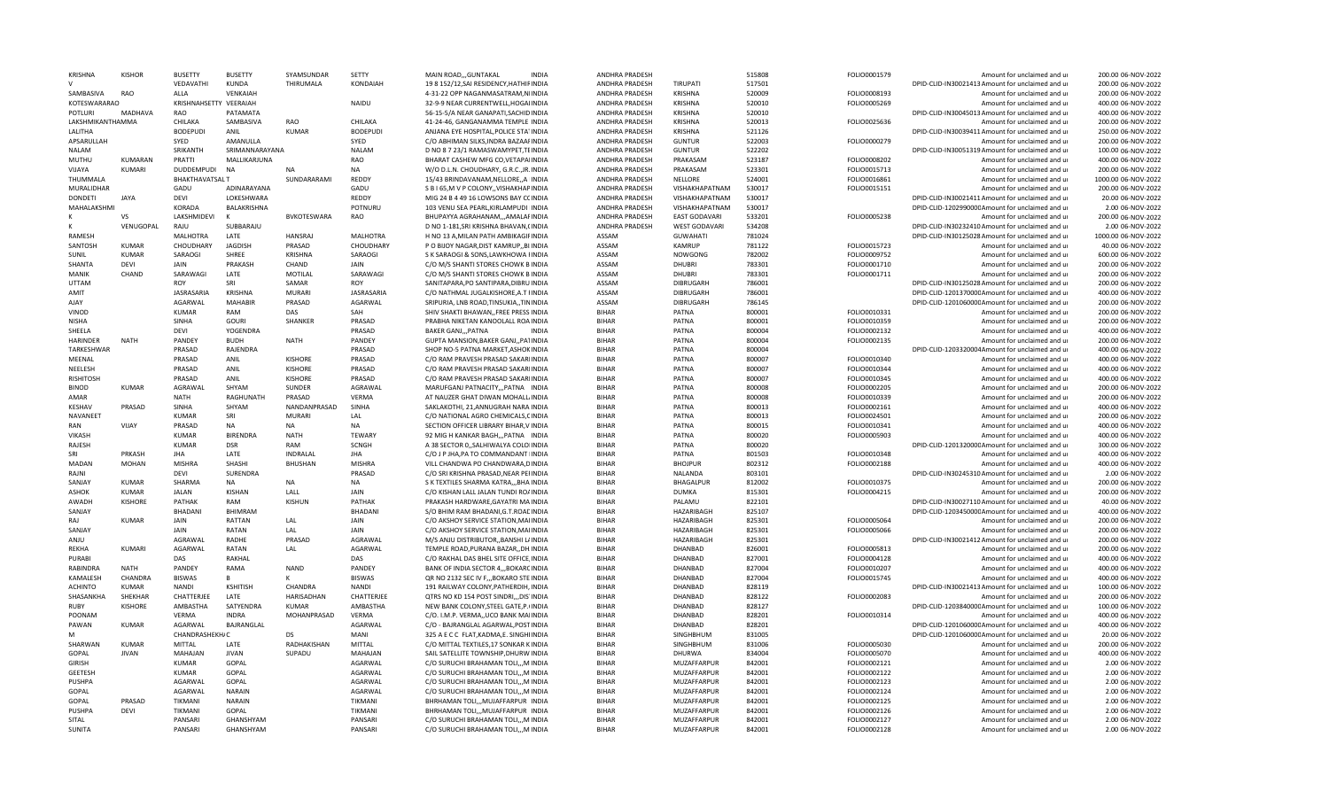| <b>KRISHNA</b>    | <b>KISHOR</b>  | <b>BUSETTY</b>         | <b>BUSETTY</b>  | SYAMSUNDAR         | <b>SFTTY</b>    | MAIN ROAD,,,GUNTAKAL                                                           | <b>INDIA</b> | <b>ANDHRA PRADESH</b>            |                      | 515808 | FOLIO0001579 | Amount for unclaimed and ur                                                    | 200.00 06-NOV-2022  |
|-------------------|----------------|------------------------|-----------------|--------------------|-----------------|--------------------------------------------------------------------------------|--------------|----------------------------------|----------------------|--------|--------------|--------------------------------------------------------------------------------|---------------------|
|                   |                | VEDAVATHI              | KUNDA           | THIRUMALA          | KONDAIAH        | 19 8 152/12, SAI RESIDENCY, HATHIRINDIA                                        |              | ANDHRA PRADESH                   | TIRUPATI             | 517501 |              | DPID-CLID-IN30021413 Amount for unclaimed and ur                               | 200.00 06-NOV-2022  |
| SAMBASIVA         | RAO            | ALLA                   | VENKAIAH        |                    |                 | 4-31-22 OPP NAGANMASATRAM, NIINDIA                                             |              | ANDHRA PRADESH                   | <b>KRISHNA</b>       | 520009 | FOLIO0008193 | Amount for unclaimed and ur                                                    | 200.00 06-NOV-2022  |
| KOTESWARARAO      |                | KRISHNAHSETTY VEERAIAH |                 |                    | NAIDU           | 32-9-9 NEAR CURRENTWELL, HOGAIINDIA                                            |              | ANDHRA PRADESH                   | <b>KRISHNA</b>       | 520010 | FOLIO0005269 | Amount for unclaimed and ur                                                    | 400.00 06-NOV-2022  |
| POTLURI           | MADHAVA        | <b>RAO</b>             | ΡΑΤΑΜΑΤΑ        |                    |                 | 56-15-5/A NEAR GANAPATI, SACHID INDIA                                          |              | ANDHRA PRADESH                   | KRISHNA              | 520010 |              | DPID-CLID-IN30045013 Amount for unclaimed and ur                               | 400.00 06-NOV-2022  |
| LAKSHMIKANTHAMMA  |                | CHILAKA                | SAMBASIVA       | <b>RAO</b>         | CHILAKA         | 41-24-46, GANGANAMMA TEMPLE INDIA                                              |              | ANDHRA PRADESH                   | <b>KRISHNA</b>       | 520013 | FOLIO0025636 | Amount for unclaimed and ur                                                    | 200.00 06-NOV-2022  |
| LALITHA           |                | <b>BODEPUDI</b>        | ANII            | KUMAR              | <b>BODEPUDI</b> | ANJANA EYE HOSPITAL, POLICE STA1INDIA                                          |              | ANDHRA PRADESH                   | <b>KRISHNA</b>       | 521126 |              | DPID-CLID-IN30039411 Amount for unclaimed and ur                               | 250.00 06-NOV-2022  |
| APSARULLAH        |                | SYED                   | AMANULLA        |                    | SYFD            | C/O ABHIMAN SILKS.INDRA BAZAAFINDIA                                            |              | ANDHRA PRADESH                   | <b>GUNTUR</b>        | 522003 | FOLIO0000279 | Amount for unclaimed and u                                                     | 200.00 06-NOV-2022  |
| NALAM             |                | SRIKANTH               | SRIMANNARAYANA  |                    | NALAM           | D NO 8 7 23/1 RAMASWAMYPET, TEINDIA                                            |              | ANDHRA PRADESH                   | <b>GUNTUR</b>        | 522202 |              | DPID-CLID-IN30051319 Amount for unclaimed and ur                               | 100.00 06-NOV-2022  |
| MUTHU             | KUMARAN        | PRATTI                 | MALLIKARJUNA    |                    | RAO             | BHARAT CASHEW MFG CO, VETAPAIINDIA                                             |              | ANDHRA PRADESH                   | PRAKASAM             | 523187 | FOLIO0008202 | Amount for unclaimed and ur                                                    | 400.00 06-NOV-2022  |
| VIJAYA            | KUMARI         | <b>DUDDEMPUDI</b>      | <b>NA</b>       | <b>NA</b>          | <b>NA</b>       | W/O D.L.N. CHOUDHARY, G.R.C., JR. INDIA                                        |              | ANDHRA PRADESH                   | PRAKASAM             | 523301 | FOLIO0015713 | Amount for unclaimed and ur                                                    | 200.00 06-NOV-2022  |
| THUMMALA          |                | <b>BHAKTHAVATSALT</b>  |                 | SUNDARARAMI        | REDDY           | 15/43 BRINDAVANAM, NELLORE,, A IINDIA                                          |              | ANDHRA PRADESH                   | <b>NELLORE</b>       | 524001 | FOLIO0016861 | Amount for unclaimed and ur                                                    | 1000.00 06-NOV-2022 |
| <b>MURALIDHAR</b> |                | GADU                   | ADINARAYANA     |                    | GADU            |                                                                                |              |                                  | VISHAKHAPATNAM       | 530017 |              |                                                                                | 200.00 06-NOV-2022  |
| <b>DONDETI</b>    | <b>JAYA</b>    | DEVI                   | LOKESHWARA      |                    | REDDY           | S B I 65, M V P COLONY, VISHAKHAPINDIA<br>MIG 24 B 4 49 16 LOWSONS BAY CCINDIA |              | ANDHRA PRADESH<br>ANDHRA PRADESH | VISHAKHAPATNAM       | 530017 | FOLIO0015151 | Amount for unclaimed and ur<br>DPID-CLID-IN30021411Amount for unclaimed and ur | 20.00 06-NOV-2022   |
|                   |                |                        |                 |                    |                 |                                                                                |              |                                  |                      |        |              |                                                                                |                     |
| MAHALAKSHM        |                | KORADA                 | BALAKRISHNA     |                    | POTNURU         | 103 VENU SEA PEARL, KIRLAMPUDI IINDIA                                          |              | ANDHRA PRADESH                   | VISHAKHAPATNAM       | 530017 |              | DPID-CLID-120299000CAmount for unclaimed and ur                                | 2.00 06-NOV-2022    |
|                   | VS             | LAKSHMIDEVI            | K               | <b>BVKOTESWARA</b> | <b>RAO</b>      | BHUPAYYA AGRAHANAM,,,AMALAFINDIA                                               |              | ANDHRA PRADESH                   | EAST GODAVARI        | 533201 | FOLIO0005238 | Amount for unclaimed and ur                                                    | 200.00 06-NOV-2022  |
|                   | VENUGOPAL      | RAJU                   | SUBBARAJU       |                    |                 | D NO 1-181, SRI KRISHNA BHAVAN, (INDIA                                         |              | ANDHRA PRADESH                   | <b>WEST GODAVARI</b> | 534208 |              | DPID-CLID-IN30232410 Amount for unclaimed and ur                               | 2.00 06-NOV-2022    |
| RAMESH            |                | <b>MALHOTRA</b>        | LATE            | <b>HANSRAJ</b>     | <b>MALHOTRA</b> | H NO 13 A, MILAN PATH AMBIKAGIFINDIA                                           |              | ASSAM                            | <b>GUWAHATI</b>      | 781024 |              | DPID-CLID-IN30125028 Amount for unclaimed and ur                               | 1000.00 06-NOV-2022 |
| SANTOSH           | <b>KUMAR</b>   | CHOUDHARY              | <b>JAGDISH</b>  | PRASAD             | CHOUDHARY       | P O BIJOY NAGAR, DIST KAMRUP., BLINDIA                                         |              | ASSAM                            | <b>KAMRUP</b>        | 781122 | FOLIO0015723 | Amount for unclaimed and u                                                     | 40.00 06-NOV-2022   |
| SUNIL             | KUMAR          | SARAOGI                | SHREE           | <b>KRISHNA</b>     | SARAOGI         | S K SARAOGI & SONS, LAWKHOWA FINDIA                                            |              | ASSAM                            | NOWGONG              | 782002 | FOLIO0009752 | Amount for unclaimed and ur                                                    | 600.00 06-NOV-2022  |
| <b>SHANTA</b>     | DEVI           | JAIN                   | PRAKASH         | CHAND              | JAIN            | C/O M/S SHANTI STORES CHOWK BINDIA                                             |              | ASSAM                            | DHUBRI               | 783301 | FOLIO0001710 | Amount for unclaimed and ur                                                    | 200.00 06-NOV-2022  |
| MANIK             | CHAND          | SARAWAGI               | LATE            | MOTILAL            | SARAWAGI        | C/O M/S SHANTI STORES CHOWK B INDIA                                            |              | ASSAM                            | <b>DHUBRI</b>        | 783301 | FOLIO0001711 | Amount for unclaimed and ur                                                    | 200.00 06-NOV-2022  |
| <b>ITTAM</b>      |                | <b>ROY</b>             | SRI             | SAMAR              | <b>ROY</b>      | SANITAPARA, PO SANTIPARA, DIBRU INDIA                                          |              | ASSAM                            | <b>DIBRUGARH</b>     | 786001 |              | DPID-CLID-IN30125028 Amount for unclaimed and ur                               | 200.00 06-NOV-2022  |
| AMIT              |                | JASRASARIA             | KRISHNA         | <b>MURAR</b>       | JASRASARIA      | C/O NATHMAL JUGALKISHORE, A.T FINDIA                                           |              | ASSAM                            | <b>DIBRUGARH</b>     | 786001 |              | DPID-CLID-120137000CAmount for unclaimed and ur                                | 400.00 06-NOV-2022  |
| AJAY              |                | AGARWAL                | <b>MAHABIR</b>  | PRASAD             | AGARWAL         | SRIPURIA, LNB ROAD, TINSUKIA,, TININDIA                                        |              | ASSAM                            | <b>DIBRUGARH</b>     | 786145 |              | DPID-CLID-120106000CAmount for unclaimed and ur                                | 200.00 06-NOV-2022  |
| VINOD             |                | <b>KUMAR</b>           | RAM             | DAS                | SAH             | SHIV SHAKTI BHAWAN, FREE PRESS INDIA                                           |              | <b>BIHAR</b>                     | PATNA                | 800001 | FOLIO0010331 | Amount for unclaimed and ur                                                    | 200.00 06-NOV-2022  |
| NISHA             |                | <b>SINHA</b>           | <b>GOURI</b>    | SHANKER            | PRASAD          | PRABHA NIKETAN KANOOLALL ROA INDIA                                             |              | <b>BIHAR</b>                     | PATNA                | 800001 | FOLIO0010359 | Amount for unclaimed and ur                                                    | 200.00 06-NOV-2022  |
| SHEELA            |                | DEVI                   | YOGENDRA        |                    | PRASAD          | BAKER GANJ,,,PATNA                                                             | <b>INDIA</b> | <b>BIHAR</b>                     | PATNA                | 800004 | FOLIO0002132 | Amount for unclaimed and ur                                                    | 400.00 06-NOV-2022  |
| <b>HARINDER</b>   | <b>NATH</b>    | <b>PANDEY</b>          | <b>BUDH</b>     | <b>NATH</b>        | PANDEY          | GUPTA MANSION, BAKER GANJ, , PA1INDIA                                          |              | <b>BIHAR</b>                     | PATNA                | 800004 | FOLIO0002135 | Amount for unclaimed and ur                                                    | 200.00 06-NOV-2022  |
| <b>TARKESHWAR</b> |                | PRASAD                 | RAJENDRA        |                    | PRASAD          | SHOP NO-5 PATNA MARKET, ASHOKINDIA                                             |              | <b>BIHAR</b>                     | PATNA                | 800004 |              |                                                                                |                     |
|                   |                |                        |                 |                    |                 |                                                                                |              |                                  | PATNA                |        |              | DPID-CLID-1203320004Amount for unclaimed and ur                                | 400.00 06-NOV-2022  |
| MEENAL            |                | PRASAD                 | <b>ANIL</b>     | <b>KISHORE</b>     | PRASAD          | C/O RAM PRAVESH PRASAD SAKARIINDIA                                             |              | <b>BIHAR</b>                     |                      | 800007 | FOLIO0010340 | Amount for unclaimed and ur                                                    | 400.00 06-NOV-2022  |
| NEELESH           |                | PRASAD                 | ANIL            | <b>KISHORE</b>     | PRASAD          | C/O RAM PRAVESH PRASAD SAKARIINDIA                                             |              | <b>BIHAR</b>                     | PATNA                | 800007 | FOLIO0010344 | Amount for unclaimed and ur                                                    | 400.00 06-NOV-2022  |
| <b>RISHITOSH</b>  |                | PRASAD                 | ANIL            | <b>KISHORE</b>     | PRASAD          | C/O RAM PRAVESH PRASAD SAKARIINDIA                                             |              | <b>BIHAR</b>                     | PATNA                | 800007 | FOLIO0010345 | Amount for unclaimed and ur                                                    | 400.00 06-NOV-2022  |
| <b>BINOD</b>      | KUMAR          | <b>AGRAWAL</b>         | SHYAM           | SUNDER             | AGRAWAI         | MARUFGANJ PATNACITY,,,PATNA INDIA                                              |              | <b>BIHAR</b>                     | PATNA                | 800008 | FOLIO0002205 | Amount for unclaimed and ur                                                    | 200.00 06-NOV-2022  |
| AMAR              |                | <b>NATH</b>            | RAGHUNATH       | PRASAD             | VERMA           | AT NAUZER GHAT DIWAN MOHALL/INDIA                                              |              | <b>BIHAR</b>                     | PATNA                | 800008 | FOLIO0010339 | Amount for unclaimed and ur                                                    | 200.00 06-NOV-2022  |
| KESHAV            | PRASAD         | SINHA                  | SHYAM           | NANDANPRASAD       | SINHA           | SAKLAKOTHI, 21, ANNUGRAH NARA INDIA                                            |              | <b>BIHAR</b>                     | PATNA                | 800013 | FOLIO0002161 | Amount for unclaimed and ur                                                    | 400.00 06-NOV-2022  |
| <b>NAVANFFT</b>   |                | <b>KUMAR</b>           | SRI             | <b>MURARI</b>      | LAL             | C/O NATIONAL AGRO CHEMICALS.CINDIA                                             |              | <b>BIHAR</b>                     | PATNA                | 800013 | FOLIO0024501 | Amount for unclaimed and ur                                                    | 200.00 06-NOV-2022  |
| RAN               | VIJAY          | PRASAD                 | <b>NA</b>       | <b>NA</b>          | <b>NA</b>       | SECTION OFFICER LIBRARY BIHAR, V INDIA                                         |              | <b>BIHAR</b>                     | PATNA                | 800015 | FOLIO0010341 | Amount for unclaimed and ur                                                    | 400.00 06-NOV-2022  |
| VIKASH            |                | <b>KUMAR</b>           | <b>BIRFNDRA</b> | <b>NATH</b>        | <b>TEWARY</b>   | 92 MIG H KANKAR BAGH,,, PATNA INDIA                                            |              | <b>BIHAR</b>                     | PATNA                | 800020 | FOLIO0005903 | Amount for unclaimed and ur                                                    | 400.00 06-NOV-2022  |
| RAJESH            |                | <b>KUMAR</b>           | <b>DSR</b>      | RAM                | <b>SCNGH</b>    | A 38 SECTOR 0,, SALHIWALYA COLOIINDIA                                          |              | <b>BIHAR</b>                     | PATNA                | 800020 |              | DPID-CLID-120132000CAmount for unclaimed and ur                                | 300.00 06-NOV-2022  |
| <b>SRI</b>        | PRKASH         | <b>JHA</b>             | LATE            | INDRALAL           | <b>JHA</b>      | C/O J P JHA, PA TO COMMANDANT IINDIA                                           |              | <b>BIHAR</b>                     | PATNA                | 801503 | FOLIO0010348 | Amount for unclaimed and ur                                                    | 400.00 06-NOV-2022  |
| MADAN             | <b>MOHAN</b>   | <b>MISHRA</b>          | SHASHI          | <b>BHUSHAN</b>     | <b>MISHRA</b>   | VILL CHANDWA PO CHANDWARA, DINDIA                                              |              | <b>BIHAR</b>                     | <b>BHOJPUR</b>       | 802312 | FOLIO0002188 | Amount for unclaimed and ur                                                    | 400.00 06-NOV-2022  |
| RAJNI             |                | DEVI                   | SURENDRA        |                    | PRASAD          | C/O SRI KRISHNA PRASAD, NEAR PEHNDIA                                           |              | <b>BIHAR</b>                     | NALANDA              | 803101 |              | DPID-CLID-IN30245310 Amount for unclaimed and ur                               | 2.00 06-NOV-2022    |
| SANJAY            | KUMAR          | SHARMA                 | NA              | <b>NA</b>          | <b>NA</b>       | S K TEXTILES SHARMA KATRA,,, BHA INDIA                                         |              | <b>BIHAR</b>                     | BHAGALPUR            | 812002 | FOLIO0010375 | Amount for unclaimed and ur                                                    | 200.00 06-NOV-2022  |
| ASHOK             | KUMAR          | <b>JALAN</b>           | KISHAN          | LALL               | JAIN            | C/O KISHAN LALL JALAN TUNDI ROAINDIA                                           |              | <b>BIHAR</b>                     | <b>DUMKA</b>         | 815301 | FOLIO0004215 | Amount for unclaimed and ur                                                    | 200.00 06-NOV-2022  |
| AWADH             | <b>KISHORE</b> | PATHAK                 | RAM             | <b>KISHUN</b>      | PATHAK          | PRAKASH HARDWARE, GAYATRI MAINDIA                                              |              | <b>BIHAR</b>                     | PALAMU               | 822101 |              | DPID-CLID-IN30027110 Amount for unclaimed and ur                               | 40.00 06-NOV-2022   |
| SANJAY            |                | BHADANI                | <b>BHIMRAM</b>  |                    | <b>BHADANI</b>  | S/O BHIM RAM BHADANI, G.T. ROACINDIA                                           |              | <b>BIHAR</b>                     | HAZARIBAGH           | 825107 |              | DPID-CLID-120345000CAmount for unclaimed and ur                                | 400.00 06-NOV-2022  |
| RAJ               | <b>KUMAR</b>   | <b>JAIN</b>            | RATTAN          | LAL                | JAIN            | C/O AKSHOY SERVICE STATION.MAIINDIA                                            |              | <b>BIHAR</b>                     | HAZARIBAGH           | 825301 | FOLIO0005064 | Amount for unclaimed and ur                                                    | 200.00 06-NOV-2022  |
| SANJAY            |                | <b>JAIN</b>            | RATAN           | LAL                | <b>JAIN</b>     | C/O AKSHOY SERVICE STATION, MAIINDIA                                           |              | <b>BIHAR</b>                     | HAZARIBAGH           | 825301 | FOLIO0005066 | Amount for unclaimed and u                                                     | 200.00 06-NOV-2022  |
|                   |                | AGRAWAL                | RADHE           | PRASAD             | <b>AGRAWAI</b>  |                                                                                |              | <b>BIHAR</b>                     |                      |        |              |                                                                                | 200.00 06-NOV-2022  |
| UlMA              |                |                        |                 |                    |                 | M/S ANJU DISTRIBUTOR,, BANSHI LIINDIA                                          |              |                                  | HAZARIBAGH           | 825301 |              | DPID-CLID-IN30021412 Amount for unclaimed and ur                               |                     |
| REKHA             | KUMARI         | AGARWAL                | RATAN           | LAL                | AGARWAL         | TEMPLE ROAD, PURANA BAZAR, , DH. INDIA                                         |              | <b>BIHAR</b>                     | DHANBAD              | 826001 | FOLIO0005813 | Amount for unclaimed and ur                                                    | 200.00 06-NOV-2022  |
| PURABI            |                | DAS                    | <b>RAKHAL</b>   |                    | DAS             | C/O RAKHAL DAS BHEL SITE OFFICE, INDIA                                         |              | <b>BIHAR</b>                     | DHANBAD              | 827001 | FOLIO0004128 | Amount for unclaimed and ur                                                    | 400.00 06-NOV-2022  |
| RABINDRA          | <b>NATH</b>    | PANDEY                 | RAMA            | <b>NAND</b>        | PANDEY          | BANK OF INDIA SECTOR 4,,, BOKARCINDIA                                          |              | BIHAR                            | <b>DHANBAD</b>       | 827004 | FOLIO0010207 | Amount for unclaimed and ur                                                    | 400.00 06-NOV-2022  |
| KAMALESH          | CHANDRA        | <b>BISWAS</b>          | B               |                    | <b>BISWAS</b>   | QR NO 2132 SEC IV F., BOKARO STE INDIA                                         |              | <b>BIHAR</b>                     | DHANBAD              | 827004 | FOLIO0015745 | Amount for unclaimed and ur                                                    | 400.00 06-NOV-2022  |
| ACHINTO           | KUMAR          | <b>NANDI</b>           | <b>KSHITISH</b> | CHANDRA            | <b>NANDI</b>    | 191 RAILWAY COLONY, PATHERDIH, INDIA                                           |              | <b>BIHAR</b>                     | DHANBAD              | 828119 |              | DPID-CLID-IN30021413 Amount for unclaimed and ur                               | 100.00 06-NOV-2022  |
| SHASANKHA         | SHEKHAR        | CHATTERJEE             | LATE            | <b>HARISADHAN</b>  | CHATTERJEE      | QTRS NO KD 154 POST SINDRI, , DIS INDIA                                        |              | <b>BIHAR</b>                     | <b>DHANBAD</b>       | 828122 | FOLIO0002083 | Amount for unclaimed and u                                                     | 200.00 06-NOV-2022  |
| RUBY              | <b>KISHORE</b> | AMBASTHA               | SATYENDRA       | KUMAR              | AMBASTHA        | NEW BANK COLONY, STEEL GATE, P. (INDIA                                         |              | <b>BIHAR</b>                     | DHANBAD              | 828127 |              | DPID-CLID-120384000CAmount for unclaimed and ur                                | 100.00 06-NOV-2022  |
| POONAM            |                | <b>VERMA</b>           | <b>INDRA</b>    | MOHANPRASAD        | <b>VERMA</b>    | C/O. I.M.P. VERMA,, UCO BANK MAIINDIA                                          |              | <b>BIHAR</b>                     | DHANBAD              | 828201 | FOLIO0010314 | Amount for unclaimed and u                                                     | 400.00 06-NOV-2022  |
| PAWAN             | KUMAR          | AGARWAL                | BAJRANGLAL      |                    | AGARWAL         | C/O - BAJRANGLAL AGARWAL, POST INDIA                                           |              | <b>BIHAR</b>                     | DHANBAD              | 828201 |              | DPID-CLID-120106000CAmount for unclaimed and ur                                | 400.00 06-NOV-2022  |
| ٨A                |                | CHANDRASHEKH/C         |                 | DS                 | MANI            | 325 A E C C FLAT, KADMA, E. SINGHIINDIA                                        |              | RIHAR                            | SINGHBHUM            | 831005 |              | DPID-CLID-120106000C Amount for unclaimed and ur                               | 20.00 06-NOV-2022   |
| SHARWAN           | <b>KUMAR</b>   | MITTAL                 | LATE            | RADHAKISHAN        | MITTAL          | C/O MITTAL TEXTILES, 17 SONKAR KINDIA                                          |              | BIHAR                            | SINGHBHUM            | 831006 | FOLIO0005030 | Amount for unclaimed and ur                                                    | 200.00 06-NOV-2022  |
| GOPAL             | <b>JIVAN</b>   | MAHAJAN                | <b>JIVAN</b>    | SUPADU             | MAHAJAN         | SAIL SATELLITE TOWNSHIP, DHURW INDIA                                           |              | <b>BIHAR</b>                     | DHURWA               | 834004 | FOLIO0005070 | Amount for unclaimed and ur                                                    | 400.00 06-NOV-2022  |
| <b>GIRISH</b>     |                | <b>KUMAR</b>           | GOPAL           |                    | <b>AGARWAL</b>  | C/O SURUCHI BRAHAMAN TOLI,,,M INDIA                                            |              | <b>BIHAR</b>                     | MUZAFFARPUR          | 842001 | FOLIO0002121 | Amount for unclaimed and ur                                                    | 2.00 06-NOV-2022    |
| <b>GEETESH</b>    |                | KUMAR                  | GOPAL           |                    | AGARWAL         | C/O SURUCHI BRAHAMAN TOLIM INDIA                                               |              | <b>BIHAR</b>                     | MUZAFFARPUR          | 842001 | FOLIO0002122 | Amount for unclaimed and ur                                                    | 2.00 06-NOV-2022    |
| PUSHPA            |                | AGARWAL                | GOPAL           |                    | AGARWAL         | C/O SURUCHI BRAHAMAN TOLI,,,M INDIA                                            |              | <b>BIHAR</b>                     | MUZAFFARPUR          | 842001 | FOLIO0002123 | Amount for unclaimed and ur                                                    | 2.00 06-NOV-2022    |
| GOPAL             |                | AGARWAL                | <b>NARAIN</b>   |                    | AGARWAL         | C/O SURUCHI BRAHAMAN TOLI,,,M INDIA                                            |              | <b>BIHAR</b>                     | MUZAFFARPUR          | 842001 | FOLIO0002124 | Amount for unclaimed and ur                                                    | 2.00 06-NOV-2022    |
| GOPAL             | PRASAD         | TIKMANI                | <b>NARAIN</b>   |                    | <b>TIKMANI</b>  | BHRHAMAN TOLI,,,MUJAFFARPUR INDIA                                              |              | RIHAR                            | MUZAFFARPUR          | 842001 | FOLIO0002125 | Amount for unclaimed and u                                                     | 2.00 06-NOV-2022    |
| PUSHPA            | DFVI           | TIKMANI                | GOPAL           |                    | TIKMANI         | BHRHAMAN TOLI,,,MUJAFFARPUR INDIA                                              |              | <b>BIHAR</b>                     | MUZAFFARPUR          | 842001 | FOLIO0002126 | Amount for unclaimed and ur                                                    | 2.00 06-NOV-2022    |
| SITAL             |                | PANSARI                | GHANSHYAM       |                    | PANSARI         | C/O SURUCHI BRAHAMAN TOLI,,,M INDIA                                            |              | <b>BIHAR</b>                     | MUZAFFARPUR          | 842001 | FOLIO0002127 | Amount for unclaimed and ur                                                    | 2.00 06-NOV-2022    |
| SUNITA            |                | PANSARI                | GHANSHYAM       |                    | PANSARI         | C/O SURUCHI BRAHAMAN TOLI,,,M INDIA                                            |              | <b>BIHAR</b>                     | MUZAFFARPUR          | 842001 | FOLIO0002128 | Amount for unclaimed and ur                                                    | 2.00 06-NOV-2022    |
|                   |                |                        |                 |                    |                 |                                                                                |              |                                  |                      |        |              |                                                                                |                     |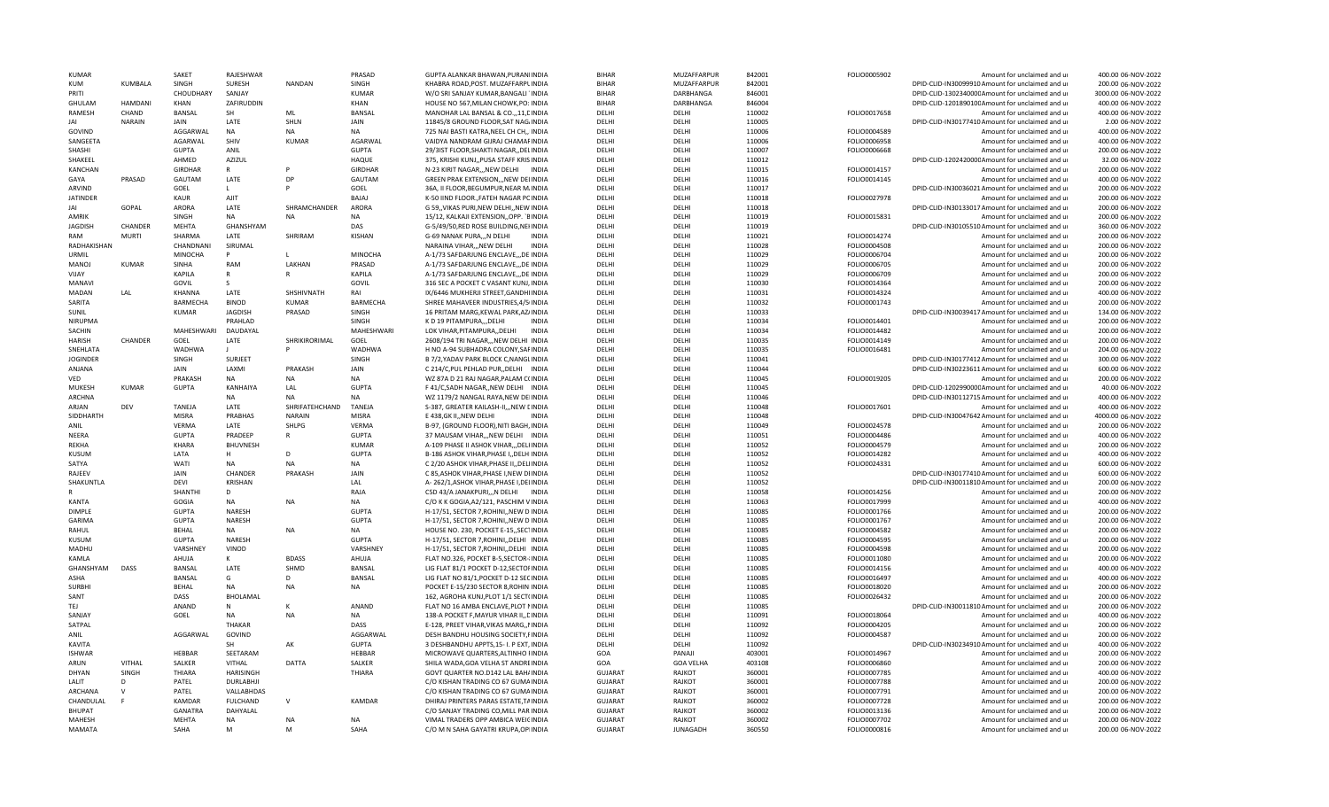| KUMAR                         |               | SAKET                        | RAIFSHWAR                   |                | PRASAD                       | GUPTA ALANKAR BHAWAN.PURANIINDI/                                                   | <b>BIHAR</b>                     | MUZAFFARPUR      | 842001           | FOLIO0005902                 | Amount for unclaimed and ur                                | 400.00 06-NOV-2022                       |
|-------------------------------|---------------|------------------------------|-----------------------------|----------------|------------------------------|------------------------------------------------------------------------------------|----------------------------------|------------------|------------------|------------------------------|------------------------------------------------------------|------------------------------------------|
| <b>KUM</b>                    | KUMBALA       | SINGH                        | <b>SURESH</b>               | NANDAN         | SINGH                        | KHABRA ROAD, POST. MUZAFFARPLINDIA                                                 | <b>BIHAR</b>                     | MUZAFFARPUR      | 842001           |                              | DPID-CLID-IN30099910 Amount for unclaimed and u            | 200.00 06-NOV-2022                       |
| PRITI                         |               | CHOUDHARY                    | SANJAY                      |                | <b>KUMAR</b>                 | W/O SRI SANJAY KUMAR, BANGALI INDIA                                                | <b>BIHAR</b>                     | DARBHANGA        | 846001           |                              | DPID-CLID-130234000CAmount for unclaimed and ur            | 3000.00 06-NOV-2022                      |
| GHULAM                        | HAMDANI       | KHAN                         | ZAFIRUDDIN                  |                | KHAN                         | HOUSE NO 567, MILAN CHOWK, PO: INDIA                                               | <b>BIHAR</b>                     | DARBHANGA        | 846004           |                              | DPID-CLID-120189010CAmount for unclaimed and ur            | 400.00 06-NOV-2022                       |
| RAMESH                        | CHAND         | BANSAL                       | SH                          | MI             | BANSAL                       | MANOHAR LAL BANSAL & CO.,,11, LINDIA                                               | DELHI                            | DELHI            | 110002           | FOLIO0017658                 | Amount for unclaimed and ur                                | 400.00 06-NOV-2022                       |
| JAI                           | <b>NARAIN</b> | JAIN                         | LATE                        | SHLN           | JAIN                         | 11845/8 GROUND FLOOR, SAT NAG/INDIA                                                | DELHI                            | DELHI            | 110005           |                              | DPID-CLID-IN30177410 Amount for unclaimed and ur           | 2.00 06-NOV-2022                         |
| GOVIND                        |               | AGGARWAL                     | <b>NA</b>                   | <b>NA</b>      | <b>NA</b>                    | 725 NAI BASTI KATRA, NEEL CH CH,, IINDIA                                           | DFLHI                            | DFLHI            | 110006           | FOLIO0004589                 | Amount for unclaimed and ur                                | 400.00 06-NOV-2022                       |
| SANGFFTA                      |               | <b>AGARWAI</b>               | SHIV                        | KUMAR          | AGARWAI                      | VAIDYA NANDRAM GIJRAJ CHAMAFINDIA                                                  | DFLHI                            | DFLHI            | 110006           | FOLIO0006958                 | Amount for unclaimed and ur                                | 400.00 06-NOV-2022                       |
| SHASHI                        |               | <b>GUPTA</b>                 | ANIL                        |                | GUPTA                        | 29/3IST FLOOR, SHAKTI NAGAR, , DELINDIA                                            | DELHI                            | DELHI            | 110007           | FOLIO0006668                 | Amount for unclaimed and ur                                | 200.00 06-NOV-2022                       |
| SHAKEEL                       |               | AHMED                        | AZIZUL                      |                | HAQUE                        | 375, KRISHI KUNJ,, PUSA STAFF KRISINDIA                                            | DELHI                            | DELHI            | 110012           |                              | DPID-CLID-120242000CAmount for unclaimed and ur            | 32.00 06-NOV-2022                        |
| <b>KANCHAN</b>                |               | <b>GIRDHAR</b>               | $\mathsf{R}$                |                | GIRDHAF                      | N-23 KIRIT NAGAR,,,NEW DELHI INDIA                                                 | DFLHI                            | DFLHI            | 110015           | FOLIO0014157                 | Amount for unclaimed and ur                                | 200.00 06-NOV-2022                       |
| GAYA                          | PRASAD        | GAUTAM                       | LATE                        | DP             | GAUTAM                       | GREEN PRAK EXTENSION,,, NEW DELINDIA                                               | DFLHI                            | DELHI            | 110016           | FOLIO0014145                 | Amount for unclaimed and ur                                | 400.00 06-NOV-2022                       |
| ARVIND                        |               | GOEL                         | L                           |                | GOEL                         | 36A, II FLOOR, BEGUMPUR, NEAR M. INDIA                                             | DELHI                            | DELHI            | 110017           |                              | DPID-CLID-IN30036021 Amount for unclaimed and ur           | 200.00 06-NOV-2022                       |
| <b>JATINDER</b>               |               | <b>KAUR</b>                  | AJIT                        |                | <b>BAJAJ</b>                 | K-50 IIND FLOOR., FATEH NAGAR PCINDIA                                              | DELHI                            | DELHI            | 110018           | FOLIO0027978                 | Amount for unclaimed and ur                                | 200.00 06-NOV-2022                       |
| <b>JAI</b>                    | GOPAL         | <b>ARORA</b>                 | LATE                        | SHRAMCHANDER   | ARORA                        | G 59, VIKAS PURI, NEW DELHI, NEW INDIA                                             | DELHI                            | DELHI            | 110018           |                              | DPID-CLID-IN30133017 Amount for unclaimed and ur           | 200.00 06-NOV-2022                       |
| AMRIK                         |               | SINGH                        | <b>NA</b>                   | <b>NA</b>      | <b>NA</b>                    | 15/12, KALKAJI EXTENSION,, OPP. `BINDIA                                            | DELHI                            | DELHI            | 110019           | FOLIO0015831                 | Amount for unclaimed and ur                                | 200.00 06-NOV-2022                       |
| <b>JAGDISH</b>                | CHANDER       | MEHTA                        | GHANSHYAM                   |                | DAS                          | G-5/49/50,RED ROSE BUILDING,NEHNDIA                                                | DELHI                            | DELHI            | 110019           |                              | DPID-CLID-IN30105510 Amount for unclaimed and ur           | 360.00 06-NOV-2022                       |
| RAM                           | MURTI         | SHARMA                       | LATE                        | SHRIRAM        | <b>KISHAN</b>                | G-69 NANAK PURA,,,N DELHI<br><b>INDIA</b>                                          | DFLHI                            | DFLHI            | 110021           | FOLIO0014274                 | Amount for unclaimed and ur                                | 200.00 06-NOV-2022                       |
| RADHAKISHAN                   |               | CHANDNANI                    | SIRUMAL                     |                |                              | NARAINA VIHARNEW DELHI<br><b>INDIA</b>                                             | DFLHI                            | DELHI            | 110028           | FOLIO0004508                 | Amount for unclaimed and u                                 | 200.00 06-NOV-2022                       |
| LIRMIL                        |               | MINOCHA                      | P                           | I.             | <b>MINOCHA</b>               | A-1/73 SAFDARJUNG ENCLAVE,,,DE INDIA                                               | DELHI                            | DELHI            | 110029           | FOLIO0006704                 | Amount for unclaimed and ur                                | 200.00 06-NOV-2022                       |
| MANOJ                         | <b>KUMAR</b>  | <b>SINHA</b>                 | RAM                         | LAKHAN         | PRASAD                       | A-1/73 SAFDARJUNG ENCLAVE,,,DE INDIA                                               | DELHI                            | DFLHI            | 110029           | FOLIO0006705                 | Amount for unclaimed and ur                                | 200.00 06-NOV-2022                       |
| VIJAY                         |               | KAPILA                       | $\mathsf{R}$                |                | KAPILA                       | A-1/73 SAFDARJUNG ENCLAVE,,,DE INDIA                                               | DELHI                            | DELHI            | 110029           | FOLIO0006709                 | Amount for unclaimed and ur                                | 200.00 06-NOV-2022                       |
| MANAVI                        |               | GOVIL                        | $\varsigma$                 |                | GOVIL                        | 316 SEC A POCKET C VASANT KUNJ, INDIA                                              | DELHI                            | DELHI            | 110030           | FOLIO0014364                 | Amount for unclaimed and ur                                | 200.00 06-NOV-2022                       |
| <b>MADAN</b>                  | LAL           | KHANNA                       | LATE                        | SHSHIVNATH     | RAI                          | IX/6446 MUKHERJI STREET, GANDHIINDIA                                               | DELHI                            | DELHI            | 110031           | FOLIO0014324                 | Amount for unclaimed and ur                                | 400.00 06-NOV-2022                       |
| SARITA                        |               | <b>BARMECHA</b>              | <b>BINOD</b>                | <b>KUMAR</b>   | <b>BARMECHA</b>              | SHREE MAHAVEER INDUSTRIES, 4/5/INDIA                                               | DELHI                            | DELHI            | 110032           | FOLIO0001743                 | Amount for unclaimed and ur                                | 200.00 06-NOV-2022                       |
| SUNIL                         |               | <b>KUMAR</b>                 | <b>JAGDISH</b>              | PRASAD         | SINGH                        | 16 PRITAM MARG, KEWAL PARK, AZ/INDIA                                               | DELHI                            | DELHI            | 110033           |                              | DPID-CLID-IN30039417 Amount for unclaimed and ur           | 134.00 06-NOV-2022                       |
| NIRUPMA                       |               |                              | PRAHLAD                     |                | SINGH                        | K D 19 PITAMPURA,, DELHI<br><b>INDIA</b>                                           | DELHI                            | DFLHI            | 110034           | FOLIO0014401                 | Amount for unclaimed and ur                                | 200.00 06-NOV-2022                       |
| SACHIN                        |               | MAHESHWARI                   | DAUDAYAL                    |                | <b>MAHFSHWARI</b>            | LOK VIHAR, PITAMPURA, , DELHI<br><b>INDIA</b>                                      | DELHI                            | DELHI            | 110034           | FOLIO0014482                 | Amount for unclaimed and ur                                | 200.00 06-NOV-2022                       |
| <b>HARISH</b>                 | CHANDER       | GOEL                         | LATE                        | SHRIKIRORIMAL  | GOEL                         | 2608/194 TRI NAGAR, ,NEW DELHI INDIA                                               | DFLHI                            | DFLHI            | 110035           | FOLIO0014149                 | Amount for unclaimed and ur                                | 200.00 06-NOV-2022                       |
| SNFHLATA                      |               | <b>WADHWA</b>                | $\mathbf{L}$                |                | <b>WADHWA</b>                | H NO A-94 SUBHADRA COLONY.SAFINDIA                                                 | DFLHI                            | DELHI            | 110035           | FOLIO0016481                 | Amount for unclaimed and u                                 | 204.00 06-NOV-2022                       |
| <b>JOGINDER</b>               |               | SINGH                        | SURJEET                     |                | SINGH                        | B 7/2, YADAV PARK BLOCK C, NANGLINDIA                                              | DFLHI                            | DELHI            | 110041           |                              | DPID-CLID-IN30177412 Amount for unclaimed and ur           | 300.00 06-NOV-2022                       |
| ANJANA                        |               | JAIN                         | LAXMI                       | PRAKASH        | JAIN                         | C 214/C, PUL PEHLAD PUR, DELHI INDIA                                               | DELHI                            | DELHI            | 110044           |                              | DPID-CLID-IN30223611 Amount for unclaimed and ur           | 600.00 06-NOV-2022                       |
| VED                           |               | PRAKASH                      | <b>NA</b>                   | <b>NA</b>      | <b>NA</b>                    | WZ 87A D 21 RAJ NAGAR, PALAM C(INDIA                                               | DELHI                            | DELHI            | 110045           | FOLIO0019205                 | Amount for unclaimed and ur                                | 200.00 06-NOV-2022                       |
| MUKESH                        | KUMAR         | <b>GUPTA</b>                 | KANHAIYA                    | LAL            | <b>GUPTA</b>                 | F 41/C, SADH NAGAR, , NEW DELHI INDIA                                              | DELHI                            | DELHI            | 110045           |                              | DPID-CLID-120299000CAmount for unclaimed and ur            | 40.00 06-NOV-2022                        |
| <b>ARCHNA</b>                 |               |                              | <b>NA</b>                   | <b>NA</b>      | NΔ                           | WZ 1179/2 NANGAL RAYA, NEW DEIINDIA                                                | DELHI                            | DELHI            | 110046           |                              | DPID-CLID-IN30112715 Amount for unclaimed and ur           | 400.00 06-NOV-2022                       |
| ARJAN                         | DEV           | TANEJA                       | LATE                        | SHRIFATEHCHAND | <b>TANEJA</b>                | S-387, GREATER KAILASH-II,, NEW CINDIA                                             | DELHI                            | DELHI            | 110048           | FOLIO0017601                 | Amount for unclaimed and ur                                | 400.00 06-NOV-2022                       |
| SIDDHARTH                     |               | <b>MISRA</b>                 | PRABHAS                     | <b>NARAIN</b>  | <b>MISRA</b>                 | E 438.GK IINEW DELHI<br><b>INDIA</b>                                               | DFLHI                            | DELHI            | 110048           |                              | DPID-CLID-IN30047642 Amount for unclaimed and ur           | 4000.00 06-NOV-2022                      |
| <b>ANIL</b>                   |               | <b>VERMA</b>                 | LATE                        | <b>SHLPG</b>   | <b>VERMA</b>                 | B-97, (GROUND FLOOR), NITI BAGH, INDIA                                             | DFLHI                            | DFLHI            | 110049           | FOLIO0024578                 | Amount for unclaimed and ur                                | 200.00 06-NOV-2022                       |
| NEERA                         |               | <b>GUPTA</b>                 | PRADEEP                     | R              | <b>GUPTA</b>                 | 37 MAUSAM VIHAR,,,NEW DELHI INDIA                                                  | DELHI                            | DELHI            | 110051           | FOLIO0004486                 | Amount for unclaimed and ur                                | 400.00 06-NOV-2022                       |
| <b>RFKHA</b>                  |               | <b>KHARA</b>                 | BHUVNESH<br>H               | D              | KUMAF                        | A-109 PHASE II ASHOK VIHAR,,, DELHNDIA                                             | DFLHI                            | DFLHI            | 110052           | FOLIO0004579                 | Amount for unclaimed and ur                                | 200.00 06-NOV-2022                       |
| KUSUM                         |               | LATA                         |                             |                | <b>GUPTA</b>                 | B-186 ASHOK VIHAR, PHASE I, , DELHIINDIA                                           | DELHI                            | DELHI            | 110052           | FOLIO0014282                 | Amount for unclaimed and ur                                | 400.00 06-NOV-2022                       |
| <b>SATYA</b>                  |               | WATI                         | NA                          | <b>NA</b>      | <b>NA</b>                    | C 2/20 ASHOK VIHAR, PHASE II, , DELIINDIA                                          | DELHI                            | DELHI            | 110052           | FOLIO0024331                 | Amount for unclaimed and ur                                | 600.00 06-NOV-2022                       |
| RAJEEV                        |               | JAIN                         | CHANDER                     | PRAKASH        | JAIN<br>LAL                  | C 85, ASHOK VIHAR, PHASE I, NEW DIINDIA                                            | DELHI                            | DELHI            | 110052           |                              | DPID-CLID-IN30177410 Amount for unclaimed and ur           | 600.00 06-NOV-2022                       |
| SHAKUNTLA                     |               | DEVI<br>SHANTHI              | <b>KRISHAN</b><br>D         |                | RAJA                         | A- 262/1, ASHOK VIHAR, PHASE I, DELINDIA                                           | DELHI<br>DFLHI                   | DELHI<br>DELHI   | 110052           | FOLIO0014256                 | DPID-CLID-IN30011810 Amount for unclaimed and ur           | 200.00 06-NOV-2022                       |
|                               |               |                              | NA                          |                |                              | C5D 43/A JANAKPURI,,,N DELHI INDIA                                                 |                                  |                  | 110058           |                              | Amount for unclaimed and ur                                | 200.00 06-NOV-2022                       |
| <b>KANTA</b><br><b>DIMPLE</b> |               | GOGIA                        | NARESH                      | <b>NA</b>      | <b>NA</b>                    | C/O K K GOGIA, A2/121, PASCHIM VINDIA                                              | DELHI<br>DFLHI                   | DELHI<br>DFLHI   | 110063           | FOLIO0017999                 | Amount for unclaimed and ur                                | 400.00 06-NOV-2022                       |
| <b>GARIMA</b>                 |               | <b>GUPTA</b><br><b>GUPTA</b> | <b>NARESH</b>               |                | <b>GUPTA</b><br><b>GUPTA</b> | H-17/51, SECTOR 7, ROHINI, NEW D INDIA<br>H-17/51. SECTOR 7.ROHININEW D INDIA      | DELHI                            | DELHI            | 110085<br>110085 | FOLIO0001766<br>FOLIO0001767 | Amount for unclaimed and ur<br>Amount for unclaimed and ur | 200.00 06-NOV-2022<br>200.00 06-NOV-2022 |
| RAHUL                         |               | <b>BEHAL</b>                 | <b>NA</b>                   |                | <b>NA</b>                    |                                                                                    | DFLHI                            | DELHI            | 110085           |                              | Amount for unclaimed and u                                 | 200.00 06-NOV-2022                       |
| <b>KUSUM</b>                  |               | <b>GUPTA</b>                 | <b>NARFSH</b>               | NA             | GUPTA                        | HOUSE NO. 230, POCKET E-15,, SECTINDIA<br>H-17/51, SECTOR 7, ROHINI, , DELHI INDIA | DELHI                            | DFLHI            | 110085           | FOLIO0004582<br>FOLIO0004595 | Amount for unclaimed and ur                                | 200.00 06-NOV-2022                       |
| MADHU                         |               | VARSHNEY                     | VINOD                       |                | VARSHNEY                     | H-17/51, SECTOR 7, ROHINI, DELHI INDIA                                             | DELHI                            | DELHI            | 110085           | FOLIO0004598                 | Amount for unclaimed and ur                                | 200.00 06-NOV-2022                       |
| <b>KAMLA</b>                  |               | AHUJA                        | к                           | <b>BDASS</b>   | AHUJA                        | FLAT NO.326, POCKET B-5, SECTOR-INDIA                                              | DELHI                            | DELHI            | 110085           | FOLIO0011080                 | Amount for unclaimed and ur                                | 200.00 06-NOV-2022                       |
| GHANSHYAM                     | DASS          | BANSAL                       | LATE                        | SHMD           | BANSAL                       | LIG FLAT 81/1 POCKET D-12, SECTOFINDIA                                             | DELHI                            | DELHI            | 110085           | FOLIO0014156                 | Amount for unclaimed and ur                                | 400.00 06-NOV-2022                       |
| ASHA                          |               | <b>BANSAL</b>                | G                           | D              | BANSAL                       | LIG FLAT NO 81/1, POCKET D-12 SECINDIA                                             | DELHI                            | DELHI            | 110085           | FOLIO0016497                 | Amount for unclaimed and ur                                | 400.00 06-NOV-2022                       |
| <b>SURBH</b>                  |               | <b>BEHAL</b>                 | NA                          | <b>NA</b>      | <b>NA</b>                    | POCKET E-15/230 SECTOR 8, ROHINIINDIA                                              | DELHI                            | DELHI            | 110085           | FOLIO0018020                 | Amount for unclaimed and ur                                | 200.00 06-NOV-2022                       |
| SANT                          |               | DASS                         | <b>BHOLAMAL</b>             |                |                              | 162, AGROHA KUNJ, PLOT 1/1 SECT(INDIA                                              | DELHI                            | DELHI            | 110085           | FOLIO0026432                 | Amount for unclaimed and u                                 | 200.00 06-NOV-2022                       |
| TEJ                           |               | ANAND                        | N                           | K              | ANAND                        | FLAT NO 16 AMBA ENCLAVE, PLOT NINDIA                                               | DELHI                            | DELHI            | 110085           |                              | DPID-CLID-IN30011810 Amount for unclaimed and ur           | 200.00 06-NOV-2022                       |
| SANJAY                        |               | GOFL                         | <b>NA</b>                   | <b>NA</b>      | <b>NA</b>                    | 138-A POCKET F, MAYUR VIHAR II, , DINDIA                                           | DFLHI                            | DFLHI            | 110091           | FOLIO0018064                 | Amount for unclaimed and ur                                | 400.00 06-NOV-2022                       |
| SATPAL                        |               |                              | THAKAR                      |                | DASS                         | E-128, PREET VIHAR, VIKAS MARG, , INDIA                                            | DFLHI                            | DELHI            | 110092           | FOLIO0004205                 | Amount for unclaimed and u                                 | 200.00 06-NOV-2022                       |
| ANIL                          |               | AGGARWAL                     | GOVIND                      |                | AGGARWAL                     | DESH BANDHU HOUSING SOCIETY, FINDIA                                                | DELHI                            | DELHI            | 110092           | FOLIO0004587                 | Amount for unclaimed and ur                                | 200.00 06-NOV-2022                       |
| <b>KAVITA</b>                 |               |                              | SH                          | AK             | <b>GUPTA</b>                 | 3 DESHBANDHU APPTS, 15- I. P EXT, INDIA                                            | DELHI                            | DELHI            | 110092           |                              | DPID-CLID-IN30234910 Amount for unclaimed and ur           | 400.00 06-NOV-2022                       |
| <b>ISHWAR</b>                 |               | HEBBAR                       | SEETARAM                    |                | HEBBAR                       | MICROWAVE QUARTERS, ALTINHO HNDIA                                                  | GOA                              | PANAJI           | 403001           | FOLIO0014967                 | Amount for unclaimed and ur                                | 200.00 06-NOV-2022                       |
| ARUN                          |               | SALKER                       | <b>VITHAL</b>               | <b>DATTA</b>   | SALKER                       | SHILA WADA.GOA VELHA ST ANDREINDIA                                                 | GOA                              | <b>GOA VELHA</b> | 403108           | FOLIO0006860                 | Amount for unclaimed and ur                                | 200.00 06-NOV-2022                       |
| <b>DHYAN</b>                  | <b>VITHAL</b> |                              |                             |                |                              |                                                                                    | GUJARAT                          |                  |                  |                              |                                                            |                                          |
|                               |               | THIARA                       |                             |                |                              | GOVT QUARTER NO.D142 LAL BAH/INDIA                                                 |                                  |                  |                  |                              | Amount for unclaimed and ur                                | 400.00 06-NOV-2022                       |
|                               | SINGH<br>D    |                              | <b>HARISINGH</b>            |                | THIARA                       |                                                                                    |                                  | RAJKOT           | 360001           | FOLIO0007785                 |                                                            |                                          |
| LALIT<br><b>ARCHANA</b>       | $\vee$        | PATEL                        | DURLABHJI                   |                |                              | C/O KISHAN TRADING CO 67 GUMAINDIA                                                 | <b>GUJARAT</b>                   | RAJKOT<br>RAIKOT | 360001           | FOLIO0007788                 | Amount for unclaimed and ur                                | 200.00 06-NOV-2022                       |
|                               | -F            | PATEL<br><b>KAMDAR</b>       | VALLABHDAS                  | $\vee$         | <b>KAMDAR</b>                | C/O KISHAN TRADING CO 67 GUMAINDIA<br>DHIRAJ PRINTERS PARAS ESTATE.TAINDIA         | <b>GUJARAT</b>                   | RAIKOT           | 360001<br>360002 | FOLIO0007791                 | Amount for unclaimed and ur<br>Amount for unclaimed and ur | 200.00 06-NOV-2022<br>200.00 06-NOV-2022 |
| CHANDULAL<br><b>BHUPAT</b>    |               |                              | <b>FULCHAND</b><br>DAHYALAI |                |                              |                                                                                    | <b>GUJARAT</b>                   |                  |                  | FOLIO0007728                 |                                                            | 200.00 06-NOV-2022                       |
| <b>MAHESH</b>                 |               | <b>GANATRA</b><br>MEHTA      | <b>NA</b>                   | <b>NA</b>      | <b>NA</b>                    | C/O SANJAY TRADING CO, MILL PAR INDIA                                              | <b>GUJARAT</b><br><b>GUJARAT</b> | RAJKOT<br>RAJKOT | 360002<br>360002 | FOLIO0013136<br>FOLIO0007702 | Amount for unclaimed and ur<br>Amount for unclaimed and ur | 200.00 06-NOV-2022                       |
| MAMATA                        |               | SAHA                         | M                           | M              | SAHA                         | VIMAL TRADERS OPP AMBICA WEICINDIA<br>C/O M N SAHA GAYATRI KRUPA, OPIINDIA         | <b>GUJARAT</b>                   | <b>JUNAGADH</b>  | 360550           | FOLIO0000816                 | Amount for unclaimed and ur                                | 200.00 06-NOV-2022                       |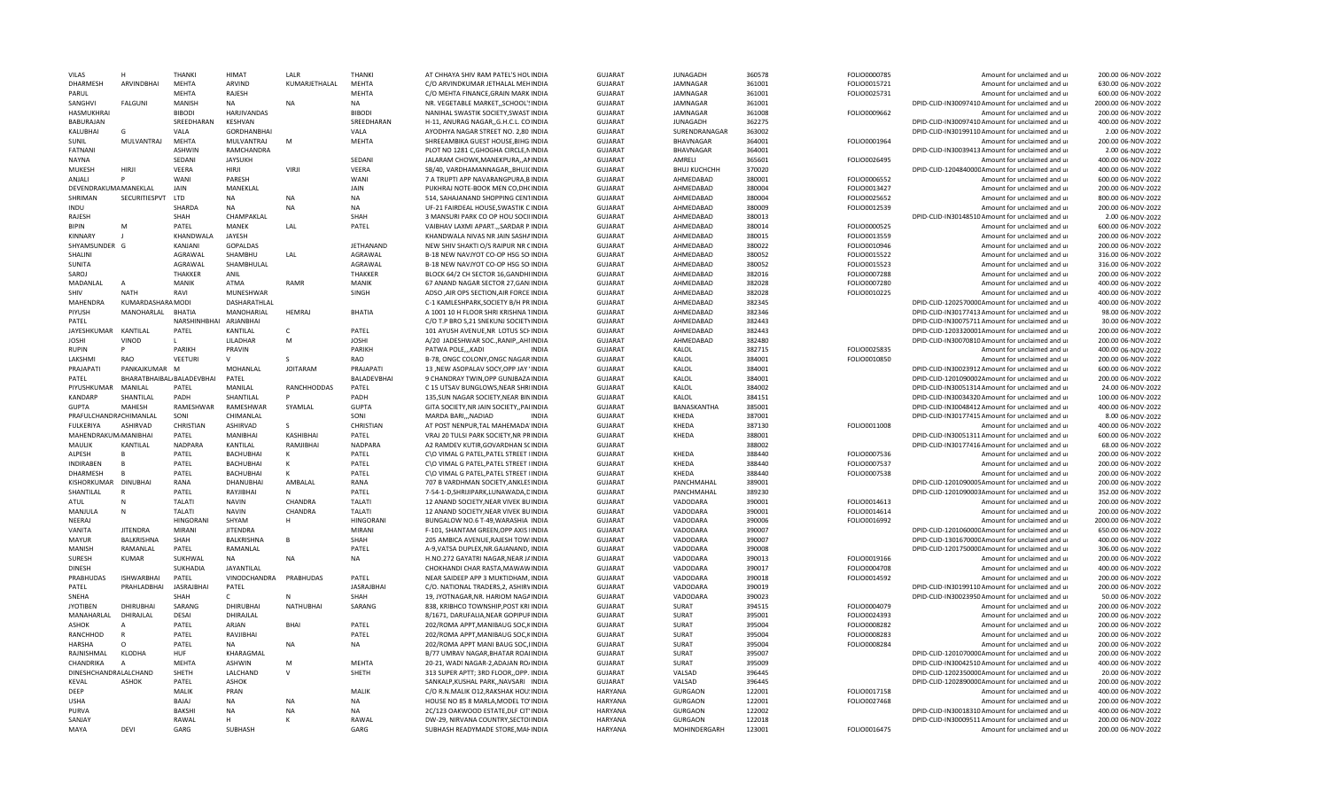| VILAS                   |                           | THANKI            | HIMAT              | <b>LALR</b>        | <b>THANKI</b>      | AT CHHAYA SHIV RAM PATEL'S HOLINDIA       | GUJARAT        | <b>JUNAGADH</b>     | 360578 | FOLIO0000785 | Amount for unclaimed and ur                      | 200.00 06-NOV-2022  |
|-------------------------|---------------------------|-------------------|--------------------|--------------------|--------------------|-------------------------------------------|----------------|---------------------|--------|--------------|--------------------------------------------------|---------------------|
| <b>DHARMESH</b>         | ARVINDBHAI                | MEHTA             | <b>ARVIND</b>      | KUMARJETHALAL      | MEHTA              | C/O ARVINDKUMAR JETHALAL MEHINDIA         | <b>GUJARAT</b> | JAMNAGAR            | 361001 | FOLIO0015721 | Amount for unclaimed and ur                      | 630.00 06-NOV-2022  |
| PARUL                   |                           | MEHTA             | RAJESH             |                    | <b>MEHTA</b>       | C/O MEHTA FINANCE, GRAIN MARK INDIA       | GUJARAT        | JAMNAGAR            | 361001 | FOLIO0025731 | Amount for unclaimed and ur                      | 600.00 06-NOV-2022  |
| SANGHVI                 | <b>FALGUNI</b>            | MANISH            | NA                 | <b>NA</b>          | <b>NA</b>          | NR. VEGETABLE MARKET, SCHOOL'SINDIA       | <b>GUJARAT</b> | JAMNAGAR            | 361001 |              | DPID-CLID-IN30097410 Amount for unclaimed and ur | 2000.00 06-NOV-2022 |
| HASMUKHRAI              |                           | <b>BIBODI</b>     | HARJIVANDAS        |                    | <b>BIBODI</b>      | NANIHAL SWASTIK SOCIETY, SWAST INDIA      | <b>GUJARAT</b> | JAMNAGAR            | 361008 | FOLIO0009662 | Amount for unclaimed and ur                      | 200.00 06-NOV-2022  |
| <b>BABURAJAN</b>        |                           | SREEDHARAN        | KESHVAN            |                    | SREEDHARAN         | H-11, ANURAG NAGAR,, G.H.C.L. CO INDIA    | <b>GUJARAT</b> | <b>JUNAGADH</b>     | 362275 |              | DPID-CLID-IN30097410 Amount for unclaimed and ur | 400.00 06-NOV-2022  |
| KALUBHAI                |                           | VALA              | <b>GORDHANBHAI</b> |                    | VALA               | AYODHYA NAGAR STREET NO. 2,80 INDIA       | <b>GUJARAT</b> | SURENDRANAGAR       | 363002 |              | DPID-CLID-IN30199110 Amount for unclaimed and ur | 2.00 06-NOV-2022    |
|                         |                           |                   |                    |                    |                    |                                           |                |                     |        |              |                                                  |                     |
| <b>SUNIL</b>            | MULVANTRAJ                | <b>MEHTA</b>      | MULVANTRAJ         | M                  | <b>MEHTA</b>       | SHREEAMBIKA GUEST HOUSE.BIHGIINDIA        | <b>GUJARAT</b> | <b>BHAVNAGAR</b>    | 364001 | FOLIO0001964 | Amount for unclaimed and u                       | 200.00 06-NOV-2022  |
| <b>FATNANI</b>          |                           | <b>ASHWIN</b>     | <b>RAMCHANDRA</b>  |                    |                    | PLOT NO 1281 C, GHOGHA CIRCLE, NINDIA     | <b>GUJARAT</b> | BHAVNAGAR           | 364001 |              | DPID-CLID-IN30039413 Amount for unclaimed and ur | 2.00 06-NOV-2022    |
| <b>NAYNA</b>            |                           | SEDANI            | <b>JAYSUKH</b>     |                    | SEDANI             | JALARAM CHOWK, MANEKPURA, , ANINDIA       | <b>GUJARAT</b> | AMRELI              | 365601 | FOLIO0026495 | Amount for unclaimed and ur                      | 400.00 06-NOV-2022  |
| MUKESH                  | <b>HIRI</b>               | <b>VEERA</b>      | <b>HIRJI</b>       | <b>VIRJI</b>       | <b>VEERA</b>       | SB/40, VARDHAMANNAGAR,, BHUJ(INDIA        | GUJARAT        | <b>ВНИЈ КИСНСНН</b> | 370020 |              | DPID-CLID-120484000CAmount for unclaimed and ur  | 400.00 06-NOV-2022  |
| ANJALI                  | D                         | <b>WAN</b>        | <b>PARFSH</b>      |                    | WANI               | 7 A TRUPTI APP NAVARANGPURA, BINDIA       | <b>GUJARAT</b> | AHMEDABAD           | 380001 | FOLIO0006552 | Amount for unclaimed and ur                      | 600.00 06-NOV-2022  |
| DEVENDRAKUMA MANEKLAL   |                           | JAIN              | MANEKLAL           |                    | JAIN               | PUKHRAJ NOTE-BOOK MEN CO, DH(INDIA        | <b>GUJARAT</b> | AHMEDABAD           | 380004 | FOLIO0013427 | Amount for unclaimed and ur                      | 200.00 06-NOV-2022  |
| SHRIMAN                 | SECURITIESPVT             | LTD               | <b>NA</b>          | <b>NA</b>          | <b>NA</b>          | 514, SAHAJANAND SHOPPING CENTINDIA        | <b>GUJARAT</b> | AHMEDABAD           | 380004 | FOLIO0025652 | Amount for unclaimed and ur                      | 800.00 06-NOV-2022  |
| INDU                    |                           | SHARDA            | <b>NA</b>          | <b>NA</b>          | <b>NA</b>          | UF-21 FAIRDEAL HOUSE, SWASTIK C INDIA     | <b>GUJARAT</b> | AHMEDABAD           | 380009 | FOLIO0012539 | Amount for unclaimed and ur                      | 200.00 06-NOV-2022  |
| RAJESH                  |                           | SHAH              | <b>CHAMPAKLA</b>   |                    | SHAH               | 3 MANSURI PARK CO OP HOU SOCIIINDIA       | <b>GUJARAT</b> | AHMEDABAD           | 380013 |              | DPID-CLID-IN30148510 Amount for unclaimed and ur | 2.00 06-NOV-2022    |
| <b>BIPIN</b>            | M                         | PATEL             | MANEK              | LAL                | PATEL              | VAIBHAV LAXMI APART.,, SARDAR P.INDIA     | <b>GUJARAT</b> | AHMEDABAD           | 380014 | FOLIO0000525 | Amount for unclaimed and ur                      | 600.00 06-NOV-2022  |
| <b>KINNARY</b>          |                           | KHANDWALA         | JAYESH             |                    |                    | KHANDWALA NIVAS NR JAIN SASHAINDIA        | <b>GUJARAT</b> | AHMEDABAD           | 380015 | FOLIO0013559 | Amount for unclaimed and ur                      | 200.00 06-NOV-2022  |
| SHYAMSUNDER G           |                           | KANJANI           | <b>GOPALDAS</b>    |                    | <b>JETHANAND</b>   | NEW SHIV SHAKTI O/S RAIPUR NR CINDIA      | GUJARAT        | AHMEDABAD           | 380022 | FOLIO0010946 | Amount for unclaimed and ur                      | 200.00 06-NOV-2022  |
| SHALINI                 |                           | AGRAWAL           | SHAMBHU            |                    | AGRAWAL            | B-18 NEW NAVIYOT CO-OP HSG SO INDIA       | <b>GUJARAT</b> | AHMEDABAD           |        |              |                                                  | 316.00 06-NOV-2022  |
|                         |                           |                   |                    | LAL                |                    |                                           |                |                     | 380052 | FOLIO0015522 | Amount for unclaimed and ur                      |                     |
| <b>SUNITA</b>           |                           | AGRAWAL           | SHAMBHULAL         |                    | AGRAWAL            | B-18 NEW NAVJYOT CO-OP HSG SO INDIA       | GUJARAT        | AHMEDABAD           | 380052 | FOLIO0015523 | Amount for unclaimed and ur                      | 316.00 06-NOV-2022  |
| SAROJ                   |                           | THAKKER           | ANIL               |                    | THAKKER            | BLOCK 64/2 CH SECTOR 16, GANDHIINDIA      | <b>GUJARAT</b> | AHMEDABAD           | 382016 | FOLIO0007288 | Amount for unclaimed and ur                      | 200.00 06-NOV-2022  |
| MADANLAL                | $\overline{A}$            | <b>MANIK</b>      | <b>ATMA</b>        | <b>RAMR</b>        | MANIK              | 67 ANAND NAGAR SECTOR 27, GANIINDIA       | <b>GUJARAT</b> | AHMEDABAD           | 382028 | FOLIO0007280 | Amount for unclaimed and ur                      | 400.00 06-NOV-2022  |
| SHIV                    | <b>NATH</b>               | RAVI              | MUNESHWAR          |                    | SINGH              | ADSO, AIR OPS SECTION, AIR FORCE INDIA    | GUJARAT        | AHMEDABAD           | 382028 | FOLIO0010225 | Amount for unclaimed and ur                      | 400.00 06-NOV-2022  |
| MAHENDRA                | KUMARDASHARA MODI         |                   | DASHARATHLAL       |                    |                    | C-1 KAMLESHPARK, SOCIETY B/H PR INDIA     | <b>GUJARAT</b> | AHMEDABAD           | 382345 |              | DPID-CLID-120257000CAmount for unclaimed and ur  | 400.00 06-NOV-2022  |
| PIYUSH                  | MANOHARLAL BHATIA         |                   | MANOHARIAL         | <b>HEMRAJ</b>      | BHATIA             | A 1001 10 H FLOOR SHRI KRISHNA TINDIA     | <b>GUJARAT</b> | AHMEDABAD           | 382346 |              | DPID-CLID-IN30177413 Amount for unclaimed and ur | 98.00 06-NOV-2022   |
| PATEL                   |                           | NARSHINHBHAI      | ARJANBHAI          |                    |                    | C/O T.P BRO S, 21 SNEKUNJ SOCIETYINDIA    | GUJARAT        | AHMEDABAD           | 382443 |              | DPID-CLID-IN30075711 Amount for unclaimed and ur | 30.00 06-NOV-2022   |
| JAYESHKUMAR             | KANTILAL                  | PATEL             | KANTILAL           |                    | PATEL              | 101 AYUSH AVENUE, NR LOTUS SCHINDIA       | <b>GUJARAT</b> | AHMEDABAD           | 382443 |              | DPID-CLID-1203320001Amount for unclaimed and ur  | 200.00 06-NOV-2022  |
| <b>JOSHI</b>            | VINOD                     |                   | LILADHAR           | M                  | <b>JOSHI</b>       | A/20 JADESHWAR SOC., RANIP,, AHIINDIA     | <b>GUJARAT</b> | AHMEDABAD           | 382480 |              | DPID-CLID-IN30070810 Amount for unclaimed and ur | 200.00 06-NOV-2022  |
| <b>RUPIN</b>            |                           | PARIKH            | PRAVIN             |                    | PARIKH             | PATWA POLE,,,KADI<br><b>INDIA</b>         | <b>GUJARAT</b> | KALOL               | 382715 | FOLIO0025835 | Amount for unclaimed and ur                      | 400.00 06-NOV-2022  |
| LAKSHMI                 | <b>RAO</b>                | <b>VEETURI</b>    | $\vee$             |                    | RAO                | B-78, ONGC COLONY, ONGC NAGAR INDIA       | <b>GUJARAT</b> | KALOL               | 384001 | FOLIO0010850 | Amount for unclaimed and ur                      | 200.00 06-NOV-2022  |
| PRAJAPATI               | PANKAJKUMAR M             |                   | MOHANLAL           | <b>JOITARAM</b>    | PRAJAPATI          | 13 ,NEW ASOPALAV SOCY,OPP JAY 'INDIA      | <b>GUJARAT</b> | KALOL               | 384001 |              | DPID-CLID-IN30023912 Amount for unclaimed and ur | 600.00 06-NOV-2022  |
|                         |                           |                   |                    |                    |                    |                                           |                |                     |        |              |                                                  |                     |
| PATEL                   | BHARATBHAIBAL BALADEVBHAI |                   | PATFL              |                    | <b>BALADFVBHAI</b> | 9 CHANDRAY TWIN, OPP GUNJBAZA INDIA       | <b>GUJARAT</b> | KALOL               | 384001 |              | DPID-CLID-1201090002Amount for unclaimed and ur  | 200.00 06-NOV-2022  |
| PIYUSHKUMAR             | MANILAL                   | PATEL             | MANILAL            | <b>RANCHHODDAS</b> | PATEL              | C 15 UTSAV BUNGLOWS.NEAR SHRIINDIA        | GUJARAT        | KALOL               | 384002 |              | DPID-CLID-IN30051314 Amount for unclaimed and ur | 24.00 06-NOV-2022   |
| KANDARP                 | SHANTILAL                 | PADH              | SHANTILAL          |                    | PADH               | 135, SUN NAGAR SOCIETY, NEAR BININDIA     | GUJARAT        | KALOL               | 384151 |              | DPID-CLID-IN30034320 Amount for unclaimed and ur | 100.00 06-NOV-2022  |
| <b>GUPTA</b>            | <b>MAHFSH</b>             | RAMESHWAR         | RAMESHWAR          | SYAMLAL            | <b>GUPTA</b>       | GITA SOCIETY, NR JAIN SOCIETY, , PAIINDIA | <b>GUJARAT</b> | <b>BANASKANTHA</b>  | 385001 |              | DPID-CLID-IN30048412 Amount for unclaimed and ur | 400.00 06-NOV-2022  |
| PRAFULCHANDRA CHIMANLAL |                           | SONI              | CHIMANLAL          |                    | SONI               | MARDA BARI,,,NADIAD<br><b>INDIA</b>       | <b>GUJARAT</b> | KHEDA               | 387001 |              | DPID-CLID-IN30177415 Amount for unclaimed and ur | 8.00 06-NOV-2022    |
| <b>FULKERIYA</b>        | <b>ASHIRVAD</b>           | CHRISTIAN         | ASHIRVAD           | -S                 | CHRISTIAN          | AT POST NENPUR, TAL MAHEMADA'INDIA        | <b>GUJARAT</b> | KHEDA               | 387130 | FOLIO0011008 | Amount for unclaimed and ur                      | 400.00 06-NOV-2022  |
| MAHENDRAKUM, MANIBHAI   |                           | PATEL             | <b>MANIBHAI</b>    | KASHIBHAI          | PATEL              | VRAJ 20 TULSI PARK SOCIETY, NR PRINDIA    | GUJARAT        | KHEDA               | 388001 |              | DPID-CLID-IN30051311 Amount for unclaimed and ur | 600.00 06-NOV-2022  |
| MAULIK                  | KANTILAL                  | <b>NADPARA</b>    | KANTILAL           | RAMJIBHAI          | <b>NADPARA</b>     | A2 RAMDEV KUTIR, GOVARDHAN SCINDIA        | <b>GUJARAT</b> |                     | 388002 |              | DPID-CLID-IN30177416 Amount for unclaimed and ur | 68.00 06-NOV-2022   |
| ALPESH                  |                           | PATEL             | <b>BACHUBHAI</b>   | к                  | PATEL              | C\O VIMAL G PATEL, PATEL STREET IINDIA    | <b>GUJARAT</b> | KHEDA               | 388440 | FOLIO0007536 | Amount for unclaimed and ur                      | 200.00 06-NOV-2022  |
| <b>INDIRABEN</b>        |                           | PATEL             | <b>BACHUBHAI</b>   | $\mathsf{K}$       | PATEL              | C\O VIMAL G PATEL, PATEL STREET IINDIA    | GUJARAT        | KHEDA               | 388440 | FOLIO0007537 | Amount for unclaimed and ur                      | 200.00 06-NOV-2022  |
| DHARMESH                |                           | PATFI             | BACHUBHAI          | K                  | PATEL              | C\O VIMAL G PATEL, PATEL STREET IINDIA    | <b>GUJARAT</b> | <b>KHFDA</b>        | 388440 | FOLIO0007538 | Amount for unclaimed and ur                      | 200.00 06-NOV-2022  |
| KISHORKUMAR             | DINUBHAI                  | RANA              | DHANUBHAI          | AMBALAL            | RANA               | 707 B VARDHMAN SOCIETY, ANKLESINDIA       | GUJARAT        | PANCHMAHAL          | 389001 |              | DPID-CLID-1201090005Amount for unclaimed and ur  | 200.00 06-NOV-2022  |
| SHANTILAL               |                           | PATEL             | RAYJIBHAI          | $\mathbf N$        | PATEL              | 7-54-1-D, SHRIJIPARK, LUNAWADA, DINDIA    | <b>GUJARAT</b> | PANCHMAHAL          | 389230 |              | DPID-CLID-1201090003Amount for unclaimed and ur  | 352.00 06-NOV-2022  |
| <b>ATUL</b>             | N                         | <b>TALATI</b>     | <b>NAVIN</b>       | CHANDRA            |                    |                                           |                | VADODARA            |        |              |                                                  |                     |
|                         |                           |                   |                    |                    | <b>TALATI</b>      | 12 ANAND SOCIETY, NEAR VIVEK BUINDIA      | GUJARAT        |                     | 390001 | FOLIO0014613 | Amount for unclaimed and ur                      | 200.00 06-NOV-2022  |
| MANJULA                 | N                         | <b>TALATI</b>     | <b>NAVIN</b>       | CHANDRA            | <b>TALATI</b>      | 12 ANAND SOCIETY, NEAR VIVEK BUINDIA      | <b>GUJARAT</b> | VADODARA            | 390001 | FOLIO0014614 | Amount for unclaimed and ur                      | 200.00 06-NOV-2022  |
| NEERAJ                  |                           | HINGORANI         | SHYAM              |                    | <b>HINGORANI</b>   | BUNGALOW NO.6 T-49, WARASHIA INDIA        | <b>GUJARAT</b> | VADODARA            | 390006 | FOLIO0016992 | Amount for unclaimed and ur                      | 2000.00 06-NOV-2022 |
| VANITA                  | <b>JITENDRA</b>           | <b>MIRANI</b>     | <b>JITENDRA</b>    |                    | <b>MIRANI</b>      | F-101, SHANTAM GREEN, OPP AXIS IINDIA     | GUJARAT        | VADODARA            | 390007 |              | DPID-CLID-120106000CAmount for unclaimed and ur  | 650.00 06-NOV-2022  |
| MAYUR                   | BALKRISHNA                | SHAH              | BALKRISHNA         | <b>R</b>           | SHAH               | 205 AMBICA AVENUE, RAJESH TOWIINDIA       | GUJARAT        | VADODARA            | 390007 |              | DPID-CLID-130167000CAmount for unclaimed and ur  | 400.00 06-NOV-2022  |
| MANISH                  | RAMANLAL                  | PATEL             | RAMANLAL           |                    | PATEL              | A-9, VATSA DUPLEX, NR. GAJANAND, IINDIA   | <b>GUJARAT</b> | VADODARA            | 390008 |              | DPID-CLID-120175000CAmount for unclaimed and ur  | 306.00 06-NOV-2022  |
| SURESH                  | <b>KUMAR</b>              | SUKHWAL           | <b>NA</b>          | <b>NA</b>          | <b>NA</b>          | H.NO.272 GAYATRI NAGAR, NEAR JAINDIA      | <b>GUJARAT</b> | VADODARA            | 390013 | FOLIO0019166 | Amount for unclaimed and ur                      | 200.00 06-NOV-2022  |
| <b>DINESH</b>           |                           | <b>SUKHADIA</b>   | JAYANTILAL         |                    |                    | CHOKHANDI CHAR RASTA, MAWAWINDIA          | GUJARAT        | VADODARA            | 390017 | FOLIO0004708 | Amount for unclaimed and ur                      | 400.00 06-NOV-2022  |
| PRABHUDAS               | ISHWARBHAI                | PATEL             | VINODCHANDRA       | PRABHUDAS          | PATEL              | NEAR SAIDEEP APP 3 MUKTIDHAM, INDIA       | <b>GUJARAT</b> | VADODARA            | 390018 | FOLIO0014592 | Amount for unclaimed and ur                      | 200.00 06-NOV-2022  |
| PATEL                   | PRAHLADBHAI               | <b>JASRAJBHAI</b> | PATEL              |                    | <b>JASRAJBHAI</b>  | C/O. NATIONAL TRADERS, 2, ASHIRVINDIA     | GUJARAT        | VADODARA            | 390019 |              | DPID-CLID-IN30199110 Amount for unclaimed and ur | 200.00 06-NOV-2022  |
| SNEHA                   |                           | SHAH              | $\mathsf{C}$       | $\mathsf{N}$       | SHAH               | 19, JYOTNAGAR, NR. HARIOM NAGAINDIA       | <b>GUJARAT</b> | VADODARA            | 390023 |              | DPID-CLID-IN30023950 Amount for unclaimed and ur | 50.00 06-NOV-2022   |
| <b>JYOTIBEN</b>         | DHIRUBHAI                 | SARANG            | DHIRUBHA           | <b>NATHUBHAI</b>   | SARANG             | 838, KRIBHCO TOWNSHIP, POST KRI INDIA     | <b>GUJARAT</b> | SURAT               | 394515 | FOLIO0004079 | Amount for unclaimed and ur                      | 200.00 06-NOV-2022  |
| MANAHARLAL              | DHIRAJLAL                 | <b>DESAI</b>      | DHIRAJLAL          |                    |                    | 8/1671, DARUFALIA, NEAR GOPIPUFINDIA      | <b>GUJARAT</b> | SURAT               | 395001 | FOLIO0024393 | Amount for unclaimed and ur                      | 200.00 06-NOV-2022  |
| ASHOK                   | $\overline{A}$            | PATFL             | ARJAN              | <b>BHA</b>         | PATEL              | 202/ROMA APPT, MANIBAUG SOC, KINDIA       | <b>GUJARAT</b> | SURAT               | 395004 | FOLIO0008282 | Amount for unclaimed and ur                      | 200.00 06-NOV-2022  |
| RANCHHOD                |                           | PATEL             | RAVJIBHAI          |                    | PATEL              | 202/ROMA APPT.MANIBAUG SOC.KINDIA         | GUJARAT        | SURAT               | 395004 | FOLIO0008283 |                                                  | 200.00 06-NOV-2022  |
|                         |                           |                   |                    |                    |                    |                                           |                |                     |        |              | Amount for unclaimed and ur                      |                     |
| <b>HARSHA</b>           | $\Omega$                  | PATEL             | NA                 | <b>NA</b>          | <b>NA</b>          | 202/ROMA APPT MANI BAUG SOC, IINDIA       | GUJARAT        | SURAT               | 395004 | FOLIO0008284 | Amount for unclaimed and ur                      | 200.00 06-NOV-2022  |
| RAJNISHMAL              | KLODHA                    | <b>HUF</b>        | KHARAGMAL          |                    |                    | B/77 UMRAV NAGAR, BHATAR ROAIINDIA        | <b>GUJARAT</b> | SURAT               | 395007 |              | DPID-CLID-120107000CAmount for unclaimed and ur  | 200.00 06-NOV-2022  |
| CHANDRIKA               | $\overline{A}$            | <b>MEHTA</b>      | ASHWIN             | M                  | <b>MEHTA</b>       | 20-21, WADI NAGAR-2, ADAJAN ROJINDIA      | <b>GUJARAT</b> | SURAT               | 395009 |              | DPID-CLID-IN30042510 Amount for unclaimed and ur | 400.00 06-NOV-2022  |
| DINESHCHANDRALALCHAND   |                           | SHETH             | LALCHAND           |                    | SHETH              | 313 SUPER APTT; 3RD FLOOR, OPP. INDIA     | GUJARAT        | VALSAD              | 396445 |              | DPID-CLID-120235000CAmount for unclaimed and ur  | 20.00 06-NOV-2022   |
| KEVAL                   | <b>ASHOK</b>              | PATEL             | ASHOK              |                    |                    | SANKALP, KUSHAL PARK, , NAVSARI INDIA     | <b>GUJARAT</b> | VALSAD              | 396445 |              | DPID-CLID-120289000CAmount for unclaimed and ur  | 200.00 06-NOV-2022  |
| DEEP                    |                           | MALIK             | PRAN               |                    | MALIK              | C/O R.N.MALIK 012, RAKSHAK HOU! INDIA     | <b>HARYANA</b> | <b>GURGAON</b>      | 122001 | FOLIO0017158 | Amount for unclaimed and ur                      | 400.00 06-NOV-2022  |
| <b>USHA</b>             |                           | <b>BAJAJ</b>      | <b>NA</b>          | <b>NA</b>          | <b>NA</b>          | HOUSE NO 85 8 MARLA.MODEL TO'INDIA        | <b>HARYANA</b> | <b>GURGAON</b>      | 122001 | FOLIO0027468 | Amount for unclaimed and u                       | 200.00 06-NOV-2022  |
| PLIRVA                  |                           | <b>BAKSHI</b>     | <b>NA</b>          | <b>NA</b>          | <b>NA</b>          | 2C/123 OAKWOOD ESTATE, DLF CIT'INDIA      | <b>HARYANA</b> | <b>GURGAON</b>      | 122002 |              | DPID-CLID-IN30018310 Amount for unclaimed and ur | 400.00 06-NOV-2022  |
| SANJAY                  |                           | RAWAL             | н                  |                    | RAWAI              | DW-29, NIRVANA COUNTRY, SECTOIINDIA       | <b>HARYANA</b> | <b>GURGAON</b>      | 122018 |              | DPID-CLID-IN30009511 Amount for unclaimed and ur | 200.00 06-NOV-2022  |
| MAYA                    | DEVI                      | GARG              | SUBHASH            |                    | GARG               | SUBHASH READYMADE STORE, MAI INDIA        | <b>HARYANA</b> | MOHINDERGARH        | 123001 | FOLIO0016475 | Amount for unclaimed and ur                      | 200.00 06-NOV-2022  |
|                         |                           |                   |                    |                    |                    |                                           |                |                     |        |              |                                                  |                     |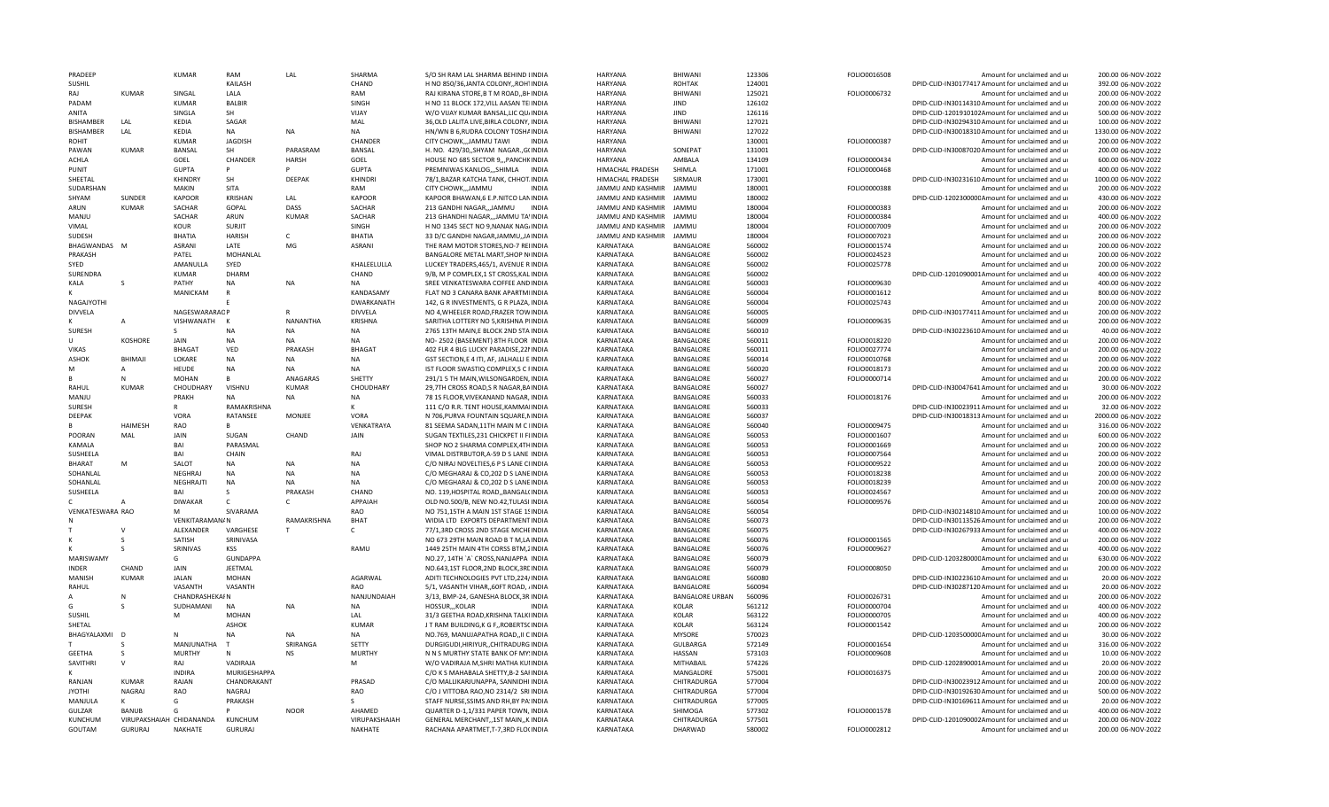| PRADFFP                       |                                            | <b>KUMAR</b>          | RAM                       | LAL                    | SHARMA                   | S/O SH RAM LAL SHARMA BEHIND LINDIA                                            | HARYANA                | <b>BHIWANI</b>                       | 123306           | FOLIO0016508                 | Amount for unclaimed and ur                                                                          | 200.00 06-NOV-2022                       |
|-------------------------------|--------------------------------------------|-----------------------|---------------------------|------------------------|--------------------------|--------------------------------------------------------------------------------|------------------------|--------------------------------------|------------------|------------------------------|------------------------------------------------------------------------------------------------------|------------------------------------------|
| <b>SUSHIL</b>                 |                                            |                       | KAILASH                   |                        | CHAND                    | H NO 850/36, JANTA COLONY, ROH1INDIA                                           | <b>HARYANA</b>         | ROHTAK                               | 124001           |                              | DPID-CLID-IN30177417 Amount for unclaimed and ur                                                     | 392.00 06-NOV-2022                       |
| RAI                           | <b>KUMAR</b>                               | SINGAL                | LALA                      |                        | RAM                      | RAJ KIRANA STORE, B T M ROAD,, BHINDIA                                         | <b>HARYANA</b>         | BHIWANI                              | 125021           | FOLIO0006732                 | Amount for unclaimed and ur                                                                          | 200.00 06-NOV-2022                       |
| PADAM                         |                                            | <b>KUMAR</b>          | <b>BALBIR</b>             |                        | SINGH                    | H NO 11 BLOCK 172, VILL AASAN TEIINDIA                                         | HARYANA                | <b>JIND</b>                          | 126102           |                              | DPID-CLID-IN30114310 Amount for unclaimed and ur                                                     | 200.00 06-NOV-2022                       |
| ANITA                         |                                            | SINGLA                | SH                        |                        | VIJAY                    | W/O VIJAY KUMAR BANSAL, LIC QU/INDIA                                           | HARYANA                | <b>JIND</b>                          | 126116           |                              | DPID-CLID-1201910102Amount for unclaimed and ur                                                      | 500.00 06-NOV-2022                       |
| <b>BISHAMBER</b>              | LAL                                        | KEDIA                 | SAGAR                     |                        | MAL                      | 36, OLD LALITA LIVE, BIRLA COLONY, INDIA                                       | <b>HARYANA</b>         | <b>BHIWANI</b>                       | 127021           |                              | DPID-CLID-IN30294310 Amount for unclaimed and ur                                                     | 100.00 06-NOV-2022                       |
| <b>BISHAMBER</b>              | LAL                                        | KFDIA                 | <b>NA</b>                 | <b>NA</b>              | <b>NA</b>                | HN/WN B 6, RUDRA COLONY TOSHAINDIA                                             | HARYANA                | BHIWANI                              | 127022           |                              | DPID-CLID-IN30018310 Amount for unclaimed and ur                                                     | 1330.00 06-NOV-2022                      |
| <b>ROHIT</b>                  |                                            | <b>KUMAR</b>          | <b>JAGDISH</b>            |                        | CHANDER                  | CITY CHOWKJAMMU TAWI<br><b>INDIA</b>                                           | <b>HARYANA</b>         |                                      | 130001           | FOLIO0000387                 | Amount for unclaimed and u                                                                           | 200.00 06-NOV-2022                       |
| PAWAN                         | KUMAR                                      | <b>BANSAL</b>         | <b>SH</b>                 | PARASRAM               | <b>BANSAL</b>            | H. NO. 429/30,, SHYAM NAGAR., G(INDIA                                          | <b>HARYANA</b>         | SONFPAT                              | 131001           |                              | DPID-CLID-IN30087020 Amount for unclaimed and ur                                                     | 200.00 06-NOV-2022                       |
| <b>ACHLA</b>                  |                                            | GOEL                  | CHANDER                   | <b>HARSH</b>           | GOEL                     | HOUSE NO 685 SECTOR 9, , PANCHKINDIA                                           | <b>HARYANA</b>         | AMBALA                               | 134109           | FOLIO0000434                 | Amount for unclaimed and ur                                                                          | 600.00 06-NOV-2022                       |
| PUNIT                         |                                            | <b>GUPTA</b>          | P                         | P                      | <b>GUPTA</b>             | PREMNIWAS KANLOG,,,SHIMLA INDIA                                                | HIMACHAL PRADESH       | <b>SHIMLA</b>                        | 171001           | FOLIO0000468                 | Amount for unclaimed and ur                                                                          | 400.00 06-NOV-2022                       |
| SHEETAL                       |                                            | <b>KHINDRY</b>        | SH                        | DEEPAK                 | KHINDRI                  | 78/1, BAZAR KATCHA TANK, CHHOT. INDIA                                          | HIMACHAL PRADESH       | SIRMAUR                              | 173001           |                              | DPID-CLID-IN30231610 Amount for unclaimed and ur                                                     | 1000.00 06-NOV-2022                      |
| SUDARSHAN                     |                                            | MAKIN                 | SITA                      |                        | RAM                      | CITY CHOWKJAMMU<br><b>INDIA</b>                                                | JAMMU AND KASHMIR      | <b>JAMMU</b>                         | 180001           | FOLIO0000388                 | Amount for unclaimed and ur                                                                          | 200.00 06-NOV-2022                       |
| SHYAM                         | SUNDER                                     | <b>KAPOOR</b>         | <b>KRISHAN</b>            | LAL                    | <b>KAPOOR</b>            | KAPOOR BHAWAN, 6 E.P.NITCO LANINDIA                                            | JAMMU AND KASHMIR      | JAMMU                                | 180002           |                              | DPID-CLID-120230000CAmount for unclaimed and ur                                                      | 430.00 06-NOV-2022                       |
| ARUN                          | <b>KUMAR</b>                               | SACHAR                | GOPAL                     | DASS                   | SACHAR                   | 213 GANDHI NAGAR,,,JAMMU<br><b>INDIA</b>                                       | JAMMU AND KASHMIR      | <b>JAMMU</b>                         | 180004           | FOLIO0000383                 | Amount for unclaimed and ur                                                                          | 200.00 06-NOV-2022                       |
| MANIU                         |                                            | SACHAR                | ARUN                      | <b>KUMAR</b>           | SACHAR                   | 213 GHANDHI NAGAR,,,JAMMU TA'INDIA                                             | JAMMU AND KASHMIR      | <b>JAMMU</b>                         | 180004           | FOLIO0000384                 | Amount for unclaimed and ur                                                                          | 400.00 06-NOV-2022                       |
| VIMAL                         |                                            | KOUR                  | <b>SURJIT</b>             |                        | SINGH                    | H NO 1345 SECT NO 9, NANAK NAG/INDIA                                           | JAMMU AND KASHMIR      | JAMMU                                | 180004           | FOLIO0007009                 | Amount for unclaimed and ur                                                                          | 200.00 06-NOV-2022                       |
| SUDESH                        |                                            | <b>BHATIA</b>         | <b>HARISH</b>             | $\mathsf{C}$           | <b>BHATIA</b>            | 33 D/C GANDHI NAGAR, JAMMU, JAINDIA                                            | JAMMU AND KASHMIR      | <b>JAMMU</b>                         | 180004           | FOLIO0007023                 | Amount for unclaimed and ur                                                                          | 200.00 06-NOV-2022                       |
| BHAGWANDAS M                  |                                            | ASRANI                | LATE                      | MG                     | <b>ASRANI</b>            | THE RAM MOTOR STORES.NO-7 REIINDIA                                             | KARNATAKA              | <b>BANGALORE</b>                     | 560002           | FOLIO0001574                 | Amount for unclaimed and ur                                                                          | 200.00 06-NOV-2022                       |
| PRAKASH                       |                                            | PATEL                 | MOHANLAL                  |                        |                          | BANGALORE METAL MART, SHOP NIINDIA                                             | KARNATAKA              | BANGALORE                            | 560002           | FOLIO0024523                 | Amount for unclaimed and ur                                                                          | 200.00 06-NOV-2022                       |
| SYED                          |                                            | AMANULLA              | SYED                      |                        | KHALEELULLA              | LUCKEY TRADERS, 465/1, AVENUE R INDIA                                          | KARNATAKA              | BANGALORE                            | 560002           | FOLIO0025778                 | Amount for unclaimed and ur                                                                          | 200.00 06-NOV-2022                       |
| SURENDRA                      |                                            | <b>KUMAR</b>          | DHARM                     |                        | CHAND                    | 9/B, M P COMPLEX, 1 ST CROSS, KALINDIA                                         | KARNATAKA              | BANGALORE                            | 560002           |                              | DPID-CLID-1201090001Amount for unclaimed and ur                                                      | 400.00 06-NOV-2022                       |
| KALA                          | S                                          | PATHY                 | NA<br>$\mathsf{R}$        | <b>NA</b>              | <b>NA</b>                | SREE VENKATESWARA COFFEE AND INDIA                                             | KARNATAKA              | BANGALORE                            | 560003           | FOLIO0009630                 | Amount for unclaimed and ur                                                                          | 400.00 06-NOV-2022                       |
|                               |                                            | MANICKAM              |                           |                        | KANDASAMY                | FLAT NO 3 CANARA BANK APARTMIINDIA                                             | <b>KARNATAKA</b>       | BANGALORE                            | 560004           | FOLIO0001612                 | Amount for unclaimed and ur                                                                          | 800.00 06-NOV-2022                       |
| NAGAJYOTHI                    |                                            |                       |                           |                        | DWARKANATH               | 142, G R INVESTMENTS, G R PLAZA, INDIA                                         | KARNATAKA              | BANGALORE                            | 560004           | FOLIO0025743                 | Amount for unclaimed and ur                                                                          | 200.00 06-NOV-2022                       |
| <b>DIVVELA</b>                |                                            | NAGESWARARAOP         |                           | <b>NANANTHA</b>        | <b>DIVVELA</b>           | NO 4, WHEELER ROAD, FRAZER TOWINDIA                                            | KARNATAKA              | BANGALORE                            | 560005           |                              | DPID-CLID-IN30177411Amount for unclaimed and ur                                                      | 200.00 06-NOV-2022                       |
|                               | A                                          | VISHWANATH<br>S       | K                         | <b>NA</b>              | <b>KRISHNA</b>           | SARITHA LOTTERY NO 5, KRISHNA PIINDIA                                          | KARNATAKA              | <b>BANGALORE</b><br><b>BANGALORE</b> | 560009           | FOLIO0009635                 | Amount for unclaimed and u                                                                           | 200.00 06-NOV-2022<br>40.00 06-NOV-2022  |
| <b>SURESH</b><br>$\mathbf{H}$ | KOSHORE                                    | JAIN                  | <b>NA</b><br><b>NA</b>    | <b>NA</b>              | NA<br><b>NA</b>          | 2765 13TH MAIN, E BLOCK 2ND STA INDIA                                          | KARNATAKA<br>KARNATAKA | BANGALORE                            | 560010<br>560011 | FOLIO0018220                 | DPID-CLID-IN30223610 Amount for unclaimed and ur                                                     | 200.00 06-NOV-2022                       |
| <b>VIKAS</b>                  |                                            | <b>BHAGAT</b>         | VED                       | PRAKASH                | <b>BHAGAT</b>            | NO- 2502 (BASEMENT) 8TH FLOOR INDIA<br>402 FLR 4 BLG LUCKY PARADISE, 22 NINDIA | KARNATAKA              | BANGALORE                            | 560011           | FOLIO0027774                 | Amount for unclaimed and ur<br>Amount for unclaimed and ur                                           | 200.00 06-NOV-2022                       |
| ASHOK                         | BHIMAJI                                    | LOKARE                | <b>NA</b>                 | <b>NA</b>              | <b>NA</b>                | GST SECTION,E 4 ITI, AF, JALHALLI E INDIA                                      | KARNATAKA              | BANGALORE                            | 560014           | FOLIO0010768                 |                                                                                                      |                                          |
| м                             | A                                          | <b>HEUDE</b>          | <b>NA</b>                 | <b>NA</b>              | NA                       | IST FLOOR SWASTIQ COMPLEX, S C FINDIA                                          | KARNATAKA              | BANGALORE                            | 560020           | FOLIO0018173                 | Amount for unclaimed and ur<br>Amount for unclaimed and ur                                           | 200.00 06-NOV-2022<br>200.00 06-NOV-2022 |
|                               | N                                          | <b>MOHAN</b>          | R.                        | ANAGARAS               | SHETTY                   | 291/1 5 TH MAIN, WILSONGARDEN, INDIA                                           | KARNATAKA              | BANGALORE                            | 560027           | FOLIO0000714                 | Amount for unclaimed and ur                                                                          | 200.00 06-NOV-2022                       |
| RAHUL                         | <b>KUMAR</b>                               | CHOUDHARY             | <b>VISHNU</b>             | <b>KUMAR</b>           | CHOUDHARY                | 29.7TH CROSS ROAD.S R NAGAR.BAINDIA                                            | KARNATAKA              | <b>BANGALORE</b>                     | 560027           |                              | DPID-CLID-IN30047641 Amount for unclaimed and ur                                                     | 30.00 06-NOV-2022                        |
| MANJU                         |                                            | PRAKH                 | <b>NA</b>                 | <b>NA</b>              | <b>NA</b>                | 78 1S FLOOR, VIVEKANAND NAGAR, INDIA                                           | KARNATAKA              | <b>BANGALORE</b>                     | 560033           | FOLIO0018176                 | Amount for unclaimed and ur                                                                          | 200.00 06-NOV-2022                       |
|                               |                                            |                       |                           |                        |                          |                                                                                |                        |                                      |                  |                              |                                                                                                      |                                          |
|                               |                                            |                       |                           |                        |                          |                                                                                |                        |                                      |                  |                              |                                                                                                      |                                          |
| <b>SURESH</b>                 |                                            |                       | RAMAKRISHNA               |                        | к                        | 111 C/O R.R. TENT HOUSE, KAMMAIINDIA                                           | KARNATAKA              | BANGALORE                            | 560033           |                              | DPID-CLID-IN30023911 Amount for unclaimed and ur                                                     | 32.00 06-NOV-2022                        |
| DEEPAK                        |                                            | VORA                  | RATANSEE                  | MONJEE                 | VORA                     | N 706, PURVA FOUNTAIN SQUARE, NINDIA                                           | KARNATAKA              | BANGALORE                            | 560037           |                              | DPID-CLID-IN30018313 Amount for unclaimed and ur                                                     | 2000.00 06-NOV-2022                      |
|                               | <b>HAIMESH</b>                             | <b>RAO</b>            | R                         |                        | VENKATRAYA               | 81 SEEMA SADAN, 11TH MAIN M C IINDIA                                           | KARNATAKA              | BANGALORE                            | 560040           | FOLIO0009475                 | Amount for unclaimed and ur                                                                          | 316.00 06-NOV-2022                       |
| POORAN                        | MAL                                        | JAIN                  | SUGAN                     | CHAND                  | JAIN                     | SUGAN TEXTILES, 231 CHICKPET II FIINDIA                                        | <b>KARNATAKA</b>       | BANGALORE                            | 560053           | FOLIO0001607                 | Amount for unclaimed and ur                                                                          | 600.00 06-NOV-2022                       |
| KAMALA                        |                                            | BAI                   | PARASMAL                  |                        |                          | SHOP NO 2 SHARMA COMPLEX, 4THINDIA                                             | KARNATAKA              | BANGALORE                            | 560053           | FOLIO0001669                 | Amount for unclaimed and ur                                                                          | 200.00 06-NOV-2022                       |
| SUSHEELA                      |                                            | BAI                   | CHAIN                     |                        | RAJ                      | VIMAL DISTRBUTOR, A-59 D S LANE INDIA                                          | KARNATAKA              | BANGALORE                            | 560053           | FOLIO0007564                 | Amount for unclaimed and ur                                                                          | 200.00 06-NOV-2022                       |
| <b>BHARAT</b>                 | M                                          | SALOT                 | NA                        | <b>NA</b>              | NA                       | C/O NIRAJ NOVELTIES, 6 P S LANE CIINDIA                                        | KARNATAKA              | <b>BANGALORE</b>                     | 560053           | FOLIO0009522                 | Amount for unclaimed and ur                                                                          | 200.00 06-NOV-2022                       |
| SOHANLAL                      |                                            | NEGHRAJ               | NA                        | <b>NA</b><br><b>NA</b> | NA<br><b>NA</b>          | C/O MEGHARAJ & CO, 202 D S LANE INDIA                                          | KARNATAKA              | BANGALORE<br><b>BANGALORE</b>        | 560053           | FOLIO0018238                 | Amount for unclaimed and ur                                                                          | 200.00 06-NOV-2022                       |
| SOHANLAL<br>SUSHEELA          |                                            | NEGHRAJTI<br>RAI      | <b>NA</b><br>$\mathbf{S}$ | PRAKASH                | CHAND                    | C/O MEGHARAJ & CO, 202 D S LANEINDIA<br>NO. 119, HOSPITAL ROAD, BANGAL(INDIA   | KARNATAKA<br>KARNATAKA | BANGALORE                            | 560053<br>560053 | FOLIO0018239<br>FOLIO0024567 | Amount for unclaimed and ur<br>Amount for unclaimed and ur                                           | 200.00 06-NOV-2022<br>200.00 06-NOV-2022 |
| $\mathsf{C}$                  |                                            | <b>DIWAKAR</b>        | $\epsilon$                | $\mathcal{C}$          | APPAIAH                  |                                                                                |                        | BANGALORE                            | 560054           |                              |                                                                                                      |                                          |
| VENKATESWARA RAO              |                                            | M                     | SIVARAMA                  |                        | RAO                      | OLD NO.500/B, NEW NO.42, TULASI INDIA<br>NO 751,15TH A MAIN 1ST STAGE 1SINDIA  | KARNATAKA<br>KARNATAKA | BANGALORE                            | 560054           | FOLIO0009576                 | Amount for unclaimed and ur                                                                          | 200.00 06-NOV-2022<br>100.00 06-NOV-2022 |
|                               |                                            | <b>VENKITARAMAN/N</b> |                           | RAMAKRISHNA            | BHAT                     | WIDIA LTD EXPORTS DEPARTMENT INDIA                                             | KARNATAKA              | BANGALORE                            | 560073           |                              | DPID-CLID-IN30214810 Amount for unclaimed and ur<br>DPID-CLID-IN30113526 Amount for unclaimed and ur | 200.00 06-NOV-2022                       |
|                               | $\mathsf{V}$                               | <b>ALEXANDER</b>      | VARGHESE                  | T.                     | $\mathsf{C}$             | 77/1,3RD CROSS 2ND STAGE MICHEINDIA                                            | KARNATAKA              | <b>BANGALORE</b>                     | 560075           |                              | DPID-CLID-IN30267933 Amount for unclaimed and ur                                                     | 400.00 06-NOV-2022                       |
|                               |                                            | SATISH                | SRINIVASA                 |                        |                          | NO 673 29TH MAIN ROAD B T M, LAINDIA                                           | KARNATAKA              | BANGALORE                            | 560076           | FOLIO0001565                 | Amount for unclaimed and ur                                                                          | 200.00 06-NOV-2022                       |
|                               | s                                          | SRINIVAS              | KSS                       |                        | RAMU                     | 1449 25TH MAIN 4TH CORSS BTM, 2INDIA                                           | KARNATAKA              | BANGALORE                            | 560076           | FOLIO0009627                 | Amount for unclaimed and ur                                                                          | 400.00 06-NOV-2022                       |
| MARISWAMY                     |                                            | G                     | <b>GUNDAPPA</b>           |                        |                          | NO.27, 14TH `A` CROSS, NANJAPPA INDIA                                          | KARNATAKA              | BANGALORE                            | 560079           |                              | DPID-CLID-120328000CAmount for unclaimed and ur                                                      | 630.00 06-NOV-2022                       |
| <b>INDFR</b>                  | CHAND                                      | <b>JAIN</b>           | <b>JFFTMAL</b>            |                        |                          | NO.643,1ST FLOOR,2ND BLOCK,3REINDIA                                            | KARNATAKA              | BANGALORE                            | 560079           | FOLIO0008050                 | Amount for unclaimed and ur                                                                          | 200.00 06-NOV-2022                       |
| MANISH                        | <b>KUMAR</b>                               | <b>JALAN</b>          | <b>MOHAN</b>              |                        | AGARWAL                  | ADITI TECHNOLOGIES PVT LTD, 224/INDIA                                          | KARNATAKA              | BANGALORE                            | 560080           |                              | DPID-CLID-IN30223610 Amount for unclaimed and ur                                                     | 20.00 06-NOV-2022                        |
| RAHUL                         |                                            | VASANTH               | VASANTH                   |                        | RAO                      | 5/1, VASANTH VIHAR,, 60FT ROAD, /INDIA                                         | KARNATAKA              | <b>BANGALORE</b>                     | 560094           |                              | DPID-CLID-IN30287120 Amount for unclaimed and ur                                                     | 20.00 06-NOV-2022                        |
|                               | N                                          | CHANDRASHEKAI N       |                           |                        | NANJUNDAIAH              | 3/13, BMP-24, GANESHA BLOCK, 3R: INDIA                                         | KARNATAKA              | BANGALORE URBAN                      | 560096           | FOLIO0026731                 | Amount for unclaimed and ur                                                                          | 200.00 06-NOV-2022                       |
| G                             |                                            | SUDHAMANI             | NA                        | NA                     | NA                       | HOSSUR,,,KOLAR<br><b>INDIA</b>                                                 | KARNATAKA              | <b>KOLAR</b>                         | 561212           | FOLIO0000704                 | Amount for unclaimed and ur                                                                          | 400.00 06-NOV-2022                       |
| SUSHIL                        |                                            | M                     | MOHAN                     |                        | LAL                      | 31/3 GEETHA ROAD, KRISHNA TALKIINDIA                                           | KARNATAKA              | <b>KOLAR</b>                         | 563122           | FOLIO0000705                 | Amount for unclaimed and ur                                                                          | 400.00 06-NOV-2022                       |
| SHETAL                        |                                            |                       | <b>ASHOK</b>              |                        | KUMAF                    | J T RAM BUILDING, K G F, ROBERTSCINDIA                                         | KARNATAKA              | <b>KOLAR</b>                         | 563124           | FOLIO0001542                 | Amount for unclaimed and ur                                                                          | 200.00 06-NOV-2022                       |
| BHAGYALAXMI                   |                                            | N                     | <b>NA</b>                 | NΔ                     | <b>NA</b>                | NO.769, MANUJAPATHA ROAD,, II CINDIA                                           | KARNATAKA              | <b>MYSORE</b>                        | 570023           |                              | DPID-CLID-120350000CAmount for unclaimed and ur                                                      | 30.00 06-NOV-2022                        |
|                               |                                            | MANJUNATHA            | T                         | SRIRANGA               | SETTY                    | DURGIGUDI, HIRIYUR,, CHITRADURG INDIA                                          | KARNATAKA              | <b>GULBARGA</b>                      | 572149           | FOLIO0001654                 | Amount for unclaimed and ur                                                                          | 316.00 06-NOV-2022                       |
| <b>GEETHA</b>                 | S                                          | <b>MURTHY</b>         | N                         | <b>NS</b>              | <b>MURTHY</b>            | N N S MURTHY STATE BANK OF MY: INDIA                                           | KARNATAKA              | HASSAN                               | 573103           | FOLIO0009608                 | Amount for unclaimed and ur                                                                          | 10.00 06-NOV-2022                        |
| SAVITHRI                      | $\vee$                                     | RAJ                   | VADIRAJA                  |                        | M                        | W/O VADIRAJA M, SHRI MATHA KUNIDIA                                             | KARNATAKA              | MITHABAIL                            | 574226           |                              | DPID-CLID-1202890001Amount for unclaimed and ur                                                      | 20.00 06-NOV-2022                        |
|                               |                                            | <b>INDIRA</b>         | MURIGESHAPPA              |                        |                          | C/O K S MAHABALA SHETTY, B-2 SAFINDIA                                          | KARNATAKA              | MANGALORE                            | 575001           | FOLIO0016375                 | Amount for unclaimed and ur                                                                          | 200.00 06-NOV-2022                       |
| RANJAN                        | <b>KUMAR</b>                               | RAJAN                 | CHANDRAKANT               |                        | PRASAD                   | C/O MALLIKARJUNAPPA, SANNIDHI INDIA                                            | KARNATAKA              | CHITRADURGA                          | 577004           |                              | DPID-CLID-IN30023912 Amount for unclaimed and ur                                                     | 200.00 06-NOV-2022                       |
| <b>JYOTHI</b>                 | NAGRAJ                                     | RAO                   | NAGRAJ                    |                        | RAO                      | C/O J VITTOBA RAO, NO 2314/2 SRI INDIA                                         | KARNATAKA              | CHITRADURGA                          | 577004           |                              | DPID-CLID-IN30192630 Amount for unclaimed and ur                                                     | 500.00 06-NOV-2022                       |
| MANJULA                       | к                                          | G                     | PRAKASH                   |                        |                          | STAFF NURSE.SSIMS AND RH.BY PA:INDIA                                           | KARNATAKA              | CHITRADURGA                          | 577005           |                              | DPID-CLID-IN30169611 Amount for unclaimed and ur                                                     | 20.00 06-NOV-2022                        |
| <b>GULZAR</b>                 | <b>BANUB</b>                               | G                     |                           | <b>NOOR</b>            | AHAMFD                   | QUARTER D-1,1/331 PAPER TOWN, INDIA                                            | <b>KARNATAKA</b>       | SHIMOGA                              | 577302           | FOLIO0001578                 | Amount for unclaimed and ur                                                                          | 400.00 06-NOV-2022                       |
| KUNCHUM<br>GOUTAM             | VIRUPAKSHAIAH CHIDANANDA<br><b>GURURAJ</b> | NAKHATE               | KUNCHUM<br><b>GURURAJ</b> |                        | VIRUPAKSHAIAH<br>NAKHATE | GENERAL MERCHANT,,1ST MAIN,,K.INDIA<br>RACHANA APARTMET, T-7, 3RD FLO(INDIA    | KARNATAKA<br>KARNATAKA | CHITRADURGA<br>DHARWAD               | 577501<br>580002 | FOLIO0002812                 | DPID-CLID-1201090002Amount for unclaimed and ur<br>Amount for unclaimed and ur                       | 200.00 06-NOV-2022<br>200.00 06-NOV-2022 |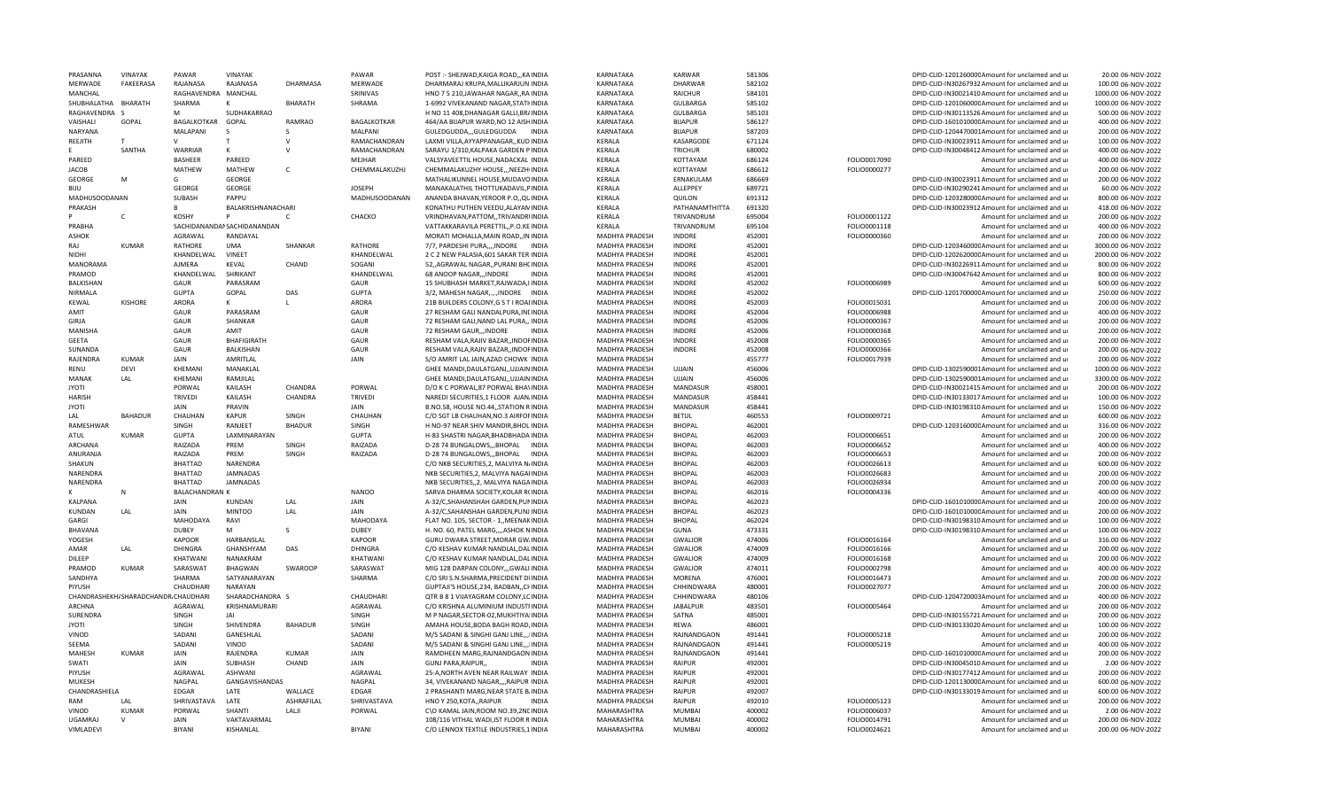| PRASANNA             | <b>VINAYAK</b>                       | PAWAR                 | <b>VINAYAK</b>              |                | PAWAR              | POST :- SHEJWAD, KAIGA ROAD, ,, KAINDIA  | KARNATAKA             | <b>KARWAR</b>   | 581306 |              | DPID-CLID-120126000CAmount for unclaimed and ur  | 20.00 06-NOV-2022   |
|----------------------|--------------------------------------|-----------------------|-----------------------------|----------------|--------------------|------------------------------------------|-----------------------|-----------------|--------|--------------|--------------------------------------------------|---------------------|
| MERWADE              | <b>FAKEERASA</b>                     | RAJANASA              | RAJANASA                    | DHARMASA       | MERWADE            | DHARMARAJ KRUPA, MALLIKARJUN INDIA       | KARNATAKA             | <b>DHARWAR</b>  | 582102 |              | DPID-CLID-IN30267932 Amount for unclaimed and ur | 100.00 06-NOV-2022  |
| MANCHAL              |                                      | RAGHAVENDRA MANCHAL   |                             |                | SRINIVAS           | HNO 7 5 210, JAWAHAR NAGAR, , RA INDIA   | KARNATAKA             | RAICHUR         | 584101 |              | DPID-CLID-IN30021410 Amount for unclaimed and ur | 1000.00 06-NOV-2022 |
| SHUBHALATHA BHARATH  |                                      | SHARMA                | к                           | <b>BHARATH</b> | SHRAMA             | 1-6992 VIVEKANAND NAGAR, STATI INDIA     | KARNATAKA             | <b>GULBARGA</b> | 585102 |              | DPID-CLID-120106000C Amount for unclaimed and ur | 1000.00 06-NOV-2022 |
| RAGHAVENDRA S        |                                      | M                     | SUDHAKARRAO                 |                |                    | H NO 11 408, DHANAGAR GALLI, BR/INDIA    | KARNATAKA             | <b>GULBARGA</b> | 585103 |              | DPID-CLID-IN30113526 Amount for unclaimed and ur | 500.00 06-NOV-2022  |
| VAISHALI             | GOPAL                                | BAGALKOTKAR           | GOPAL                       | RAMRAO         | <b>BAGALKOTKAR</b> | 464/AA BIJAPUR WARD, NO 12 AISHINDIA     | KARNATAKA             | <b>BIJAPUR</b>  | 586127 |              | DPID-CLID-160101000CAmount for unclaimed and ur  | 400.00 06-NOV-2022  |
| NARYANA              |                                      | MALAPANI              | S                           | S              | MALPANI            | GULEDGUDDA,,,GULEDGUDDA<br><b>INDIA</b>  | KARNATAKA             | <b>BIJAPUR</b>  | 587203 |              | DPID-CLID-1204470001Amount for unclaimed and ur  | 200.00 06-NOV-2022  |
| REEJITH              |                                      | $\mathsf{V}$          |                             | $\vee$         | RAMACHANDRAN       | LAXMI VILLA, AYYAPPANAGAR, , KUD INDIA   | KERALA                | KASARGODE       | 671124 |              | DPID-CLID-IN30023911 Amount for unclaimed and ur | 100.00 06-NOV-2022  |
|                      | SANTHA                               | WARRIAR               | К                           | $\mathsf{V}$   | RAMACHANDRAN       | SARAYU 1/310, KALPAKA GARDEN P INDIA     | KERALA                | TRICHUR         | 680002 |              | DPID-CLID-IN30048412 Amount for unclaimed and ur | 400.00 06-NOV-2022  |
| PAREED               |                                      | <b>BASHEER</b>        | PAREED                      |                | MEJHAR             | VALSYAVEETTIL HOUSE, NADACKAL INDIA      | KERALA                | KOTTAYAM        | 686124 | FOLIO0017090 | Amount for unclaimed and ur                      | 400.00 06-NOV-2022  |
| <b>JACOB</b>         |                                      | MATHEW                | MATHEW                      | C              | CHEMMALAKUZHJ      | CHEMMALAKUZHY HOUSE,,,NEEZHIINDIA        | KERALA                | KOTTAYAM        | 686612 | FOLIO0000277 | Amount for unclaimed and ur                      | 200.00 06-NOV-2022  |
| <b>GEORGE</b>        | M                                    | G                     | <b>GEORGE</b>               |                |                    | MATHALIKUNNEL HOUSE.MUDAVOINDIA          | KERALA                | ERNAKULAM       | 686669 |              | DPID-CLID-IN30023911 Amount for unclaimed and ur | 200.00 06-NOV-2022  |
|                      |                                      |                       |                             |                |                    |                                          |                       |                 |        |              |                                                  |                     |
| <b>BUU</b>           |                                      | GEORGE                | GEORGE                      |                | <b>JOSEPH</b>      | MANAKALATHIL THOTTUKADAVIL, PINDIA       | KERALA                | ALLEPPEY        | 689721 |              | DPID-CLID-IN30290241 Amount for unclaimed and ur | 60.00 06-NOV-2022   |
| MADHUSOODANAN        |                                      | SUBASH                | PAPPU                       |                | MADHUSOODANAN      | ANANDA BHAVAN, YEROOR P.O., QUINDIA      | KERALA                | QUILON          | 691312 |              | DPID-CLID-120328000CAmount for unclaimed and ur  | 800.00 06-NOV-2022  |
| PRAKASH              |                                      | B.                    | BALAKRISHNANACHARI          |                |                    | KONATHU PUTHEN VEEDU, ALAYAN INDIA       | KERALA                | PATHANAMTHITTA  | 691320 |              | DPID-CLID-IN30023912 Amount for unclaimed and ur | 418.00 06-NOV-2022  |
|                      | $\mathsf{C}$                         | KOSHY                 | p                           | $\epsilon$     | CHACKO             | VRINDHAVAN, PATTOM, , TRIVANDRIINDIA     | KERALA                | TRIVANDRUM      | 695004 | FOLIO0001122 | Amount for unclaimed and u                       | 200.00 06-NOV-2022  |
| PRABHA               |                                      |                       | SACHIDANANDAI SACHIDANANDAN |                |                    | VATTAKKARAVILA PERETTIL,, P.O.KE INDIA   | KERALA                | TRIVANDRUM      | 695104 | FOLIO0001118 | Amount for unclaimed and ur                      | 400.00 06-NOV-2022  |
| <b>ASHOK</b>         |                                      | AGRAWAL               | RANDAYAL                    |                |                    | MORATI MOHALLA, MAIN ROAD,, IN INDIA     | MADHYA PRADESH        | <b>INDORE</b>   | 452001 | FOLIO0000360 | Amount for unclaimed and ur                      | 200.00 06-NOV-2022  |
| RAI                  | KUMAR                                | <b>RATHORE</b>        | <b>UMA</b>                  | SHANKAR        | RATHORE            | 7/7, PARDESHI PURA,,,,INDORE INDIA       | MADHYA PRADESH        | <b>INDORE</b>   | 452001 |              | DPID-CLID-120346000CAmount for unclaimed and ur  | 3000.00 06-NOV-2022 |
| <b>NIDHI</b>         |                                      | KHANDELWAL            | <b>VINEET</b>               |                | KHANDELWAL         | 2 C 2 NEW PALASIA, 601 SAKAR TERINDIA    | MADHYA PRADESH        | <b>INDORE</b>   | 452001 |              | DPID-CLID-120262000C Amount for unclaimed and ur | 2000.00 06-NOV-2022 |
| MANORAMA             |                                      | AJMERA                | <b>KEVAL</b>                | CHAND          | SOGANI             | 52AGRAWAL NAGARPURANI BHCINDIA           | MADHYA PRADESH        | <b>INDORF</b>   | 452001 |              | DPID-CLID-IN30226911 Amount for unclaimed and ur | 800.00 06-NOV-2022  |
| PRAMOD               |                                      | KHANDELWAL            | <b>SHRIKANT</b>             |                | KHANDELWAL         | 68 ANOOP NAGAR,,,INDORE<br><b>INDIA</b>  | MADHYA PRADESH        | <b>INDORF</b>   | 452001 |              | DPID-CLID-IN30047642 Amount for unclaimed and ur | 800.00 06-NOV-2022  |
| <b>BALKISHAN</b>     |                                      | <b>GAUR</b>           | PARASRAM                    |                | GAUR               | 15 SHUBHASH MARKET.RAJWADA.I INDIA       | <b>MADHYA PRADESH</b> | <b>INDORE</b>   | 452002 | FOLIO0006989 | Amount for unclaimed and u                       | 600.00 06-NOV-2022  |
| <b>NIRMALA</b>       |                                      | <b>GUPTA</b>          | GOPAL                       | DAS            | <b>GUPTA</b>       | 3/2, MAHESH NAGAR,, INDORE INDIA         | MADHYA PRADESH        | <b>INDORF</b>   | 452002 |              | DPID-CLID-120170000CAmount for unclaimed and ur  | 250.00 06-NOV-2022  |
| KEWAL                | <b>KISHORE</b>                       | ARORA                 | к                           | $\mathbf{L}$   | <b>ARORA</b>       | 21B BUILDERS COLONY, G S T I ROAI INDIA  | MADHYA PRADESH        | <b>INDORF</b>   | 452003 | FOLIO0015031 | Amount for unclaimed and ur                      | 200.00 06-NOV-2022  |
| AMIT                 |                                      | GAUR                  | PARASRAM                    |                | GAUR               | 27 RESHAM GALI NANDALPURA, INCINDIA      | MADHYA PRADESH        | <b>INDORE</b>   | 452004 | FOLIO0006988 | Amount for unclaimed and ur                      | 400.00 06-NOV-2022  |
|                      |                                      |                       |                             |                |                    |                                          |                       | <b>INDORE</b>   |        |              |                                                  |                     |
| GIRJA                |                                      | GAUR                  | SHANKAR                     |                | GAUR               | 72 RESHAM GALI, NAND LAL PURA,, INDIA    | MADHYA PRADESH        |                 | 452006 | FOLIO0000367 | Amount for unclaimed and ur                      | 200.00 06-NOV-2022  |
| MANISHA              |                                      | GAUR                  | AMIT                        |                | GAUR               | 72 RESHAM GAUR,,, INDORE<br>INDIA        | MADHYA PRADESH        | <b>INDORE</b>   | 452006 | FOLIO0000368 | Amount for unclaimed and ur                      | 200.00 06-NOV-2022  |
| <b>GEETA</b>         |                                      | GAUR                  | <b>BHAFIGIRATH</b>          |                | GAUR               | RESHAM VALA, RAJIV BAZAR, , INDOFINDIA   | MADHYA PRADESH        | <b>INDORE</b>   | 452008 | FOLIO0000365 | Amount for unclaimed and ur                      | 200.00 06-NOV-2022  |
| SUNANDA              |                                      | GAUR                  | BALKISHAN                   |                | GAUR               | RESHAM VALA, RAJIV BAZAR, , INDOFINDIA   | MADHYA PRADESH        | <b>INDORE</b>   | 452008 | FOLIO0000366 | Amount for unclaimed and ur                      | 200.00 06-NOV-2022  |
| RAJFNDRA             | <b>KUMAR</b>                         | JAIN                  | AMRITLAL                    |                | JAIN               | S/O AMRIT LAL JAIN, AZAD CHOWK INDIA     | MADHYA PRADESH        |                 | 455777 | FOLIO0017939 | Amount for unclaimed and ur                      | 200.00 06-NOV-2022  |
| RENU                 | DEVI                                 | KHEMANI               | MANAKLAL                    |                |                    | GHEE MANDI, DAULATGANJ,, UJJAIN INDIA    | MADHYA PRADESH        | UJJAIN          | 456006 |              | DPID-CLID-1302590001Amount for unclaimed and ur  | 1000.00 06-NOV-2022 |
| MANAK                | LAL                                  | KHEMANI               | RAMJILAL                    |                |                    | GHEE MANDI, DAULATGANJ,, UJJAIN INDIA    | MADHYA PRADESH        | UJJAIN          | 456006 |              | DPID-CLID-1302590001Amount for unclaimed and ur  | 3300.00 06-NOV-2022 |
| <b>ITOYL</b>         |                                      | PORWAL                | KAILASH                     | CHANDRA        | PORWAL             | D/O K C PORWAL 87 PORWAL BHAVINDIA       | MADHYA PRADESH        | <b>MANDASUR</b> | 458001 |              | DPID-CLID-IN30021415 Amount for unclaimed and ur | 200.00 06-NOV-2022  |
| <b>HARISH</b>        |                                      | <b>TRIVEDI</b>        | KAILASH                     | CHANDRA        | TRIVEDI            | NAREDI SECURITIES,1 FLOOR AJAN INDIA     | MADHYA PRADESH        | MANDASUR        | 458441 |              | DPID-CLID-IN30133017 Amount for unclaimed and ur | 100.00 06-NOV-2022  |
| <b>JYOTI</b>         |                                      | <b>JAIN</b>           | PRAVIN                      |                | JAIN               | B.NO.58, HOUSE NO.44,, STATION RINDIA    | MADHYA PRADESH        | MANDASUR        | 458441 |              | DPID-CLID-IN30198310 Amount for unclaimed and ur | 150.00 06-NOV-2022  |
| $\overline{A}$       | <b>BAHADUR</b>                       | CHAUHAN               | <b>KAPUR</b>                | SINGH          | CHAUHAN            | C/O SGT LB CHAUHAN, NO.3 AIRFOFINDIA     | MADHYA PRADESH        | <b>BETUL</b>    | 460553 | FOLIO0009721 | Amount for unclaimed and ur                      | 600.00 06-NOV-2022  |
| <b>RAMESHWAR</b>     |                                      | SINGH                 | RANJEET                     | <b>BHADUR</b>  | SINGH              | H NO-97 NEAR SHIV MANDIR, BHOL INDIA     | MADHYA PRADESH        | <b>BHOPAL</b>   | 462001 |              | DPID-CLID-120316000CAmount for unclaimed and ur  | 316.00 06-NOV-2022  |
| ATUL                 | <b>KUMAR</b>                         | <b>GUPTA</b>          | LAXMINARAYAN                |                | <b>GUPTA</b>       | H-83 SHASTRI NAGAR, BHADBHADA INDIA      | MADHYA PRADESH        | <b>BHOPAL</b>   | 462003 | FOLIO0006651 | Amount for unclaimed and ur                      | 200.00 06-NOV-2022  |
| ARCHANA              |                                      | RAIZADA               | PREM                        | SINGH          | RAIZADA            | D-28 74 BUNGALOWS,,, BHOPAL INDIA        | MADHYA PRADESH        | <b>BHOPAL</b>   | 462003 | FOLIO0006652 | Amount for unclaimed and u                       | 400.00 06-NOV-2022  |
|                      |                                      |                       |                             |                |                    |                                          |                       |                 |        |              |                                                  |                     |
| ANURANJA             |                                      | RAIZADA               | PREM                        | SINGH          | RAIZADA            | D-28 74 BUNGALOWS,,,BHOPAL INDIA         | MADHYA PRADESH        | <b>BHOPAL</b>   | 462003 | FOLIO0006653 | Amount for unclaimed and ur                      | 200.00 06-NOV-2022  |
| SHAKUN               |                                      | <b>BHATTAD</b>        | <b>NARFNDRA</b>             |                |                    | C/O NKB SECURITIES, 2, MALVIYA N/INDIA   | MADHYA PRADESH        | <b>BHOPAL</b>   | 462003 | FOLIO0026613 | Amount for unclaimed and ur                      | 600.00 06-NOV-2022  |
| NARENDRA             |                                      | <b>BHATTAD</b>        | <b>JAMNADAS</b>             |                |                    | NKB SECURITIES, 2, MALVIYA NAGAHNDIA     | MADHYA PRADESH        | <b>BHOPAL</b>   | 462003 | FOLIO0026683 | Amount for unclaimed and ur                      | 200.00 06-NOV-2022  |
| NARFNDRA             |                                      | <b>BHATTAD</b>        | <b>JAMNADAS</b>             |                |                    | NKB SECURITIES, 2, MALVIYA NAGAINDIA     | MADHYA PRADESH        | <b>BHOPAL</b>   | 462003 | FOLIO0026934 | Amount for unclaimed and ur                      | 200.00 06-NOV-2022  |
|                      | N                                    | <b>BALACHANDRAN K</b> |                             |                | <b>NANOO</b>       | SARVA DHARMA SOCIETY.KOLAR R(INDIA       | MADHYA PRADESH        | <b>BHOPAL</b>   | 462016 | FOLIO0004336 | Amount for unclaimed and u                       | 400.00 06-NOV-2022  |
| KALPANA              |                                      | JAIN                  | <b>KUNDAN</b>               | LAL            | JAIN               | A-32/C, SHAHANSHAH GARDEN, PUNINDIA      | MADHYA PRADESH        | <b>BHOPAL</b>   | 462023 |              | DPID-CLID-160101000C Amount for unclaimed and ur | 200.00 06-NOV-2022  |
| KUNDAN               | LAL                                  | JAIN                  | <b>MINTOO</b>               | LAL            | JAIN               | A-32/C, SAHANSHAH GARDEN, PUNJ. INDIA    | MADHYA PRADESH        | <b>BHOPAL</b>   | 462023 |              | DPID-CLID-160101000C Amount for unclaimed and ur | 200.00 06-NOV-2022  |
| GARGI                |                                      | MAHODAYA              | RAVI                        |                | MAHODAYA           | FLAT NO. 105, SECTOR - 1, MEENAKINDIA    | MADHYA PRADESH        | <b>BHOPAL</b>   | 462024 |              | DPID-CLID-IN30198310 Amount for unclaimed and ur | 100.00 06-NOV-2022  |
| <b>BHAVANA</b>       |                                      | <b>DUBEY</b>          | M                           | <sub>S</sub>   | <b>DUBEY</b>       | H. NO. 60, PATEL MARG,,,,ASHOK NINDIA    | MADHYA PRADESH        | GUNA            | 473331 |              | DPID-CLID-IN30198310 Amount for unclaimed and ur | 100.00 06-NOV-2022  |
| YOGESH               |                                      | <b>KAPOOR</b>         | HARBANSLAL                  |                | <b>KAPOOR</b>      | GURU DWARA STREET, MORAR GW. INDIA       | MADHYA PRADESH        | <b>GWALIOR</b>  | 474006 | FOLIO0016164 | Amount for unclaimed and ur                      | 316.00 06-NOV-2022  |
| AMAR                 | LAL                                  | <b>DHINGRA</b>        | GHANSHYAM                   | DAS            | <b>DHINGRA</b>     | C/O KESHAV KUMAR NANDLAL, DALINDIA       | MADHYA PRADESH        | <b>GWALIOR</b>  | 474009 | FOLIO0016166 | Amount for unclaimed and ur                      | 200.00 06-NOV-2022  |
| <b>DILFFP</b>        |                                      | KHATWANI              | NANAKRAM                    |                | KHATWANI           | C/O KESHAV KUMAR NANDLAL.DALINDIA        | MADHYA PRADESH        | GWALIOR         | 474009 | FOLIO0016168 | Amount for unclaimed and ur                      | 200.00 06-NOV-2022  |
| PRAMOD               | KUMAR                                | SARASWAT              | BHAGWAN                     | <b>SWAROOP</b> | SARASWAT           | MIG 128 DARPAN COLONY,,, GWALI INDIA     | MADHYA PRADESH        | <b>GWALIOR</b>  | 474011 | FOLIO0002798 | Amount for unclaimed and ur                      | 400.00 06-NOV-2022  |
| SANDHYA              |                                      | SHARMA                | SATYANARAYAN                |                | SHARMA             | C/O SRI S.N.SHARMA, PRECIDENT DIINDIA    | MADHYA PRADESH        | MORENA          | 476001 | FOLIO0016473 | Amount for unclaimed and ur                      | 200.00 06-NOV-2022  |
| PIYUSH               |                                      | CHAUDHARI             | NARAYAN                     |                |                    | GUPTAJI'S HOUSE, 234, BADBAN, , CHINDIA  | MADHYA PRADESH        | CHHINDWARA      | 480001 | FOLIO0027077 | Amount for unclaimed and ur                      | 200.00 06-NOV-2022  |
|                      | CHANDRASHEKH/SHARADCHANDR, CHAUDHARI |                       | SHARADCHANDRA S             |                | CHAUDHARI          | OTR B 8 1 VIJAYAGRAM COLONY.LCINDIA      | MADHYA PRADESH        | CHHINDWARA      | 480106 |              | DPID-CLID-1204720003Amount for unclaimed and ur  | 400.00 06-NOV-2022  |
| <b>ARCHNA</b>        |                                      |                       |                             |                |                    |                                          |                       |                 |        |              |                                                  |                     |
|                      |                                      | AGRAWAL               | KRISHNAMURARI               |                | AGRAWAL            | C/O KRISHNA ALUMINIUM INDUSTFINDIA       | MADHYA PRADESH        | <b>JABALPUR</b> | 483501 | FOLIO0005464 | Amount for unclaimed and ur                      | 200.00 06-NOV-2022  |
| SURENDRA             |                                      | SINGH                 | JAI                         |                | SINGH              | M P NAGAR, SECTOR-02, MUKHTIYAIINDIA     | <b>MADHYA PRADESH</b> | SATNA           | 485001 |              | DPID-CLID-IN30155721 Amount for unclaimed and ur | 200.00 06-NOV-2022  |
| <b>JYOTI</b>         |                                      | SINGH                 | SHIVENDRA                   | <b>BAHADUR</b> | SINGH              | AMAHA HOUSE, BODA BAGH ROAD, INDIA       | MADHYA PRADESH        | <b>RFWA</b>     | 486001 |              | DPID-CLID-IN30133020 Amount for unclaimed and ur | 100.00 06-NOV-2022  |
| VINOD                |                                      | SADANI                | GANESHLAL                   |                | SADANI             | M/S SADANI & SINGHI GANJ LINE,,,IINDIA   | MADHYA PRADESH        | RAJNANDGAON     | 491441 | FOLIO0005218 | Amount for unclaimed and ur                      | 200.00 06-NOV-2022  |
| SEEMA                |                                      | SADANI                | <b>VINOD</b>                |                | SADANI             | M/S SADANI & SINGHI GANJ LINE,,,IINDIA   | MADHYA PRADESH        | RAJNANDGAON     | 491441 | FOLIO0005219 | Amount for unclaimed and ur                      | 400.00 06-NOV-2022  |
| MAHESH               | KUMAR                                | JAIN                  | RAJENDRA                    | KUMAR          | JAIN               | RAMDHEEN MARG, RAJNANDGAON INDIA         | MADHYA PRADESH        | RAJNANDGAON     | 491441 |              | DPID-CLID-160101000C Amount for unclaimed and ur | 200.00 06-NOV-2022  |
| SWATI                |                                      | JAIN                  | SUBHASH                     | CHAND          | JAIN               | GUNJ PARA RAIPUR.<br><b>INDIA</b>        | MADHYA PRADESH        | RAIPUR          | 492001 |              | DPID-CLID-IN30045010 Amount for unclaimed and ur | 2.00 06-NOV-2022    |
| PIYUSH               |                                      | AGRAWAL               | <b>ASHWANI</b>              |                | AGRAWAI            | 25-A, NORTH AVEN NEAR RAILWAY INDIA      | MADHYA PRADESH        | RAIPUR          | 492001 |              | DPID-CLID-IN30177412 Amount for unclaimed and ur | 200.00 06-NOV-2022  |
| MUKESH               |                                      | <b>NAGPAL</b>         | GANGAVISHANDAS              |                | <b>NAGPAL</b>      | 34, VIVEKANAND NAGAR, ,,RAIPUR INDIA     | MADHYA PRADESH        | RAIPUR          | 492001 |              | DPID-CLID-120113000CAmount for unclaimed and ur  | 600.00 06-NOV-2022  |
| <b>CHANDRASHIFLA</b> |                                      | EDGAR                 | LATF                        | WALLACF        | EDGAR              | 2 PRASHANTI MARG, NEAR STATE BJINDIA     | MADHYA PRADESH        | RAIPUR          | 492007 |              | DPID-CLID-IN30133019 Amount for unclaimed and ur | 600.00 06-NOV-2022  |
| RAM                  | LAL                                  | SHRIVASTAVA           | LATE                        | ASHRAFILAL     | SHRIVASTAVA        | HNO Y 250, KOTA,, RAIPUR<br><b>INDIA</b> | MADHYA PRADESH        | <b>RAIPLIR</b>  | 492010 | FOLIO0005123 | Amount for unclaimed and u                       | 200.00 06-NOV-2022  |
| VINOD                | KUMAR                                | PORWAL                | <b>SHANTI</b>               | LALI           | PORWAL             | C\O KAMAL JAIN, ROOM NO.39, 2NEINDIA     | MAHARASHTRA           | MUMBAI          | 400002 | FOLIO0006037 | Amount for unclaimed and ur                      | 2.00 06-NOV-2022    |
| UGAMRAJ              | $\mathsf{V}$                         | <b>JAIN</b>           | VAKTAVARMAL                 |                |                    | 108/116 VITHAL WADI, IST FLOOR R INDIA   | MAHARASHTRA           | <b>MUMBAI</b>   | 400002 | FOLIO0014791 | Amount for unclaimed and ur                      | 200.00 06-NOV-2022  |
| VIMLADEVI            |                                      | <b>BIYANI</b>         | KISHANLAL                   |                | BIYANI             | C/O LENNOX TEXTILE INDUSTRIES, 1 INDIA   | MAHARASHTRA           | <b>MUMBAI</b>   | 400002 | FOLIO0024621 | Amount for unclaimed and ur                      | 200.00 06-NOV-2022  |
|                      |                                      |                       |                             |                |                    |                                          |                       |                 |        |              |                                                  |                     |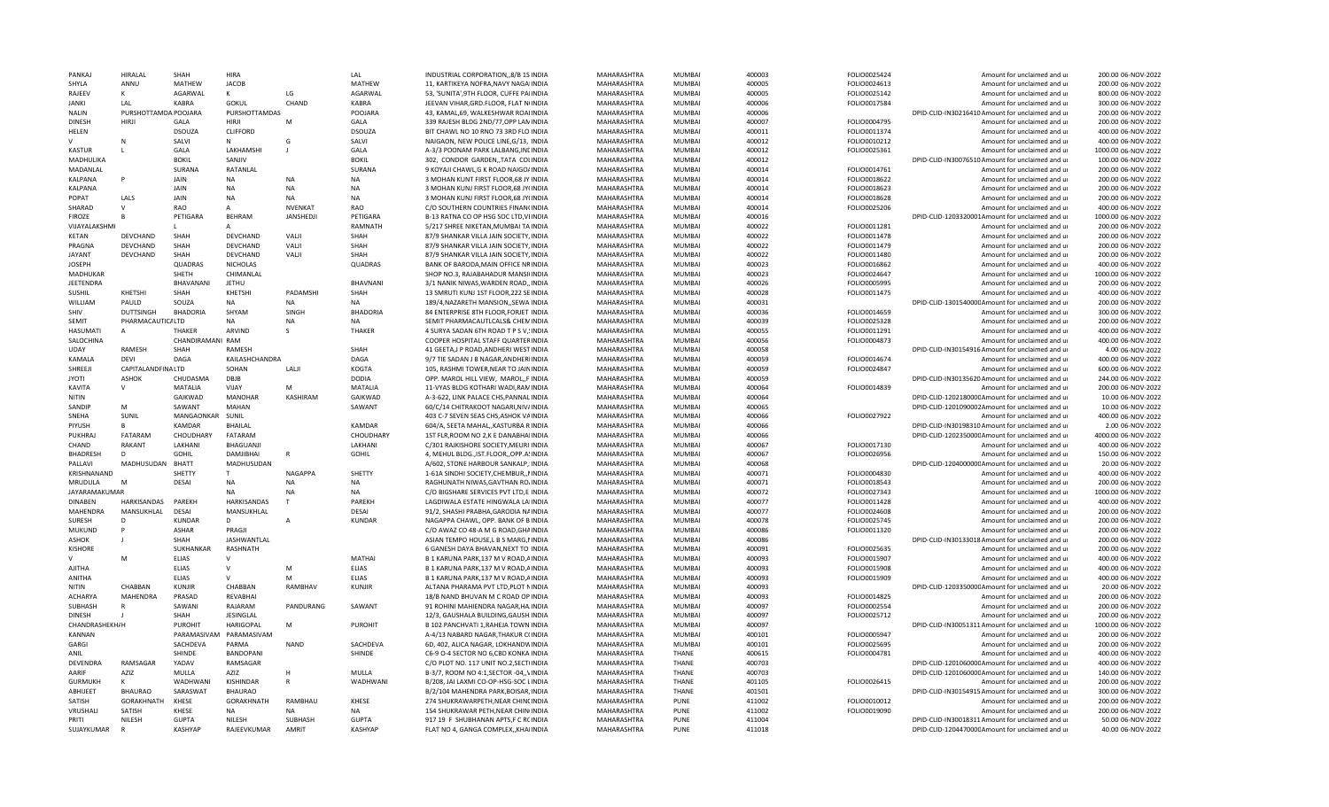| PANKA                 | <b>HIRALAL</b>       | SHAH             | <b>HIRA</b>           |                 | LAL             | INDUSTRIAL CORPORATION, 8/B 1S INDIA                                       | MAHARASHTRA                | MUMBAI        | 400003           | FOLIO0025424 | Amount for unclaimed and ur                                                                         | 200.00 06-NOV-2022                     |
|-----------------------|----------------------|------------------|-----------------------|-----------------|-----------------|----------------------------------------------------------------------------|----------------------------|---------------|------------------|--------------|-----------------------------------------------------------------------------------------------------|----------------------------------------|
| SHYLA                 | ANNU                 | MATHEW           | <b>JACOB</b>          |                 | MATHEW          | 11, KARTIKEYA NOFRA, NAVY NAGAIINDIA                                       | MAHARASHTRA                | <b>MUMBAI</b> | 400005           | FOLIO0024613 | Amount for unclaimed and ur                                                                         | 200.00 06-NOV-2022                     |
| RAJEEV                | K                    | AGARWAL          | K                     | LG              | AGARWAL         | 53, 'SUNITA', 9TH FLOOR, CUFFE PAIINDIA                                    | MAHARASHTRA                | <b>MUMBAI</b> | 400005           | FOLIO0025142 | Amount for unclaimed and ur                                                                         | 800.00 06-NOV-2022                     |
| <b>JANKI</b>          | LAL                  | KABRA            | <b>GOKUL</b>          | CHAND           | KABRA           | JEEVAN VIHAR, GRD. FLOOR, FLAT N(INDIA                                     | MAHARASHTRA                | <b>MUMBAI</b> | 400006           | FOLIO0017584 | Amount for unclaimed and ur                                                                         | 300.00 06-NOV-2022                     |
| <b>NALIN</b>          | PURSHOTTAMDA POOJARA |                  | PURSHOTTAMDAS         |                 | POOJARA         | 43, KAMAL, 69, WALKESHWAR ROAIINDIA                                        | MAHARASHTRA                | <b>MUMBAI</b> | 400006           |              | DPID-CLID-IN30216410 Amount for unclaimed and ur                                                    | 200.00 06-NOV-2022                     |
| <b>DINESH</b>         | <b>HIRJI</b>         | GALA             | <b>HIRII</b>          | M               | GALA            | 339 RAJESH BLDG 2ND/77,OPP LANINDIA                                        | MAHARASHTRA                | <b>MUMBAI</b> | 400007           | FOLIO0004795 | Amount for unclaimed and ur                                                                         | 200.00 06-NOV-2022                     |
| HELEN                 |                      | <b>DSOUZA</b>    | CLIFFORD              |                 | <b>DSOUZA</b>   | BIT CHAWL NO 10 RNO 73 3RD FLO INDIA                                       | MAHARASHTRA                | <b>MUMBAI</b> | 400011           | FOLIO0011374 | Amount for unclaimed and ur                                                                         | 400.00 06-NOV-2022                     |
|                       | N                    | SALVI            | N                     | G               | SALVI           | NAIGAON, NEW POLICE LINE, G/13, INDIA                                      | MAHARASHTRA                | <b>MUMBAI</b> | 400012           | FOLIO0010212 | Amount for unclaimed and ur                                                                         | 400.00 06-NOV-2022                     |
| <b>KASTUR</b>         | L                    | GALA             | LAKHAMSHI             | $\blacksquare$  | GALA            | A-3/3 POONAM PARK LALBANG, INCINDIA                                        | MAHARASHTRA                | <b>MUMBAI</b> | 400012           | FOLIO0025361 | Amount for unclaimed and ur                                                                         | 1000.00 06-NOV-2022                    |
| MADHULIKA             |                      | <b>BOKIL</b>     | SANJIV                |                 | <b>BOKIL</b>    | 302, CONDOR GARDEN, TATA COLINDIA                                          | MAHARASHTRA                | <b>MUMBAI</b> | 400012           |              | DPID-CLID-IN30076510 Amount for unclaimed and ur                                                    | 100.00 06-NOV-2022                     |
| MADANLAL              |                      | SURANA           | RATANLAL              |                 | SURANA          | 9 KOYAJI CHAWL, G K ROAD NAIGO/INDIA                                       | MAHARASHTRA                | <b>MUMBAI</b> | 400014           | FOLIO0014761 | Amount for unclaimed and ur                                                                         | 200.00 06-NOV-2022                     |
| KALPANA               | P                    | <b>JAIN</b>      | NA                    | <b>NA</b>       | <b>NA</b>       | 3 MOHAN KUNT FIRST FLOOR, 68 JY INDIA                                      | MAHARASHTRA                | MUMBAI        | 400014           | FOLIO0018622 | Amount for unclaimed and ur                                                                         | 200.00 06-NOV-2022                     |
| KALPANA               |                      | <b>JAIN</b>      | <b>NA</b>             | <b>NA</b>       | <b>NA</b>       | 3 MOHAN KUNJ FIRST FLOOR, 68 JY(INDIA                                      | MAHARASHTRA                | <b>MUMBAI</b> | 400014           | FOLIO0018623 | Amount for unclaimed and ur                                                                         | 200.00 06-NOV-2022                     |
| POPAT                 | LALS                 | JAIN             | <b>NA</b>             | <b>NA</b>       | <b>NA</b>       | 3 MOHAN KUNJ FIRST FLOOR, 68 JY(INDIA                                      | MAHARASHTRA                | MUMBAI        | 400014           | FOLIO0018628 | Amount for unclaimed and ur                                                                         | 200.00 06-NOV-2022                     |
| SHARAD                | $\mathsf{V}$         | <b>RAO</b>       | $\overline{A}$        | <b>NVENKAT</b>  | <b>RAO</b>      | C/O SOUTHERN COUNTRIES FINANCINDIA                                         | MAHARASHTRA                | <b>MUMBAI</b> | 400014           | FOLIO0025206 | Amount for unclaimed and ur                                                                         | 400.00 06-NOV-2022                     |
| <b>FIROZE</b>         |                      | PETIGARA         | <b>BEHRAM</b>         | <b>JANSHEDJ</b> | PETIGARA        | B-13 RATNA CO OP HSG SOC LTD, VIINDIA                                      | MAHARASHTRA                | <b>MUMBAI</b> | 400016           |              | DPID-CLID-1203320001Amount for unclaimed and ur                                                     | 1000.00 06-NOV-2022                    |
| VIJAYALAKSHM          |                      | L.               | A                     |                 | RAMNATH         | 5/217 SHREE NIKETAN, MUMBAI TA INDIA                                       | MAHARASHTRA                | <b>MUMBAI</b> | 400022           | FOLIO0011281 | Amount for unclaimed and ur                                                                         | 200.00 06-NOV-2022                     |
| KETAN                 | DEVCHAND             | SHAH             | DEVCHAND              | VALJI           | SHAH            | 87/9 SHANKAR VILLA JAIN SOCIETY, INDIA                                     | MAHARASHTRA                | <b>MUMBAI</b> | 400022           | FOLIO0011478 | Amount for unclaimed and ur                                                                         | 200.00 06-NOV-2022                     |
| PRAGNA                | DEVCHAND             | SHAH             | DEVCHAND              | VALII           | SHAH            | 87/9 SHANKAR VILLA JAIN SOCIETY. INDIA                                     | MAHARASHTRA                | MUMBAI        | 400022           | FOLIO0011479 | Amount for unclaimed and ur                                                                         | 200.00 06-NOV-2022                     |
| <b>JAYANT</b>         | <b>DEVCHAND</b>      | SHAH             | <b>DEVCHAND</b>       | VALJI           | SHAH            | 87/9 SHANKAR VILLA JAIN SOCIETY, INDIA                                     | MAHARASHTRA                | <b>MUMBAI</b> | 400022           | FOLIO0011480 | Amount for unclaimed and ur                                                                         | 200.00 06-NOV-2022                     |
| <b>JOSEPH</b>         |                      | <b>QUADRAS</b>   | <b>NICHOLAS</b>       |                 | <b>QUADRAS</b>  | BANK OF BARODA, MAIN OFFICE NRINDIA                                        | MAHARASHTRA                | <b>MUMBAI</b> | 400023           | FOLIO0016862 | Amount for unclaimed and ur                                                                         | 400.00 06-NOV-2022                     |
| MADHUKAR              |                      | SHETH            | CHIMANLAL             |                 |                 | SHOP NO.3, RAJABAHADUR MANSI(INDIA                                         | MAHARASHTRA                | <b>MUMBAI</b> | 400023           | FOLIO0024647 | Amount for unclaimed and ur                                                                         | 1000.00 06-NOV-2022                    |
| JEETENDRA             |                      | BHAVANANI        | <b>JETHU</b>          |                 | BHAVNANI        | 3/1 NANIK NIWAS, WARDEN ROAD,, INDIA                                       | MAHARASHTRA                | <b>MUMBAI</b> | 400026           | FOLIO0005995 | Amount for unclaimed and ur                                                                         | 200.00 06-NOV-2022                     |
| SUSHIL                | KHETSHI              | SHAH             | KHETSHI               | PADAMSHI        | SHAH            | 13 SMRUTI KUNJ 1ST FLOOR, 222 SEINDIA                                      | MAHARASHTRA                | <b>MUMBAI</b> | 400028           | FOLIO0011475 | Amount for unclaimed and ur                                                                         | 400.00 06-NOV-2022                     |
| WILLIAM               | PAULD                | SOUZA            | <b>NA</b>             | <b>NA</b>       | <b>NA</b>       | 189/4, NAZARETH MANSION, SEWA INDIA                                        | MAHARASHTRA                | <b>MUMBAI</b> | 400031           |              | DPID-CLID-130154000C Amount for unclaimed and ur                                                    | 200.00 06-NOV-2022                     |
| SHIV                  | <b>DUTTSINGH</b>     | <b>BHADORIA</b>  | SHYAM                 | SINGH           | <b>BHADORIA</b> | 84 ENTERPRISE 8TH FLOOR, FORJET INDIA                                      | MAHARASHTRA                | <b>MUMBAI</b> | 400036           | FOLIO0014659 | Amount for unclaimed and u                                                                          | 300.00 06-NOV-2022                     |
| SEMIT                 | PHARMACAUTIC/LTD     |                  | <b>NA</b>             | NA              | <b>NA</b>       | SEMIT PHARMACAUTLCALS& CHEMINDIA                                           | MAHARASHTRA                | MUMBAI        | 400039           | FOLIO0025328 | Amount for unclaimed and ur                                                                         | 200.00 06-NOV-2022                     |
| <b>HASUMATI</b>       | A                    | <b>THAKFR</b>    | ARVIND                | S               | THAKER          | 4 SURYA SADAN 6TH ROAD T P S V, INDIA                                      | MAHARASHTRA                | <b>MUMBAI</b> | 400055           | FOLIO0011291 | Amount for unclaimed and ur                                                                         | 400.00 06-NOV-2022                     |
| SALOCHINA             |                      | CHANDIRAMANI RAM |                       |                 |                 | COOPER HOSPITAL STAFF QUARTERINDIA                                         | MAHARASHTRA                | <b>MUMBAI</b> | 400056           | FOLIO0004873 | Amount for unclaimed and u                                                                          | 400.00 06-NOV-2022                     |
| <b>IIDAY</b>          | <b>RAMESH</b>        | SHAH             | RAMESH                |                 | SHAH            | 41 GEETA, J P ROAD, ANDHERI WEST INDIA                                     | MAHARASHTRA                | <b>MUMBAI</b> | 400058           |              | DPID-CLID-IN30154916 Amount for unclaimed and ur                                                    | 4.00 06-NOV-2022                       |
| KAMALA                | <b>DEVI</b>          | DAGA             | KAILASHCHANDRA        |                 | DAGA            | 9/7 TIE SADAN J B NAGAR, ANDHERIINDIA                                      | MAHARASHTRA                | <b>MUMBAI</b> | 400059           | FOLIO0014674 | Amount for unclaimed and ur                                                                         | 400.00 06-NOV-2022                     |
| SHREEJI               | CAPITALANDFINALTD    |                  | SOHAN                 | LALJI           | KOGTA           | 105, RASHMI TOWER, NEAR TO JAININDIA                                       | MAHARASHTRA                | <b>MUMBAI</b> | 400059           | FOLIO0024847 | Amount for unclaimed and ur                                                                         | 600.00 06-NOV-2022                     |
| <b>ITOYL</b>          | ASHOK                | CHUDASMA         | DBIB                  |                 | <b>DODIA</b>    | OPP. MAROL HILL VIEW, MAROL, FINDIA                                        | MAHARASHTRA                | <b>MUMBAI</b> | 400059           |              | DPID-CLID-IN30135620 Amount for unclaimed and ur                                                    | 244.00 06-NOV-2022                     |
| KAVITA                | V                    | MATALIA          | VIJAY                 | м               | <b>MATALIA</b>  | 11-VYAS BLDG KOTHARI WADI.RAMINDIA                                         | MAHARASHTRA                | <b>MUMBAI</b> | 400064           | FOLIO0014839 | Amount for unclaimed and ur                                                                         | 200.00 06-NOV-2022                     |
| NITIN                 |                      | GAIKWAD          | <b>MANOHAR</b>        | KASHIRAM        | GAIKWAD         | A-3-622, LINK PALACE CHS, PANNAL INDIA                                     | MAHARASHTRA                | <b>MUMBAI</b> | 400064           |              | DPID-CLID-120218000CAmount for unclaimed and ur                                                     | 10.00 06-NOV-2022                      |
| SANDIF                | M                    | SAWANT           | MAHAN                 |                 | SAWANT          | 60/C/14 CHITRAKOOT NAGARI, NIV/INDIA                                       | MAHARASHTRA                | <b>MUMBAI</b> | 400065           |              | DPID-CLID-1201090002Amount for unclaimed and ur                                                     | 10.00 06-NOV-2022                      |
| <b>SNFHA</b>          | <b>SUNIL</b>         | MANGAONKAR       | <b>SUNIL</b>          |                 |                 | 403 C-7 SEVEN SEAS CHS, ASHOK VAINDIA                                      | MAHARASHTRA                | <b>MUMBAI</b> | 400066           | FOLIO0027922 | Amount for unclaimed and ur                                                                         | 400.00 06-NOV-2022                     |
| PIYUSH                | R                    | KAMDAR           | <b>BHAILAL</b>        |                 | KAMDAR          | 604/A, SEETA MAHAL, KASTURBA RINDIA                                        | MAHARASHTRA                | <b>MUMBAI</b> | 400066           |              | DPID-CLID-IN30198310 Amount for unclaimed and ur                                                    | 2.00 06-NOV-2022                       |
| PUKHRA                | FATARAM              | CHOUDHARY        | FATARAM               |                 | CHOUDHARY       | 1ST FLR, ROOM NO 2, K E DANABHAIINDIA                                      | MAHARASHTRA                | MUMBAI        | 400066           |              | DPID-CLID-120235000CAmount for unclaimed and ur                                                     | 4000.00 06-NOV-2022                    |
| CHAND                 | <b>RAKANT</b>        | LAKHANI          | BHAGUANJI             |                 | LAKHANI         | C/301 RAJKISHORE SOCIETY.MEURIIINDIA                                       | MAHARASHTRA                | <b>MUMBAI</b> | 400067           | FOLIO0017130 | Amount for unclaimed and ur                                                                         | 400.00 06-NOV-2022                     |
| <b>BHADRESH</b>       | D.                   | <b>GOHIL</b>     | DAMJIBHAI             | ${\sf R}$       | GOHIL           | 4, MEHUL BLDG., IST.FLOOR,, OPP.A. INDIA                                   | MAHARASHTRA                | <b>MUMBAI</b> | 400067           | FOLIO0026956 | Amount for unclaimed and ur                                                                         | 150.00 06-NOV-2022                     |
| PALLAVI               | MADHUSUDAN           | <b>BHATT</b>     | MADHUSUDAN            |                 |                 | A/602, STONE HARBOUR SANKALP, INDIA                                        | MAHARASHTRA                | <b>MUMBAI</b> | 400068           |              | DPID-CLID-120400000CAmount for unclaimed and ur                                                     | 20.00 06-NOV-2022                      |
| KRISHNANAND           |                      | SHETTY           | $\mathsf{T}$          | NAGAPPA         | SHETTY          | 1-61A SINDHI SOCIETY, CHEMBUR, , NINDIA                                    | MAHARASHTRA                | <b>MUMBAI</b> | 400071           | FOLIO0004830 | Amount for unclaimed and ur                                                                         | 400.00 06-NOV-2022                     |
| MRUDULA               | M                    | DESAI            | NA                    | <b>NA</b>       | <b>NA</b>       | RAGHUNATH NIWAS, GAVTHAN RO/INDIA                                          | MAHARASHTRA                | <b>MUMBAI</b> | 400071           | FOLIO0018543 | Amount for unclaimed and ur                                                                         | 200.00 06-NOV-2022                     |
| JAYARAMAKUMAR         |                      |                  | <b>NA</b>             | <b>NA</b>       | <b>NA</b>       | C/O BIGSHARE SERVICES PVT LTD,E INDIA                                      | MAHARASHTRA                | <b>MUMBAI</b> | 400072           | FOLIO0027343 | Amount for unclaimed and ur                                                                         | 1000.00 06-NOV-2022                    |
| <b>DINABEN</b>        | HARKISANDAS          | PAREKH           | HARKISANDAS           | T               | PAREKH          | LAGDIWALA ESTATE HINGWALA LAIINDIA                                         | MAHARASHTRA                | <b>MUMBAI</b> | 400077           | FOLIO0011428 | Amount for unclaimed and ur                                                                         | 400.00 06-NOV-2022                     |
| <b>MAHENDRA</b>       | MANSUKHLAL           | <b>DESAI</b>     | MANSUKHLAL            |                 | DESAI           | 91/2. SHASHI PRABHA.GARODIA NAINDIA                                        | MAHARASHTRA                | <b>MUMBAI</b> | 400077           | FOLIO0024608 | Amount for unclaimed and u                                                                          | 200.00 06-NOV-2022                     |
| <b>SURFSH</b>         | D                    | KUNDAR           | D                     | A               | <b>KUNDAR</b>   | NAGAPPA CHAWL, OPP. BANK OF BINDIA                                         | MAHARASHTRA                | MUMBAI        | 400078           | FOLIO0025745 | Amount for unclaimed and ur                                                                         | 200.00 06-NOV-2022                     |
| MUKUND                | P                    | <b>ASHAR</b>     | PRAGIL                |                 |                 | C/O AWAZ CO 48-A M G ROAD, GHAINDIA                                        | MAHARASHTRA                | <b>MUMBAI</b> | 400086           | FOLIO0011320 | Amount for unclaimed and ur                                                                         | 200.00 06-NOV-2022                     |
| <b>ASHOK</b>          |                      | <b>SHAH</b>      | <b>JASHWANTLAL</b>    |                 |                 | ASIAN TEMPO HOUSE,L B S MARG, INDIA                                        | MAHARASHTRA                | MUMBAI        | 400086           |              | DPID-CLID-IN30133018 Amount for unclaimed and ur                                                    | 200.00 06-NOV-2022                     |
| <b>KISHORE</b>        |                      | <b>SUKHANKAR</b> | <b>RASHNATH</b>       |                 |                 | 6 GANESH DAYA BHAVAN, NEXT TO INDIA                                        | MAHARASHTRA                | <b>MUMBAI</b> | 400091           | FOLIO0025635 | Amount for unclaimed and ur                                                                         | 200.00 06-NOV-2022                     |
|                       | M                    | <b>FLIAS</b>     | $\vee$                |                 | <b>MATHAI</b>   | B 1 KARUNA PARK, 137 M V ROAD, AINDIA                                      | MAHARASHTRA                | <b>MUMBAI</b> | 400093           | FOLIO0015907 | Amount for unclaimed and ur                                                                         | 400.00 06-NOV-2022                     |
| <b>AJITHA</b>         |                      | <b>ELIAS</b>     | $\vee$                | M               | ELIAS           | B 1 KARUNA PARK, 137 M V ROAD, AINDIA                                      | MAHARASHTRA                | <b>MUMBAI</b> | 400093           | FOLIO0015908 | Amount for unclaimed and ur                                                                         | 400.00 06-NOV-2022                     |
| ANITHA                |                      | <b>ELIAS</b>     | $\vee$                | M               | <b>ELIAS</b>    | B 1 KARUNA PARK, 137 M V ROAD, AINDIA                                      | MAHARASHTRA                | <b>MUMBAI</b> | 400093           | FOLIO0015909 | Amount for unclaimed and ur                                                                         | 400.00 06-NOV-2022                     |
| <b>NITIN</b>          | CHABBAN              | KUNJIR           | CHABBAN               | RAMBHAV         | <b>KUNJIR</b>   | ALTANA PHARAMA PVT LTD, PLOT NINDIA                                        | MAHARASHTRA                | <b>MUMBAI</b> | 400093           |              | DPID-CLID-120335000CAmount for unclaimed and ur                                                     | 20.00 06-NOV-2022                      |
| <b>ACHARYA</b>        | MAHENDRA             | PRASAD           | <b>REVABHAI</b>       |                 |                 | 18/B NAND BHUVAN M C ROAD OP INDIA                                         | MAHARASHTRA                | <b>MUMBAI</b> | 400093           | FOLIO0014825 | Amount for unclaimed and ur                                                                         | 200.00 06-NOV-2022                     |
| SUBHASH               | $\mathsf{R}$         | SAWANI           | RAJARAM               | PANDURANG       | SAWANT          | 91 ROHINI MAHIENDRA NAGAR, HA INDIA                                        | MAHARASHTRA                | <b>MUMBAI</b> | 400097           | FOLIO0002554 | Amount for unclaimed and ur                                                                         | 200.00 06-NOV-2022                     |
| <b>DINESH</b>         |                      | SHAH             | JESINGLAL             |                 |                 | 12/3, GAUSHALA BUILDING, GAUSH. INDIA                                      | MAHARASHTRA                | MUMBAI        | 400097           | FOLIO0025712 | Amount for unclaimed and ur                                                                         | 200.00 06-NOV-2022                     |
| <b>CHANDRASHEKH/H</b> |                      | <b>PUROHIT</b>   | <b>HARIGOPAL</b>      | M               | <b>PUROHIT</b>  | B 102 PANCHVATI 1, RAHEJA TOWN INDIA                                       | MAHARASHTRA                | <b>MUMBAI</b> | 400097           |              | DPID-CLID-IN30051311 Amount for unclaimed and ur                                                    | 1000.00 06-NOV-2022                    |
| KANNAN                |                      | PARAMASIVAM      | PARAMASIVAM           |                 |                 | A-4/13 NABARD NAGAR, THAKUR C(INDIA                                        | MAHARASHTRA                | <b>MUMBAI</b> | 400101           | FOLIO0005947 | Amount for unclaimed and ur                                                                         | 200.00 06-NOV-2022                     |
| GARGI                 |                      | SACHDEVA         | PARMA                 | <b>NAND</b>     | SACHDEVA        | 6D, 402, ALICA NAGAR, LOKHANDVINDIA                                        | MAHARASHTRA                | <b>MUMBAI</b> | 400101           | FOLIO0025695 | Amount for unclaimed and ur                                                                         | 200.00 06-NOV-2022                     |
| ANII                  |                      | SHINDE           | <b>BANDOPANI</b>      |                 | SHINDE          | C6-9 O-4 SECTOR NO 6,CBD KONKA INDIA                                       | MAHARASHTRA                | <b>THANF</b>  | 400615           | FOLIO0004781 | Amount for unclaimed and ur                                                                         | 400.00 06-NOV-2022                     |
| DEVENDRA              | RAMSAGAR             | YADAV            | RAMSAGAR              |                 |                 | C/O PLOT NO. 117 UNIT NO.2, SECT(INDIA                                     | MAHARASHTRA                | <b>THANF</b>  | 400703           |              | DPID-CLID-120106000CAmount for unclaimed and ur                                                     | 400.00 06-NOV-2022                     |
| AARIF                 | AZIZ                 | MULLA            | AZIZ                  |                 | MULLA           | B-3/7, ROOM NO 4:1, SECTOR -04, , VINDIA                                   | MAHARASHTRA                | <b>THAN</b>   | 400703           |              | DPID-CLID-120106000CAmount for unclaimed and ur                                                     | 140.00 06-NOV-2022                     |
| <b>GURMUKH</b>        | K                    | WADHWANI         | KISHINDAR             | R               | WADHWANI        | B/208, JAI LAXMI CO-OP-HSG-SOC LINDIA                                      | MAHARASHTRA                | <b>THANE</b>  | 401105           | FOLIO0026415 | Amount for unclaimed and u                                                                          | 200.00 06-NOV-2022                     |
| ABHIJEET              | <b>BHAURAO</b>       | SARASWAT         | <b>BHAURAO</b>        |                 |                 | B/2/104 MAHENDRA PARK, BOISAR, INDIA                                       | MAHARASHTRA                | <b>THANE</b>  | 401501           |              | DPID-CLID-IN30154915 Amount for unclaimed and ur                                                    | 300.00 06-NOV-2022                     |
| SATISH                | GORAKHNATH           | KHESE            | GORAKHNATH            | RAMBHAU         | KHESE           | 274 SHUKRAWARPETH, NEAR CHINCINDIA                                         | MAHARASHTRA                | PUNE          | 411002           | FOLIO0010012 | Amount for unclaimed and u                                                                          | 200.00 06-NOV-2022                     |
| VRUSHALI              | SATISH               | KHESE            | NA                    | <b>NA</b>       | <b>NA</b>       | 154 SHUKRAWAR PETH, NEAR CHIN INDIA                                        | MAHARASHTRA                | PUNE          | 411002           | FOLIO0019090 | Amount for unclaimed and ur                                                                         | 200.00 06-NOV-2022                     |
| PRITI                 |                      | <b>GUPTA</b>     |                       |                 |                 |                                                                            |                            |               |                  |              |                                                                                                     |                                        |
|                       | <b>NILFSH</b>        |                  |                       | <b>SUBHASH</b>  | GUPTA           |                                                                            |                            | PUNF          |                  |              |                                                                                                     |                                        |
| SUJAYKUMAR            | $\overline{R}$       | <b>KASHYAP</b>   | NILESH<br>RAIFFVKUMAR | AMRIT           | <b>KASHYAF</b>  | 917 19 F SHUBHANAN APTS,F C RCINDIA<br>FLAT NO 4, GANGA COMPLEX, KHAIINDIA | MAHARASHTRA<br>MAHARASHTRA | PUNF          | 411004<br>411018 |              | DPID-CLID-IN30018311 Amount for unclaimed and ur<br>DPID-CLID-120447000CAmount for unclaimed and ur | 50.00 06-NOV-2022<br>40.00 06-NOV-2022 |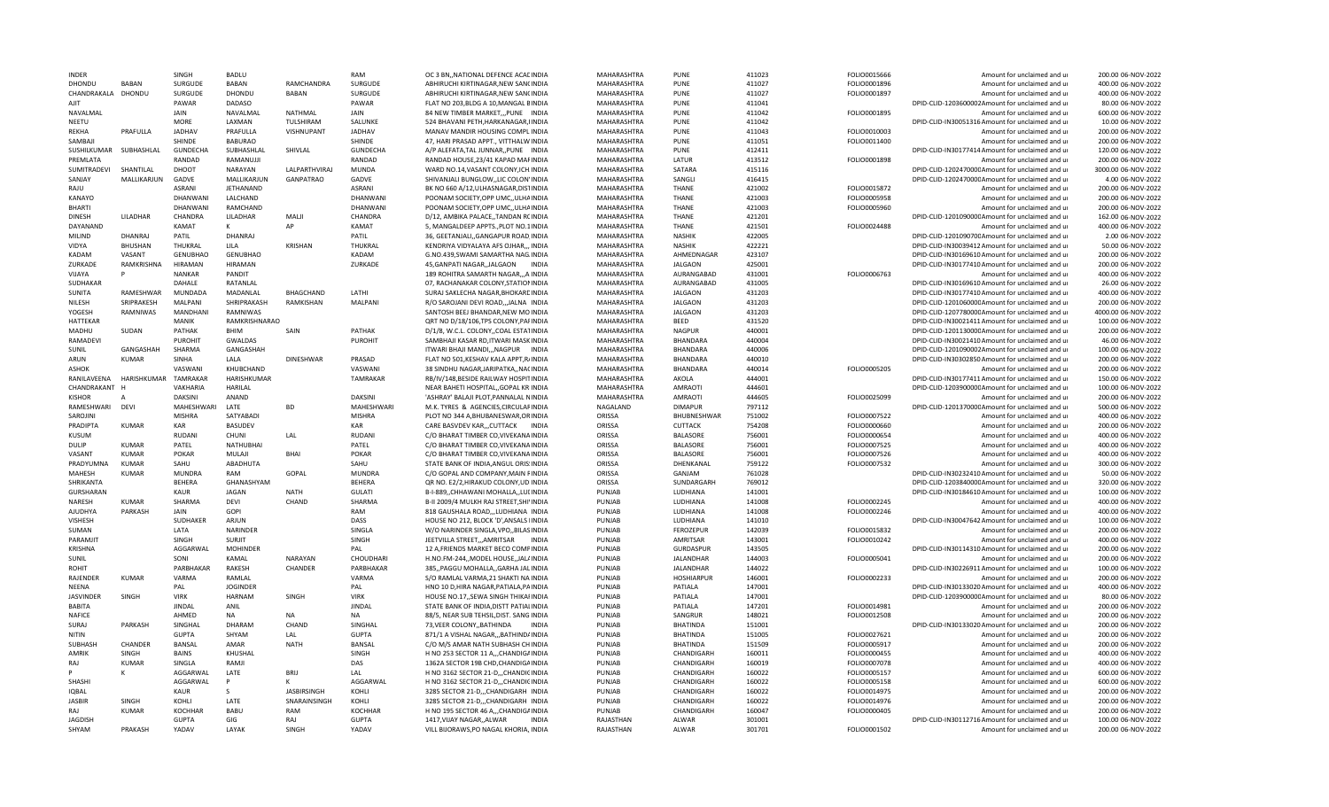| <b>INDFR</b>            |                      | <b>SINGH</b>          | <b>BADLU</b>      |                    | RAM                        | OC 3 BN. NATIONAL DEFENCE ACAEINDIA                                                 | MAHARASHTRA            | PUNF              | 411023           | FOLIO0015666 | Amount for unclaimed and ur                                                     | 200.00 06-NOV-2022                       |
|-------------------------|----------------------|-----------------------|-------------------|--------------------|----------------------------|-------------------------------------------------------------------------------------|------------------------|-------------------|------------------|--------------|---------------------------------------------------------------------------------|------------------------------------------|
| DHONDU                  | <b>BABAN</b>         | SURGUDE               | <b>BABAN</b>      | RAMCHANDRA         | SURGUDE                    | ABHIRUCHI KIRTINAGAR, NEW SANCINDIA                                                 | MAHARASHTRA            | PUNF              | 411027           | FOLIO0001896 | Amount for unclaimed and ur                                                     | 400.00 06-NOV-2022                       |
| CHANDRAKALA DHONDU      |                      | SURGUDE               | DHONDU            | <b>BABAN</b>       | SURGUDE                    | ABHIRUCHI KIRTINAGAR, NEW SANCINDIA                                                 | MAHARASHTRA            | PUNF              | 411027           | FOLIO0001897 | Amount for unclaimed and ur                                                     | 400.00 06-NOV-2022                       |
| AJIT                    |                      | PAWAR                 | DADASO            |                    | PAWAR                      | FLAT NO 203, BLDG A 10, MANGAL BINDIA                                               | MAHARASHTRA            | PUNE              | 411041           |              | DPID-CLID-1203600002Amount for unclaimed and ur                                 | 80.00 06-NOV-2022                        |
| NAVALMAL                |                      | <b>JAIN</b>           | NAVALMAL          | ΝΑΤΗΜΑΙ            | <b>JAIN</b>                | 84 NEW TIMBER MARKET, ,PUNE INDIA                                                   | MAHARASHTRA            | PUNE              | 411042           | FOLIO0001895 | Amount for unclaimed and ur                                                     | 600.00.06-NOV-2022                       |
| NEETU                   |                      | <b>MORE</b>           | LAXMAN            | <b>TULSHIRAM</b>   | SALUNKE                    | 524 BHAVANI PETH, HARKANAGAR, IINDIA                                                | MAHARASHTRA            | PUNE              | 411042           |              | DPID-CLID-IN30051316 Amount for unclaimed and ur                                | 10.00 06-NOV-2022                        |
| RFKHA                   | PRAFULLA             | <b>JADHAV</b>         | PRAFULLA          | VISHNUPANT         | <b>JADHAV</b>              | MANAV MANDIR HOUSING COMPLINDIA                                                     | MAHARASHTRA            | PUNF              | 411043           | FOLIO0010003 | Amount for unclaimed and ur                                                     | 200.00 06-NOV-2022                       |
| SAMBAIL                 |                      | SHINDE                | <b>BABURAO</b>    |                    | SHINDE                     | 47. HARI PRASAD APPT., VITTHALW INDIA                                               | MAHARASHTRA            | PUNF              | 411051           | FOLIO0011400 | Amount for unclaimed and u                                                      | 200.00 06-NOV-2022                       |
| SUSHILKUMAR             | SUBHASHLAL           | <b>GUNDECHA</b>       | SUBHASHLAL        | SHIVLAL            | <b>GUNDECHA</b>            | A/P ALEFATA, TAL JUNNAR, , PUNE INDIA                                               | MAHARASHTRA            | PUNF              | 412411           |              | DPID-CLID-IN30177414 Amount for unclaimed and ur                                | 120.00 06-NOV-2022                       |
| PREMLATA                |                      | RANDAD                | RAMANUJJI         |                    | RANDAD                     | RANDAD HOUSE, 23/41 KAPAD MAFINDIA                                                  | MAHARASHTRA            | LATUR             | 413512           | FOLIO0001898 | Amount for unclaimed and ur                                                     | 200.00 06-NOV-2022                       |
| <b>SUMITRADEVI</b>      | SHANTILAL            | DHOOT                 | <b>NARAYAN</b>    | LALPARTHVIRAJ      | <b>MUNDA</b>               | WARD NO.14, VASANT COLONY, ICH. INDIA                                               | MAHARASHTRA            | <b>SATARA</b>     | 415116           |              | DPID-CLID-120247000CAmount for unclaimed and ur                                 | 3000.00 06-NOV-2022                      |
| SANJAY                  | MALLIKARJUN          | GADVE                 | MALLIKARJUN       | <b>GANPATRAO</b>   | GADVE                      | SHIVANJALI BUNGLOW,, LIC COLON' INDIA                                               | MAHARASHTRA            | SANGLI            | 416415           |              | DPID-CLID-120247000CAmount for unclaimed and ur                                 | 4.00 06-NOV-2022                         |
| RAJU                    |                      | ASRANI                | JETHANAND         |                    | ASRANI                     | BK NO 660 A/12, ULHASNAGAR, DISTINDIA                                               | MAHARASHTRA            | <b>THANE</b>      | 421002           | FOLIO0015872 | Amount for unclaimed and ur                                                     | 200.00 06-NOV-2022                       |
| <b>KANAYO</b>           |                      | DHANWANI              | LALCHAND          |                    | DHANWANI                   | POONAM SOCIETY, OPP UMC, , ULHAINDIA                                                | MAHARASHTRA            | THANE             | 421003           | FOLIO0005958 | Amount for unclaimed and ur                                                     | 200.00 06-NOV-2022                       |
| <b>BHARTI</b>           |                      | DHANWANI              | RAMCHAND          |                    | DHANWANI                   | POONAM SOCIETY, OPP UMC, ULHAINDIA                                                  | MAHARASHTRA            | THANE             | 421003           | FOLIO0005960 | Amount for unclaimed and ur                                                     | 200.00 06-NOV-2022                       |
| <b>DINESH</b>           | LILADHAR             | CHANDRA               | LILADHAR          | MALJI              | CHANDRA                    | D/12, AMBIKA PALACE, TANDAN RCINDIA                                                 | MAHARASHTRA            | <b>THANE</b>      | 421201           |              | DPID-CLID-120109000CAmount for unclaimed and ur                                 | 162.00 06-NOV-2022                       |
| DAYANAND                |                      | KAMAT                 | K                 | AP                 | KAMAT                      | 5, MANGALDEEP APPTS., PLOT NO.1INDIA                                                | MAHARASHTRA            | <b>THANE</b>      | 421501           | FOLIO0024488 | Amount for unclaimed and ur                                                     | 400.00 06-NOV-2022                       |
| <b>MILIND</b>           | <b>DHANRAI</b>       | PATIL                 | DHANRAJ           |                    | PATIL                      | 36, GEETANJALI, GANGAPUR ROAD INDIA                                                 | MAHARASHTRA            | <b>NASHIK</b>     | 422005           |              | DPID-CLID-120109070CAmount for unclaimed and ur                                 | 2.00 06-NOV-2022                         |
| VIDYA                   | <b>BHUSHAN</b>       | THUKRAL               | LILA              | <b>KRISHAN</b>     | <b>THUKRAL</b>             | KENDRIYA VIDYALAYA AFS OJHAR INDIA                                                  |                        | <b>NASHIK</b>     | 422221           |              | DPID-CLID-IN30039412 Amount for unclaimed and ur                                | 50.00 06-NOV-2022                        |
| KADAM                   |                      |                       |                   |                    |                            |                                                                                     | MAHARASHTRA            |                   |                  |              |                                                                                 |                                          |
|                         | VASANT               | <b>GENUBHAO</b>       | <b>GENUBHAO</b>   |                    | KADAM                      | G.NO.439.SWAMI SAMARTHA NAGJNDIA                                                    | MAHARASHTRA            | AHMFDNAGAR        | 423107           |              | DPID-CLID-IN30169610 Amount for unclaimed and ur                                | 200.00 06-NOV-2022                       |
| ZURKADE                 | RAMKRISHNA           | HIRAMAN               | <b>HIRAMAN</b>    |                    | ZURKADE                    | 45, GANPATI NAGAR, , JALGAON<br><b>INDIA</b>                                        | MAHARASHTRA            | <b>JALGAON</b>    | 425001           |              | DPID-CLID-IN30177410 Amount for unclaimed and ur                                | 200.00 06-NOV-2022                       |
| VIJAYA                  |                      | <b>NANKAR</b>         | PANDIT            |                    |                            | 189 ROHITRA SAMARTH NAGAR,,,A INDIA                                                 | MAHARASHTRA            | AURANGABAD        | 431001           | FOLIO0006763 | Amount for unclaimed and ur                                                     | 400.00 06-NOV-2022                       |
| <b>SUDHAKAR</b>         |                      | DAHALE                | RATANLAL          |                    |                            | 07, RACHANAKAR COLONY, STATION INDIA                                                | MAHARASHTRA            | AURANGABAD        | 431005           |              | DPID-CLID-IN30169610 Amount for unclaimed and ur                                | 26.00 06-NOV-2022                        |
| SUNITA                  | RAMESHWAR            | MUNDADA               | MADANLAL          | BHAGCHAND          | LATHI                      | SURAJ SAKLECHA NAGAR, BHOKARDINDIA                                                  | MAHARASHTRA            | <b>JALGAON</b>    | 431203           |              | DPID-CLID-IN30177410 Amount for unclaimed and ur                                | 400.00 06-NOV-2022                       |
| NILESH                  | SRIPRAKESH           | MALPANI               | SHRIPRAKASH       | RAMKISHAN          | MALPANI                    | R/O SAROJANI DEVI ROAD,,,JALNA INDIA                                                | MAHARASHTRA            | <b>JALGAON</b>    | 431203           |              | DPID-CLID-120106000CAmount for unclaimed and ur                                 | 200.00 06-NOV-2022                       |
| YOGESH                  | RAMNIWAS             | MANDHANI              | RAMNIWAS          |                    |                            | SANTOSH BEEJ BHANDAR, NEW MO INDIA                                                  | MAHARASHTRA            | <b>JALGAON</b>    | 431203           |              | DPID-CLID-120778000CAmount for unclaimed and ur                                 | 4000.00 06-NOV-2022                      |
| <b>HATTEKAR</b>         |                      | <b>MANIK</b>          | RAMKRISHNARAO     |                    |                            | QRT NO D/18/106, TPS COLONY, PAFINDIA                                               | MAHARASHTRA            | BEED              | 431520           |              | DPID-CLID-IN30021411 Amount for unclaimed and ur                                | 100.00 06-NOV-2022                       |
| MADHU                   | SUDAN                | PATHAK                | BHIM              | SAIN               | PATHAK                     | D/1/8, W.C.L. COLONY, COAL ESTATINDIA                                               | MAHARASHTRA            | <b>NAGPUR</b>     | 440001           |              | DPID-CLID-120113000CAmount for unclaimed and ur                                 | 200.00 06-NOV-2022                       |
| RAMADEVI                |                      | PUROHIT               | GWALDAS           |                    | <b>PUROHIT</b>             | SAMBHAJI KASAR RD, ITWARI MASKINDIA                                                 | MAHARASHTRA            | <b>BHANDARA</b>   | 440004           |              | DPID-CLID-IN30021410 Amount for unclaimed and ur                                | 46.00 06-NOV-2022                        |
| SUNIL                   | GANGASHAH            | SHARMA                | GANGASHAH         |                    |                            | ITWARI BHAJI MANDI,,,NAGPUR INDIA                                                   | MAHARASHTRA            | <b>BHANDARA</b>   | 440006           |              | DPID-CLID-1201090002Amount for unclaimed and ur                                 | 100.00 06-NOV-2022                       |
| ARUN                    | KUMAR                | <b>SINHA</b>          | LALA              | <b>DINESHWAR</b>   | PRASAD                     | FLAT NO 501, KESHAV KALA APPT, R/INDIA                                              | MAHARASHTRA            | BHANDARA          | 440010           |              | DPID-CLID-IN30302850 Amount for unclaimed and ur                                | 200.00 06-NOV-2022                       |
| ASHOK                   |                      | VASWANI               | KHUBCHAND         |                    | VASWANI                    | 38 SINDHU NAGAR, JARIPATKA,, NACINDIA                                               | MAHARASHTRA            | BHANDARA          | 440014           | FOLIO0005205 | Amount for unclaimed and ur                                                     | 200.00 06-NOV-2022                       |
| RANILAVEENA             | HARISHKUMAR TAMRAKAR |                       | HARISHKUMAR       |                    | <b>TAMRAKAR</b>            | RB/IV/148, BESIDE RAILWAY HOSPITINDIA                                               | MAHARASHTRA            | AKOLA             | 444001           |              | DPID-CLID-IN30177411 Amount for unclaimed and ur                                | 150.00 06-NOV-2022                       |
| CHANDRAKANT H           |                      | <b>VAKHARIA</b>       | <b>HARILAL</b>    |                    |                            | NEAR BAHETI HOSPITAL, GOPAL KRIINDIA                                                | MAHARASHTRA            | <b>AMRAOTI</b>    | 444601           |              | DPID-CLID-120390000CAmount for unclaimed and ur                                 | 100.00 06-NOV-2022                       |
| <b>KISHOR</b>           |                      | DAKSINI               | ANAND             |                    | DAKSINI                    | 'ASHRAY' BALAJI PLOT, PANNALAL NINDIA                                               | MAHARASHTRA            | AMRAOTI           | 444605           | FOLIO0025099 | Amount for unclaimed and ur                                                     | 200.00 06-NOV-2022                       |
| RAMESHWARI              | <b>DEVI</b>          | MAHESHWARI            |                   |                    |                            |                                                                                     |                        |                   |                  |              |                                                                                 |                                          |
|                         |                      |                       |                   |                    |                            |                                                                                     |                        |                   |                  |              |                                                                                 |                                          |
|                         |                      |                       | LATE              | <b>BD</b>          | MAHESHWARI                 | M.K. TYRES & AGENCIES, CIRCULARINDIA                                                | NAGALAND               | <b>DIMAPUR</b>    | 797112           |              | DPID-CLID-120137000CAmount for unclaimed and ur                                 | 500.00 06-NOV-2022                       |
| SAROJINI                |                      | <b>MISHRA</b>         | SATYABADI         |                    | <b>MISHRA</b>              | PLOT NO 344 A.BHUBANESWAR.ORINDIA                                                   | ORISSA                 | BHUBNESHWAR       | 751002           | FOLIO0007522 | Amount for unclaimed and ur                                                     | 400.00 06-NOV-2022                       |
| PRADIPTA                | <b>KUMAR</b>         | KAR                   | <b>BASUDEV</b>    |                    | KAR                        | CARE BASVDEV KAR,,,CUTTACK INDIA                                                    | ORISSA                 | <b>CUTTACK</b>    | 754208           | FOLIO0000660 | Amount for unclaimed and ur                                                     | 200.00 06-NOV-2022                       |
| KUSUM                   |                      | <b>RUDANI</b>         | CHUNI             | LAL                | <b>RUDANI</b>              | C/O BHARAT TIMBER CO, VIVEKANA INDIA                                                | ORISSA                 | BALASORE          | 756001           | FOLIO0000654 | Amount for unclaimed and ur                                                     | 400.00 06-NOV-2022                       |
| DULIP                   | KUMAR                | PATEL                 | NATHUBHAI         |                    | PATEL                      | C/O BHARAT TIMBER CO, VIVEKANA INDIA                                                | ORISSA                 | BALASORE          | 756001           | FOLIO0007525 | Amount for unclaimed and ur                                                     | 400.00 06-NOV-2022                       |
| VASANT                  | <b>KUMAR</b>         | <b>POKAR</b>          | MULAJI            | RHAI               | <b>POKAR</b>               | C/O BHARAT TIMBER CO, VIVEKANA INDIA                                                | ORISSA                 | BALASORE          | 756001           | FOLIO0007526 | Amount for unclaimed and ur                                                     | 400.00 06-NOV-2022                       |
| PRADYUMNA               | <b>KUMAR</b>         | SAHU                  | ABADHUTA          |                    | SAHU                       | STATE BANK OF INDIA, ANGUL ORIS! INDIA                                              | ORISSA                 | DHENKANAL         | 759122           | FOLIO0007532 | Amount for unclaimed and ur                                                     | 300.00 06-NOV-2022                       |
| MAHESH                  | KUMAR                | <b>MUNDRA</b>         | RAM               | GOPAL              | MUNDRA                     | C/O GOPAL AND COMPANY, MAIN FINDIA                                                  | ORISSA                 | GANJAM            | 761028           |              | DPID-CLID-IN30232410 Amount for unclaimed and ur                                | 50.00 06-NOV-2022                        |
| SHRIKANTA               |                      | <b>BEHERA</b>         | GHANASHYAM        |                    | <b>BEHERA</b>              | QR NO. E2/2, HIRAKUD COLONY, UD INDIA                                               | ORISSA                 | SUNDARGARH        | 769012           |              | DPID-CLID-120384000C Amount for unclaimed and ur                                | 320.00 06-NOV-2022                       |
| GURSHARAN               |                      | KAUR                  | <b>JAGAN</b>      | <b>NATH</b>        | <b>GULATI</b>              | B-I-889,,CHHAWANI MOHALLA,,LULINDIA                                                 | PUNJAB                 | LUDHIANA          | 141001           |              | DPID-CLID-IN30184610 Amount for unclaimed and ur                                | 100.00 06-NOV-2022                       |
| <b>NARESH</b>           | KUMAR                | SHARMA                | DEVI              | CHAND              | SHARMA                     | B-II 2009/4 MULKH RAJ STREET, SHIVINDIA                                             | PUNJAB                 | LUDHIANA          | 141008           | FOLIO0002245 | Amount for unclaimed and ur                                                     | 400.00 06-NOV-2022                       |
| <b>AJUDHYA</b>          | PARKASH              | <b>JAIN</b>           | GOPI              |                    | RAM                        | 818 GAUSHALA ROAD,,,LUDHIANA INDIA                                                  | PUNJAB                 | LUDHIANA          | 141008           | FOLIO0002246 | Amount for unclaimed and ur                                                     | 400.00 06-NOV-2022                       |
| <b>VISHESH</b>          |                      | SUDHAKER              | ARJUN             |                    | DASS                       | HOUSE NO 212, BLOCK 'D', ANSALS IINDIA                                              | PUNJAB                 | LUDHIANA          | 141010           |              | DPID-CLID-IN30047642 Amount for unclaimed and ur                                | 100.00 06-NOV-2022                       |
| <b>SUMAN</b>            |                      | LATA                  | <b>NARINDER</b>   |                    | SINGLA                     | W/O NARINDER SINGLA, VPO,, BILASINDIA                                               | PUNJAB                 | <b>FEROZEPUR</b>  | 142039           | FOLIO0015832 | Amount for unclaimed and ur                                                     | 200.00 06-NOV-2022                       |
| PARAMJIT                |                      | SINGH                 | <b>SURJIT</b>     |                    | SINGH                      | JEETVILLA STREET,,,AMRITSAR<br><b>INDIA</b>                                         | PUNJAB                 | <b>AMRITSAR</b>   | 143001           | FOLIO0010242 | Amount for unclaimed and ur                                                     | 400.00 06-NOV-2022                       |
| <b>KRISHNA</b>          |                      | AGGARWAL              | <b>MOHINDER</b>   |                    | PAL                        | 12 A, FRIENDS MARKET BECO COMPINDIA                                                 | PUNJAB                 | GURDASPUR         | 143505           |              | DPID-CLID-IN30114310 Amount for unclaimed and ur                                | 200.00 06-NOV-2022                       |
| <b>SUNIL</b>            |                      | SONI                  | <b>KAMAL</b>      | <b>NARAYAN</b>     | CHOUDHARI                  | H.NO.FM-244,,MODEL HOUSE,,JAL/INDIA                                                 | PUNJAB                 | <b>JALANDHAR</b>  | 144003           | FOLIO0005041 | Amount for unclaimed and ur                                                     | 200.00 06-NOV-2022                       |
| ROHIT                   |                      | PARBHAKAR             | RAKESH            | CHANDER            | PARBHAKAR                  | 385,, PAGGU MOHALLA,, GARHA JAL INDIA                                               | PUNJAB                 | <b>JALANDHAR</b>  | 144022           |              | DPID-CLID-IN30226911 Amount for unclaimed and ur                                | 100.00 06-NOV-2022                       |
| RAJENDER                | <b>KUMAR</b>         | VARMA                 | RAMLAL            |                    | VARMA                      | S/O RAMLAL VARMA, 21 SHAKTI NA INDIA                                                | PUNJAB                 | <b>HOSHIARPUR</b> | 146001           | FOLIO0002233 | Amount for unclaimed and ur                                                     | 200.00 06-NOV-2022                       |
| NEENA                   |                      | PAL                   | <b>JOGINDER</b>   |                    | PAL                        | HNO 10 D, HIRA NAGAR, PATIALA, PAINDIA                                              | PUNJAB                 | PATIALA           | 147001           |              | DPID-CLID-IN30133020 Amount for unclaimed and ur                                | 400.00 06-NOV-2022                       |
| <b>JASVINDER</b>        | SINGH                | <b>VIRK</b>           | <b>HARNAM</b>     | SINGH              | <b>VIRK</b>                | HOUSE NO.17, SEWA SINGH THIKAFINDIA                                                 | PUNJAB                 | PATIALA           | 147001           |              | DPID-CLID-120390000CAmount for unclaimed and ur                                 |                                          |
| <b>BABITA</b>           |                      | <b>JINDAL</b>         |                   |                    |                            |                                                                                     |                        |                   |                  |              |                                                                                 | 80.00 06-NOV-2022<br>200.00 06-NOV-2022  |
| NAFICE                  |                      | AHMFD                 | ANIL<br><b>NA</b> | <b>NA</b>          | <b>JINDAL</b><br><b>NA</b> | STATE BANK OF INDIA, DISTT PATIALINDIA                                              | PUNJAB<br>PUNJAB       | PATIALA           | 147201           | FOLIO0014981 | Amount for unclaimed and ur                                                     |                                          |
|                         |                      |                       |                   |                    |                            | 88/5, NEAR SUB TEHSIL, DIST. SANG INDIA<br><b>INDIA</b>                             |                        | SANGRUR           | 148021           | FOLIO0012508 | Amount for unclaimed and ur                                                     | 200.00 06-NOV-2022                       |
| SURAJ                   | PARKASH              | SINGHAL               | DHARAM            | CHAND              | SINGHAL                    | 73, VEER COLONY, BATHINDA                                                           | PUNJAB                 | <b>BHATINDA</b>   | 151001           |              | DPID-CLID-IN30133020 Amount for unclaimed and ur                                | 200.00 06-NOV-2022                       |
| <b>NITIN</b>            |                      | <b>GUPTA</b>          | SHYAM             | LAL                | <b>GUPTA</b>               | 871/1 A VISHAL NAGAR,,, BATHIND/INDIA                                               | PUNJAB                 | <b>BHATINDA</b>   | 151005           | FOLIO0027621 | Amount for unclaimed and ur                                                     | 200.00 06-NOV-2022                       |
| <b>SUBHASH</b>          | CHANDER              | <b>BANSAL</b>         | AMAR              | <b>NATH</b>        | BANSAL                     | C/O M/S AMAR NATH SUBHASH CHINDIA                                                   | PUNJAB                 | <b>BHATINDA</b>   | 151509           | FOLIO0005917 | Amount for unclaimed and ur                                                     | 200.00 06-NOV-2022                       |
| AMRIK                   | SINGH                | BAINS                 | KHUSHAL           |                    | SINGH                      | H NO 253 SECTOR 11 A,,,CHANDIGAINDIA                                                | PUNJAB                 | CHANDIGARH        | 160011           | FOLIO0000455 | Amount for unclaimed and ur                                                     | 400.00 06-NOV-2022                       |
| RAJ                     | <b>KUMAR</b>         | SINGLA                | RAMII             |                    | DAS                        | 1362A SECTOR 19B CHD.CHANDIGAINDIA                                                  | PUNJAB                 | CHANDIGARH        | 160019           | FOLIO0007078 | Amount for unclaimed and ur                                                     | 400.00 06-NOV-2022                       |
|                         | ĸ                    | AGGARWAL              | LATE              | <b>BRIJ</b>        | LAL                        | H NO 3162 SECTOR 21-D,,,CHANDICINDIA                                                | PUNJAB                 | CHANDIGARH        | 160022           | FOLIO0005157 | Amount for unclaimed and ur                                                     | 600.00 06-NOV-2022                       |
| SHASHI                  |                      | AGGARWAL              | P                 |                    | AGGARWAL                   | H NO 3162 SECTOR 21-D., CHANDICINDIA                                                | PUNJAB                 | CHANDIGARH        | 160022           | FOLIO0005158 | Amount for unclaimed and ur                                                     | 600.00 06-NOV-2022                       |
| <b>IOBAI</b>            |                      | KAUR                  |                   | <b>JASBIRSINGH</b> | KOHLI                      | 3285 SECTOR 21-D.,,CHANDIGARH INDIA                                                 | PUNJAB                 | CHANDIGARH        | 160022           | FOLIO0014975 | Amount for unclaimed and ur                                                     | 200.00 06-NOV-2022                       |
| <b>JASBIR</b>           | <b>SINGH</b>         | KOHLI                 | LATE              | SNARAINSINGH       | KOHLI                      | 3285 SECTOR 21-D,,,CHANDIGARH INDIA                                                 | PUNJAB                 | CHANDIGARH        | 160022           | FOLIO0014976 | Amount for unclaimed and u                                                      | 200.00 06-NOV-2022                       |
| RAI                     | KUMAR                | <b>KOCHHAR</b>        | <b>BABU</b>       | RAM                | <b>KOCHHAR</b>             | H NO 195 SECTOR 46 A,,,CHANDIGAINDIA                                                | PUNJAB                 | CHANDIGARH        | 160047           | FOLIO0000405 | Amount for unclaimed and ur                                                     | 200.00 06-NOV-2022                       |
| <b>JAGDISH</b><br>SHYAM | PRAKASH              | <b>GUPTA</b><br>YADAV | GIG<br>LAYAK      | RAJ<br>SINGH       | <b>GUPTA</b><br>YADAV      | 1417, VIJAY NAGAR, , ALWAR<br><b>INDIA</b><br>VILL BIJORAWS, PO NAGAL KHORIA, INDIA | RAJASTHAN<br>RAJASTHAN | ALWAR<br>ALWAR    | 301001<br>301701 | FOLIO0001502 | DPID-CLID-IN30112716 Amount for unclaimed and ur<br>Amount for unclaimed and ur | 100.00 06-NOV-2022<br>200.00 06-NOV-2022 |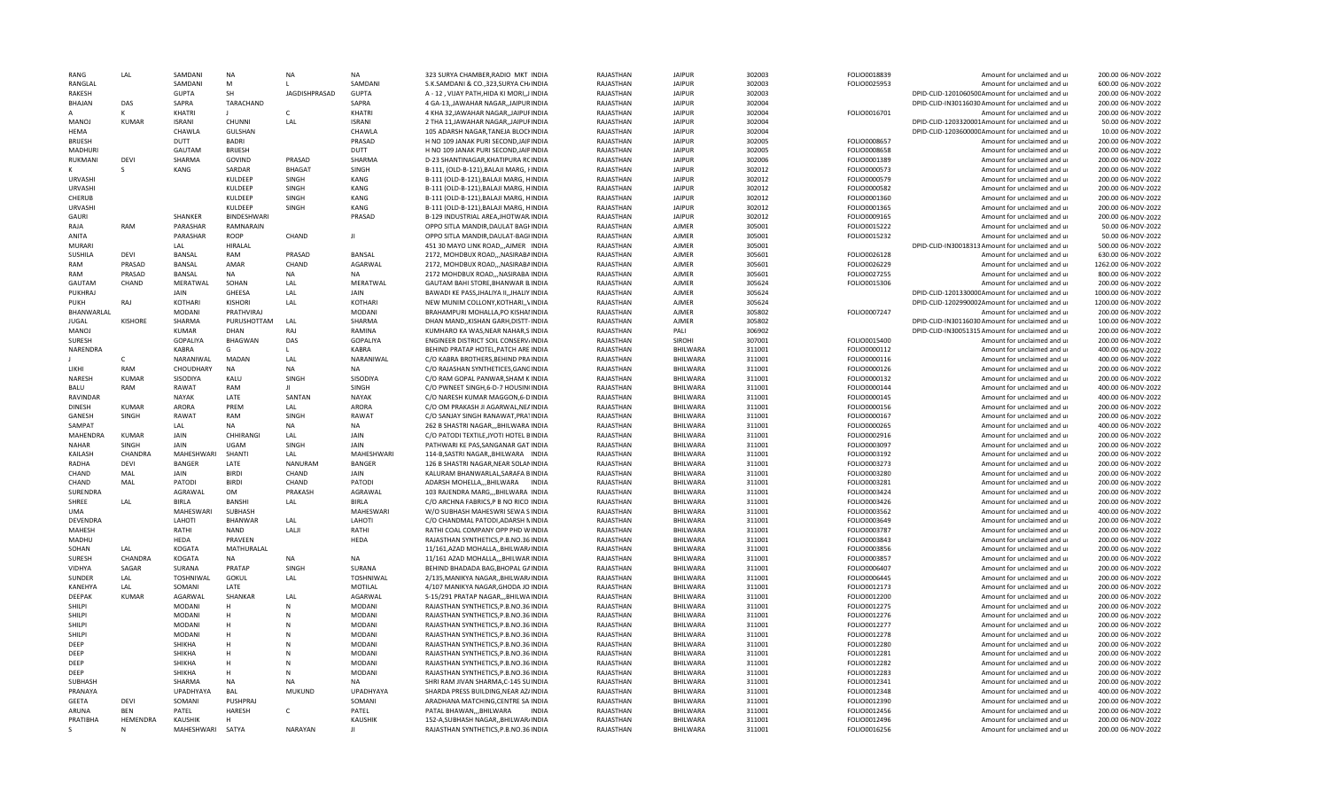| RANG            | LAL            | SAMDANI               | <b>NA</b>      | <b>NA</b>            | <b>NA</b>                      | 323 SURYA CHAMBER RADIO MKT INDIA                                              | RAIASTHAN              | <b>JAIPUR</b>        | 302003           | FOLIO0018839                 | Amount for unclaimed and ur                                | 200.00 06-NOV-2022                       |
|-----------------|----------------|-----------------------|----------------|----------------------|--------------------------------|--------------------------------------------------------------------------------|------------------------|----------------------|------------------|------------------------------|------------------------------------------------------------|------------------------------------------|
| RANGLAL         |                | SAMDANI               | M              |                      | SAMDANI                        | S.K.SAMDANI & CO., 323, SURYA CH/INDIA                                         | RAJASTHAN              | <b>JAIPUF</b>        | 302003           | FOLIO0025953                 | Amount for unclaimed and ur                                | 600.00 06-NOV-2022                       |
| RAKESH          |                | <b>GUPTA</b>          | <b>SH</b>      | <b>JAGDISHPRASAD</b> | <b>GUPTA</b>                   | A - 12, VIJAY PATH, HIDA KI MORI,, JINDIA                                      | RAJASTHAN              | <b>JAIPUR</b>        | 302003           |                              | DPID-CLID-120106050CAmount for unclaimed and ur            | 200.00 06-NOV-2022                       |
| BHAJAN          | DAS            | SAPRA                 | TARACHAND      |                      | SAPRA                          | 4 GA-13, JAWAHAR NAGAR, JAIPURINDIA                                            | RAJASTHAN              | <b>JAIPUR</b>        | 302004           |                              | DPID-CLID-IN30116030 Amount for unclaimed and ur           | 200.00 06-NOV-2022                       |
|                 | к              | KHATRI                |                | $\mathsf{C}$         | KHATRI                         | 4 KHA 32, JAWAHAR NAGAR, JAIPUFINDIA                                           | RAJASTHAN              | <b>JAIPUR</b>        | 302004           | FOLIO0016701                 | Amount for unclaimed and ur                                | 200.00 06-NOV-2022                       |
| <b>MANOJ</b>    | <b>KUMAR</b>   | <b>ISRANI</b>         | <b>CHUNNI</b>  | LAL                  | <b>ISRANI</b>                  | 2 THA 11, JAWAHAR NAGAR, JAIPUFINDIA                                           | RAJASTHAN              | <b>JAIPUR</b>        | 302004           |                              | DPID-CLID-1203320001Amount for unclaimed and ur            | 50.00 06-NOV-2022                        |
| <b>HFMA</b>     |                | CHAWLA                | <b>GULSHAN</b> |                      | CHAWLA                         | 105 ADARSH NAGAR, TANEJA BLOCHNDIA                                             | RAJASTHAN              | <b>JAIPUR</b>        | 302004           |                              | DPID-CLID-120360000CAmount for unclaimed and ur            | 10.00 06-NOV-2022                        |
| <b>BRUESH</b>   |                | DUTT                  | <b>BADRI</b>   |                      | PRASAD                         | H NO 109 JANAK PURI SECOND.JAIPINDIA                                           | RAJASTHAN              | <b>JAIPUR</b>        | 302005           | FOLIO0008657                 | Amount for unclaimed and ur                                | 200.00 06-NOV-2022                       |
| <b>MADHUR</b>   |                | GAUTAM                | <b>BRIJESH</b> |                      | <b>DUTT</b>                    | H NO 109 JANAK PURI SECOND, JAIPINDIA                                          | RAJASTHAN              | <b>JAIPUF</b>        | 302005           | FOLIO0008658                 | Amount for unclaimed and ur                                | 200.00 06-NOV-2022                       |
| RUKMANI         | DEVI           | SHARMA                | GOVIND         | PRASAD               | SHARMA                         | D-23 SHANTINAGAR, KHATIPURA RCINDIA                                            | RAJASTHAN              | <b>JAIPUR</b>        | 302006           | FOLIO0001389                 | Amount for unclaimed and ur                                | 200.00 06-NOV-2022                       |
|                 | $\mathsf{S}$   | KANG                  | SARDAR         | <b>BHAGA1</b>        | SINGH                          | B-111, (OLD-B-121), BALAJI MARG, FINDIA                                        | RAJASTHAN              | <b>JAIPUR</b>        | 302012           | FOLIO0000573                 | Amount for unclaimed and ur                                | 200.00 06-NOV-2022                       |
| <b>URVASHI</b>  |                |                       | KULDEEP        | SINGH                | KANG                           | B-111 (OLD-B-121), BALAJI MARG, HINDIA                                         | RAIASTHAN              | <b>JAIPUR</b>        | 302012           | FOLIO0000579                 | Amount for unclaimed and ur                                | 200.00 06-NOV-2022                       |
| <b>URVASHI</b>  |                |                       | KULDEEP        | SINGH                | KANG                           | B-111 (OLD-B-121), BALAJI MARG, HINDIA                                         | RAJASTHAN              | <b>JAIPUR</b>        | 302012           | FOLIO0000582                 | Amount for unclaimed and ur                                | 200.00 06-NOV-2022                       |
| CHERUB          |                |                       | KULDEEP        | SINGH                | KANG                           | B-111 (OLD-B-121), BALAJI MARG, HINDIA                                         | <b>RAJASTHAN</b>       | <b>JAIPUR</b>        | 302012           | FOLIO0001360                 | Amount for unclaimed and ur                                | 200.00 06-NOV-2022                       |
| <b>URVASHI</b>  |                |                       | KULDEEP        | SINGH                | KANG                           | B-111 (OLD-B-121), BALAJI MARG, HINDIA                                         | RAJASTHAN              | <b>JAIPUR</b>        | 302012           | FOLIO0001365                 | Amount for unclaimed and ur                                | 200.00 06-NOV-2022                       |
| <b>GAURI</b>    |                | SHANKER               | BINDESHWARI    |                      | PRASAD                         | B-129 INDUSTRIAL AREA, JHOTWAR INDIA                                           | RAJASTHAN              | <b>JAIPUR</b>        | 302012           | FOLIO0009165                 | Amount for unclaimed and ur                                | 200.00 06-NOV-2022                       |
| RAJA            | RAM            | PARASHAR              | RAMNARAIN      |                      |                                | OPPO SITLA MANDIR, DAULAT BAGHNDIA                                             | RAJASTHAN              | AJMER                | 305001           | FOLIO0015222                 | Amount for unclaimed and ur                                | 50.00 06-NOV-2022                        |
| ANITA           |                | PARASHAR              | ROOP           | CHAND                | Л                              | OPPO SITLA MANDIR, DAULAT-BAGHNDIA                                             | RAJASTHAN              | <b>AIMFR</b>         | 305001           | FOLIO0015232                 | Amount for unclaimed and ur                                | 50.00 06-NOV-2022                        |
| <b>MURARI</b>   |                | LAL                   | <b>HIRALAL</b> |                      |                                | 451 30 MAYO LINK ROADAIMER INDIA                                               | RAJASTHAN              | <b>AJMER</b>         | 305001           |                              | DPID-CLID-IN30018313 Amount for unclaimed and ur           | 500.00 06-NOV-2022                       |
| SUSHILA         | <b>DFVI</b>    | <b>BANSAL</b>         | RAM            | PRASAD               | <b>BANSAL</b>                  | 2172, MOHDBUX ROAD,,,NASIRABAINDIA                                             | RAJASTHAN              | <b>AIMFR</b>         | 305601           | FOLIO0026128                 | Amount for unclaimed and ur                                | 630.00 06-NOV-2022                       |
| RAM             | PRASAD         | BANSAL                | AMAR           | CHAND                | AGARWAL                        | 2172, MOHDBUX ROAD,,,NASIRABAINDIA                                             | RAJASTHAN              | <b>AIMFR</b>         | 305601           | FOLIO0026229                 | Amount for unclaimed and ur                                | 1262.00 06-NOV-2022                      |
| RAM             | PRASAD         | <b>BANSAL</b>         | <b>NA</b>      | <b>NA</b>            | <b>NA</b>                      | 2172 MOHDBUX ROAD,,,NASIRABAHNDIA                                              | RAJASTHAN              | AJMER                | 305601           | FOLIO0027255                 | Amount for unclaimed and ur                                | 800.00 06-NOV-2022                       |
| GAUTAM          | CHAND          | MERATWAL              | SOHAN          | LAL                  | MERATWAL                       | GAUTAM BAHI STORE, BHANWAR B. INDIA                                            | RAJASTHAN              | AJMER                | 305624           | FOLIO0015306                 | Amount for unclaimed and ur                                | 200.00 06-NOV-2022                       |
| PUKHRAJ         |                | JAIN                  | GHEESA         | LAL                  | JAIN                           | BAWADI KE PASS, JHALIYA II, , JHALIY INDIA                                     | RAJASTHAN              | <b>AJMEF</b>         | 305624           |                              | DPID-CLID-120133000CAmount for unclaimed and ur            | 1000.00 06-NOV-2022                      |
| PUKH            | RAJ            | KOTHARI               | <b>KISHORI</b> | LAL                  | <b>KOTHARI</b>                 | NEW MUNIM COLLONY, KOTHARI,, VINDIA                                            | RAJASTHAN              | AJMER                | 305624           |                              | DPID-CLID-1202990002Amount for unclaimed and ur            | 1200.00 06-NOV-2022                      |
| BHANWARLAL      |                | <b>MODANI</b>         | PRATHVIRAJ     |                      | <b>MODANI</b>                  | BRAHAMPURI MOHALLA, PO KISHAI INDIA                                            | RAJASTHAN              | AJMER                | 305802           | FOLIO0007247                 | Amount for unclaimed and ur                                | 200.00 06-NOV-2022                       |
| <b>JUGAL</b>    | <b>KISHORE</b> | SHARMA                | PURUSHOTTAM    | LAL                  | SHARMA                         | DHAN MAND, KISHAN GARH, DISTT-INDIA                                            | RAJASTHAN              | AJMER                | 305802           |                              | DPID-CLID-IN30116030 Amount for unclaimed and ur           | 100.00 06-NOV-2022                       |
| MANOJ           |                | <b>KUMAR</b>          | DHAN           | RAJ                  | RAMINA                         | KUMHARO KA WAS, NEAR NAHAR, SINDIA                                             | RAJASTHAN              | PALI                 | 306902           |                              | DPID-CLID-IN30051315 Amount for unclaimed and ur           | 200.00 06-NOV-2022                       |
| <b>SURFSH</b>   |                | <b>GOPALIYA</b>       | <b>BHAGWAN</b> | DAS                  | <b>GOPALIYA</b>                | ENGINEER DISTRICT SOIL CONSERV/INDIA                                           | RAJASTHAN              | SIROHI               | 307001           | FOLIO0015400                 | Amount for unclaimed and ur                                | 200.00 06-NOV-2022                       |
| <b>NARENDRA</b> |                | <b>KABRA</b>          | G              | L.                   | <b>KABRA</b>                   | BEHIND PRATAP HOTEL PATCH ARE INDIA                                            | RAIASTHAN              | <b>BHILWARA</b>      | 311001           | FOLIO0000112                 | Amount for unclaimed and ur                                | 400.00 06-NOV-2022                       |
|                 | $\mathsf{C}$   | NARANIWAL             | MADAN          | LAI                  | NARANIWAL                      | C/O KABRA BROTHERS, BEHIND PRAINDIA                                            | RAJASTHAN              | BHILWARA             | 311001           | FOLIO0000116                 | Amount for unclaimed and ur                                | 400.00 06-NOV-2022                       |
| LIKHI           | RAM            | CHOUDHARY             | <b>NA</b>      | <b>NA</b>            | <b>NA</b>                      | C/O RAJASHAN SYNTHETICES, GANGINDIA                                            | RAJASTHAN              | <b>BHILWARA</b>      | 311001           | FOLIO0000126                 | Amount for unclaimed and ur                                | 200.00 06-NOV-2022                       |
| NARESH          | <b>KUMAR</b>   | SISODIYA              | KALU           | SINGH                | SISODIYA                       | C/O RAM GOPAL PANWAR, SHAM K INDIA                                             | RAJASTHAN              | BHILWARA             | 311001           | FOLIO0000132                 | Amount for unclaimed and ur                                | 200.00 06-NOV-2022                       |
| <b>BALU</b>     | RAM            | RAWAT                 | RAM            | $\mathbf{H}$         | SINGH                          | C/O PWNEET SINGH, 6-D-7 HOUSIN(INDIA                                           | RAJASTHAN              | BHILWARA             | 311001           | FOLIO0000144                 | Amount for unclaimed and ur                                | 400.00 06-NOV-2022                       |
| <b>RAVINDAR</b> |                | <b>NAYAK</b>          | LATE           | SANTAN               | NAYAK                          | C/O NARESH KUMAR MAGGON, 6-DINDIA                                              | RAJASTHAN              | BHILWARA             | 311001           | FOLIO0000145                 | Amount for unclaimed and ur                                | 400.00 06-NOV-2022                       |
| <b>DINESH</b>   | <b>KUMAR</b>   | ARORA                 | PREM           | LAI                  | <b>ARORA</b>                   | C/O OM PRAKASH JI AGARWAL, NEAINDIA                                            | RAJASTHAN              | BHILWARA             | 311001           | FOLIO0000156                 | Amount for unclaimed and ur                                | 200.00 06-NOV-2022                       |
| <b>GANESH</b>   | SINGH          | RAWAT                 | <b>RAM</b>     | SINGH                | RAWAT                          | C/O SANJAY SINGH RANAWAT.PRATINDIA                                             | RAIASTHAN              | <b>BHILWARA</b>      | 311001           | FOLIO0000167                 | Amount for unclaimed and ur                                | 200.00 06-NOV-2022                       |
| SAMPAT          |                | LAL                   | <b>NA</b>      | <b>NA</b>            | <b>NA</b>                      | 262 B SHASTRI NAGAR,,,BHILWARA INDIA                                           | RAJASTHAN              | BHILWARA             | 311001           | FOLIO0000265                 | Amount for unclaimed and ur                                | 400.00 06-NOV-2022                       |
| MAHENDRA        | <b>KUMAR</b>   | <b>JAIN</b>           | CHHIRANG       | LAL                  | <b>JAIN</b>                    | C/O PATODI TEXTILE, JYOTI HOTEL BINDIA                                         | RAJASTHAN              | BHILWARA             | 311001           | FOLIO0002916                 | Amount for unclaimed and ur                                | 200.00 06-NOV-2022                       |
| <b>NAHAR</b>    | <b>SINGH</b>   | <b>JAIN</b>           | <b>UGAM</b>    | SINGH                | <b>JAIN</b>                    | PATHWARI KE PAS, SANGANAR GAT INDIA                                            | RAJASTHAN              | <b>BHILWARA</b>      | 311001           | FOLIO0003097                 | Amount for unclaimed and ur                                | 200.00 06-NOV-2022                       |
| KAILASH         | CHANDRA        | MAHESHWARI            | SHANTI         | LAL                  | <b>MAHESHWARI</b>              | 114-B, SASTRI NAGAR, BHILWARA INDIA                                            | RAJASTHAN              | BHILWARA             | 311001           | FOLIO0003192                 | Amount for unclaimed and ur                                | 200.00 06-NOV-2022                       |
| <b>RADHA</b>    | <b>DEVI</b>    | <b>BANGER</b>         | LATE           | <b>NANURAM</b>       | <b>BANGER</b>                  | 126 B SHASTRI NAGAR, NEAR SOLANINDIA                                           | RAJASTHAN              | BHILWARA             | 311001           | FOLIO0003273                 | Amount for unclaimed and ur                                | 200.00 06-NOV-2022                       |
| CHAND           | MAL            | <b>JAIN</b>           | <b>BIRDI</b>   | CHAND                | JAIN                           | KALURAM BHANWARLAL, SARAFA BINDIA                                              | RAJASTHAN              | BHILWARA             | 311001           | FOLIO0003280                 | Amount for unclaimed and ur                                | 200.00 06-NOV-2022                       |
| CHAND           | MAL            | PATODI                | <b>BIRDI</b>   | CHAND                | PATODI                         | ADARSH MOHELLA,,,BHILWARA INDIA                                                | RAJASTHAN              | BHILWARA             | 311001           | FOLIO0003281                 | Amount for unclaimed and ur                                | 200.00 06-NOV-2022                       |
| SURENDRA        |                | AGRAWAL               | <b>OM</b>      | PRAKASH              | AGRAWAL                        | 103 RAJENDRA MARG,,,BHILWARA INDIA                                             | RAJASTHAN              | BHILWARA             | 311001           | FOLIO0003424                 | Amount for unclaimed and ur                                | 200.00 06-NOV-2022                       |
| SHREE           | LAL            | <b>BIRLA</b>          | <b>BANSHI</b>  | LAL                  | <b>BIRLA</b>                   | C/O ARCHNA FABRICS, P B NO RICO INDIA                                          | RAJASTHAN              | BHILWARA             | 311001           | FOLIO0003426                 | Amount for unclaimed and ur                                | 200.00 06-NOV-2022                       |
| <b>UMA</b>      |                | MAHESWARI             | SUBHASH        |                      | <b>MAHESWARI</b>               | W/O SUBHASH MAHESWRI SEWA SINDIA                                               | RAJASTHAN              | BHILWARA             | 311001           | FOLIO0003562                 | Amount for unclaimed and ur                                | 400.00 06-NOV-2022                       |
| <b>DEVENDRA</b> |                | LAHOTI                | <b>BHANWAR</b> | LAL                  | LAHOTI                         | C/O CHANDMAL PATODI.ADARSH NINDIA                                              | RAJASTHAN              | <b>BHILWARA</b>      | 311001           | FOLIO0003649                 | Amount for unclaimed and ur                                | 200.00 06-NOV-2022                       |
| MAHESH          |                | RATHI                 | <b>NAND</b>    | LALI                 | RATHI                          | RATHI COAL COMPANY OPP PHD WINDIA                                              | RAIASTHAN              | <b>BHILWARA</b>      | 311001           | FOLIO0003787                 | Amount for unclaimed and ur                                | 200.00 06-NOV-2022                       |
| MADHU           |                | <b>HFDA</b>           | PRAVEEN        |                      | HEDA                           | RAJASTHAN SYNTHETICS, P.B.NO.36 INDIA                                          | RAJASTHAN              | BHILWARA             | 311001           | FOLIO0003843                 | Amount for unclaimed and ur                                | 200.00 06-NOV-2022                       |
| SOHAN           | LAL            | KOGATA                | MATHURALAL     |                      |                                | 11/161, AZAD MOHALLA,, BHILWAR/INDIA                                           | <b>RAJASTHAN</b>       | BHILWARA             | 311001           | FOLIO0003856                 | Amount for unclaimed and ur                                | 200.00 06-NOV-2022                       |
| SURESH          | CHANDRA        | KOGATA                | <b>NA</b>      | <b>NA</b>            | <b>NA</b>                      | 11/161 AZAD MOHALLA,,,BHILWAR INDIA                                            | RAJASTHAN              | BHILWARA             | 311001           | FOLIO0003857                 | Amount for unclaimed and ur                                | 200.00 06-NOV-2022                       |
| <b>VIDHYA</b>   | SAGAR          | SURANA                | PRATAP         | SINGH                | SURANA                         | BEHIND BHADADA BAG, BHOPAL GAINDIA                                             | RAJASTHAN              | BHILWARA             | 311001           | FOLIO0006407                 | Amount for unclaimed and ur                                | 200.00 06-NOV-2022                       |
| SUNDER          | LAL            | TOSHNIWAL             | <b>GOKUL</b>   | LAL                  | <b>TOSHNIWAL</b>               | 2/135, MANIKYA NAGAR, , BHILWAR/INDIA                                          | RAJASTHAN              | BHILWARA             | 311001           | FOLIO0006445                 | Amount for unclaimed and ur                                | 200.00 06-NOV-2022                       |
| KANEHYA         | LAL            | SOMANI                | LATE           |                      | MOTILAL                        | 4/107 MANIKYA NAGAR, GHODA JO INDIA                                            | RAJASTHAN              | BHILWARA             | 311001           | FOLIO0012173                 | Amount for unclaimed and ur                                | 200.00 06-NOV-2022                       |
| DEEPAK          | KUMAR          | AGARWAL               | SHANKAR        | LAL                  | AGARWAL                        | S-15/291 PRATAP NAGAR, BHILWAINDIA                                             | RAJASTHAN              | <b>BHILWARA</b>      | 311001           | FOLIO0012200                 | Amount for unclaimed and ur                                | 200.00 06-NOV-2022                       |
| SHILPI          |                | <b>MODANI</b>         | H              | N                    | <b>MODANI</b>                  | RAJASTHAN SYNTHETICS, P.B.NO.36 INDIA                                          | RAJASTHAN              | <b>BHILWARA</b>      | 311001           | FOLIO0012275                 | Amount for unclaimed and ur                                | 200.00 06-NOV-2022                       |
| <b>SHILPI</b>   |                | <b>MODANI</b>         | н              | N                    | <b>MODAN</b>                   | RAJASTHAN SYNTHETICS, P.B.NO.36 INDIA                                          | RAIASTHAN              | <b>BHILWARA</b>      | 311001           | FOLIO0012276                 | Amount for unclaimed and ur                                | 200.00 06-NOV-2022                       |
| SHILPI          |                | <b>MODANI</b>         | н              |                      | <b>MODANI</b>                  | RAJASTHAN SYNTHETICS, P.B.NO.36 INDIA                                          | RAJASTHAN              | BHILWARA             | 311001           | FOLIO0012277                 | Amount for unclaimed and ur                                | 200.00 06-NOV-2022                       |
| <b>SHILPI</b>   |                | MODANI                | H              |                      | <b>MODANI</b>                  | RAJASTHAN SYNTHETICS, P.B.NO.36 INDIA                                          | RAJASTHAN              | BHILWARA             | 311001           | FOLIO0012278                 | Amount for unclaimed and ur                                | 200.00 06-NOV-2022                       |
| DEEP            |                | SHIKHA                | Н              | N                    | <b>MODANI</b>                  | RAJASTHAN SYNTHETICS, P.B.NO.36 INDIA                                          | RAJASTHAN              | BHILWARA             | 311001           | FOLIO0012280                 | Amount for unclaimed and ur                                | 200.00 06-NOV-2022                       |
| DEEP            |                | SHIKHA                |                |                      | <b>MODANI</b>                  | RAJASTHAN SYNTHETICS, P.B.NO.36 INDIA                                          | RAJASTHAN              | BHILWARA             | 311001           | FOLIO0012281                 | Amount for unclaimed and ur                                | 200.00 06-NOV-2022                       |
| DEEP            |                | SHIKHA                | H              | N                    | <b>MODANI</b>                  | RAJASTHAN SYNTHETICS, P.B.NO.36 INDIA                                          | RAJASTHAN              | BHILWARA             | 311001           | FOLIO0012282                 | Amount for unclaimed and ur                                | 200.00 06-NOV-2022                       |
| DEEP            |                | SHIKHA                | н              | N                    | <b>MODANI</b>                  | RAJASTHAN SYNTHETICS, P.B.NO.36 INDIA                                          | RAJASTHAN              | BHILWARA             | 311001           | FOLIO0012283                 | Amount for unclaimed and ur                                | 200.00 06-NOV-2022                       |
| SUBHASH         |                | SHARMA                | <b>NA</b>      | <b>NA</b>            | <b>NA</b>                      | SHRI RAM JIVAN SHARMA, C-145 SUINDIA                                           | RAJASTHAN              | BHILWARA             | 311001           | FOLIO0012341                 | Amount for unclaimed and ur                                | 200.00 06-NOV-2022                       |
| PRANAYA         |                | <b>UPADHYAYA</b>      | <b>BAL</b>     | <b>MUKUND</b>        | UPADHYAYA                      | SHARDA PRESS BUILDING, NEAR AZ/INDIA                                           | RAJASTHAN              | BHILWARA             | 311001           | FOLIO0012348                 | Amount for unclaimed and ur                                | 400.00 06-NOV-2022                       |
|                 |                |                       |                |                      |                                |                                                                                |                        |                      |                  |                              |                                                            |                                          |
| <b>GFFTA</b>    | <b>DFVI</b>    | SOMANI                | PUSHPRAI       |                      | SOMANI                         | ARADHANA MATCHING, CENTRE SAIINDIA                                             | RAJASTHAN              | BHILWARA             | 311001           | FOLIO0012390                 | Amount for unclaimed and ur                                | 200.00 06-NOV-2022                       |
| ARUNA           | <b>BFN</b>     | PATFL                 | <b>HARFSH</b>  | C.                   | PATEL                          | PATAL BHAWAN,,,BHILWARA<br><b>INDIA</b>                                        | RAJASTHAN              | BHILWARA             | 311001           | FOLIO0012456                 | Amount for unclaimed and ur                                | 200.00 06-NOV-2022                       |
| PRATIBHA<br>s   | HEMENDRA<br>N  | KAUSHIK<br>MAHESHWARI | H<br>SATYA     | <b>NARAYAN</b>       | <b>KAUSHIK</b><br>$\mathbf{H}$ | 152-A, SUBHASH NAGAR, , BHILWAR/INDIA<br>RAJASTHAN SYNTHETICS, P.B.NO.36 INDIA | RAJASTHAN<br>RAJASTHAN | BHILWARA<br>BHILWARA | 311001<br>311001 | FOLIO0012496<br>FOLIO0016256 | Amount for unclaimed and ur<br>Amount for unclaimed and ur | 200.00 06-NOV-2022<br>200.00 06-NOV-2022 |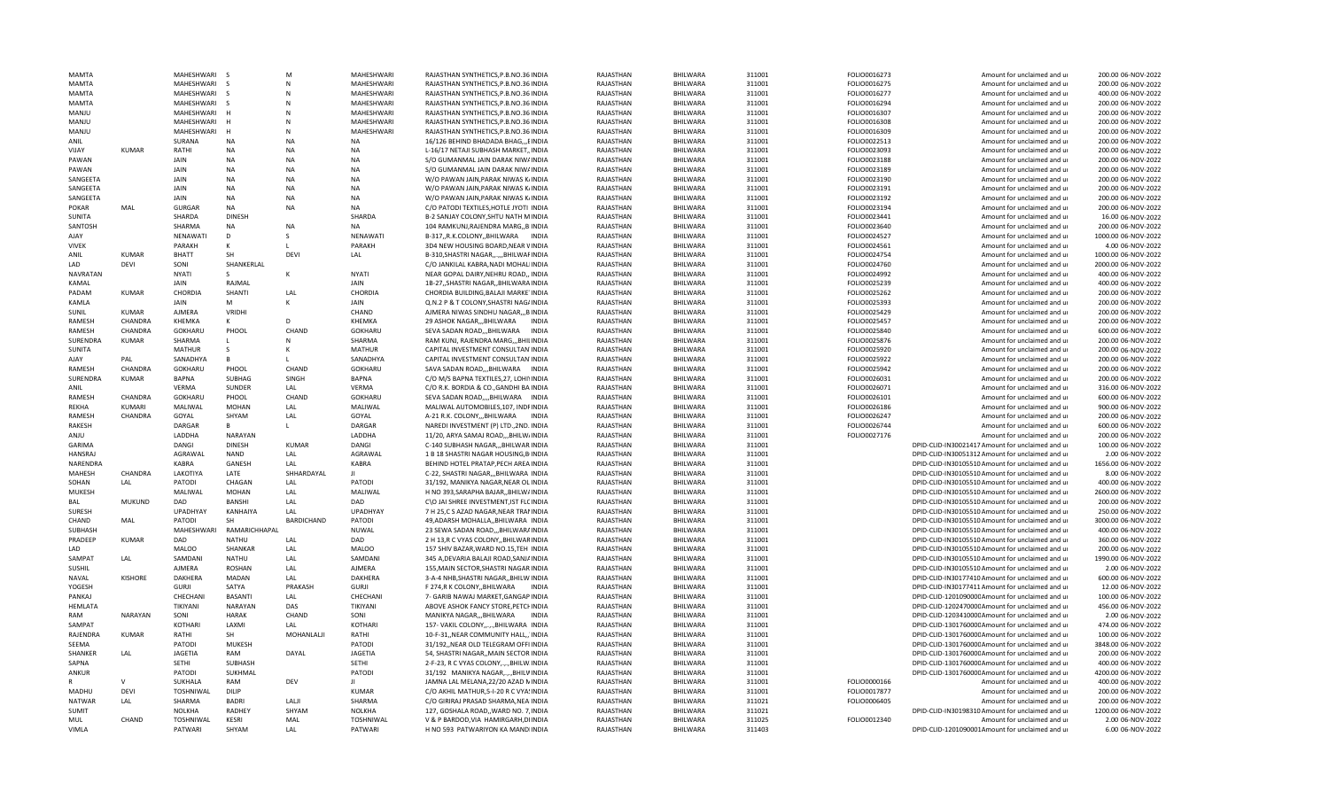| <b>MAMTA</b>    |                | MAHFSHWARI                |                | M                 | <b>MAHFSHWARI</b>  | RAJASTHAN SYNTHETICS, P.B.NO.36 INDIA   | RAIASTHAN | <b>BHILWARA</b> | 311001 | FOLIO0016273 | Amount for unclaimed and ur                      | 200.00 06-NOV-2022                      |
|-----------------|----------------|---------------------------|----------------|-------------------|--------------------|-----------------------------------------|-----------|-----------------|--------|--------------|--------------------------------------------------|-----------------------------------------|
| <b>MAMTA</b>    |                | MAHESHWARI                |                |                   | MAHESHWARI         | RAJASTHAN SYNTHETICS, P.B.NO.36 INDIA   | RAJASTHAN | BHILWARA        | 311001 | FOLIO0016275 | Amount for unclaimed and ur                      | 200.00 06-NOV-2022                      |
| MAMTA           |                | MAHESHWARI                |                |                   | MAHESHWARI         | RAJASTHAN SYNTHETICS, P.B.NO.36 INDIA   | RAJASTHAN | BHILWARA        | 311001 | FOLIO0016277 | Amount for unclaimed and ur                      | 400.00 06-NOV-2022                      |
| MAMTA           |                | MAHESHWARI                |                |                   | MAHESHWARI         | RAJASTHAN SYNTHETICS, P.B.NO.36 INDIA   | RAJASTHAN | BHILWARA        | 311001 | FOLIO0016294 | Amount for unclaimed and ur                      | 200.00 06-NOV-2022                      |
| ULIANM          |                | MAHESHWARI                |                |                   | MAHESHWARI         | RAJASTHAN SYNTHETICS, P.B.NO.36 INDIA   | RAJASTHAN | BHILWARA        | 311001 | FOLIO0016307 | Amount for unclaimed and ur                      | 200.00 06-NOV-2022                      |
| MANJU           |                | MAHESHWARI                |                | N                 | <b>MAHESHWARI</b>  | RAJASTHAN SYNTHETICS, P.B.NO.36 INDIA   | RAJASTHAN | BHILWARA        | 311001 | FOLIO0016308 | Amount for unclaimed and ur                      | 200.00 06-NOV-2022                      |
| MANJU           |                | MAHESHWARI                |                | N                 | MAHESHWARI         | RAJASTHAN SYNTHETICS, P.B.NO.36 INDIA   | RAJASTHAN | BHILWARA        | 311001 | FOLIO0016309 | Amount for unclaimed and ur                      | 200.00 06-NOV-2022                      |
| <b>ANIL</b>     |                | SURANA                    | <b>NA</b>      | <b>NA</b>         | <b>NA</b>          | 16/126 BEHIND BHADADA BHAG,,,EINDIA     | RAJASTHAN | BHILWARA        | 311001 | FOLIO0022513 | Amount for unclaimed and ur                      | 200.00 06-NOV-2022                      |
| VIJAY           | KUMAR          | RATHI                     | <b>NA</b>      | <b>NA</b>         | <b>NA</b>          | L-16/17 NETAJI SUBHASH MARKET, INDIA    | RAJASTHAN | BHILWARA        | 311001 | FOLIO0023093 | Amount for unclaimed and ur                      | 200.00 06-NOV-2022                      |
| PAWAN           |                | JAIN                      | <b>NA</b>      | <b>NA</b>         | NA                 | S/O GUMANMAL JAIN DARAK NIW/INDIA       | RAJASTHAN | BHILWARA        | 311001 | FOLIO0023188 | Amount for unclaimed and ur                      | 200.00 06-NOV-2022                      |
| PAWAN           |                | JAIN                      | <b>NA</b>      | <b>NA</b>         | <b>NA</b>          | S/O GUMANMAL JAIN DARAK NIW/INDIA       | RAJASTHAN | BHILWARA        | 311001 | FOLIO0023189 | Amount for unclaimed and ur                      | 200.00 06-NOV-2022                      |
| SANGEETA        |                | JAIN                      | <b>NA</b>      | <b>NA</b>         | <b>NA</b>          | W/O PAWAN JAIN, PARAK NIWAS K/INDIA     | RAJASTHAN | <b>BHILWARA</b> | 311001 | FOLIO0023190 | Amount for unclaimed and ur                      | 200.00 06-NOV-2022                      |
| SANGEETA        |                | JAIN                      | <b>NA</b>      | <b>NA</b>         | NA                 | W/O PAWAN JAIN, PARAK NIWAS K/INDIA     | RAJASTHAN | BHILWARA        | 311001 | FOLIO0023191 | Amount for unclaimed and ur                      | 200.00 06-NOV-2022                      |
| SANGEETA        |                | JAIN                      | <b>NA</b>      | <b>NA</b>         | <b>NA</b>          | W/O PAWAN JAIN, PARAK NIWAS K/INDIA     | RAJASTHAN | <b>BHILWARA</b> | 311001 | FOLIO0023192 | Amount for unclaimed and ur                      | 200.00 06-NOV-2022                      |
| <b>POKAR</b>    | MAL            | <b>GURGAR</b>             | <b>NA</b>      | <b>NA</b>         | <b>NA</b>          | C/O PATODI TEXTILES, HOTLE JYOTI INDIA  | RAJASTHAN | BHILWARA        | 311001 | FOLIO0023194 | Amount for unclaimed and ur                      | 200.00 06-NOV-2022                      |
| <b>SUNITA</b>   |                | SHARDA                    | <b>DINESH</b>  |                   | SHARDA             | B-2 SANJAY COLONY, SHTU NATH MINDIA     | RAJASTHAN | BHILWARA        | 311001 | FOLIO0023441 | Amount for unclaimed and ur                      |                                         |
|                 |                | SHARMA                    | <b>NA</b>      | <b>NA</b>         | NA                 | 104 RAMKUNJ, RAJENDRA MARG, BINDIA      | RAJASTHAN | BHILWARA        |        |              |                                                  | 16.00 06-NOV-2022<br>200.00 06-NOV-2022 |
| SANTOSH         |                |                           | D              |                   |                    |                                         |           |                 | 311001 | FOLIO0023640 | Amount for unclaimed and ur                      |                                         |
| AJAY            |                | NENAWATI<br><b>PARAKH</b> |                |                   | NENAWATI<br>PARAKH | B-317,,R.K.COLONY,,BHILWARA INDIA       | RAJASTHAN | BHILWARA        | 311001 | FOLIO0024527 | Amount for unclaimed and ur                      | 1000.00 06-NOV-2022<br>4.00 06-NOV-2022 |
| <b>VIVEK</b>    |                |                           | ĸ              |                   |                    | 3D4 NEW HOUSING BOARD, NEAR VINDIA      | RAJASTHAN | BHILWARA        | 311001 | FOLIO0024561 | Amount for unclaimed and ur                      |                                         |
| ANIL            | KUMAR          | <b>BHATT</b>              | SH             | DEVI              | LAL                | B-310, SHASTRI NAGAR,,.,,,BHILWAFINDIA  | RAJASTHAN | BHILWARA        | 311001 | FOLIO0024754 | Amount for unclaimed and ur                      | 1000.00 06-NOV-2022                     |
| LAD             | DEVI           | SONI                      | SHANKERLAL     |                   |                    | C/O JANKILAL KABRA, NADI MOHALIINDIA    | RAJASTHAN | BHILWARA        | 311001 | FOLIO0024760 | Amount for unclaimed and ur                      | 2000.00 06-NOV-2022                     |
| <b>NAVRATAN</b> |                | <b>NYATI</b>              | $\varsigma$    | $\mathsf{K}$      | <b>NYATI</b>       | NEAR GOPAL DAIRY.NEHRU ROAD INDIA       | RAIASTHAN | <b>BHILWARA</b> | 311001 | FOLIO0024992 | Amount for unclaimed and ur                      | 400.00 06-NOV-2022                      |
| KAMAL           |                | <b>JAIN</b>               | RAJMAL         |                   | <b>JAIN</b>        | 1B-27,, SHASTRI NAGAR,, BHILWARA INDIA  | RAJASTHAN | BHILWARA        | 311001 | FOLIO0025239 | Amount for unclaimed and ur                      | 400.00 06-NOV-2022                      |
| PADAM           | <b>KUMAR</b>   | CHORDIA                   | SHANTI         | LAL               | CHORDIA            | CHORDIA BUILDING, BALAJI MARKE INDIA    | RAJASTHAN | BHILWARA        | 311001 | FOLIO0025262 | Amount for unclaimed and ur                      | 200.00 06-NOV-2022                      |
| KAMLA           |                | JAIN                      | M              | к                 | <b>JAIN</b>        | Q.N.2 P & T COLONY, SHASTRI NAG/INDIA   | RAJASTHAN | BHILWARA        | 311001 | FOLIO0025393 | Amount for unclaimed and ur                      | 200.00 06-NOV-2022                      |
| SUNIL           | <b>KUMAR</b>   | AJMERA                    | VRIDHI         |                   | CHAND              | AJMERA NIWAS SINDHU NAGAR,,,B INDIA     | RAJASTHAN | BHILWARA        | 311001 | FOLIO0025429 | Amount for unclaimed and ur                      | 200.00 06-NOV-2022                      |
| RAMESH          | CHANDRA        | KHEMKA                    | K              | D                 | KHEMKA             | 29 ASHOK NAGAR,,,BHILWARA<br>INDIA      | RAJASTHAN | BHILWARA        | 311001 | FOLIO0025457 | Amount for unclaimed and ur                      | 200.00 06-NOV-2022                      |
| RAMESH          | CHANDRA        | <b>GOKHARU</b>            | PHOOL          | CHAND             | <b>GOKHARU</b>     | SEVA SADAN ROAD,,, BHILWARA INDIA       | RAJASTHAN | BHILWARA        | 311001 | FOLIO0025840 | Amount for unclaimed and ur                      | 600.00 06-NOV-2022                      |
| <b>SURENDRA</b> | <b>KUMAR</b>   | SHARMA                    |                |                   | SHARMA             | RAM KUNJ, RAJENDRA MARG,,,BHILINDIA     | RAJASTHAN | BHILWARA        | 311001 | FOLIO0025876 | Amount for unclaimed and ur                      | 200.00 06-NOV-2022                      |
| SUNITA          |                | <b>MATHUR</b>             | -S             |                   | <b>MATHUR</b>      | CAPITAL INVESTMENT CONSULTAN INDIA      | RAJASTHAN | BHILWARA        | 311001 | FOLIO0025920 | Amount for unclaimed and ur                      | 200.00 06-NOV-2022                      |
| AJAY            | PAL            | SANADHYA                  | B              |                   | SANADHYA           | CAPITAL INVESTMENT CONSULTAN INDIA      | RAJASTHAN | BHILWARA        | 311001 | FOLIO0025922 | Amount for unclaimed and ur                      | 200.00 06-NOV-2022                      |
| RAMESH          | CHANDRA        | <b>GOKHARU</b>            | PHOOL          | CHAND             | <b>GOKHARU</b>     | SAVA SADAN ROAD,,,BHILWARA INDIA        | RAJASTHAN | BHILWARA        | 311001 | FOLIO0025942 | Amount for unclaimed and ur                      | 200.00 06-NOV-2022                      |
| <b>SURENDRA</b> | <b>KUMAR</b>   | <b>BAPNA</b>              | SUBHAG         | SINGH             | <b>BAPNA</b>       | C/O M/S BAPNA TEXTILES.27, LOHININDIA   | RAJASTHAN | <b>BHILWARA</b> | 311001 | FOLIO0026031 | Amount for unclaimed and ur                      | 200.00 06-NOV-2022                      |
| <b>ANIL</b>     |                | <b>VERMA</b>              | <b>SUNDER</b>  | LAL               | <b>VERMA</b>       | C/O R.K. BORDIA & CO., GANDHI BAINDIA   | RAJASTHAN | <b>BHILWARA</b> | 311001 | FOLIO0026071 | Amount for unclaimed and ur                      | 316.00 06-NOV-2022                      |
| RAMESH          | CHANDRA        | GOKHARU                   | PHOOL          | CHAND             | GOKHARU            | SEVA SADAN ROAD,,,,BHILWARA INDIA       | RAJASTHAN | BHILWARA        | 311001 | FOLIO0026101 | Amount for unclaimed and ur                      | 600.00 06-NOV-2022                      |
| RFKHA           | KUMARI         | MALIWAL                   | <b>MOHAN</b>   | LAL               | MALIWAL            | MALIWAL AUTOMOBILES, 107, INDFINDIA     | RAJASTHAN | BHILWARA        | 311001 | FOLIO0026186 | Amount for unclaimed and ur                      | 900.00 06-NOV-2022                      |
| RAMESH          | CHANDRA        | GOYAL                     | SHYAM          | LAL               | GOYAL              | A-21 R.K. COLONY,,,BHILWARA INDIA       | RAJASTHAN | BHILWARA        | 311001 | FOLIO0026247 | Amount for unclaimed and ur                      | 200.00 06-NOV-2022                      |
| RAKESH          |                | DARGAR                    | В              | $\mathbf{L}$      | DARGAR             | NAREDI INVESTMENT (P) LTD., 2ND. INDIA  | RAJASTHAN | BHILWARA        | 311001 | FOLIO0026744 | Amount for unclaimed and ur                      | 600.00 06-NOV-2022                      |
| <b>ANJU</b>     |                | LADDHA                    | NARAYAN        |                   | LADDHA             | 11/20, ARYA SAMAJ ROAD,,, BHILW, INDIA  | RAJASTHAN | BHILWARA        | 311001 | FOLIO0027176 | Amount for unclaimed and ur                      | 200.00 06-NOV-2022                      |
| GARIMA          |                | DANGI                     | <b>DINESH</b>  | <b>KUMAR</b>      | DANGI              | C-140 SUBHASH NAGAR,,,BHILWAR.INDIA     | RAJASTHAN | BHILWARA        | 311001 |              | DPID-CLID-IN30021417 Amount for unclaimed and ur | 100.00 06-NOV-2022                      |
| <b>HANSRAJ</b>  |                | AGRAWAL                   | NAND           | LAL               | AGRAWAL            | 1 B 18 SHASTRI NAGAR HOUSING, BINDIA    | RAJASTHAN | BHILWARA        | 311001 |              | DPID-CLID-IN30051312 Amount for unclaimed and ur | 2.00 06-NOV-2022                        |
| NARENDRA        |                | <b>KABRA</b>              | GANESH         | LAL               | <b>KABRA</b>       | BEHIND HOTEL PRATAP, PECH AREA INDIA    | RAJASTHAN | BHILWARA        | 311001 |              | DPID-CLID-IN30105510 Amount for unclaimed and ur | 1656.00 06-NOV-2022                     |
| MAHESH          | CHANDRA        | LAKOTIYA                  | LATE           | SHHARDAYAL        | $\mathbf{H}$       | C-22, SHASTRI NAGAR,,,BHILWARA INDIA    | RAJASTHAN | BHILWARA        | 311001 |              | DPID-CLID-IN30105510 Amount for unclaimed and ur | 8.00 06-NOV-2022                        |
| SOHAN           | LAL            | PATODI                    | CHAGAN         | LAL               | PATODI             | 31/192, MANIKYA NAGAR, NEAR OL INDIA    | RAJASTHAN | <b>BHILWARA</b> | 311001 |              | DPID-CLID-IN30105510 Amount for unclaimed and ur | 400.00 06-NOV-2022                      |
|                 |                |                           |                |                   |                    |                                         |           |                 |        |              |                                                  |                                         |
| MUKESH<br>BAL   |                | MALIWAL                   | <b>MOHAN</b>   | LAL               | MALIWAL            | H NO 393, SARAPHA BAJAR, BHILW/INDIA    | RAJASTHAN | BHILWARA        | 311001 |              | DPID-CLID-IN30105510 Amount for unclaimed and ur | 2600.00 06-NOV-2022                     |
|                 | MUKUND         | DAD                       | BANSHI         | LAL               | DAD                | C\O JAI SHREE INVESTMENT, IST FLCINDIA  | RAJASTHAN | BHILWARA        | 311001 |              | DPID-CLID-IN30105510 Amount for unclaimed and ur | 200.00 06-NOV-2022                      |
| <b>SURESH</b>   |                | UPADHYAY                  | KANHAIYA       | LAL               | <b>UPADHYAY</b>    | 7 H 25,C S AZAD NAGAR, NEAR TRANNDIA    | RAJASTHAN | BHILWARA        | 311001 |              | DPID-CLID-IN30105510 Amount for unclaimed and ur | 250.00 06-NOV-2022                      |
| CHAND           | MAL            | PATODI                    | <b>SH</b>      | <b>BARDICHAND</b> | PATODI             | 49, ADARSH MOHALLA, BHILWARA INDIA      | RAJASTHAN | BHILWARA        | 311001 |              | DPID-CLID-IN30105510 Amount for unclaimed and ur | 3000.00 06-NOV-2022                     |
| SUBHASH         |                | MAHESHWARI                | RAMARICHHAPAL  |                   | NUWAL              | 23 SEWA SADAN ROAD,,,BHILWARAINDIA      | RAJASTHAN | BHILWARA        | 311001 |              | DPID-CLID-IN30105510 Amount for unclaimed and ur | 400.00 06-NOV-2022                      |
| PRADEEP         | <b>KUMAR</b>   | DAD                       | <b>NATHU</b>   | LAL               | DAD                | 2 H 13, R C VYAS COLONY, BHILWARINDIA   | RAJASTHAN | BHILWARA        | 311001 |              | DPID-CLID-IN30105510 Amount for unclaimed and ur | 360.00 06-NOV-2022                      |
| LAD             |                | <b>MALOO</b>              | SHANKAR        | LAL               | <b>MALOO</b>       | 157 SHIV BAZAR, WARD NO.15, TEH INDIA   | RAJASTHAN | BHILWARA        | 311001 |              | DPID-CLID-IN30105510 Amount for unclaimed and ur | 200.00 06-NOV-2022                      |
| SAMPAT          | LAL            | SAMDANI                   | NATHU          | LAL               | SAMDANI            | 345 A, DEVARIA BALAJI ROAD, SANJAINDIA  | RAJASTHAN | BHILWARA        | 311001 |              | DPID-CLID-IN30105510 Amount for unclaimed and ur | 1990.00 06-NOV-2022                     |
| <b>SUSHIL</b>   |                | AJMERA                    | <b>ROSHAN</b>  | LAL               | AJMERA             | 155, MAIN SECTOR, SHASTRI NAGAR INDIA   | RAJASTHAN | BHILWARA        | 311001 |              | DPID-CLID-IN30105510 Amount for unclaimed and ur | 2.00 06-NOV-2022                        |
| NAVAL           | <b>KISHORE</b> | DAKHERA                   | MADAN          | LAL               | <b>DAKHERA</b>     | 3-A-4 NHB, SHASTRI NAGAR, , BHILW INDIA | RAJASTHAN | BHILWARA        | 311001 |              | DPID-CLID-IN30177410 Amount for unclaimed and ur | 600.00 06-NOV-2022                      |
| YOGESH          |                | <b>GURJI</b>              | SATYA          | PRAKASH           | <b>GURJI</b>       | F 274.R K COLONYBHILWARA INDIA          | RAJASTHAN | <b>BHILWARA</b> | 311001 |              | DPID-CLID-IN30177411 Amount for unclaimed and ur | 12.00 06-NOV-2022                       |
| PANKAI          |                | CHECHANI                  | <b>BASANTI</b> | LAL               | CHECHANI           | 7- GARIB NAWAJ MARKET, GANGAP INDIA     | RAJASTHAN | <b>BHILWARA</b> | 311001 |              | DPID-CLID-120109000CAmount for unclaimed and ur  | 100.00 06-NOV-2022                      |
| HEMLATA         |                | TIKIYANI                  | NARAYAN        | DAS               | TIKIYANI           | ABOVE ASHOK FANCY STORE, PETCHINDIA     | RAJASTHAN | BHILWARA        | 311001 |              | DPID-CLID-120247000CAmount for unclaimed and ur  | 456.00 06-NOV-2022                      |
| RAM             | NARAYAN        | SONI                      | <b>HARAK</b>   | CHAND             | SONI               | MANIKYA NAGAR,,,BHILWARA<br>INDIA       | RAJASTHAN | BHILWARA        | 311001 |              | DPID-CLID-120341000CAmount for unclaimed and ur  | 2.00 06-NOV-2022                        |
| SAMPAT          |                | KOTHARI                   | LAXMI          | LAL               | KOTHARI            | 157- VAKIL COLONY,,.,.,BHILWARA INDIA   | RAJASTHAN | BHILWARA        | 311001 |              | DPID-CLID-130176000CAmount for unclaimed and ur  | 474.00 06-NOV-2022                      |
| RAJENDRA        | <b>KUMAR</b>   | RATHI                     | SH             | MOHANLALJI        | RATHI              | 10-F-31,, NEAR COMMUNITY HALL,, INDIA   | RAJASTHAN | BHILWARA        | 311001 |              | DPID-CLID-130176000C Amount for unclaimed and ur | 100.00 06-NOV-2022                      |
| SEEMA           |                | PATODI                    | <b>MUKESH</b>  |                   | PATODI             | 31/192,, NEAR OLD TELEGRAM OFFI INDIA   | RAJASTHAN | BHILWARA        | 311001 |              | DPID-CLID-130176000CAmount for unclaimed and ur  | 3848.00 06-NOV-2022                     |
| SHANKER         | LAL            | <b>JAGETIA</b>            | RAM            | DAYAL             | <b>JAGETIA</b>     | 54. SHASTRI NAGAR., MAIN SECTOR INDIA   | RAJASTHAN | BHILWARA        | 311001 |              | DPID-CLID-130176000CAmount for unclaimed and ur  | 200.00 06-NOV-2022                      |
| SAPNA           |                | SETHI                     | SUBHASH        |                   | SETHI              | 2-F-23, R C VYAS COLONY,.,.,BHILW.INDIA | RAJASTHAN | BHILWARA        | 311001 |              | DPID-CLID-130176000CAmount for unclaimed and ur  | 400.00 06-NOV-2022                      |
| ANKUR           |                | PATODI                    | SUKHMAL        |                   | PATODI             | 31/192 MANIKYA NAGAR,, BHILWINDIA       | RAJASTHAN | BHILWARA        | 311001 |              | DPID-CLID-130176000CAmount for unclaimed and ur  | 4200.00 06-NOV-2022                     |
|                 |                | SUKHALA                   | <b>RAM</b>     | DEV               |                    | JAMNA LAL MELANA, 22/20 AZAD NINDIA     | RAJASTHAN | BHILWARA        | 311001 | FOLIO0000166 | Amount for unclaimed and ur                      | 400.00 06-NOV-2022                      |
| MADHU           | DFVI           | TOSHNIWAL                 | DILIP          |                   | <b>KUMAR</b>       | C/O AKHIL MATHUR, 5-I-20 R C VYA: INDIA | RAJASTHAN | BHILWARA        | 311001 | FOLIO0017877 | Amount for unclaimed and u                       | 200.00 06-NOV-2022                      |
| <b>NATWAR</b>   | LAL            | SHARMA                    | <b>BADRI</b>   | LALJI             | SHARMA             | C/O GIRIRAJ PRASAD SHARMA, NEAIINDIA    | RAJASTHAN | BHILWARA        | 311021 | FOLIO0006405 | Amount for unclaimed and ur                      | 200.00 06-NOV-2022                      |
| SUMIT           |                | NOLKHA                    | RADHEY         | SHYAM             | <b>NOLKHA</b>      | 127, GOSHALA ROAD,, WARD NO. 7, INDIA   | RAJASTHAN | <b>BHILWARA</b> | 311021 |              | DPID-CLID-IN30198310 Amount for unclaimed and ur | 1200.00 06-NOV-2022                     |
| <b>MUL</b>      | CHAND          | <b>TOSHNIWAL</b>          | <b>KESRI</b>   | MAL               | <b>TOSHNIWAL</b>   | V & P BARDOD, VIA HAMIRGARH, DIINDIA    | RAJASTHAN | BHILWARA        | 311025 | FOLIO0012340 | Amount for unclaimed and ur                      | 2.00 06-NOV-2022                        |
| <b>VIMLA</b>    |                | PATWARI                   | SHYAM          | LAL               | PATWARI            | H NO 593 PATWARIYON KA MANDIINDIA       | RAJASTHAN | <b>BHILWARA</b> | 311403 |              | DPID-CLID-1201090001Amount for unclaimed and ur  | 6.00 06-NOV-2022                        |
|                 |                |                           |                |                   |                    |                                         |           |                 |        |              |                                                  |                                         |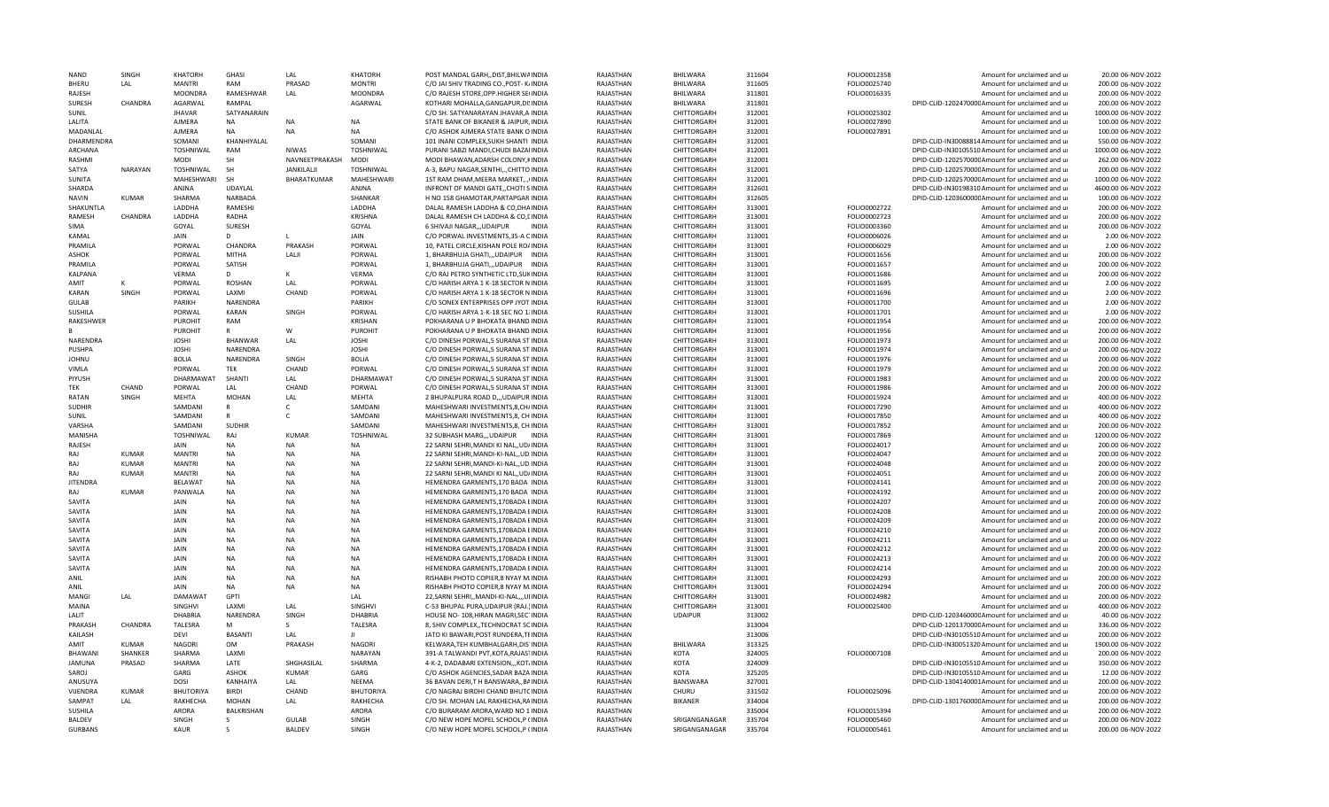| <b>NAND</b>                     | SINGH          | <b>KHATORH</b>   | GHASI              | LAL                    | <b>KHATORH</b>               | POST MANDAL GARH,, DIST, BHILWAINDIA                                       | RAJASTHAN              | <b>BHILWARA</b>                | 311604           | FOLIO0012358                 | Amount for unclaimed and u                                 | 20.00 06-NOV-2022                        |
|---------------------------------|----------------|------------------|--------------------|------------------------|------------------------------|----------------------------------------------------------------------------|------------------------|--------------------------------|------------------|------------------------------|------------------------------------------------------------|------------------------------------------|
| <b>BHFRU</b>                    | LAL            | <b>MANTRI</b>    | RAM                | PRASAD                 | <b>MONTRI</b>                | C/O JAI SHIV TRADING CO., POST- K/INDIA                                    | RAJASTHAN              | <b>BHILWARA</b>                | 311605           | FOLIO0025740                 | Amount for unclaimed and ur                                | 200.00 06-NOV-2022                       |
| RAJESH                          |                | <b>MOONDRA</b>   | RAMESHWAR          | LAL                    | <b>MOONDRA</b>               | C/O RAJESH STORE, OPP. HIGHER SEIINDIA                                     | RAJASTHAN              | BHILWARA                       | 311801           | FOLIO0016335                 | Amount for unclaimed and ur                                | 200.00 06-NOV-2022                       |
| <b>SURESH</b>                   | CHANDRA        | AGARWAL          | RAMPAL             |                        | AGARWAL                      | KOTHARI MOHALLA, GANGAPUR, DISINDIA                                        | RAJASTHAN              | BHILWARA                       | 311801           |                              | DPID-CLID-120247000CAmount for unclaimed and ur            | 200.00 06-NOV-2022                       |
| SUNIL                           |                | <b>JHAVAR</b>    | SATYANARAIN        |                        |                              | C/O SH. SATYANARAYAN JHAVAR, A INDIA                                       | RAJASTHAN              | CHITTORGARH                    | 312001           | FOLIO0025302                 | Amount for unclaimed and ur                                | 1000.00 06-NOV-2022                      |
| LALITA                          |                | AJMERA           | <b>NA</b>          | <b>NA</b>              | <b>NA</b>                    | STATE BANK OF BIKANER & JAIPUR, INDIA                                      | RAJASTHAN              | CHITTORGARH                    | 312001           | FOLIO0027890                 | Amount for unclaimed and ur                                | 100.00 06-NOV-2022                       |
|                                 |                |                  |                    |                        |                              |                                                                            |                        |                                |                  |                              |                                                            |                                          |
| MADANLAL                        |                | AJMERA           | <b>NA</b>          | <b>NA</b>              | <b>NA</b>                    | C/O ASHOK AJMERA STATE BANK O INDIA                                        | RAJASTHAN              | CHITTORGARH                    | 312001           | FOLIO0027891                 | Amount for unclaimed and ur                                | 100.00 06-NOV-2022                       |
| DHARMENDRA                      |                | SOMANI           | KHANHIYALAL        |                        | SOMANI                       | 101 INANI COMPLEX, SUKH SHANTI INDIA                                       | RAJASTHAN              | CHITTORGARH                    | 312001           |                              | DPID-CLID-IN30088814 Amount for unclaimed and ur           | 550.00 06-NOV-2022                       |
| ARCHANA                         |                | TOSHNIWAL        | RAM                | <b>NIWAS</b>           | TOSHNIWAL                    | PURANI SABZI MANDI, CHUDI BAZAHNDIA                                        | RAJASTHAN              | CHITTORGARH                    | 312001           |                              | DPID-CLID-IN30105510 Amount for unclaimed and ur           | 1000.00 06-NOV-2022                      |
| <b>RASHMI</b>                   |                | <b>MODI</b>      | <b>SH</b>          | NAVNEETPRAKASH         | <b>MOD</b>                   | MODI BHAWAN, ADARSH COLONY, KINDIA                                         | RAJASTHAN              | CHITTORGARH                    | 312001           |                              | DPID-CLID-120257000CAmount for unclaimed and ur            | 262.00 06-NOV-2022                       |
| SATYA                           | <b>NARAYAN</b> | TOSHNIWAL        | <b>SH</b>          | JANKILALJI             | <b>TOSHNIWAL</b>             | A-3, BAPU NAGAR, SENTHI,., CHITTO INDIA                                    | RAJASTHAN              | CHITTORGARH                    | 312001           |                              | DPID-CLID-120257000CAmount for unclaimed and ur            | 200.00 06-NOV-2022                       |
| SUNITA                          |                | MAHESHWARI       | <b>SH</b>          | BHARATKUMAR            | MAHESHWARI                   | 1ST RAM DHAM, MEERA MARKET,., (INDIA                                       | RAJASTHAN              | CHITTORGARH                    | 312001           |                              | DPID-CLID-120257000CAmount for unclaimed and ur            | 1000.00 06-NOV-2022                      |
| SHARDA                          |                | ANJNA            | UDAYLAL            |                        | ANJNA                        | INFRONT OF MANDI GATECHOTI SINDIA                                          | RAJASTHAN              | CHITTORGARH                    | 312601           |                              | DPID-CLID-IN30198310 Amount for unclaimed and ur           | 4600.00 06-NOV-2022                      |
| <b>NAVIN</b>                    | KUMAR          | SHARMA           | <b>NARBADA</b>     |                        | SHANKAR                      | H NO 158 GHAMOTAR.PARTAPGAR INDIA                                          | RAJASTHAN              | CHITTORGARH                    | 312605           |                              | DPID-CLID-120360000C Amount for unclaimed and ur           | 100.00 06-NOV-2022                       |
|                                 |                |                  |                    |                        |                              |                                                                            |                        |                                |                  |                              |                                                            |                                          |
| SHAKUNTLA                       |                | LADDHA           | RAMESHJ            |                        | LADDHA                       | DALAL RAMESH LADDHA & CO, DHAINDIA                                         | RAJASTHAN              | CHITTORGARH                    | 313001           | FOLIO0002722                 | Amount for unclaimed and ur                                | 200.00 06-NOV-2022                       |
| <b>RAMESH</b>                   | CHANDRA        | LADDHA           | RADHA              |                        | <b>KRISHNA</b>               | DALAL RAMESH CH LADDHA & CO, LINDIA                                        | RAJASTHAN              | CHITTORGARH                    | 313001           | FOLIO0002723                 | Amount for unclaimed and ur                                | 200.00 06-NOV-2022                       |
| SIMA                            |                | GOYAL            | SURESH             |                        | GOYAL                        | 6 SHIVAJI NAGAR,,,UDAIPUR<br><b>INDIA</b>                                  | RAJASTHAN              | CHITTORGARH                    | 313001           | FOLIO0003360                 | Amount for unclaimed and ur                                | 200.00 06-NOV-2022                       |
| KAMAL                           |                | JAIN             | D                  |                        | JAIN                         | C/O PORWAL INVESTMENTS, 35-A CINDIA                                        | RAJASTHAN              | CHITTORGARH                    | 313001           | FOLIO0006026                 | Amount for unclaimed and ur                                | 2.00 06-NOV-2022                         |
| PRAMILA                         |                | PORWAL           | CHANDRA            | PRAKASH                | PORWAL                       | 10, PATEL CIRCLE, KISHAN POLE RO/INDIA                                     | RAJASTHAN              | CHITTORGARH                    | 313001           | FOLIO0006029                 | Amount for unclaimed and ur                                | 2.00 06-NOV-2022                         |
| ASHOK                           |                | PORWAL           | <b>MITHA</b>       | LALJI                  | PORWAL                       | 1, BHARBHUJA GHATI,,,UDAIPUR INDIA                                         | RAJASTHAN              | CHITTORGARH                    | 313001           | FOLIO0011656                 | Amount for unclaimed and ur                                | 200.00 06-NOV-2022                       |
| PRAMILA                         |                | PORWAL           | SATISH             |                        | PORWAL                       | 1, BHARBHUJA GHATI,,,UDAIPUR INDIA                                         | RAJASTHAN              | CHITTORGARH                    | 313001           | FOLIO0011657                 | Amount for unclaimed and ur                                | 200.00 06-NOV-2022                       |
|                                 |                |                  | D.                 | ĸ                      |                              |                                                                            |                        |                                |                  |                              |                                                            | 200.00 06-NOV-2022                       |
| KALPANA                         |                | VERMA            |                    |                        | VERMA                        | C/O RAJ PETRO SYNTHETIC LTD, SUKINDIA                                      | RAJASTHAN              | CHITTORGARH                    | 313001           | FOLIO0011686                 | Amount for unclaimed and ur                                |                                          |
| AMIT                            |                | PORWAL           | <b>ROSHAN</b>      | LAI                    | PORWAL                       | C/O HARISH ARYA 1 K-18 SECTOR N INDIA                                      | RAIASTHAN              | CHITTORGARH                    | 313001           | FOLIO0011695                 | Amount for unclaimed and ur                                | 2.00 06-NOV-2022                         |
| <b>KARAN</b>                    | SINGH          | PORWAL           | LAXMI              | CHAND                  | PORWAL                       | C/O HARISH ARYA 1 K-18 SECTOR N INDIA                                      | RAJASTHAN              | CHITTORGARH                    | 313001           | FOLIO0011696                 | Amount for unclaimed and ur                                | 2.00 06-NOV-2022                         |
| <b>GULAB</b>                    |                | PARIKH           | NARENDRA           |                        | <b>PARIKH</b>                | C/O SONEX ENTERPRISES OPP JYOT INDIA                                       | RAJASTHAN              | CHITTORGARH                    | 313001           | FOLIO0011700                 | Amount for unclaimed and ur                                | 2.00 06-NOV-2022                         |
| <b>SUSHILA</b>                  |                | PORWAL           | <b>KARAN</b>       | SINGH                  | PORWAL                       | C/O HARISH ARYA 1-K-18 SEC NO 1: INDIA                                     | RAJASTHAN              | CHITTORGARH                    | 313001           | FOLIO0011701                 | Amount for unclaimed and ur                                | 2.00 06-NOV-2022                         |
| RAKESHWER                       |                | <b>PUROHIT</b>   | RAM                |                        | <b>KRISHAN</b>               | POKHARANA U P BHOKATA BHAND INDIA                                          | RAJASTHAN              | CHITTORGARH                    | 313001           | FOLIO0011954                 | Amount for unclaimed and ur                                | 200.00 06-NOV-2022                       |
|                                 |                |                  | $\mathsf{R}$       | W                      | <b>PUROHIT</b>               | POKHARANA U P BHOKATA BHAND INDIA                                          |                        | CHITTORGARH                    |                  |                              |                                                            | 200.00 06-NOV-2022                       |
|                                 |                | <b>PUROHIT</b>   |                    |                        |                              |                                                                            | RAJASTHAN              |                                | 313001           | FOLIO0011956                 | Amount for unclaimed and ur                                |                                          |
| NARENDRA                        |                | <b>JOSHI</b>     | <b>BHANWAR</b>     | LAL                    | <b>JOSHI</b>                 | C/O DINESH PORWAL,5 SURANA ST INDIA                                        | RAJASTHAN              | CHITTORGARH                    | 313001           | FOLIO0011973                 | Amount for unclaimed and ur                                | 200.00 06-NOV-2022                       |
| PUSHPA                          |                | <b>JOSHI</b>     | NARENDRA           |                        | <b>JOSHI</b>                 | C/O DINESH PORWAL,5 SURANA ST INDIA                                        | RAJASTHAN              | CHITTORGARH                    | 313001           | FOLIO0011974                 | Amount for unclaimed and ur                                | 200.00 06-NOV-2022                       |
| <b>JOHNU</b>                    |                | <b>BOLIA</b>     | NARENDRA           | SINGH                  | <b>BOLIA</b>                 | C/O DINESH PORWAL,5 SURANA ST INDIA                                        | RAJASTHAN              | CHITTORGARH                    | 313001           | FOLIO0011976                 | Amount for unclaimed and ur                                | 200.00 06-NOV-2022                       |
| VIMLA                           |                | PORWAL           | TEK                | CHAND                  | PORWAL                       | C/O DINESH PORWAL, 5 SURANA ST INDIA                                       | RAJASTHAN              | CHITTORGARH                    | 313001           | FOLIO0011979                 | Amount for unclaimed and ur                                | 200.00 06-NOV-2022                       |
| PIYUSH                          |                | DHARMAWAT        | SHANTI             | LAL                    | DHARMAWAT                    | C/O DINESH PORWAL,5 SURANA ST INDIA                                        | RAJASTHAN              | CHITTORGARH                    | 313001           | FOLIO0011983                 | Amount for unclaimed and ur                                | 200.00 06-NOV-2022                       |
| TEK                             | CHAND          | PORWAL           | LAL                | CHAND                  | PORWAL                       | C/O DINESH PORWAL,5 SURANA ST INDIA                                        | RAJASTHAN              | CHITTORGARH                    | 313001           | FOLIO0011986                 | Amount for unclaimed and ur                                | 200.00 06-NOV-2022                       |
|                                 |                |                  |                    |                        |                              |                                                                            |                        |                                |                  |                              |                                                            |                                          |
| RATAN                           | SINGH          | MEHTA            | <b>MOHAN</b>       | LAL                    | MEHTA                        | 2 BHUPALPURA ROAD D.,, UDAIPUR INDIA                                       | RAJASTHAN              | CHITTORGARH                    | 313001           | FOLIO0015924                 | Amount for unclaimed and ur                                | 400.00 06-NOV-2022                       |
| <b>SUDHIR</b>                   |                | SAMDANI          | R                  | C.                     | SAMDANI                      | MAHESHWARI INVESTMENTS, 8, CH/INDIA                                        | RAJASTHAN              | CHITTORGARH                    | 313001           | FOLIO0017290                 | Amount for unclaimed and ur                                | 400.00 06-NOV-2022                       |
| SUNIL                           |                | SAMDANI          | $\mathsf{R}$       | c                      | SAMDANI                      | MAHESHWARI INVESTMENTS, 8, CH INDIA                                        | RAJASTHAN              | CHITTORGARH                    | 313001           | FOLIO0017850                 | Amount for unclaimed and ur                                | 400.00 06-NOV-2022                       |
| VARSHA                          |                | SAMDANI          | <b>SUDHIR</b>      |                        | SAMDANI                      | MAHESHWARI INVESTMENTS, 8, CH INDIA                                        | RAJASTHAN              | CHITTORGARH                    | 313001           | FOLIO0017852                 | Amount for unclaimed and ur                                | 200.00 06-NOV-2022                       |
| MANISHA                         |                | TOSHNIWAL        | RAJ                | <b>KUMAR</b>           | <b>TOSHNIWAL</b>             | 32 SUBHASH MARG,,,UDAIPUR INDIA                                            | RAJASTHAN              | CHITTORGARH                    | 313001           | FOLIO0017869                 | Amount for unclaimed and ur                                | 1200.00 06-NOV-2022                      |
| RAJESH                          |                | <b>JAIN</b>      | <b>NA</b>          | <b>NA</b>              | <b>NA</b>                    | 22 SARNI SEHRI, MANDI KI NAL,, UD/INDIA                                    | RAJASTHAN              | CHITTORGARH                    | 313001           | FOLIO0024017                 | Amount for unclaimed and ur                                | 200.00 06-NOV-2022                       |
| RAJ                             | <b>KUMAR</b>   | <b>MANTRI</b>    | <b>NA</b>          | <b>NA</b>              | <b>NA</b>                    | 22 SARNI SEHRI, MANDI-KI-NAL, , UD. INDIA                                  | RAJASTHAN              | CHITTORGARH                    | 313001           | FOLIO0024047                 | Amount for unclaimed and ur                                | 200.00 06-NOV-2022                       |
|                                 |                |                  |                    |                        |                              |                                                                            |                        |                                |                  |                              |                                                            |                                          |
| RAJ                             | <b>KUMAR</b>   | <b>MANTRI</b>    | <b>NA</b>          | <b>NA</b>              | <b>NA</b>                    | 22 SARNI SEHRI, MANDI-KI-NAL, ,UD. INDIA                                   | RAJASTHAN              | CHITTORGARH                    | 313001           | FOLIO0024048                 | Amount for unclaimed and ur                                | 200.00 06-NOV-2022                       |
| RAI                             | <b>KUMAR</b>   | <b>MANTRI</b>    | <b>NA</b>          | <b>NA</b>              | <b>NA</b>                    | 22 SARNI SEHRI, MANDI KI NAL, JUD/INDIA                                    | RAJASTHAN              | CHITTORGARH                    | 313001           | FOLIO0024051                 | Amount for unclaimed and ur                                | 200.00 06-NOV-2022                       |
| <b>JITENDRA</b>                 |                | <b>BELAWAT</b>   | <b>NA</b>          | <b>NA</b>              | <b>NA</b>                    | HEMENDRA GARMENTS, 170 BADA INDIA                                          | RAJASTHAN              | CHITTORGARH                    | 313001           | FOLIO0024141                 | Amount for unclaimed and ur                                | 200.00 06-NOV-2022                       |
| RAJ                             | <b>KUMAR</b>   | PANWALA          | <b>NA</b>          | <b>NA</b>              | <b>NA</b>                    | HEMENDRA GARMENTS, 170 BADA INDIA                                          | RAJASTHAN              | CHITTORGARH                    | 313001           | FOLIO0024192                 | Amount for unclaimed and ur                                | 200.00 06-NOV-2022                       |
| SAVITA                          |                | JAIN             | <b>NA</b>          | <b>NA</b>              | <b>NA</b>                    | HEMENDRA GARMENTS, 170BADA EINDIA                                          | RAJASTHAN              | CHITTORGARH                    | 313001           | FOLIO0024207                 | Amount for unclaimed and ur                                | 200.00 06-NOV-2022                       |
| SAVITA                          |                | JAIN             | <b>NA</b>          | <b>NA</b>              | <b>NA</b>                    | HEMENDRA GARMENTS, 170BADA EINDIA                                          | RAJASTHAN              | CHITTORGARH                    | 313001           | FOLIO0024208                 | Amount for unclaimed and ur                                | 200.00 06-NOV-2022                       |
| SAVITA                          |                | JAIN             | <b>NA</b>          | <b>NA</b>              | <b>NA</b>                    | HEMENDRA GARMENTS, 170BADA EINDIA                                          | RAJASTHAN              | CHITTORGARH                    | 313001           | FOLIO0024209                 |                                                            | 200.00 06-NOV-2022                       |
|                                 |                |                  |                    |                        |                              |                                                                            |                        |                                |                  |                              | Amount for unclaimed and ur                                |                                          |
| SAVITA                          |                | JAIN             | <b>NA</b>          | <b>NA</b>              | NA                           | HEMENDRA GARMENTS, 170BADA EINDIA                                          | RAJASTHAN              | CHITTORGARH                    | 313001           | FOLIO0024210                 | Amount for unclaimed and ur                                | 200.00 06-NOV-2022                       |
| SAVITA                          |                | <b>JAIN</b>      | <b>NA</b>          | <b>NA</b>              | <b>NA</b>                    | HEMENDRA GARMENTS.170BADA EINDIA                                           | RAJASTHAN              | CHITTORGARH                    | 313001           | FOLIO0024211                 | Amount for unclaimed and ur                                | 200.00 06-NOV-2022                       |
| SAVITA                          |                | <b>JAIN</b>      | <b>NA</b>          | <b>NA</b>              | NA                           | HEMENDRA GARMENTS, 170BADA EINDIA                                          | RAJASTHAN              | CHITTORGARH                    | 313001           | FOLIO0024212                 | Amount for unclaimed and ur                                | 200.00 06-NOV-2022                       |
| SAVITA                          |                | JAIN             | <b>NA</b>          | <b>NA</b>              | <b>NA</b>                    | HEMENDRA GARMENTS, 170BADA EINDIA                                          | RAJASTHAN              | CHITTORGARH                    | 313001           | FOLIO0024213                 | Amount for unclaimed and ur                                | 200.00 06-NOV-2022                       |
| SAVITA                          |                | JAIN             | <b>NA</b>          | <b>NA</b>              | <b>NA</b>                    | HEMENDRA GARMENTS, 170BADA EINDIA                                          | RAJASTHAN              | CHITTORGARH                    | 313001           | FOLIO0024214                 | Amount for unclaimed and ur                                | 200.00 06-NOV-2022                       |
| <b>ANIL</b>                     |                | <b>JAIN</b>      | <b>NA</b>          | <b>NA</b>              | <b>NA</b>                    | RISHABH PHOTO COPIER,8 NYAY M.INDIA                                        | RAJASTHAN              | CHITTORGARH                    | 313001           | FOLIO0024293                 | Amount for unclaimed and ur                                | 200.00 06-NOV-2022                       |
| ANIL                            |                | <b>JAIN</b>      | NA                 | <b>NA</b>              | <b>NA</b>                    |                                                                            |                        |                                |                  |                              |                                                            |                                          |
|                                 |                |                  |                    |                        |                              | RISHABH PHOTO COPIER,8 NYAY M.INDIA                                        | RAJASTHAN              | CHITTORGARH                    | 313001           | FOLIO0024294                 | Amount for unclaimed and ur                                | 200.00 06-NOV-2022                       |
| MANGI                           | LAL            | <b>DAMAWAT</b>   | GPTI               |                        | LAL                          | 22, SARNI SEHRI,, MANDI-KI-NAL,,, UIINDIA                                  | RAJASTHAN              | CHITTORGARH                    | 313001           | FOLIO0024982                 | Amount for unclaimed and ur                                | 200.00 06-NOV-2022                       |
| MAINA                           |                | <b>SINGHVI</b>   | LAXMI              | LAL                    | SINGHVI                      | C-53 BHUPAL PURA, UDAIPUR (RAJ.) INDIA                                     | RAJASTHAN              | CHITTORGARH                    | 313001           | FOLIO0025400                 | Amount for unclaimed and u                                 | 400.00 06-NOV-2022                       |
| LALIT                           |                | DHABRIA          | NARENDRA           | SINGH                  | DHABRIA                      | HOUSE NO-108, HIRAN MAGRI, SECTINDIA                                       | RAJASTHAN              | <b>UDAIPUR</b>                 | 313002           |                              | DPID-CLID-120346000CAmount for unclaimed and ur            | 40.00 06-NOV-2022                        |
| PRAKASH                         | CHANDRA        | TALESRA          | м                  | <sub>S</sub>           | TALESRA                      | 8, SHIV COMPLEX, TECHNOCRAT SCINDIA                                        | RAJASTHAN              |                                | 313004           |                              | DPID-CLID-120137000CAmount for unclaimed and ur            | 336.00 06-NOV-2022                       |
| KAILASH                         |                | <b>DFVI</b>      | <b>BASANTI</b>     | LAL                    | $\mathbf{H}$                 | JATO KI BAWARI, POST RUNDERA, TEINDIA                                      | RAJASTHAN              |                                | 313006           |                              | DPID-CLID-IN30105510 Amount for unclaimed and ur           | 200.00 06-NOV-2022                       |
| AMIT                            | <b>KUMAR</b>   | <b>NAGORI</b>    | OM                 | PRAKASH                | <b>NAGORI</b>                | KELWARA, TEH KUMBHALGARH, DIS INDIA                                        | RAJASTHAN              | BHILWARA                       | 313325           |                              | DPID-CLID-IN30051320 Amount for unclaimed and ur           | 1900.00 06-NOV-2022                      |
|                                 |                |                  |                    |                        |                              |                                                                            |                        |                                |                  |                              |                                                            |                                          |
| BHAWANI                         | SHANKER        | SHARMA           | LAXMI              |                        | NARAYAN                      | 391-A TALWANDI PVT, KOTA, RAJASTINDIA                                      | RAJASTHAN              | <b>KOTA</b>                    | 324005           | FOLIO0007108                 | Amount for unclaimed and ur                                | 200.00 06-NOV-2022                       |
| <b>JAMUNA</b>                   | PRASAD         | SHARMA           | LATE               | SHGHASILAL             | SHARMA                       | 4-K-2, DADABARI EXTENSION,,,KOT,INDIA                                      | RAJASTHAN              | KOTA                           | 324009           |                              | DPID-CLID-IN30105510 Amount for unclaimed and ur           | 350.00 06-NOV-2022                       |
| SAROJ                           |                | GARG             | ASHOK              | <b>KUMAR</b>           | GARG                         | C/O ASHOK AGENCIES, SADAR BAZA INDIA                                       | RAJASTHAN              | KOTA                           | 325205           |                              | DPID-CLID-IN30105510 Amount for unclaimed and ur           | 12.00 06-NOV-2022                        |
| ANUSUYA                         |                | <b>DOSI</b>      | KANHAIYA           | LAL                    | <b>NEEMA</b>                 | 36 BAVAN DERI, TH BANSWARA, BAINDIA                                        | RAJASTHAN              | BANSWARA                       | 327001           |                              | DPID-CLID-1304140001Amount for unclaimed and ur            | 200.00 06-NOV-2022                       |
|                                 |                |                  | <b>BIRDI</b>       | CHAND                  | <b>BHUTORIYA</b>             | C/O NAGRAJ BIRDHI CHAND BHUTCINDIA                                         | RAJASTHAN              | CHURU                          | 331502           | FOLIO0025096                 | Amount for unclaimed and ur                                | 200.00 06-NOV-2022                       |
| VIJENDRA                        | <b>KUMAR</b>   | <b>BHUTORIYA</b> |                    |                        |                              |                                                                            |                        |                                |                  |                              |                                                            |                                          |
|                                 |                |                  |                    |                        |                              |                                                                            |                        |                                |                  |                              |                                                            |                                          |
| <b>SAMPAT</b>                   | LAL            | RAKHECHA         | <b>MOHAN</b>       | LAL                    | RAKHECHA                     | C/O SH. MOHAN LAL RAKHECHA, RAINDIA                                        | RAJASTHAN              | <b>BIKANER</b>                 | 334004           |                              | DPID-CLID-130176000CAmount for unclaimed and ur            | 200.00 06-NOV-2022                       |
| <b>SUSHILA</b>                  |                | ARORA            | <b>BALKRISHAN</b>  |                        | ARORA                        | C/O BURARAM ARORA. WARD NO 1 INDIA                                         | RAJASTHAN              |                                | 335004           | FOLIO0015394                 | Amount for unclaimed and ur                                | 200.00 06-NOV-2022                       |
| <b>BALDFV</b><br><b>GURBANS</b> |                | SINGH<br>KAUR    | S.<br><sub>S</sub> | GULAR<br><b>BALDEV</b> | <b>SINGH</b><br><b>SINGH</b> | C/O NEW HOPE MOPEL SCHOOL, P (INDIA<br>C/O NEW HOPE MOPEL SCHOOL, P (INDIA | RAJASTHAN<br>RAJASTHAN | SRIGANGANAGAR<br>SRIGANGANAGAR | 335704<br>335704 | FOLIO0005460<br>FOLIO0005461 | Amount for unclaimed and ur<br>Amount for unclaimed and ur | 200.00 06-NOV-2022<br>200.00 06-NOV-2022 |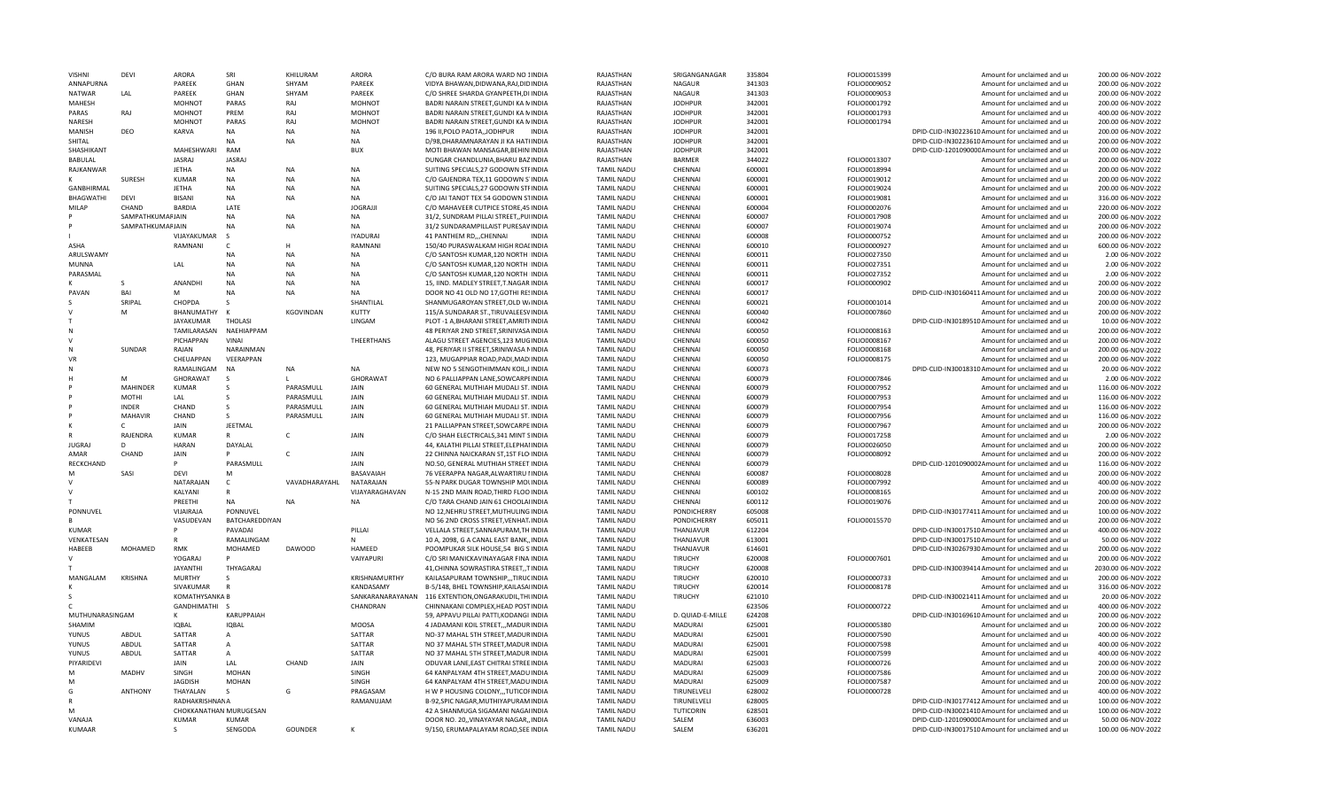| <b>VISHNI</b>     | DFVI             | <b>ARORA</b>           | SRI               | KHILURAM      | <b>ARORA</b>     | C/O BURA RAM ARORA WARD NO 1INDIA           | RAIASTHAN         | SRIGANGANAGAR    | 335804 | FOLIO0015399 | Amount for unclaimed and ur                                | 200.00 06-NOV-2022  |
|-------------------|------------------|------------------------|-------------------|---------------|------------------|---------------------------------------------|-------------------|------------------|--------|--------------|------------------------------------------------------------|---------------------|
| ANNAPURNA         |                  | PAREEK                 | <b>GHAN</b>       | SHYAM         | PAREEK           | VIDYA BHAWAN, DIDWANA, RAJ, DIDINDIA        | RAJASTHAN         | <b>NAGAUR</b>    | 341303 | FOLIO0009052 | Amount for unclaimed and ur                                | 200.00 06-NOV-2022  |
| <b>NATWAR</b>     | LAL              | PAREEK                 | GHAN              | SHYAM         | PAREEK           | C/O SHREE SHARDA GYANPEETH, DI INDIA        | RAJASTHAN         | NAGAUR           | 341303 | FOLIO0009053 | Amount for unclaimed and ur                                | 200.00 06-NOV-2022  |
| MAHESH            |                  | <b>MOHNOT</b>          | PARAS             | RAJ           | <b>MOHNOT</b>    | BADRI NARAIN STREET, GUNDI KA MINDIA        | RAJASTHAN         | <b>JODHPUR</b>   | 342001 | FOLIO0001792 | Amount for unclaimed and ur                                | 200.00 06-NOV-2022  |
| PARAS             | RAJ              | MOHNOT                 | PREM              | RAJ           | MOHNOT           | BADRI NARAIN STREET, GUNDI KA NINDIA        | RAJASTHAN         | <b>JODHPUR</b>   | 342001 | FOLIO0001793 | Amount for unclaimed and ur                                | 400.00 06-NOV-2022  |
| <b>NARESH</b>     |                  | MOHNOT                 | PARAS             | RAJ           | MOHNOT           | BADRI NARAIN STREET, GUNDI KA NINDIA        | RAJASTHAN         | <b>JODHPUR</b>   | 342001 | FOLIO0001794 | Amount for unclaimed and ur                                | 200.00 06-NOV-2022  |
| MANISH            | DFO              | KARVA                  | NA                | <b>NA</b>     | <b>NA</b>        | 196 II, POLO PAOTA, JODHPUR<br><b>INDIA</b> | RAJASTHAN         | <b>JODHPUR</b>   | 342001 |              | DPID-CLID-IN30223610 Amount for unclaimed and ur           | 200.00 06-NOV-2022  |
| SHITAL            |                  |                        | <b>NA</b>         | <b>NA</b>     | <b>NA</b>        | D/98, DHARAMNARAYAN JI KA HATHNDIA          | RAJASTHAN         | <b>JODHPUR</b>   | 342001 |              | DPID-CLID-IN30223610 Amount for unclaimed and ur           | 200.00 06-NOV-2022  |
| SHASHIKANT        |                  | MAHESHWARI             | RAM               |               | <b>BUX</b>       | MOTI BHAWAN MANSAGAR, BEHINIINDIA           | RAJASTHAN         | <b>JODHPUR</b>   | 342001 |              | DPID-CLID-120109000C Amount for unclaimed and ur           | 200.00 06-NOV-2022  |
| BABULAL           |                  | JASRAJ                 | <b>JASRAJ</b>     |               |                  | DUNGAR CHANDLUNIA, BHARU BAZINDIA           | RAJASTHAN         | BARMER           | 344022 | FOLIO0013307 | Amount for unclaimed and ur                                | 200.00 06-NOV-2022  |
| RAIKANWAR         |                  | <b>JETHA</b>           | NA                | <b>NA</b>     | <b>NA</b>        | SUITING SPECIALS, 27 GODOWN STFINDIA        | <b>TAMIL NADU</b> | CHENNAI          | 600001 | FOLIO0018994 | Amount for unclaimed and ur                                | 200.00 06-NOV-2022  |
|                   | SURESH           | <b>KUMAR</b>           | NA                | <b>NA</b>     | <b>NA</b>        | C/O GAJENDRA TEX,11 GODOWN S'INDIA          | <b>TAMIL NADU</b> | CHENNAI          | 600001 | FOLIO0019012 | Amount for unclaimed and ur                                | 200.00 06-NOV-2022  |
| <b>GANBHIRMAI</b> |                  | <b>JETHA</b>           | <b>NA</b>         | <b>NA</b>     | <b>NA</b>        | SUITING SPECIALS, 27 GODOWN STFINDIA        | <b>TAMIL NADU</b> | CHENNAI          | 600001 | FOLIO0019024 | Amount for unclaimed and ur                                | 200.00 06-NOV-2022  |
| <b>BHAGWATHI</b>  | DEVI             | <b>BISANI</b>          | <b>NA</b>         | <b>NA</b>     | <b>NA</b>        | C/O JAI TANOT TEX 54 GODOWN STINDIA         | <b>TAMIL NADL</b> | CHENNAI          | 600001 | FOLIO0019081 | Amount for unclaimed and ur                                | 316.00 06-NOV-2022  |
| MILAP             | CHAND            | <b>BARDIA</b>          | LATE              |               | <b>JOGRAJJI</b>  | C/O MAHAVEER CUTPICE STORE, 45 INDIA        | <b>TAMIL NADU</b> | CHENNAI          | 600004 | FOLIO0002076 | Amount for unclaimed and ur                                | 220.00 06-NOV-2022  |
|                   | SAMPATHKUMAFJAIN |                        | NA                | <b>NA</b>     | NA               | 31/2, SUNDRAM PILLAI STREET,, PUIINDIA      | TAMIL NADU        | CHENNAI          | 600007 | FOLIO0017908 | Amount for unclaimed and ur                                | 200.00 06-NOV-2022  |
|                   | SAMPATHKUMAFJAIN |                        | <b>NA</b>         | <b>NA</b>     | NA               | 31/2 SUNDARAMPILLAIST PURESAVINDIA          | <b>TAMIL NADU</b> | CHENNAI          | 600007 | FOLIO0019074 | Amount for unclaimed and ur                                | 200.00 06-NOV-2022  |
|                   |                  | VIJAYAKUMAR            | $\mathcal{S}$     |               | <b>IYADURAI</b>  | 41 PANTHEM RD,,,CHENNAI<br><b>INDIA</b>     | <b>TAMIL NADU</b> | CHENNAI          | 600008 | FOLIO0000752 | Amount for unclaimed and ur                                | 200.00 06-NOV-2022  |
| <b>ASHA</b>       |                  |                        |                   | н             | RAMNANI          | 150/40 PURASWALKAM HIGH ROALINDIA           |                   | CHENNAI          | 600010 |              |                                                            | 600.00 06-NOV-2022  |
|                   |                  | RAMNANI                | C                 |               |                  |                                             | <b>TAMIL NADU</b> |                  |        | FOLIO0000927 | Amount for unclaimed and ur                                |                     |
| ARULSWAMY         |                  |                        | <b>NA</b>         | <b>NA</b>     | <b>NA</b>        | C/O SANTOSH KUMAR, 120 NORTH IINDIA         | <b>TAMIL NADU</b> | CHENNAI          | 600011 | FOLIO0027350 | Amount for unclaimed and ur                                | 2.00 06-NOV-2022    |
| <b>MUNNA</b>      |                  | LAL                    | <b>NA</b>         | <b>NA</b>     | <b>NA</b>        | C/O SANTOSH KUMAR, 120 NORTH IINDIA         | <b>TAMIL NADU</b> | CHENNAI          | 600011 | FOLIO0027351 | Amount for unclaimed and ur                                | 2.00 06-NOV-2022    |
| PARASMAL          |                  |                        | <b>NA</b>         | <b>NA</b>     | <b>NA</b>        | C/O SANTOSH KUMAR, 120 NORTH IINDIA         | <b>TAMIL NADU</b> | CHENNAI          | 600011 | FOLIO0027352 | Amount for unclaimed and ur                                | 2.00 06-NOV-2022    |
|                   |                  | ANANDHI                | <b>NA</b>         | <b>NA</b>     | <b>NA</b>        | 15, IIND. MADLEY STREET, T.NAGAR INDIA      | <b>TAMIL NADU</b> | CHENNA           | 600017 | FOLIO0000902 | Amount for unclaimed and ur                                | 200.00 06-NOV-2022  |
| PAVAN             | BAI              | м                      | <b>NA</b>         | <b>NA</b>     | <b>NA</b>        | DOOR NO 41 OLD NO 17, GOTHI RESINDIA        | <b>TAMIL NADU</b> | CHENNAI          | 600017 |              | DPID-CLID-IN30160411 Amount for unclaimed and ur           | 200.00 06-NOV-2022  |
|                   | SRIPAL           | CHOPDA                 | S                 |               | SHANTILAL        | SHANMUGAROYAN STREET, OLD W/INDIA           | <b>TAMIL NADU</b> | CHENNAI          | 600021 | FOLIO0001014 | Amount for unclaimed and ur                                | 200.00 06-NOV-2022  |
|                   |                  | BHANUMATHY             | $\mathsf{K}$      | KGOVINDAN     | KUTTY            | 115/A SUNDARAR ST., TIRUVALEESVINDIA        | <b>TAMIL NADU</b> | CHENNAI          | 600040 | FOLIO0007860 | Amount for unclaimed and ur                                | 200.00 06-NOV-2022  |
|                   |                  | <b>JAYAKUMAR</b>       | <b>THOLASI</b>    |               | LINGAM           | PLOT -1 A, BHARANI STREET, AMRITHNDIA       | <b>TAMIL NADU</b> | CHENNAI          | 600042 |              | DPID-CLID-IN30189510 Amount for unclaimed and ur           | 10.00 06-NOV-2022   |
|                   |                  | TAMILARASAN            | NAEHIAPPAM        |               |                  | 48 PERIYAR 2ND STREET, SRINIVASA INDIA      | <b>TAMIL NADU</b> | CHENNAI          | 600050 | FOLIO0008163 | Amount for unclaimed and ur                                | 200.00 06-NOV-2022  |
|                   |                  | PICHAPPAN              | VINAI             |               | THEERTHANS       | ALAGU STREET AGENCIES, 123 MUGINDIA         | <b>TAMIL NADU</b> | CHENNAI          | 600050 | FOLIO0008167 | Amount for unclaimed and ur                                | 200.00 06-NOV-2022  |
| N                 | <b>SUNDAR</b>    | RAJAN                  | <b>NARAINMAN</b>  |               |                  | 48, PERIYAR II STREET, SRINIWASA NINDIA     | <b>TAMIL NADU</b> | CHENNAI          | 600050 | FOLIO0008168 | Amount for unclaimed and ur                                | 200.00 06-NOV-2022  |
| <b>VR</b>         |                  | CHEUAPPAN              | VEERAPPAN         |               |                  | 123, MUGAPPIAR ROAD, PADI, MADIINDIA        | <b>TAMIL NADU</b> | CHENNAI          | 600050 | FOLIO0008175 | Amount for unclaimed and ur                                | 200.00 06-NOV-2022  |
|                   |                  | RAMALINGAM             | <b>NA</b>         | <b>NA</b>     | <b>NA</b>        | NEW NO 5 SENGOTHIMMAN KOIL, IINDIA          | <b>TAMIL NADU</b> | CHENNAI          | 600073 |              | DPID-CLID-IN30018310 Amount for unclaimed and ur           | 20.00 06-NOV-2022   |
|                   | M                | GHORAWAT               | - S               |               | <b>GHORAWAT</b>  | NO 6 PALLIAPPAN LANE, SOWCARPEINDIA         | <b>TAMIL NADU</b> | CHENNAI          | 600079 | FOLIO0007846 | Amount for unclaimed and ur                                | 2.00 06-NOV-2022    |
|                   | MAHINDER         | <b>KUMAR</b>           | -S                | PARASMULL     | JAIN             | 60 GENERAL MUTHIAH MUDALI ST. INDIA         | <b>TAMIL NADU</b> | CHENNAI          | 600079 | FOLIO0007952 | Amount for unclaimed and ur                                | 116.00 06-NOV-2022  |
|                   | <b>MOTHI</b>     | LAL                    | -S                | PARASMULL     | JAIN             | 60 GENERAL MUTHIAH MUDALI ST. INDIA         | <b>TAMIL NADU</b> | CHENNAI          | 600079 | FOLIO0007953 | Amount for unclaimed and ur                                | 116.00 06-NOV-2022  |
|                   | <b>INDER</b>     | CHAND                  | -S                | PARASMULI     | JAIN             | 60 GENERAL MUTHIAH MUDALI ST. INDIA         | <b>TAMIL NADU</b> | CHENNAI          | 600079 | FOLIO0007954 | Amount for unclaimed and ur                                | 116.00 06-NOV-2022  |
|                   | <b>MAHAVIR</b>   | CHAND                  | $\mathcal{S}$     | PARASMULI     | JAIN             | 60 GENERAL MUTHIAH MUDALI ST. INDIA         | <b>TAMIL NADU</b> | CHENNAI          | 600079 | FOLIO0007956 | Amount for unclaimed and ur                                | 116.00 06-NOV-2022  |
|                   |                  | <b>JAIN</b>            | <b>JEETMAL</b>    |               |                  | 21 PALLIAPPAN STREET, SOWCARPE INDIA        | <b>TAMIL NADU</b> | CHENNAI          | 600079 | FOLIO0007967 | Amount for unclaimed and ur                                | 200.00 06-NOV-2022  |
|                   | RAJENDRA         | <b>KUMAR</b>           |                   | $\mathsf{C}$  | JAIN             | C/O SHAH ELECTRICALS, 341 MINT SINDIA       | <b>TAMIL NADU</b> | CHENNAI          | 600079 | FOLIO0017258 | Amount for unclaimed and ur                                | 2.00 06-NOV-2022    |
| <b>JUGRAJ</b>     |                  | <b>HARAN</b>           | DAYALAL           |               |                  | 44, KALATHI PILLAI STREET, ELEPHAIINDIA     | <b>TAMIL NADU</b> | CHENNAI          | 600079 | FOLIO0026050 | Amount for unclaimed and ur                                | 200.00 06-NOV-2022  |
| AMAR              | CHAND            | JAIN                   | P                 | $\mathsf{C}$  | JAIN             | 22 CHINNA NAICKARAN ST,1ST FLO INDIA        | <b>TAMIL NADU</b> | CHENNAI          | 600079 | FOLIO0008092 | Amount for unclaimed and ur                                | 200.00 06-NOV-2022  |
| RECKCHAND         |                  |                        | PARASMULL         |               | JAIN             |                                             |                   |                  |        |              |                                                            | 116.00 06-NOV-2022  |
| M                 |                  |                        |                   |               |                  | NO.50, GENERAL MUTHIAH STREET INDIA         | <b>TAMIL NADU</b> | CHENNA           | 600079 |              | DPID-CLID-1201090002Amount for unclaimed and ur            |                     |
|                   | SASI             | DEVI                   | M                 |               | BASAVAIAH        | 76 VEERAPPA NAGAR, ALWARTIRU IINDIA         | <b>TAMIL NADU</b> | CHENNAI          | 600087 | FOLIO0008028 | Amount for unclaimed and ur                                | 200.00 06-NOV-2022  |
|                   |                  | NATARAJAN              | C                 | VAVADHARAYAHL | NATARAJAN        | 55-N PARK DUGAR TOWNSHIP MOLINDIA           | <b>TAMIL NADU</b> | CHENNAI          | 600089 | FOLIO0007992 | Amount for unclaimed and ur                                | 400.00 06-NOV-2022  |
|                   |                  | KALYANI                | $\mathsf{R}$      |               | VIJAYARAGHAVAN   | N-15 2ND MAIN ROAD, THIRD FLOO INDIA        | <b>TAMIL NADU</b> | CHENNAL          | 600102 | FOLIO0008165 | Amount for unclaimed and ur                                | 200.00 06-NOV-2022  |
|                   |                  | PREETHI                | NA                | <b>NA</b>     | <b>NA</b>        | C/O TARA CHAND JAIN 61 CHOOLAIINDIA         | <b>TAMIL NADU</b> | CHENNAI          | 600112 | FOLIO0019076 | Amount for unclaimed and ur                                | 200.00 06-NOV-2022  |
| PONNUVEL          |                  | VIJAIRAJA              | PONNUVEL          |               |                  | NO 12, NEHRU STREET, MUTHULING INDIA        | <b>TAMIL NADU</b> | PONDICHERRY      | 605008 |              | DPID-CLID-IN30177411 Amount for unclaimed and ur           | 100.00 06-NOV-2022  |
|                   |                  | VASUDEVAN              | BATCHAREDDIYAN    |               |                  | NO 56 2ND CROSS STREET. VENHAT INDIA        | <b>TAMIL NADU</b> | PONDICHERRY      | 605011 | FOLIO0015570 | Amount for unclaimed and u                                 | 200.00 06-NOV-2022  |
| <b>KUMAR</b>      |                  |                        | PAVADAI           |               | PILLAI           | VELLALA STREET, SANNAPURAM, TH INDIA        | <b>TAMIL NADU</b> | THANJAVUR        | 612204 |              | DPID-CLID-IN30017510 Amount for unclaimed and ur           | 400.00 06-NOV-2022  |
| VFNKATFSAN        |                  |                        | RAMALINGAM        |               | $\mathsf{N}$     | 10 A, 2098, G A CANAL EAST BANK,, INDIA     | <b>TAMIL NADU</b> | THANJAVUR        | 613001 |              | DPID-CLID-IN30017510 Amount for unclaimed and ur           | 50.00 06-NOV-2022   |
| HABEEB            | MOHAMED          | RMK                    | MOHAMED           | <b>DAWOOD</b> | HAMEED           | POOMPUKAR SILK HOUSE,54 BIG SINDIA          | <b>TAMIL NADU</b> | THANJAVUR        | 614601 |              | DPID-CLID-IN30267930 Amount for unclaimed and ur           | 200.00 06-NOV-2022  |
|                   |                  | YOGARA                 |                   |               | VAIYAPURI        | C/O SRI MANICKAVINAYAGAR FINA INDIA         | <b>TAMIL NADU</b> | <b>TIRUCHY</b>   | 620008 | FOLIO0007601 | Amount for unclaimed and ur                                | 200.00 06-NOV-2022  |
|                   |                  | <b>JAYANTHI</b>        | THYAGARAJ         |               |                  | 41, CHINNA SOWRASTIRA STREET, ,TINDIA       | <b>TAMIL NADU</b> | <b>TIRUCHY</b>   | 620008 |              | DPID-CLID-IN30039414 Amount for unclaimed and ur           | 2030.00 06-NOV-2022 |
| MANGALAM          | KRISHNA          | <b>MURTHY</b>          | <sub>S</sub>      |               | KRISHNAMURTHY    | KAILASAPURAM TOWNSHIP,,,TIRUCINDIA          | <b>TAMIL NADU</b> | TIRUCHY          | 620010 | FOLIO0000733 | Amount for unclaimed and ur                                | 200.00 06-NOV-2022  |
|                   |                  | SIVAKUMAR              |                   |               | KANDASAMY        | B-5/148, BHEL TOWNSHIP, KAILASAIINDIA       | <b>TAMIL NADU</b> | TIRUCHY          | 620014 | FOLIO0008178 | Amount for unclaimed and ur                                | 316.00 06-NOV-2022  |
|                   |                  | KOMATHYSANKA B         |                   |               | SANKARANARAYANAN | 116 EXTENTION, ONGARAKUDIL, THUNDIA         | <b>TAMIL NADU</b> | <b>TIRUCHY</b>   | 621010 |              | DPID-CLID-IN30021411 Amount for unclaimed and ur           | 20.00 06-NOV-2022   |
|                   |                  | GANDHIMATHI S          |                   |               | CHANDRAN         | CHINNAKANI COMPLEX, HEAD POST INDIA         | <b>TAMIL NADU</b> |                  | 623506 | FOLIO0000722 | Amount for unclaimed and ur                                | 400.00 06-NOV-2022  |
| MUTHUNARASINGAM   |                  | к                      | <b>KARUPPAIAH</b> |               |                  | 59, APPAVU PILLAI PATTI, KODANGI INDIA      | <b>TAMIL NADU</b> | D. QUIAD-E-MILLE | 624208 |              | DPID-CLID-IN30169610 Amount for unclaimed and ur           | 200.00 06-NOV-2022  |
| SHAMIM            |                  | <b>IQBAL</b>           | <b>IQBAL</b>      |               | <b>MOOSA</b>     | 4 JADAMANI KOIL STREET,,, MADURINDIA        | <b>TAMIL NADU</b> | <b>MADURAI</b>   | 625001 | FOLIO0005380 | Amount for unclaimed and ur                                | 200.00 06-NOV-2022  |
| YUNUS             | ABDUL            | SATTAR                 | А                 |               | SATTAR           | NO-37 MAHAL 5TH STREET, MADURINDIA          | <b>TAMIL NADU</b> | <b>MADURAI</b>   | 625001 | FOLIO0007590 | Amount for unclaimed and ur                                | 400.00 06-NOV-2022  |
| YUNUS             | ABDUL            | SATTAR                 | А                 |               | SATTAR           | NO 37 MAHAL 5TH STREET, MADUR INDIA         | <b>TAMIL NADU</b> | MADURAI          | 625001 | FOLIO0007598 | Amount for unclaimed and ur                                | 400.00 06-NOV-2022  |
| YUNUS             | ABDUL            | SATTAR                 | A                 |               | SATTAR           | NO 37 MAHAL 5TH STREET, MADUR INDIA         | <b>TAMIL NADU</b> | <b>MADURAI</b>   | 625001 | FOLIO0007599 | Amount for unclaimed and ur                                | 400.00 06-NOV-2022  |
| PIYARIDEVI        |                  | <b>JAIN</b>            | LAL               | CHAND         | <b>JAIN</b>      | ODUVAR LANE.EAST CHITRAI STREEINDIA         | <b>TAMIL NADU</b> | <b>MADURAI</b>   | 625003 | FOLIO0000726 | Amount for unclaimed and ur                                | 200.00 06-NOV-2022  |
| м                 | MADHV            | SINGH                  | <b>MOHAN</b>      |               | SINGH            | 64 KANPALYAM 4TH STREET, MADU INDIA         | <b>TAMIL NADU</b> | MADURAI          | 625009 | FOLIO0007586 |                                                            | 200.00 06-NOV-2022  |
| м                 |                  | <b>JAGDISH</b>         | <b>MOHAN</b>      |               | SINGH            | 64 KANPALYAM 4TH STREET, MADU INDIA         | <b>TAMIL NADU</b> | MADURAI          | 625009 | FOLIO0007587 | Amount for unclaimed and ur<br>Amount for unclaimed and ur | 200.00 06-NOV-2022  |
| G                 |                  |                        |                   | G             |                  |                                             |                   |                  |        |              |                                                            |                     |
|                   | <b>ANTHONY</b>   | THAYALAN               |                   |               | PRAGASAM         | H W P HOUSING COLONY, , TUTICOFINDIA        | <b>TAMIL NADU</b> | TIRUNELVELI      | 628002 | FOLIO0000728 | Amount for unclaimed and ur                                | 400.00 06-NOV-2022  |
|                   |                  | RADHAKRISHNAN A        |                   |               | RAMANUJAM        | B-92, SPIC NAGAR, MUTHIYAPURAM INDIA        | <b>TAMIL NADU</b> | TIRUNELVELI      | 628005 |              | DPID-CLID-IN30177412 Amount for unclaimed and u            | 100.00 06-NOV-2022  |
| <b>M</b>          |                  | CHOKKANATHAN MURUGESAN |                   |               |                  | 42 A SHANMUGA SIGAMANI NAGAIINDIA           | <b>TAMIL NADU</b> | TUTICORIN        | 628501 |              | DPID-CLID-IN30021410 Amount for unclaimed and ur           | 100.00 06-NOV-2022  |
| VANAJA            |                  | <b>KUMAR</b>           | <b>KUMAR</b>      |               |                  | DOOR NO. 20,, VINAYAYAR NAGAR,, INDIA       | <b>TAMIL NADU</b> | SALEM            | 636003 |              | DPID-CLID-120109000CAmount for unclaimed and ur            | 50.00 06-NOV-2022   |
| <b>KUMAAR</b>     |                  |                        | SENGODA           | GOUNDER       | К                | 9/150, ERUMAPALAYAM ROAD, SEE INDIA         | <b>TAMIL NADU</b> | SALEM            | 636201 |              | DPID-CLID-IN30017510 Amount for unclaimed and ur           | 100.00 06-NOV-2022  |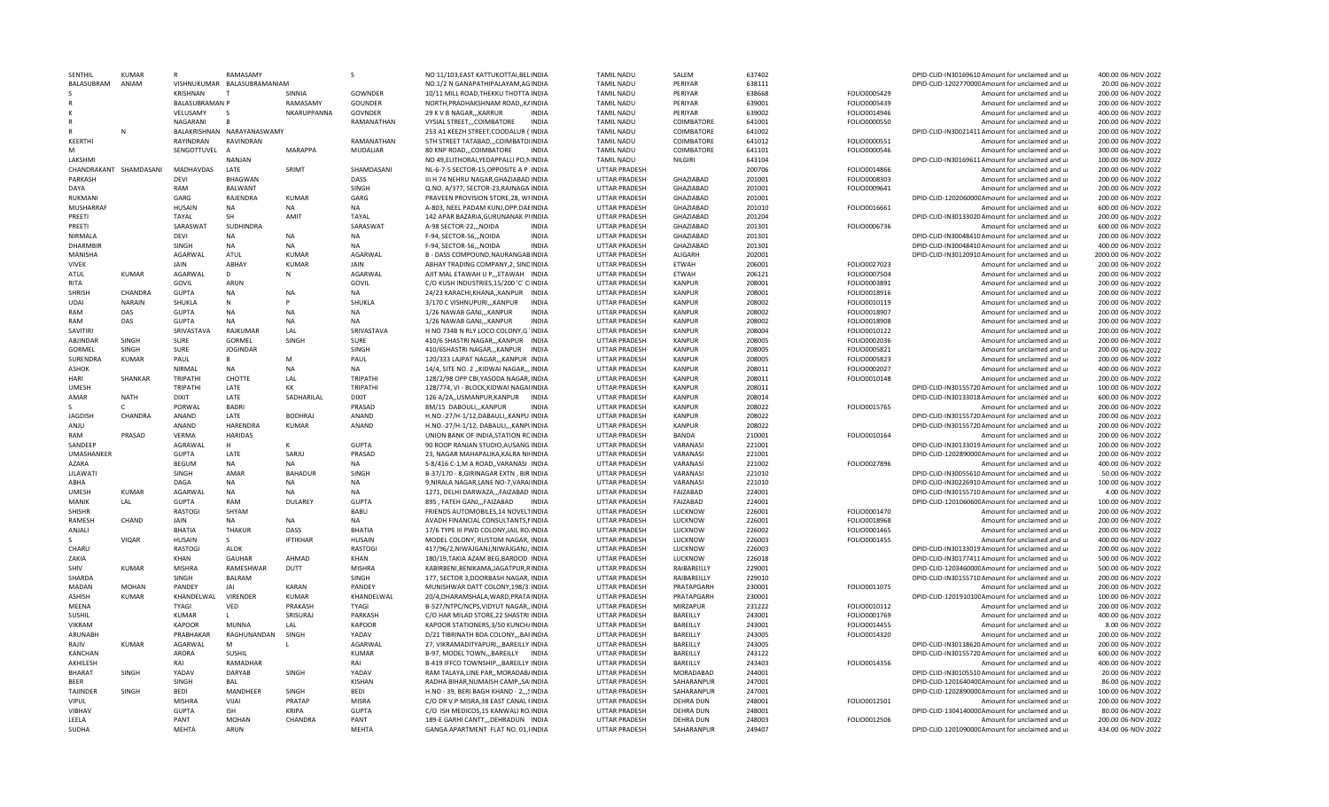| <b>SENTHI</b>          | KUMAR         |                       | RAMASAMY                    |                 | S              | NO 11/103.EAST KATTUKOTTAI.BELINDI/         | TAMIL NADU           | SALEM                          | 637402 |              | DPID-CLID-IN30169610 Amount for unclaimed and u  | 400.00 06-NOV-2022  |
|------------------------|---------------|-----------------------|-----------------------------|-----------------|----------------|---------------------------------------------|----------------------|--------------------------------|--------|--------------|--------------------------------------------------|---------------------|
| BALASUBRAM             | ANIAM         |                       | VISHNUKUMAR BALASUBRAMANIAM |                 |                | NO.1/2 N GANAPATHIPALAYAM.AGINDIA           | <b>TAMIL NADU</b>    | PERIYAR                        | 638111 |              | DPID-CLID-120277000CAmount for unclaimed and ur  | 20.00 06-NOV-2022   |
|                        |               | <b>KRISHNAN</b>       |                             | SINNIA          | <b>GOWNDER</b> | 10/11 MILL ROAD, THEKKU THOTTA INDIA        | <b>TAMIL NADU</b>    | PERIYAR                        | 638668 | FOLIO0005429 | Amount for unclaimed and ur                      | 200.00 06-NOV-2022  |
|                        |               | <b>BALASUBRAMAN P</b> |                             | RAMASAMY        | <b>GOUNDER</b> | NORTH, PRADHAKSHNAM ROAD, , KAINDIA         | <b>TAMIL NADU</b>    | PERIYAR                        | 639001 | FOLIO0005439 | Amount for unclaimed and ur                      | 200.00 06-NOV-2022  |
|                        |               | VELUSAMY              | $\mathcal{S}$               | NKARUPPANNA     | GOVNDER        | 29 K V B NAGAR,,, KARRUR<br><b>INDIA</b>    | <b>TAMIL NADU</b>    | PFRIYAR                        | 639002 | FOLIO0014946 | Amount for unclaimed and ur                      | 400.00 06-NOV-2022  |
|                        |               | NAGARANI              |                             |                 | RAMANATHAN     | VYSIAL STREET,,,COIMBATORE<br>INDIA         | <b>TAMIL NADU</b>    | COIMBATORE                     | 641001 | FOLIO0000550 | Amount for unclaimed and ur                      | 200.00 06-NOV-2022  |
|                        | N             |                       | BALAKRISHNAN NARAYANASWAMY  |                 |                | 253 A1 KEEZH STREET, COODALUR ('INDIA       | <b>TAMIL NADU</b>    | COIMBATORE                     | 641002 |              | DPID-CLID-IN30021411 Amount for unclaimed and ur | 200.00 06-NOV-2022  |
| KEERTHI                |               | RAYINDRAN             | RAVINDRAN                   |                 | RAMANATHAN     | 5TH STREET TATABAD,,,COIMBATOIINDIA         | <b>TAMIL NADU</b>    | COIMBATORE                     | 641012 | FOLIO0000551 | Amount for unclaimed and ur                      | 200.00 06-NOV-2022  |
| M                      |               | SENGOTTUVEL           | $\overline{A}$              | <b>MARAPPA</b>  | MUDALIAR       | 80 KNP ROAD,,,COIMBATORE<br><b>INDIA</b>    | <b>TAMIL NADU</b>    | COIMBATORE                     | 641101 | FOLIO0000546 | Amount for unclaimed and ur                      | 300.00 06-NOV-2022  |
| LAKSHMI                |               |                       | <b>NANJAN</b>               |                 |                | NO 49, ELITHORAI, YEDAPPALLI PO, NINDIA     | <b>TAMIL NADU</b>    | <b>NILGIRI</b>                 | 643104 |              | DPID-CLID-IN30169611 Amount for unclaimed and ur | 100.00 06-NOV-2022  |
| CHANDRAKANT SHAMDASANI |               | MADHAVDAS             | LATE                        | SRIMT           | SHAMDASANI     | NL-6-7-5 SECTOR-15, OPPOSITE A P. INDIA     | <b>UTTAR PRADESH</b> |                                | 200706 | FOLIO0014866 | Amount for unclaimed and ur                      | 200.00 06-NOV-2022  |
| PARKASH                |               | DEVI                  | <b>BHAGWAN</b>              |                 | DASS           | III H 74 NEHRU NAGAR, GHAZIABAD INDIA       | <b>UTTAR PRADESH</b> | GHAZIABAD                      | 201001 | FOLIO0008303 | Amount for unclaimed and ur                      | 200.00 06-NOV-2022  |
| DAYA                   |               | RAM                   | <b>BALWANT</b>              |                 | SINGH          | Q.NO. A/377. SECTOR-23.RAJNAGA INDIA        | <b>UTTAR PRADESH</b> | <b>GHAZIABAD</b>               | 201001 |              | Amount for unclaimed and u                       | 200.00 06-NOV-2022  |
|                        |               |                       |                             |                 |                |                                             |                      |                                |        | FOLIO0009641 |                                                  |                     |
| RUKMANI                |               | GARG                  | RAJENDRA                    | <b>KUMAR</b>    | GARG           | PRAVEEN PROVISION STORE, 28, WFINDIA        | <b>UTTAR PRADESH</b> | <b>GHAZIABAD</b>               | 201001 |              | DPID-CLID-120206000CAmount for unclaimed and ur  | 200.00 06-NOV-2022  |
| MUSHARRAF              |               | <b>HUSAIN</b>         | <b>NA</b>                   | <b>NA</b>       | <b>NA</b>      | A-803, NEEL PADAM KUNJ, OPP. DAEINDIA       | <b>UTTAR PRADESH</b> | GHAZIABAD                      | 201010 | FOLIO0016661 | Amount for unclaimed and ur                      | 600.00 06-NOV-2022  |
| PRFFTI                 |               | <b>TAYAL</b>          | SH                          | AMIT            | TAYAL          | 142 APAR BAZARIA, GURUNANAK PUNDIA          | UTTAR PRADESH        | GHAZIABAD                      | 201204 |              | DPID-CLID-IN30133020 Amount for unclaimed and ur | 200.00 06-NOV-2022  |
| PREETI                 |               | SARASWAT              | SUDHINDRA                   |                 | SARASWAT       | <b>INDIA</b><br>A-98 SECTOR-22,,,NOIDA      | <b>UTTAR PRADESH</b> | GHAZIABAD                      | 201301 | FOLIO0006736 | Amount for unclaimed and ur                      | 600.00 06-NOV-2022  |
| NIRMALA                |               | <b>DEVI</b>           | NA                          | <b>NA</b>       | <b>NA</b>      | F-94, SECTOR-56,,, NOIDA<br><b>INDIA</b>    | UTTAR PRADESH        | GHAZIABAD                      | 201301 |              | DPID-CLID-IN30048410 Amount for unclaimed and ur | 200.00 06-NOV-2022  |
| DHARMBIF               |               | SINGH                 | <b>NA</b>                   | <b>NA</b>       | <b>NA</b>      | F-94, SECTOR-56,,, NOIDA<br>INDIA           | <b>UTTAR PRADESH</b> | GHAZIABAD                      | 201301 |              | DPID-CLID-IN30048410 Amount for unclaimed and ur | 400.00 06-NOV-2022  |
| MANISHA                |               | AGARWAL               | ATUL                        | <b>KUMAR</b>    | AGARWAL        | <b>B - DASS COMPOUND, NAURANGABINDIA</b>    | UTTAR PRADESH        | ALIGARH                        | 202001 |              | DPID-CLID-IN30120910 Amount for unclaimed and ur | 2000.00 06-NOV-2022 |
| <b>VIVEK</b>           |               | JAIN                  | ABHAY                       | <b>KUMAR</b>    | <b>JAIN</b>    | ABHAY TRADING COMPANY, 2, SINDINDIA         | UTTAR PRADESH        | <b>FTWAH</b>                   | 206001 | FOLIO0027023 | Amount for unclaimed and ur                      | 200.00 06-NOV-2022  |
| ATUL                   | <b>KUMAR</b>  | AGARWAL               | D                           | N               | AGARWAL        | AJIT MAL ETAWAH U P.,,ETAWAH INDIA          | UTTAR PRADESH        | <b>ETWAH</b>                   | 206121 | FOLIO0007504 | Amount for unclaimed and ur                      | 200.00 06-NOV-2022  |
| RITA                   |               | GOVIL                 | ARUN                        |                 | GOVIL          | C/O KUSH INDUSTRIES, 15/200 'C' CIINDIA     | UTTAR PRADESH        | <b>KANPUR</b>                  | 208001 | FOLIO0003891 | Amount for unclaimed and ur                      | 200.00 06-NOV-2022  |
| <b>SHRISH</b>          | CHANDRA       | <b>GUPTA</b>          | <b>NA</b>                   | <b>NA</b>       | <b>NA</b>      | 24/23 KARACHI, KHANA, KANPUR INDIA          | <b>UTTAR PRADESH</b> | <b>KANPUR</b>                  | 208001 | FOLIO0018916 | Amount for unclaimed and u                       | 200.00 06-NOV-2022  |
| UDAI                   | <b>NARAIN</b> | SHUKLA                | N                           |                 | SHUKLA         | 3/170 C VISHNUPURI,,,KANPUR<br><b>INDIA</b> | <b>UTTAR PRADESH</b> | <b>KANPUR</b>                  | 208002 | FOLIO0010119 | Amount for unclaimed and ur                      | 200.00 06-NOV-2022  |
| RAM                    | DAS           | GUPTA                 | <b>NA</b>                   | <b>NA</b>       | NA             | 1/26 NAWAB GANJ,,, KANPUR<br><b>INDIA</b>   | <b>UTTAR PRADESH</b> | <b>KANPUR</b>                  | 208002 | FOLIO0018907 | Amount for unclaimed and ur                      | 200.00 06-NOV-2022  |
|                        |               |                       |                             |                 |                |                                             |                      |                                |        |              |                                                  |                     |
| RAM<br><b>SAVITIRI</b> | DAS           | <b>GUPTA</b>          | <b>NA</b><br>RAIKUMAR       | <b>NA</b>       | <b>NA</b>      | 1/26 NAWAB GANJ,,,KANPUR<br>INDIA           | UTTAR PRADESH        | <b>KANPUR</b><br><b>KANPUR</b> | 208002 | FOLIO0018908 | Amount for unclaimed and ur                      | 200.00 06-NOV-2022  |
|                        |               | SRIVASTAVA            |                             | LAL             | SRIVASTAVA     | H NO 734B N RLY LOCO COLONY, G INDIA        | UTTAR PRADESH        |                                | 208004 | FOLIO0010122 | Amount for unclaimed and ur                      | 200.00 06-NOV-2022  |
| ABJINDAR               | SINGH         | <b>SURE</b>           | GORMEL                      | SINGH           | SURE           | 410/6 SHASTRI NAGAR,,, KANPUR INDIA         | UTTAR PRADESH        | <b>KANPUR</b>                  | 208005 | FOLIO0002036 | Amount for unclaimed and ur                      | 200.00 06-NOV-2022  |
| GORMEL                 | SINGH         | SURE                  | <b>JOGINDAR</b>             |                 | SINGH          | 410/6SHASTRI NAGAR,,,KANPUR INDIA           | UTTAR PRADESH        | <b>KANPUR</b>                  | 208005 | FOLIO0005821 | Amount for unclaimed and ur                      | 200.00 06-NOV-2022  |
| <b>SURENDRA</b>        | <b>KUMAR</b>  | PAUL                  | В                           | M               | PAUL           | 120/333 LAJPAT NAGAR,,,KANPUR INDIA         | UTTAR PRADESH        | <b>KANPUR</b>                  | 208005 | FOLIO0005823 | Amount for unclaimed and ur                      | 200.00 06-NOV-2022  |
| ASHOK                  |               | <b>NIRMAL</b>         | NA                          | <b>NA</b>       | <b>NA</b>      | 14/4, SITE NO. 2 "KIDWAI NAGAR," INDIA      | <b>UTTAR PRADESH</b> | <b>KANPUR</b>                  | 208011 | FOLIO0002027 | Amount for unclaimed and ur                      | 400.00 06-NOV-2022  |
| HARI                   | SHANKAR       | TRIPATHI              | CHOTTE                      | LAL             | TRIPATHI       | 128/2/98 OPP CBI, YASODA NAGAR, INDIA       | <b>UTTAR PRADESH</b> | <b>KANPUR</b>                  | 208011 | FOLIO0010148 | Amount for unclaimed and ur                      | 200.00 06-NOV-2022  |
| <b>UMESH</b>           |               | TRIPATHI              | LATF                        | KK              | <b>TRIPATH</b> | 128/774, VI - BLOCK, KIDWAI NAGAI INDIA     | UTTAR PRADESH        | <b>KANPUR</b>                  | 208011 |              | DPID-CLID-IN30155720 Amount for unclaimed and ur | 100.00 06-NOV-2022  |
| <b>AMAR</b>            | <b>NATH</b>   | <b>DIXIT</b>          | LATE                        | SADHARILAL      | <b>DIXIT</b>   | 126 A/2A., USMANPUR, KANPUR<br><b>INDIA</b> | UTTAR PRADESH        | <b>KANPUR</b>                  | 208014 |              | DPID-CLID-IN30133018 Amount for unclaimed and ur | 600.00 06-NOV-2022  |
|                        |               | PORWAL                | <b>BADRI</b>                |                 | PRASAD         | 8M/15 DABOULI,,,KANPUR<br><b>INDIA</b>      | <b>UTTAR PRADESH</b> | <b>KANPUR</b>                  | 208022 | FOLIO0015765 | Amount for unclaimed and u                       | 200.00 06-NOV-2022  |
| JAGDISH                | CHANDRA       | ANAND                 | LATE                        | <b>BODHRAJ</b>  | ANAND          | H.NO.-27/H-1/12,DABAULI,,KANPUIINDIA        | UTTAR PRADESH        | <b>KANPUR</b>                  | 208022 |              | DPID-CLID-IN30155720 Amount for unclaimed and up | 200.00 06-NOV-2022  |
| ANJU                   |               | ANAND                 | HARENDRA                    | <b>KUMAR</b>    | ANAND          | H.NO.-27/H-1/12, DABAULI,,,KANPLINDIA       | UTTAR PRADESH        | <b>KANPUR</b>                  | 208022 |              | DPID-CLID-IN30155720 Amount for unclaimed and ur | 200.00 06-NOV-2022  |
| RAM                    | PRASAD        | VERMA                 | <b>HARIDAS</b>              |                 |                | UNION BANK OF INDIA, STATION RCINDIA        | UTTAR PRADESH        | <b>BANDA</b>                   | 210001 | FOLIO0010164 | Amount for unclaimed and ur                      | 200.00 06-NOV-2022  |
| SANDEEP                |               | AGRAWAL               | H                           |                 | <b>GUPTA</b>   | 90 ROOP RANJAN STUDIO, AUSANG. INDIA        | <b>UTTAR PRADESH</b> | VARANASI                       | 221001 |              | DPID-CLID-IN30133019 Amount for unclaimed and ur | 200.00 06-NOV-2022  |
| UMASHANKER             |               | <b>GUPTA</b>          | LATE                        | SARJU           | PRASAD         | 23, NAGAR MAHAPALIKA, KALRA NI(INDIA        | <b>UTTAR PRADESH</b> | VARANASI                       | 221001 |              | DPID-CLID-120289000CAmount for unclaimed and ur  | 200.00 06-NOV-2022  |
| <b>AZARA</b>           |               |                       | <b>NA</b>                   | <b>NA</b>       | <b>NA</b>      | S-8/416 C-1.M A ROAD., VARANASI INDIA       | <b>UTTAR PRADESH</b> | VARANASI                       | 221002 |              | Amount for unclaimed and u                       | 400.00 06-NOV-2022  |
|                        |               | <b>BEGUM</b>          |                             |                 |                |                                             |                      |                                |        | FOLIO0027896 |                                                  |                     |
| LILAWATI               |               | SINGH                 | AMAF                        | <b>BAHADUR</b>  | SINGH          | B-37/170 - 8, GIRINAGAR EXTN, BIR INDIA     | <b>UTTAR PRADESH</b> | VARANASI                       | 221010 |              | DPID-CLID-IN30055610 Amount for unclaimed and ur | 50.00 06-NOV-2022   |
| ABHA                   |               | DAGA                  | NA                          | <b>NA</b>       | <b>NA</b>      | 9, NIRALA NAGAR, LANE NO-7, VARAIINDIA      | <b>UTTAR PRADESH</b> | VARANASI                       | 221010 |              | DPID-CLID-IN30226910 Amount for unclaimed and ur | 100.00 06-NOV-2022  |
| UMFSH                  | KUMAR         | AGARWAL               | NA                          | <b>NA</b>       | <b>NA</b>      | 1271, DELHI DARWAZA,,,FAIZABAD INDIA        | UTTAR PRADESH        | FAIZABAD                       | 224001 |              | DPID-CLID-IN30155710 Amount for unclaimed and ur | 4.00 06-NOV-2022    |
| MANIK                  | LAL           | <b>GUPTA</b>          | RAM                         | <b>DULAREY</b>  | <b>GUPTA</b>   | 895, FATEH GANJ,,,FAIZABAD<br>INDIA         | UTTAR PRADESH        | FAIZABAD                       | 224001 |              | DPID-CLID-120106060C Amount for unclaimed and ur | 100.00 06-NOV-2022  |
| <b>SHISHR</b>          |               | <b>RASTOGI</b>        | SHYAM                       |                 | <b>BABU</b>    | FRIENDS AUTOMOBILES, 14 NOVELTINDIA         | <b>UTTAR PRADESH</b> | LUCKNOW                        | 226001 | FOLIO0001470 | Amount for unclaimed and ur                      | 200.00 06-NOV-2022  |
| RAMESH                 | CHAND         | JAIN                  | <b>NA</b>                   | <b>NA</b>       | <b>NA</b>      | AVADH FINANCIAL CONSULTANTS, NINDIA         | <b>UTTAR PRADESH</b> | LUCKNOW                        | 226001 | FOLIO0018968 | Amount for unclaimed and ur                      | 200.00 06-NOV-2022  |
| ANJALI                 |               | <b>BHATIA</b>         | <b>THAKUR</b>               | DASS            | <b>BHATIA</b>  | 17/6 TYPE III PWD COLONY, JAIL RO/INDIA     | UTTAR PRADESH        | LUCKNOW                        | 226002 | FOLIO0001465 | Amount for unclaimed and ur                      | 200.00 06-NOV-2022  |
|                        | <b>VIQAR</b>  | HUSAIN                | -S                          | <b>IFTIKHAR</b> | <b>HUSAIN</b>  | MODEL COLONY, RUSTOM NAGAR, INDIA           | <b>UTTAR PRADESH</b> | LUCKNOW                        | 226003 | FOLIO0001455 | Amount for unclaimed and ur                      | 400.00 06-NOV-2022  |
| CHARU                  |               | <b>RASTOGI</b>        | ALOK                        |                 | <b>RASTOGI</b> | 417/96/2,NIWAJGANJ,NIWAJGANJ,IINDIA         | UTTAR PRADESH        | LUCKNOW                        | 226003 |              | DPID-CLID-IN30133019 Amount for unclaimed and up | 200.00 06-NOV-2022  |
| ZAKIA                  |               | KHAN                  | <b>GAUHAR</b>               | AHMAD           | KHAN           | 180/19, TAKIA AZAM BEG, BAROOD IINDIA       | UTTAR PRADESH        | LUCKNOW                        | 226018 |              | DPID-CLID-IN30177411 Amount for unclaimed and ur | 500.00 06-NOV-2022  |
| SHIV                   | KUMAR         | <b>MISHRA</b>         | RAMESHWAR                   | DUTT            | <b>MISHRA</b>  | KABIRBENI, BENIKAMA, JAGATPUR, RINDIA       | UTTAR PRADESH        | RAIBARFILLY                    | 229001 |              | DPID-CLID-120346000CAmount for unclaimed and ur  | 500.00 06-NOV-2022  |
| <b>SHARDA</b>          |               | SINGH                 | <b>BALRAM</b>               |                 | SINGH          | 177, SECTOR 3, DOORBASH NAGAR, INDIA        | UTTAR PRADESH        | RAIBAREILLY                    | 229010 |              | DPID-CLID-IN30155710 Amount for unclaimed and ur | 200.00 06-NOV-2022  |
| MADAN                  | <b>MOHAN</b>  | PANDEY                | JAI                         | <b>KARAN</b>    | PANDEY         | MUNISHWAR DATT COLONY, 198/3: INDIA         | <b>UTTAR PRADESH</b> | PRATAPGARH                     | 230001 | FOLIO0011075 | Amount for unclaimed and ur                      | 200.00 06-NOV-2022  |
| ASHISH                 | KUMAR         | KHANDELWAL            | VIRENDER                    | <b>KUMAR</b>    | KHANDELWAL     | 20/4, DHARAMSHALA, WARD, PRATAINDIA         | UTTAR PRADESH        | PRATAPGARH                     | 230001 |              | DPID-CLID-120191010CAmount for unclaimed and ur  | 100.00 06-NOV-2022  |
| MEENA                  |               | <b>TYAGI</b>          | VED                         | PRAKASH         | <b>TYAGI</b>   | B-527/NTPC/NCPS.VIDYUT NAGAR. INDIA         | <b>UTTAR PRADESH</b> | <b>MIRZAPUR</b>                | 231222 | FOLIO0010112 | Amount for unclaimed and u                       | 200.00 06-NOV-2022  |
|                        |               |                       |                             |                 |                |                                             |                      |                                |        |              |                                                  |                     |
| <b>SUSHIL</b>          |               | <b>KUMAR</b>          |                             | SRISURAJ        | PARKASH        | C/O HAR MILAD STORE, 22 SHASTRI INDIA       | UTTAR PRADESH        | <b>BARFILLY</b>                | 243001 | FOLIO0001769 | Amount for unclaimed and ur                      | 400.00 06-NOV-2022  |
| <b>VIKRAM</b>          |               | <b>KAPOOR</b>         | <b>MUNNA</b>                | LAL             | <b>KAPOOR</b>  | KAPOOR STATIONERS, 3/50 KUNCH/INDIA         | UTTAR PRADESH        | BAREILLY                       | 243001 | FOLIO0014455 | Amount for unclaimed and ur                      | 8.00 06-NOV-2022    |
| ARUNABH                |               | PRABHAKAR             | RAGHUNANDAN                 | SINGH           | YADAV          | D/21 TIBRINATH BDA COLONY,,,BAFINDIA        | UTTAR PRADESH        | BAREILLY                       | 243005 | FOLIO0014320 | Amount for unclaimed and ur                      | 200.00 06-NOV-2022  |
| RAIIV                  | KUMAR         | AGARWAL               | M                           |                 | AGARWAL        | 27, VIKRAMADITYAPURI,,,BAREILLY INDIA       | <b>UTTAR PRADESH</b> | BAREILLY                       | 243005 |              | DPID-CLID-IN30118620 Amount for unclaimed and ur | 200.00 06-NOV-2022  |
| <b>KANCHAN</b>         |               | ARORA                 | SUSHIL                      |                 | <b>KUMAR</b>   | B-97, MODEL TOWN,,, BAREILLY INDIA          | <b>UTTAR PRADESH</b> | BAREILLY                       | 243122 |              | DPID-CLID-IN30155720 Amount for unclaimed and ur | 600.00 06-NOV-2022  |
| AKHILESH               |               | RAI                   | RAMADHAR                    |                 | RAI            | B-419 IFFCO TOWNSHIP,,, BAREILLY INDIA      | UTTAR PRADESH        | BAREILLY                       | 243403 | FOLIO0014356 | Amount for unclaimed and ur                      | 400.00 06-NOV-2022  |
| <b>BHARAT</b>          | SINGH         | YADAV                 | <b>DARYAB</b>               | SINGH           | YADAV          | RAM TALAYA, LINE PAR,, MORADAB/INDIA        | <b>UTTAR PRADESH</b> | MORADABAD                      | 244001 |              | DPID-CLID-IN30105510 Amount for unclaimed and ur | 20.00 06-NOV-2022   |
| BEER                   |               | SINGH                 | BAL                         |                 | <b>KISHAN</b>  | RADHA BIHAR, NUMAISH CAMP,, SAIINDIA        | <b>UTTAR PRADESH</b> | SAHARANPUR                     | 247001 |              | DPID-CLID-120164040CAmount for unclaimed and ur  | 86.00 06-NOV-2022   |
| <b>TAJINDER</b>        | SINGH         | <b>BEDI</b>           | MANDHEER                    | SINGH           | <b>BEDI</b>    | H.NO - 39, BERI BAGH KHAND - 2,,,SINDIA     | UTTAR PRADESH        | SAHARANPUR                     | 247001 |              | DPID-CLID-120289000CAmount for unclaimed and ur  | 100.00 06-NOV-2022  |
| VIPUL                  |               | <b>MISHRA</b>         | VIJAI                       | PRATAP          | <b>MISRA</b>   | C/O DR V P MISRA.38 EAST CANAL FINDIA       | <b>UTTAR PRADESH</b> | DEHRA DUN                      | 248001 | FOLIO0012501 | Amount for unclaimed and ur                      | 200.00 06-NOV-2022  |
| VIRHAV                 |               | <b>GUPTA</b>          | <b>ISH</b>                  | KRIPA           | GUPTA          | C/O ISH MEDICOS, 15 KANWALI RO.INDIA        | UTTAR PRADESH        | DEHRA DUN                      | 248001 |              | DPID-CLID-130414000CAmount for unclaimed and u   | 80.00 06-NOV-2022   |
| LEELA                  |               | PANT                  | <b>MOHAN</b>                | CHANDRA         | PANT           | 189-E GARHI CANTT,,,DEHRADUN INDIA          | UTTAR PRADESH        | DEHRA DUN                      | 248003 | FOLIO0012506 | Amount for unclaimed and ur                      | 200.00 06-NOV-2022  |
| <b>SUDHA</b>           |               | <b>MEHTA</b>          | ARUN                        |                 | <b>MEHTA</b>   | GANGA APARTMENT FLAT NO. 01, FINDIA         | UTTAR PRADESH        | SAHARANPUR                     | 249407 |              | DPID-CLID-120109000C Amount for unclaimed and ur | 434.00 06-NOV-2022  |
|                        |               |                       |                             |                 |                |                                             |                      |                                |        |              |                                                  |                     |